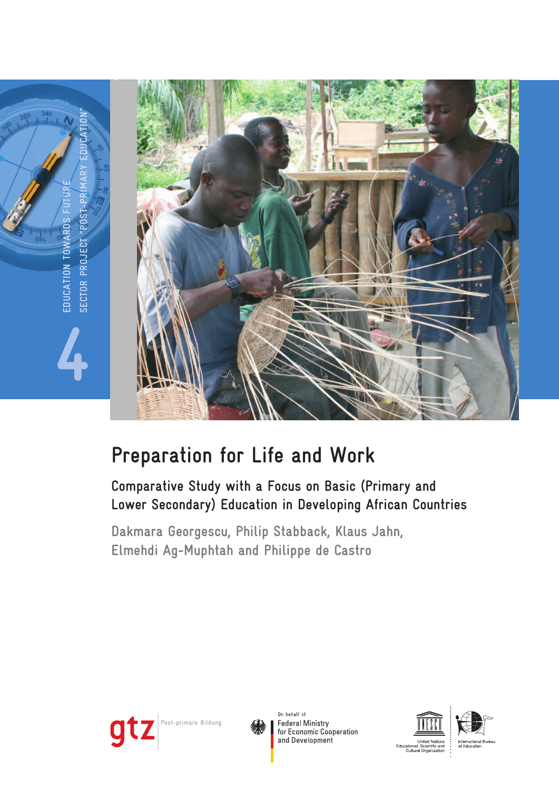

# **Preparation for Life and Work**

## **Comparative Study with a Focus on Basic (Primary and Lower Secondary) Education in Developing African Countries**

**Dakmara Georgescu, Philip Stabback, Klaus Jahn, Elmehdi Ag-Muphtah and Philippe de Castro**





On behalf of **Federal Ministry** for Economic Cooperation and Development



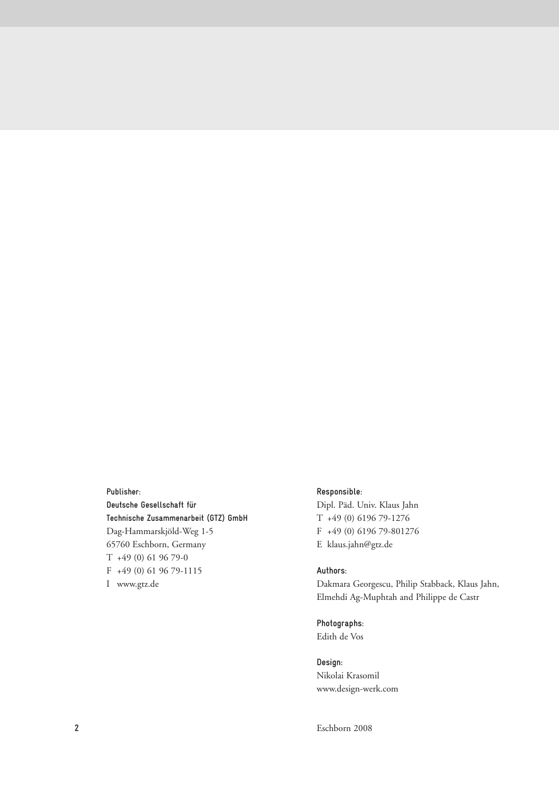**Publisher: Deutsche Gesellschaft für Technische Zusammenarbeit (GTZ) GmbH** Dag-Hammarskjöld-Weg 1-5 65760 Eschborn, Germany T +49 (0) 61 96 79-0 F +49 (0) 61 96 79-1115 I www.gtz.de

#### **Responsible:**

Dipl. Päd. Univ. Klaus Jahn T +49 (0) 6196 79-1276 F +49 (0) 6196 79-801276 E klaus.jahn@gtz.de

#### **Authors:**

Dakmara Georgescu, Philip Stabback, Klaus Jahn, Elmehdi Ag-Muphtah and Philippe de Castr

**Photographs:** Edith de Vos

**Design:** Nikolai Krasomil www.design-werk.com

Eschborn 2008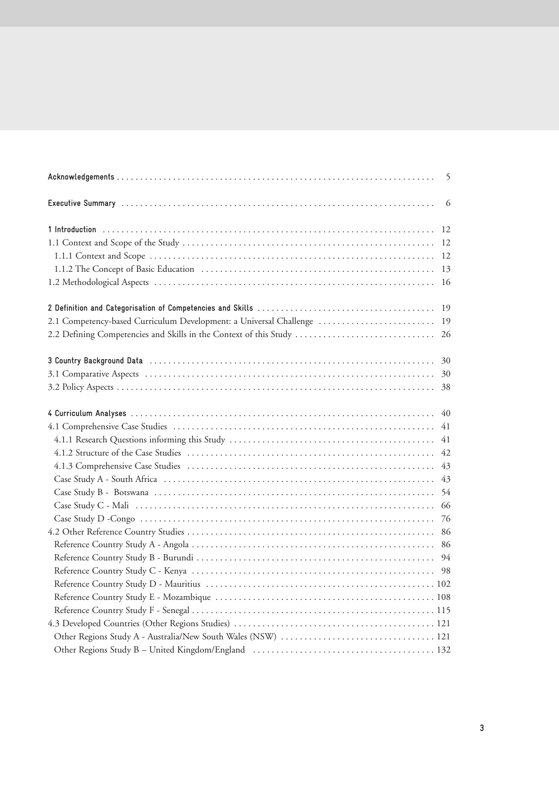|                                                                    | 5  |
|--------------------------------------------------------------------|----|
|                                                                    | 6  |
|                                                                    | 12 |
|                                                                    |    |
|                                                                    | 12 |
|                                                                    | 13 |
|                                                                    | 16 |
|                                                                    | 19 |
| 2.1 Competency-based Curriculum Development: a Universal Challenge | 19 |
| 2.2 Defining Competencies and Skills in the Context of this Study  | 26 |
|                                                                    | 30 |
|                                                                    | 30 |
|                                                                    | 38 |
|                                                                    | 40 |
|                                                                    | 41 |
|                                                                    | 41 |
|                                                                    | 42 |
|                                                                    | 43 |
|                                                                    | 43 |
|                                                                    | 54 |
|                                                                    | 66 |
|                                                                    |    |
|                                                                    | 86 |
|                                                                    |    |
|                                                                    |    |
|                                                                    |    |
|                                                                    |    |
|                                                                    |    |
|                                                                    |    |
|                                                                    |    |
|                                                                    |    |
|                                                                    |    |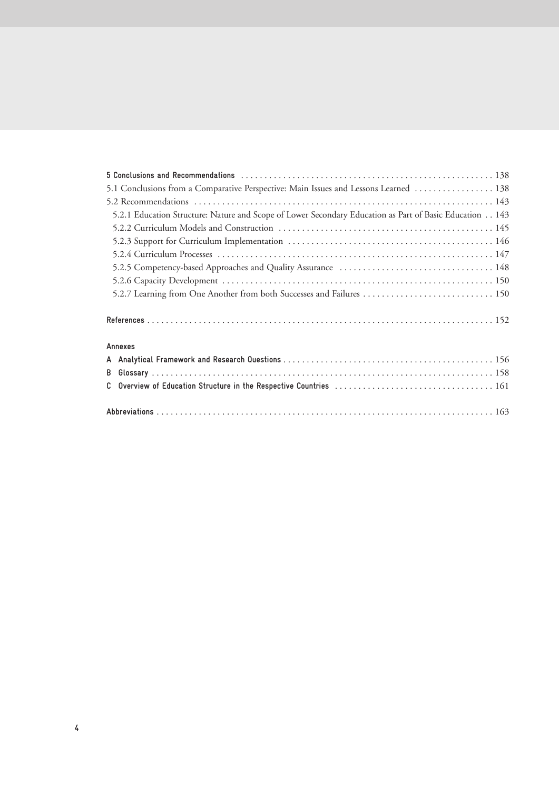| 5.1 Conclusions from a Comparative Perspective: Main Issues and Lessons Learned  138                    |  |
|---------------------------------------------------------------------------------------------------------|--|
|                                                                                                         |  |
| 5.2.1 Education Structure: Nature and Scope of Lower Secondary Education as Part of Basic Education 143 |  |
|                                                                                                         |  |
|                                                                                                         |  |
|                                                                                                         |  |
|                                                                                                         |  |
|                                                                                                         |  |
|                                                                                                         |  |
|                                                                                                         |  |
| Annexes                                                                                                 |  |
|                                                                                                         |  |
|                                                                                                         |  |
|                                                                                                         |  |
|                                                                                                         |  |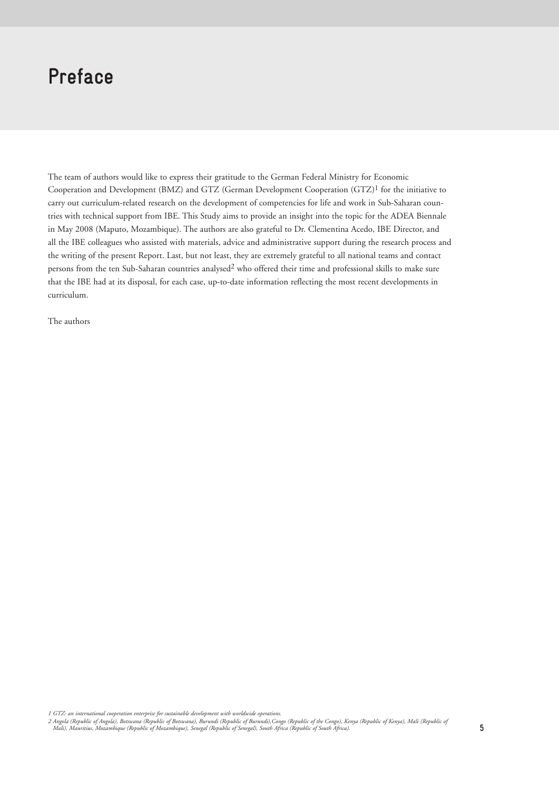## **Preface**

The team of authors would like to express their gratitude to the German Federal Ministry for Economic Cooperation and Development (BMZ) and GTZ (German Development Cooperation (GTZ)1 for the initiative to carry out curriculum-related research on the development of competencies for life and work in Sub-Saharan countries with technical support from IBE. This Study aims to provide an insight into the topic for the ADEA Biennale in May 2008 (Maputo, Mozambique). The authors are also grateful to Dr. Clementina Acedo, IBE Director, and all the IBE colleagues who assisted with materials, advice and administrative support during the research process and the writing of the present Report. Last, but not least, they are extremely grateful to all national teams and contact persons from the ten Sub-Saharan countries analysed2 who offered their time and professional skills to make sure that the IBE had at its disposal, for each case, up-to-date information reflecting the most recent developments in curriculum.

The authors

*1 GTZ: an international cooperation enterprise for sustainable development with worldwide operations.*

2 Angola (Republic of Angola), Botswana (Republic of Botswana), Burundi (Republic of Burundi),Congo (Republic of the Congo), Kenya (Republic of Kenya), Mali (Republic of<br>Mali), Mauritius, Mozambique (Republic of Mozambique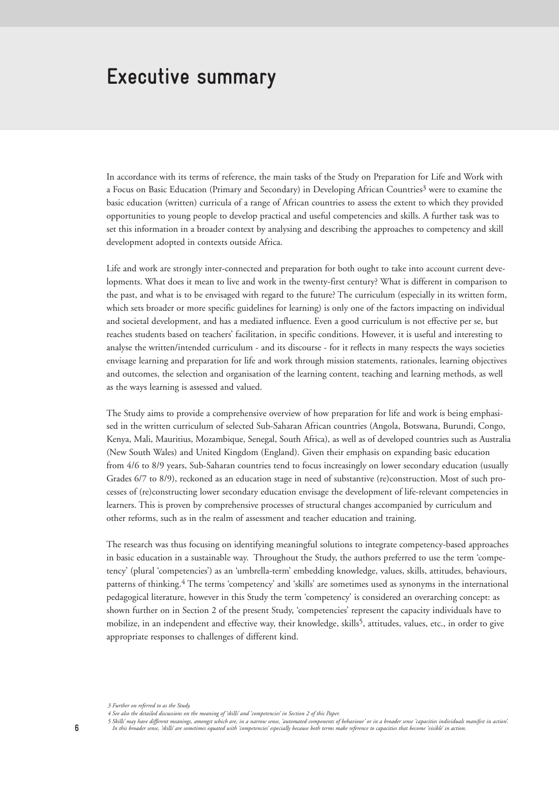## **Executive summary**

In accordance with its terms of reference, the main tasks of the Study on Preparation for Life and Work with a Focus on Basic Education (Primary and Secondary) in Developing African Countries<sup>3</sup> were to examine the basic education (written) curricula of a range of African countries to assess the extent to which they provided opportunities to young people to develop practical and useful competencies and skills. A further task was to set this information in a broader context by analysing and describing the approaches to competency and skill development adopted in contexts outside Africa.

Life and work are strongly inter-connected and preparation for both ought to take into account current developments. What does it mean to live and work in the twenty-first century? What is different in comparison to the past, and what is to be envisaged with regard to the future? The curriculum (especially in its written form, which sets broader or more specific guidelines for learning) is only one of the factors impacting on individual and societal development, and has a mediated influence. Even a good curriculum is not effective per se, but reaches students based on teachers' facilitation, in specific conditions. However, it is useful and interesting to analyse the written/intended curriculum - and its discourse - for it reflects in many respects the ways societies envisage learning and preparation for life and work through mission statements, rationales, learning objectives and outcomes, the selection and organisation of the learning content, teaching and learning methods, as well as the ways learning is assessed and valued.

The Study aims to provide a comprehensive overview of how preparation for life and work is being emphasised in the written curriculum of selected Sub-Saharan African countries (Angola, Botswana, Burundi, Congo, Kenya, Mali, Mauritius, Mozambique, Senegal, South Africa), as well as of developed countries such as Australia (New South Wales) and United Kingdom (England). Given their emphasis on expanding basic education from 4/6 to 8/9 years, Sub-Saharan countries tend to focus increasingly on lower secondary education (usually Grades 6/7 to 8/9), reckoned as an education stage in need of substantive (re)construction. Most of such processes of (re)constructing lower secondary education envisage the development of life-relevant competencies in learners. This is proven by comprehensive processes of structural changes accompanied by curriculum and other reforms, such as in the realm of assessment and teacher education and training.

The research was thus focusing on identifying meaningful solutions to integrate competency-based approaches in basic education in a sustainable way. Throughout the Study, the authors preferred to use the term 'competency' (plural 'competencies') as an 'umbrella-term' embedding knowledge, values, skills, attitudes, behaviours, patterns of thinking.4 The terms 'competency' and 'skills' are sometimes used as synonyms in the international pedagogical literature, however in this Study the term 'competency' is considered an overarching concept: as shown further on in Section 2 of the present Study, 'competencies' represent the capacity individuals have to mobilize, in an independent and effective way, their knowledge, skills<sup>5</sup>, attitudes, values, etc., in order to give appropriate responses to challenges of different kind.

5 Skills' may have different meanings, amongst which are, in a narrow sense, 'automated components of behaviour' or in a broader sense 'capacities individuals manifest in action'.<br>In this broader sense, 'skills' are someti

*<sup>3</sup> Further on referred to as the Study.*

*<sup>4</sup> See also the detailed discussions on the meaning of 'skills' and 'competencies' in Section 2 of this Paper.*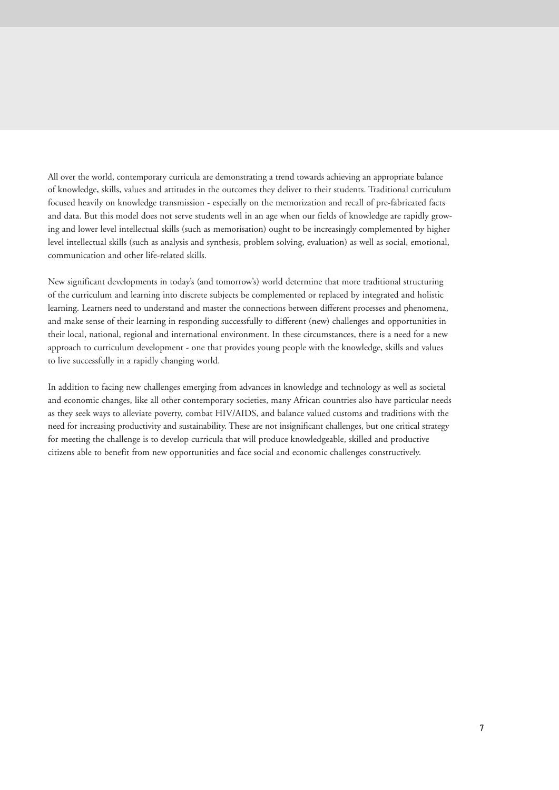All over the world, contemporary curricula are demonstrating a trend towards achieving an appropriate balance of knowledge, skills, values and attitudes in the outcomes they deliver to their students. Traditional curriculum focused heavily on knowledge transmission - especially on the memorization and recall of pre-fabricated facts and data. But this model does not serve students well in an age when our fields of knowledge are rapidly growing and lower level intellectual skills (such as memorisation) ought to be increasingly complemented by higher level intellectual skills (such as analysis and synthesis, problem solving, evaluation) as well as social, emotional, communication and other life-related skills.

New significant developments in today's (and tomorrow's) world determine that more traditional structuring of the curriculum and learning into discrete subjects be complemented or replaced by integrated and holistic learning. Learners need to understand and master the connections between different processes and phenomena, and make sense of their learning in responding successfully to different (new) challenges and opportunities in their local, national, regional and international environment. In these circumstances, there is a need for a new approach to curriculum development - one that provides young people with the knowledge, skills and values to live successfully in a rapidly changing world.

In addition to facing new challenges emerging from advances in knowledge and technology as well as societal and economic changes, like all other contemporary societies, many African countries also have particular needs as they seek ways to alleviate poverty, combat HIV/AIDS, and balance valued customs and traditions with the need for increasing productivity and sustainability. These are not insignificant challenges, but one critical strategy for meeting the challenge is to develop curricula that will produce knowledgeable, skilled and productive citizens able to benefit from new opportunities and face social and economic challenges constructively.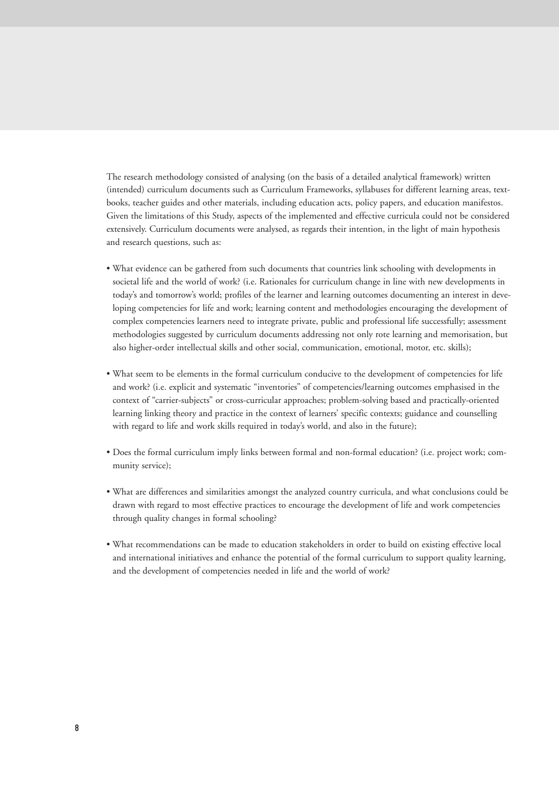The research methodology consisted of analysing (on the basis of a detailed analytical framework) written (intended) curriculum documents such as Curriculum Frameworks, syllabuses for different learning areas, textbooks, teacher guides and other materials, including education acts, policy papers, and education manifestos. Given the limitations of this Study, aspects of the implemented and effective curricula could not be considered extensively. Curriculum documents were analysed, as regards their intention, in the light of main hypothesis and research questions, such as:

- What evidence can be gathered from such documents that countries link schooling with developments in societal life and the world of work? (i.e. Rationales for curriculum change in line with new developments in today's and tomorrow's world; profiles of the learner and learning outcomes documenting an interest in developing competencies for life and work; learning content and methodologies encouraging the development of complex competencies learners need to integrate private, public and professional life successfully; assessment methodologies suggested by curriculum documents addressing not only rote learning and memorisation, but also higher-order intellectual skills and other social, communication, emotional, motor, etc. skills);
- What seem to be elements in the formal curriculum conducive to the development of competencies for life and work? (i.e. explicit and systematic "inventories" of competencies/learning outcomes emphasised in the context of "carrier-subjects" or cross-curricular approaches; problem-solving based and practically-oriented learning linking theory and practice in the context of learners' specific contexts; guidance and counselling with regard to life and work skills required in today's world, and also in the future);
- Does the formal curriculum imply links between formal and non-formal education? (i.e. project work; community service);
- What are differences and similarities amongst the analyzed country curricula, and what conclusions could be drawn with regard to most effective practices to encourage the development of life and work competencies through quality changes in formal schooling?
- What recommendations can be made to education stakeholders in order to build on existing effective local and international initiatives and enhance the potential of the formal curriculum to support quality learning, and the development of competencies needed in life and the world of work?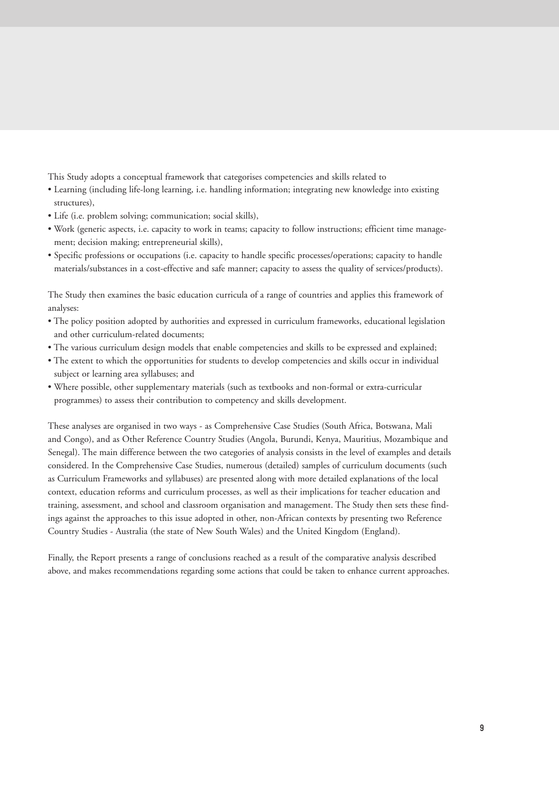This Study adopts a conceptual framework that categorises competencies and skills related to

- Learning (including life-long learning, i.e. handling information; integrating new knowledge into existing structures),
- Life (i.e. problem solving; communication; social skills),
- Work (generic aspects, i.e. capacity to work in teams; capacity to follow instructions; efficient time management; decision making; entrepreneurial skills),
- Specific professions or occupations (i.e. capacity to handle specific processes/operations; capacity to handle materials/substances in a cost-effective and safe manner; capacity to assess the quality of services/products).

The Study then examines the basic education curricula of a range of countries and applies this framework of analyses:

- The policy position adopted by authorities and expressed in curriculum frameworks, educational legislation and other curriculum-related documents;
- The various curriculum design models that enable competencies and skills to be expressed and explained;
- The extent to which the opportunities for students to develop competencies and skills occur in individual subject or learning area syllabuses; and
- Where possible, other supplementary materials (such as textbooks and non-formal or extra-curricular programmes) to assess their contribution to competency and skills development.

These analyses are organised in two ways - as Comprehensive Case Studies (South Africa, Botswana, Mali and Congo), and as Other Reference Country Studies (Angola, Burundi, Kenya, Mauritius, Mozambique and Senegal). The main difference between the two categories of analysis consists in the level of examples and details considered. In the Comprehensive Case Studies, numerous (detailed) samples of curriculum documents (such as Curriculum Frameworks and syllabuses) are presented along with more detailed explanations of the local context, education reforms and curriculum processes, as well as their implications for teacher education and training, assessment, and school and classroom organisation and management. The Study then sets these findings against the approaches to this issue adopted in other, non-African contexts by presenting two Reference Country Studies - Australia (the state of New South Wales) and the United Kingdom (England).

Finally, the Report presents a range of conclusions reached as a result of the comparative analysis described above, and makes recommendations regarding some actions that could be taken to enhance current approaches.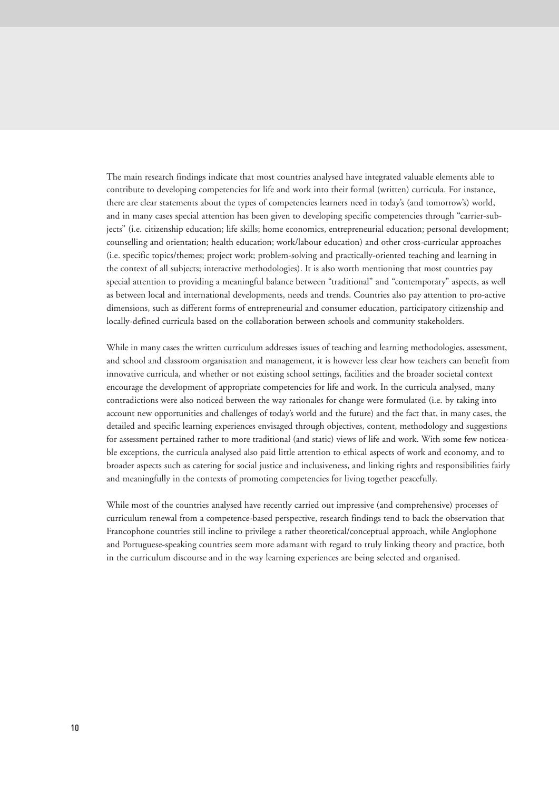The main research findings indicate that most countries analysed have integrated valuable elements able to contribute to developing competencies for life and work into their formal (written) curricula. For instance, there are clear statements about the types of competencies learners need in today's (and tomorrow's) world, and in many cases special attention has been given to developing specific competencies through "carrier-subjects" (i.e. citizenship education; life skills; home economics, entrepreneurial education; personal development; counselling and orientation; health education; work/labour education) and other cross-curricular approaches (i.e. specific topics/themes; project work; problem-solving and practically-oriented teaching and learning in the context of all subjects; interactive methodologies). It is also worth mentioning that most countries pay special attention to providing a meaningful balance between "traditional" and "contemporary" aspects, as well as between local and international developments, needs and trends. Countries also pay attention to pro-active dimensions, such as different forms of entrepreneurial and consumer education, participatory citizenship and locally-defined curricula based on the collaboration between schools and community stakeholders.

While in many cases the written curriculum addresses issues of teaching and learning methodologies, assessment, and school and classroom organisation and management, it is however less clear how teachers can benefit from innovative curricula, and whether or not existing school settings, facilities and the broader societal context encourage the development of appropriate competencies for life and work. In the curricula analysed, many contradictions were also noticed between the way rationales for change were formulated (i.e. by taking into account new opportunities and challenges of today's world and the future) and the fact that, in many cases, the detailed and specific learning experiences envisaged through objectives, content, methodology and suggestions for assessment pertained rather to more traditional (and static) views of life and work. With some few noticeable exceptions, the curricula analysed also paid little attention to ethical aspects of work and economy, and to broader aspects such as catering for social justice and inclusiveness, and linking rights and responsibilities fairly and meaningfully in the contexts of promoting competencies for living together peacefully.

While most of the countries analysed have recently carried out impressive (and comprehensive) processes of curriculum renewal from a competence-based perspective, research findings tend to back the observation that Francophone countries still incline to privilege a rather theoretical/conceptual approach, while Anglophone and Portuguese-speaking countries seem more adamant with regard to truly linking theory and practice, both in the curriculum discourse and in the way learning experiences are being selected and organised.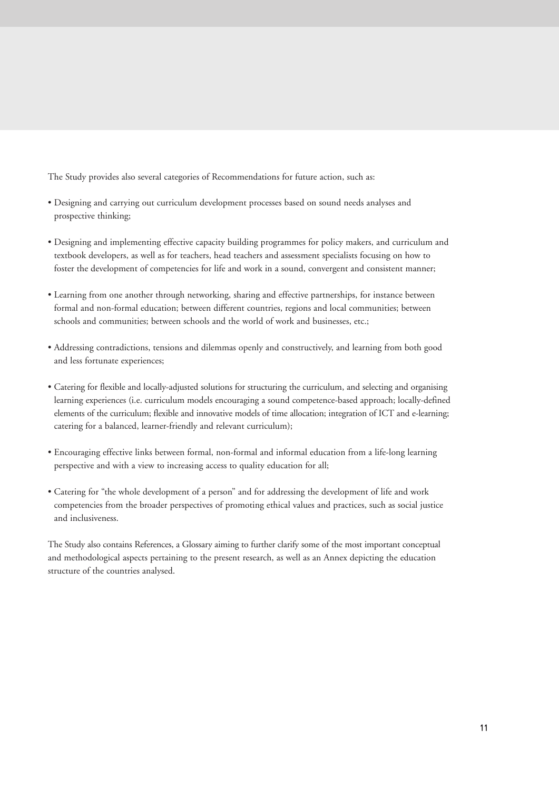The Study provides also several categories of Recommendations for future action, such as:

- Designing and carrying out curriculum development processes based on sound needs analyses and prospective thinking;
- Designing and implementing effective capacity building programmes for policy makers, and curriculum and textbook developers, as well as for teachers, head teachers and assessment specialists focusing on how to foster the development of competencies for life and work in a sound, convergent and consistent manner;
- Learning from one another through networking, sharing and effective partnerships, for instance between formal and non-formal education; between different countries, regions and local communities; between schools and communities; between schools and the world of work and businesses, etc.;
- Addressing contradictions, tensions and dilemmas openly and constructively, and learning from both good and less fortunate experiences;
- Catering for flexible and locally-adjusted solutions for structuring the curriculum, and selecting and organising learning experiences (i.e. curriculum models encouraging a sound competence-based approach; locally-defined elements of the curriculum; flexible and innovative models of time allocation; integration of ICT and e-learning; catering for a balanced, learner-friendly and relevant curriculum);
- Encouraging effective links between formal, non-formal and informal education from a life-long learning perspective and with a view to increasing access to quality education for all;
- Catering for "the whole development of a person" and for addressing the development of life and work competencies from the broader perspectives of promoting ethical values and practices, such as social justice and inclusiveness.

The Study also contains References, a Glossary aiming to further clarify some of the most important conceptual and methodological aspects pertaining to the present research, as well as an Annex depicting the education structure of the countries analysed.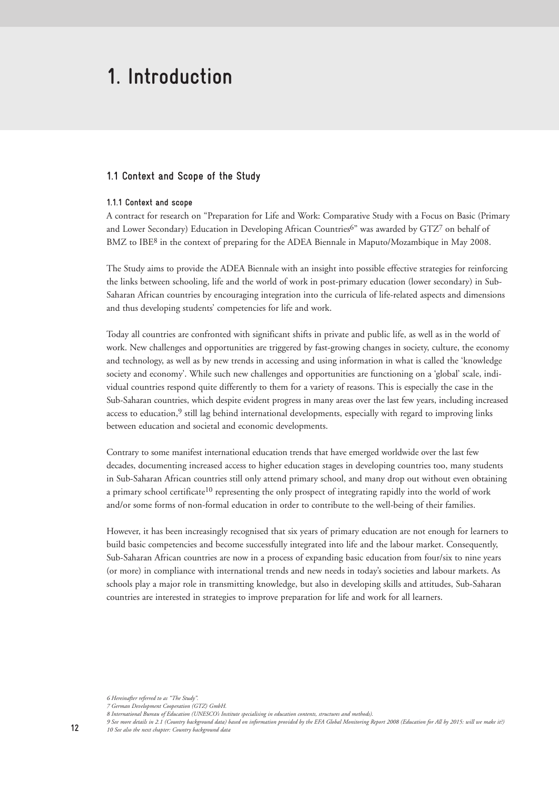## **1. Introduction**

### **1.1 Context and Scope of the Study**

#### **1.1.1 Context and scope**

A contract for research on "Preparation for Life and Work: Comparative Study with a Focus on Basic (Primary and Lower Secondary) Education in Developing African Countries<sup>6"</sup> was awarded by GTZ<sup>7</sup> on behalf of BMZ to IBE<sup>8</sup> in the context of preparing for the ADEA Biennale in Maputo/Mozambique in May 2008.

The Study aims to provide the ADEA Biennale with an insight into possible effective strategies for reinforcing the links between schooling, life and the world of work in post-primary education (lower secondary) in Sub-Saharan African countries by encouraging integration into the curricula of life-related aspects and dimensions and thus developing students' competencies for life and work.

Today all countries are confronted with significant shifts in private and public life, as well as in the world of work. New challenges and opportunities are triggered by fast-growing changes in society, culture, the economy and technology, as well as by new trends in accessing and using information in what is called the 'knowledge society and economy'. While such new challenges and opportunities are functioning on a 'global' scale, individual countries respond quite differently to them for a variety of reasons. This is especially the case in the Sub-Saharan countries, which despite evident progress in many areas over the last few years, including increased access to education, $9$  still lag behind international developments, especially with regard to improving links between education and societal and economic developments.

Contrary to some manifest international education trends that have emerged worldwide over the last few decades, documenting increased access to higher education stages in developing countries too, many students in Sub-Saharan African countries still only attend primary school, and many drop out without even obtaining a primary school certificate<sup>10</sup> representing the only prospect of integrating rapidly into the world of work and/or some forms of non-formal education in order to contribute to the well-being of their families.

However, it has been increasingly recognised that six years of primary education are not enough for learners to build basic competencies and become successfully integrated into life and the labour market. Consequently, Sub-Saharan African countries are now in a process of expanding basic education from four/six to nine years (or more) in compliance with international trends and new needs in today's societies and labour markets. As schools play a major role in transmitting knowledge, but also in developing skills and attitudes, Sub-Saharan countries are interested in strategies to improve preparation for life and work for all learners.

*<sup>6</sup> Hereinafter referred to as "The Study".*

*<sup>7</sup> German Development Cooperation (GTZ) GmbH.*

*<sup>8</sup> International Bureau of Education (UNESCO's Institute specialising in education contents, structures and methods).*

*<sup>9</sup> See more details in 2.1 (Country background data) based on information provided by the EFA Global Monitoring Report 2008 (Education for All by 2015: will we make it?) 10 See also the next chapter: Country background data*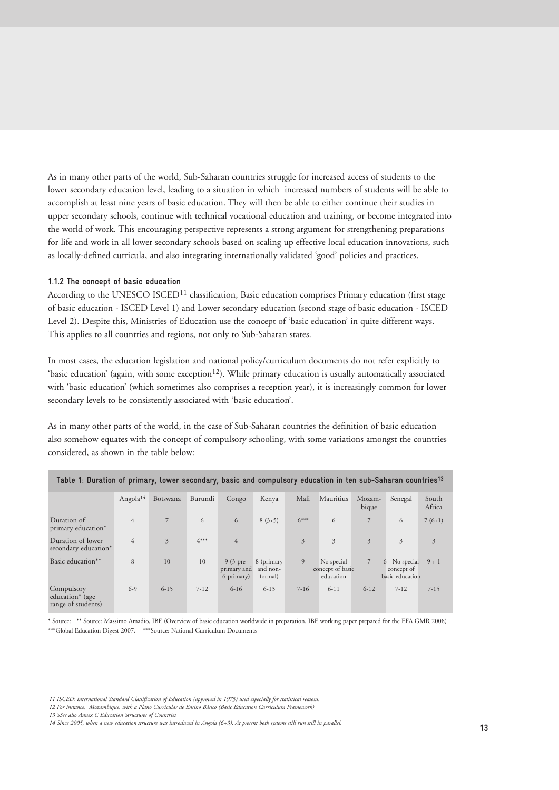As in many other parts of the world, Sub-Saharan countries struggle for increased access of students to the lower secondary education level, leading to a situation in which increased numbers of students will be able to accomplish at least nine years of basic education. They will then be able to either continue their studies in upper secondary schools, continue with technical vocational education and training, or become integrated into the world of work. This encouraging perspective represents a strong argument for strengthening preparations for life and work in all lower secondary schools based on scaling up effective local education innovations, such as locally-defined curricula, and also integrating internationally validated 'good' policies and practices.

#### **1.1.2 The concept of basic education**

According to the UNESCO ISCED<sup>11</sup> classification, Basic education comprises Primary education (first stage of basic education - ISCED Level 1) and Lower secondary education (second stage of basic education - ISCED Level 2). Despite this, Ministries of Education use the concept of 'basic education' in quite different ways. This applies to all countries and regions, not only to Sub-Saharan states.

In most cases, the education legislation and national policy/curriculum documents do not refer explicitly to 'basic education' (again, with some exception<sup>12</sup>). While primary education is usually automatically associated with 'basic education' (which sometimes also comprises a reception year), it is increasingly common for lower secondary levels to be consistently associated with 'basic education'.

As in many other parts of the world, in the case of Sub-Saharan countries the definition of basic education also somehow equates with the concept of compulsory schooling, with some variations amongst the countries considered, as shown in the table below:

| Table 1: Duration of primary, lower secondary, basic and compulsory education in ten sub-Saharan countries <sup>13</sup> |                      |                |          |                                         |                                   |          |                                             |                 |                                                 |                 |  |
|--------------------------------------------------------------------------------------------------------------------------|----------------------|----------------|----------|-----------------------------------------|-----------------------------------|----------|---------------------------------------------|-----------------|-------------------------------------------------|-----------------|--|
|                                                                                                                          | Angola <sup>14</sup> | Botswana       | Burundi  | Congo                                   | Kenya                             | Mali     | Mauritius                                   | Mozam-<br>bique | Senegal                                         | South<br>Africa |  |
| Duration of<br>primary education*                                                                                        | $\overline{4}$       | 7              | 6        | 6                                       | $8(3+5)$                          | $6***$   | 6                                           | $7^{\circ}$     | 6                                               | $7(6+1)$        |  |
| Duration of lower<br>secondary education*                                                                                | $\overline{4}$       | $\overline{3}$ | $4***$   | $\overline{4}$                          |                                   | 3        | $\overline{3}$                              | 3               | 3                                               | $\overline{3}$  |  |
| Basic education**                                                                                                        | 8                    | 10             | 10       | $9(3-pre-$<br>primary and<br>6-primary) | 8 (primary<br>and non-<br>formal) | 9        | No special<br>concept of basic<br>education | 7               | 6 - No special<br>concept of<br>basic education | $9 + 1$         |  |
| Compulsory<br>education <sup>*</sup> (age<br>range of students)                                                          | $6-9$                | $6 - 15$       | $7 - 12$ | $6 - 16$                                | $6 - 13$                          | $7 - 16$ | $6 - 11$                                    | $6 - 12$        | $7 - 12$                                        | $7 - 15$        |  |

\* Source: \*\* Source: Massimo Amadio, IBE (Overview of basic education worldwide in preparation, IBE working paper prepared for the EFA GMR 2008) \*\*\*Global Education Digest 2007. \*\*\* Source: National Curriculum Documents

*<sup>11</sup> ISCED: International Standard Classification of Education (approved in 1975) used especially for statistical reasons.*

*<sup>12</sup> For instance, Mozambique, with a Plano Curricular de Ensino Básico (Basic Education Curriculum Framework)*

*<sup>13</sup> SSee also Annex C Education Structures of Countries*

*<sup>14</sup> Since 2005, when a new education structure was introduced in Angola (6+3). At present both systems still run still in parallel.*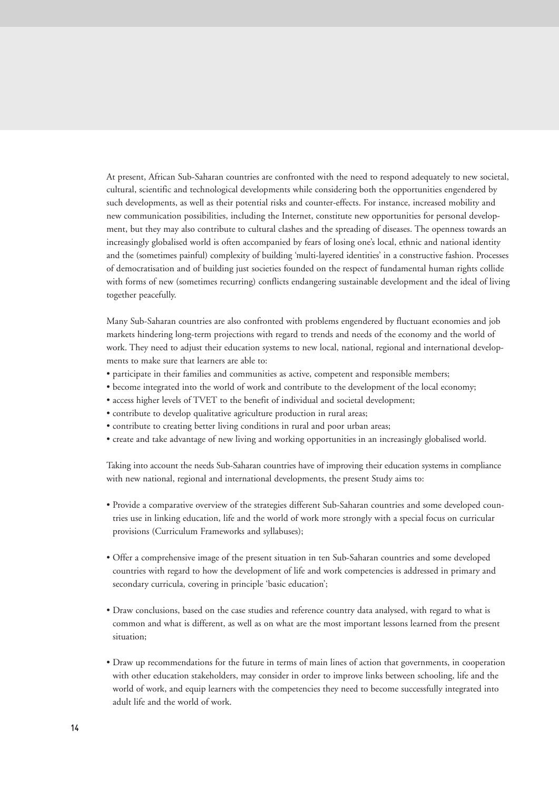At present, African Sub-Saharan countries are confronted with the need to respond adequately to new societal, cultural, scientific and technological developments while considering both the opportunities engendered by such developments, as well as their potential risks and counter-effects. For instance, increased mobility and new communication possibilities, including the Internet, constitute new opportunities for personal development, but they may also contribute to cultural clashes and the spreading of diseases. The openness towards an increasingly globalised world is often accompanied by fears of losing one's local, ethnic and national identity and the (sometimes painful) complexity of building 'multi-layered identities' in a constructive fashion. Processes of democratisation and of building just societies founded on the respect of fundamental human rights collide with forms of new (sometimes recurring) conflicts endangering sustainable development and the ideal of living together peacefully.

Many Sub-Saharan countries are also confronted with problems engendered by fluctuant economies and job markets hindering long-term projections with regard to trends and needs of the economy and the world of work. They need to adjust their education systems to new local, national, regional and international developments to make sure that learners are able to:

- participate in their families and communities as active, competent and responsible members;
- become integrated into the world of work and contribute to the development of the local economy;
- access higher levels of TVET to the benefit of individual and societal development;
- contribute to develop qualitative agriculture production in rural areas;
- contribute to creating better living conditions in rural and poor urban areas;
- create and take advantage of new living and working opportunities in an increasingly globalised world.

Taking into account the needs Sub-Saharan countries have of improving their education systems in compliance with new national, regional and international developments, the present Study aims to:

- Provide a comparative overview of the strategies different Sub-Saharan countries and some developed countries use in linking education, life and the world of work more strongly with a special focus on curricular provisions (Curriculum Frameworks and syllabuses);
- Offer a comprehensive image of the present situation in ten Sub-Saharan countries and some developed countries with regard to how the development of life and work competencies is addressed in primary and secondary curricula, covering in principle 'basic education';
- Draw conclusions, based on the case studies and reference country data analysed, with regard to what is common and what is different, as well as on what are the most important lessons learned from the present situation;
- Draw up recommendations for the future in terms of main lines of action that governments, in cooperation with other education stakeholders, may consider in order to improve links between schooling, life and the world of work, and equip learners with the competencies they need to become successfully integrated into adult life and the world of work.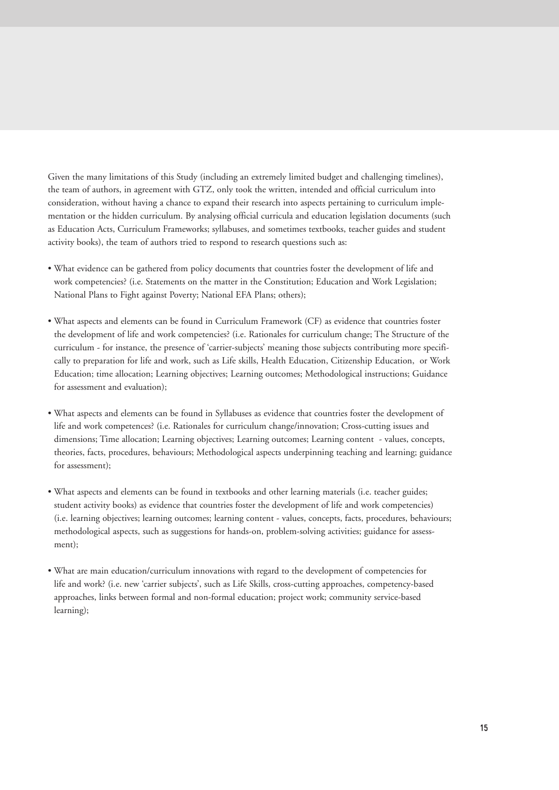Given the many limitations of this Study (including an extremely limited budget and challenging timelines), the team of authors, in agreement with GTZ, only took the written, intended and official curriculum into consideration, without having a chance to expand their research into aspects pertaining to curriculum implementation or the hidden curriculum. By analysing official curricula and education legislation documents (such as Education Acts, Curriculum Frameworks; syllabuses, and sometimes textbooks, teacher guides and student activity books), the team of authors tried to respond to research questions such as:

- What evidence can be gathered from policy documents that countries foster the development of life and work competencies? (i.e. Statements on the matter in the Constitution; Education and Work Legislation; National Plans to Fight against Poverty; National EFA Plans; others);
- What aspects and elements can be found in Curriculum Framework (CF) as evidence that countries foster the development of life and work competencies? (i.e. Rationales for curriculum change; The Structure of the curriculum - for instance, the presence of 'carrier-subjects' meaning those subjects contributing more specifically to preparation for life and work, such as Life skills, Health Education, Citizenship Education, or Work Education; time allocation; Learning objectives; Learning outcomes; Methodological instructions; Guidance for assessment and evaluation);
- What aspects and elements can be found in Syllabuses as evidence that countries foster the development of life and work competences? (i.e. Rationales for curriculum change/innovation; Cross-cutting issues and dimensions; Time allocation; Learning objectives; Learning outcomes; Learning content - values, concepts, theories, facts, procedures, behaviours; Methodological aspects underpinning teaching and learning; guidance for assessment);
- What aspects and elements can be found in textbooks and other learning materials (i.e. teacher guides; student activity books) as evidence that countries foster the development of life and work competencies) (i.e. learning objectives; learning outcomes; learning content - values, concepts, facts, procedures, behaviours; methodological aspects, such as suggestions for hands-on, problem-solving activities; guidance for assessment);
- What are main education/curriculum innovations with regard to the development of competencies for life and work? (i.e. new 'carrier subjects', such as Life Skills, cross-cutting approaches, competency-based approaches, links between formal and non-formal education; project work; community service-based learning);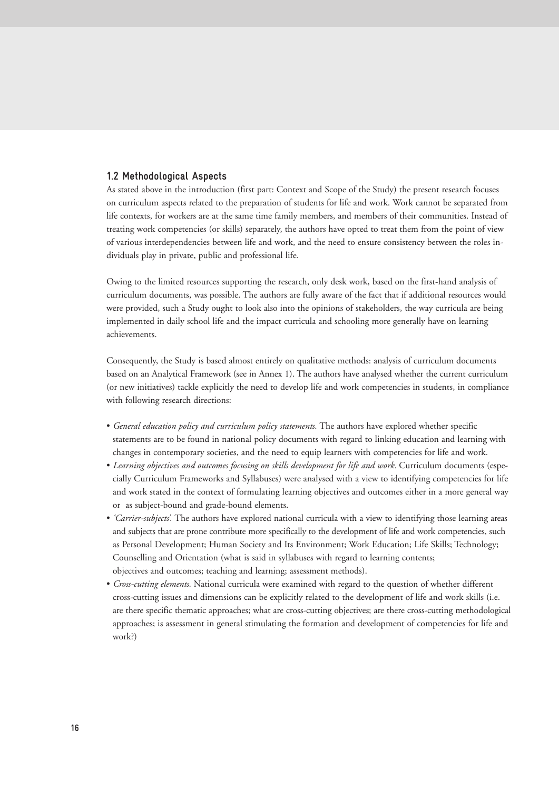### **1.2 Methodological Aspects**

As stated above in the introduction (first part: Context and Scope of the Study) the present research focuses on curriculum aspects related to the preparation of students for life and work. Work cannot be separated from life contexts, for workers are at the same time family members, and members of their communities. Instead of treating work competencies (or skills) separately, the authors have opted to treat them from the point of view of various interdependencies between life and work, and the need to ensure consistency between the roles individuals play in private, public and professional life.

Owing to the limited resources supporting the research, only desk work, based on the first-hand analysis of curriculum documents, was possible. The authors are fully aware of the fact that if additional resources would were provided, such a Study ought to look also into the opinions of stakeholders, the way curricula are being implemented in daily school life and the impact curricula and schooling more generally have on learning achievements.

Consequently, the Study is based almost entirely on qualitative methods: analysis of curriculum documents based on an Analytical Framework (see in Annex 1). The authors have analysed whether the current curriculum (or new initiatives) tackle explicitly the need to develop life and work competencies in students, in compliance with following research directions:

- *General education policy and curriculum policy statements.* The authors have explored whether specific statements are to be found in national policy documents with regard to linking education and learning with changes in contemporary societies, and the need to equip learners with competencies for life and work.
- *Learning objectives and outcomes focusing on skills development for life and work.* Curriculum documents (especially Curriculum Frameworks and Syllabuses) were analysed with a view to identifying competencies for life and work stated in the context of formulating learning objectives and outcomes either in a more general way or as subject-bound and grade-bound elements.
- *'Carrier-subjects'.* The authors have explored national curricula with a view to identifying those learning areas and subjects that are prone contribute more specifically to the development of life and work competencies, such as Personal Development; Human Society and Its Environment; Work Education; Life Skills; Technology; Counselling and Orientation (what is said in syllabuses with regard to learning contents; objectives and outcomes; teaching and learning; assessment methods).
- *Cross-cutting elements.* National curricula were examined with regard to the question of whether different cross-cutting issues and dimensions can be explicitly related to the development of life and work skills (i.e. are there specific thematic approaches; what are cross-cutting objectives; are there cross-cutting methodological approaches; is assessment in general stimulating the formation and development of competencies for life and work?)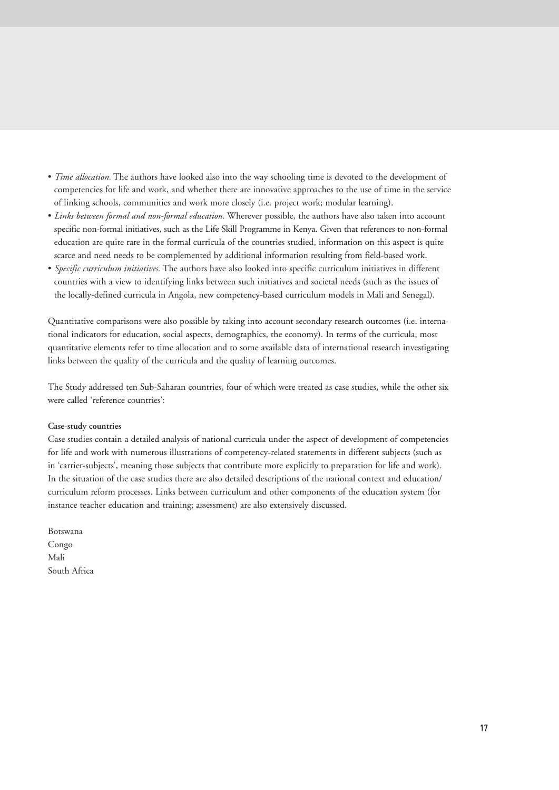- *Time allocation.* The authors have looked also into the way schooling time is devoted to the development of competencies for life and work, and whether there are innovative approaches to the use of time in the service of linking schools, communities and work more closely (i.e. project work; modular learning).
- *Links between formal and non-formal education.* Wherever possible, the authors have also taken into account specific non-formal initiatives, such as the Life Skill Programme in Kenya. Given that references to non-formal education are quite rare in the formal curricula of the countries studied, information on this aspect is quite scarce and need needs to be complemented by additional information resulting from field-based work.
- *Specific curriculum initiatives.* The authors have also looked into specific curriculum initiatives in different countries with a view to identifying links between such initiatives and societal needs (such as the issues of the locally-defined curricula in Angola, new competency-based curriculum models in Mali and Senegal).

Quantitative comparisons were also possible by taking into account secondary research outcomes (i.e. international indicators for education, social aspects, demographics, the economy). In terms of the curricula, most quantitative elements refer to time allocation and to some available data of international research investigating links between the quality of the curricula and the quality of learning outcomes.

The Study addressed ten Sub-Saharan countries, four of which were treated as case studies, while the other six were called 'reference countries':

#### **Case-study countries**

Case studies contain a detailed analysis of national curricula under the aspect of development of competencies for life and work with numerous illustrations of competency-related statements in different subjects (such as in 'carrier-subjects', meaning those subjects that contribute more explicitly to preparation for life and work). In the situation of the case studies there are also detailed descriptions of the national context and education/ curriculum reform processes. Links between curriculum and other components of the education system (for instance teacher education and training; assessment) are also extensively discussed.

Botswana Congo Mali South Africa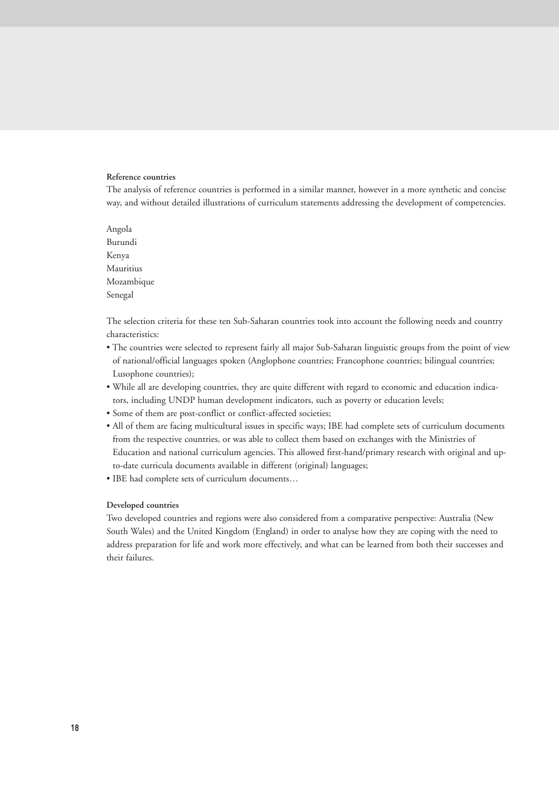#### **Reference countries**

The analysis of reference countries is performed in a similar manner, however in a more synthetic and concise way, and without detailed illustrations of curriculum statements addressing the development of competencies.

Angola Burundi Kenya Mauritius Mozambique Senegal

The selection criteria for these ten Sub-Saharan countries took into account the following needs and country characteristics:

- The countries were selected to represent fairly all major Sub-Saharan linguistic groups from the point of view of national/official languages spoken (Anglophone countries; Francophone countries; bilingual countries; Lusophone countries);
- While all are developing countries, they are quite different with regard to economic and education indicators, including UNDP human development indicators, such as poverty or education levels;
- Some of them are post-conflict or conflict-affected societies;
- All of them are facing multicultural issues in specific ways; IBE had complete sets of curriculum documents from the respective countries, or was able to collect them based on exchanges with the Ministries of Education and national curriculum agencies. This allowed first-hand/primary research with original and upto-date curricula documents available in different (original) languages;
- IBE had complete sets of curriculum documents…

#### **Developed countries**

Two developed countries and regions were also considered from a comparative perspective: Australia (New South Wales) and the United Kingdom (England) in order to analyse how they are coping with the need to address preparation for life and work more effectively, and what can be learned from both their successes and their failures.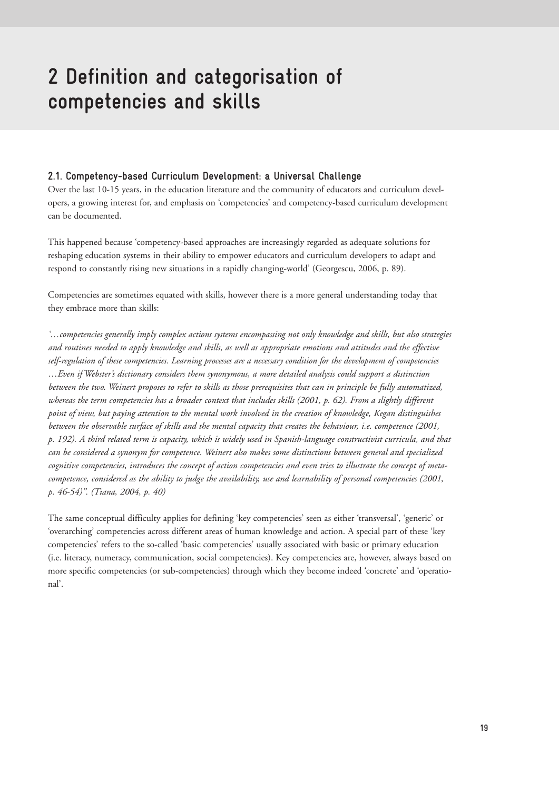## **2 Definition and categorisation of competencies and skills**

## **2.1. Competency-based Curriculum Development: a Universal Challenge**

Over the last 10-15 years, in the education literature and the community of educators and curriculum developers, a growing interest for, and emphasis on 'competencies' and competency-based curriculum development can be documented.

This happened because 'competency-based approaches are increasingly regarded as adequate solutions for reshaping education systems in their ability to empower educators and curriculum developers to adapt and respond to constantly rising new situations in a rapidly changing-world' (Georgescu, 2006, p. 89).

Competencies are sometimes equated with skills, however there is a more general understanding today that they embrace more than skills:

*'…competencies generally imply complex actions systems encompassing not only knowledge and skills, but also strategies and routines needed to apply knowledge and skills, as well as appropriate emotions and attitudes and the effective self-regulation of these competencies. Learning processes are a necessary condition for the development of competencies …Even if Webster's dictionary considers them synonymous, a more detailed analysis could support a distinction between the two. Weinert proposes to refer to skills as those prerequisites that can in principle be fully automatized, whereas the term competencies has a broader context that includes skills (2001, p. 62). From a slightly different point of view, but paying attention to the mental work involved in the creation of knowledge, Kegan distinguishes between the observable surface of skills and the mental capacity that creates the behaviour, i.e. competence (2001, p. 192). A third related term is capacity, which is widely used in Spanish-language constructivist curricula, and that can be considered a synonym for competence. Weinert also makes some distinctions between general and specialized cognitive competencies, introduces the concept of action competencies and even tries to illustrate the concept of metacompetence, considered as the ability to judge the availability, use and learnability of personal competencies (2001, p. 46-54)". (Tiana, 2004, p. 40)*

The same conceptual difficulty applies for defining 'key competencies' seen as either 'transversal', 'generic' or 'overarching' competencies across different areas of human knowledge and action. A special part of these 'key competencies' refers to the so-called 'basic competencies' usually associated with basic or primary education (i.e. literacy, numeracy, communication, social competencies). Key competencies are, however, always based on more specific competencies (or sub-competencies) through which they become indeed 'concrete' and 'operational'.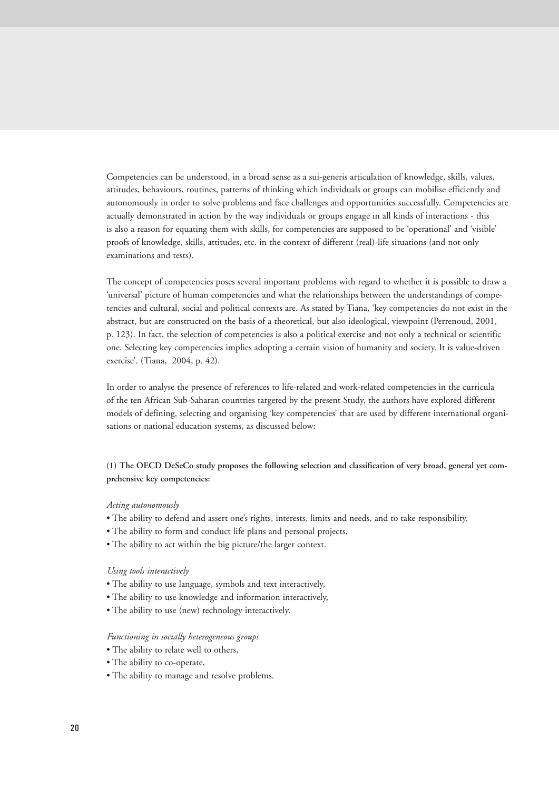Competencies can be understood, in a broad sense as a sui-generis articulation of knowledge, skills, values, attitudes, behaviours, routines, patterns of thinking which individuals or groups can mobilise efficiently and autonomously in order to solve problems and face challenges and opportunities successfully. Competencies are actually demonstrated in action by the way individuals or groups engage in all kinds of interactions - this is also a reason for equating them with skills, for competencies are supposed to be 'operational' and 'visible' proofs of knowledge, skills, attitudes, etc. in the context of different (real)-life situations (and not only examinations and tests).

The concept of competencies poses several important problems with regard to whether it is possible to draw a 'universal' picture of human competencies and what the relationships between the understandings of competencies and cultural, social and political contexts are. As stated by Tiana, 'key competencies do not exist in the abstract, but are constructed on the basis of a theoretical, but also ideological, viewpoint (Perrenoud, 2001, p. 123). In fact, the selection of competencies is also a political exercise and not only a technical or scientific one. Selecting key competencies implies adopting a certain vision of humanity and society. It is value-driven exercise'. (Tiana, 2004, p. 42).

In order to analyse the presence of references to life-related and work-related competencies in the curricula of the ten African Sub-Saharan countries targeted by the present Study, the authors have explored different models of defining, selecting and organising 'key competencies' that are used by different international organisations or national education systems, as discussed below:

**(1) The OECD DeSeCo study proposes the following selection and classification of very broad, general yet comprehensive key competencies:**

#### *Acting autonomously*

- The ability to defend and assert one's rights, interests, limits and needs, and to take responsibility,
- The ability to form and conduct life plans and personal projects,
- The ability to act within the big picture/the larger context.

#### *Using tools interactively*

- The ability to use language, symbols and text interactively,
- The ability to use knowledge and information interactively,
- The ability to use (new) technology interactively.

#### *Functioning in socially heterogeneous groups*

- The ability to relate well to others,
- The ability to co-operate,
- The ability to manage and resolve problems.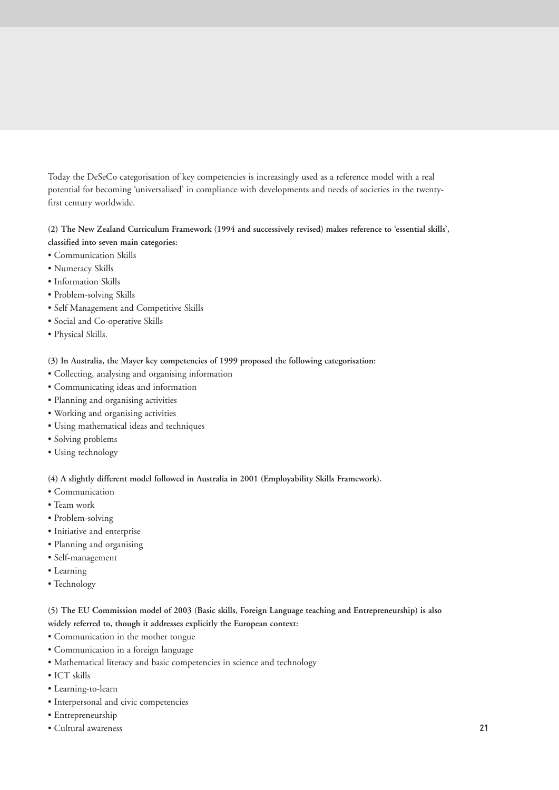Today the DeSeCo categorisation of key competencies is increasingly used as a reference model with a real potential for becoming 'universalised' in compliance with developments and needs of societies in the twentyfirst century worldwide.

## **(2) The New Zealand Curriculum Framework (1994 and successively revised) makes reference to 'essential skills', classified into seven main categories:**

- Communication Skills
- Numeracy Skills
- Information Skills
- Problem-solving Skills
- Self Management and Competitive Skills
- Social and Co-operative Skills
- Physical Skills.

## **(3) In Australia, the Mayer key competencies of 1999 proposed the following categorisation:**

- Collecting, analysing and organising information
- Communicating ideas and information
- Planning and organising activities
- Working and organising activities
- Using mathematical ideas and techniques
- Solving problems
- Using technology

## **(4) A slightly different model followed in Australia in 2001 (Employability Skills Framework).**

- Communication
- Team work
- Problem-solving
- Initiative and enterprise
- Planning and organising
- Self-management
- Learning
- Technology

**(5) The EU Commission model of 2003 (Basic skills, Foreign Language teaching and Entrepreneurship) is also widely referred to, though it addresses explicitly the European context:**

- Communication in the mother tongue
- Communication in a foreign language
- Mathematical literacy and basic competencies in science and technology
- ICT skills
- Learning-to-learn
- Interpersonal and civic competencies
- Entrepreneurship
- Cultural awareness **21**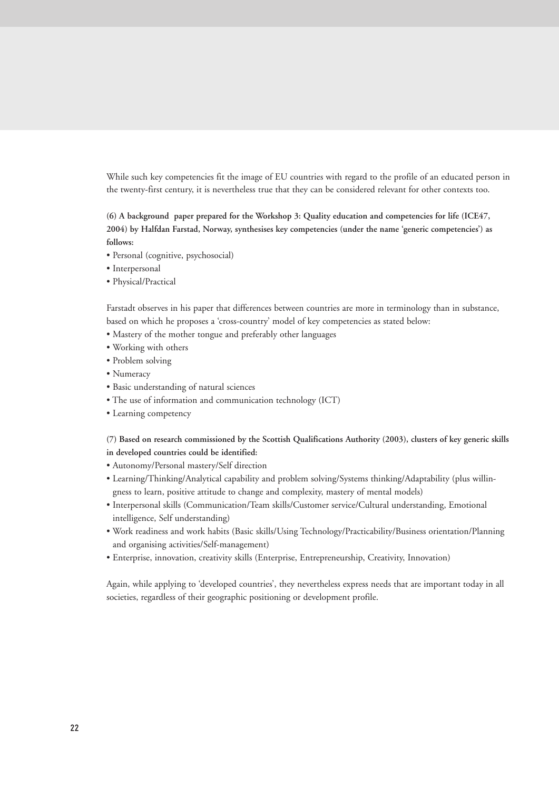While such key competencies fit the image of EU countries with regard to the profile of an educated person in the twenty-first century, it is nevertheless true that they can be considered relevant for other contexts too.

**(6) A background paper prepared for the Workshop 3: Quality education and competencies for life (ICE47, 2004) by Halfdan Farstad, Norway, synthesises key competencies (under the name 'generic competencies') as follows:**

- Personal (cognitive, psychosocial)
- Interpersonal
- Physical/Practical

Farstadt observes in his paper that differences between countries are more in terminology than in substance, based on which he proposes a 'cross-country' model of key competencies as stated below:

- Mastery of the mother tongue and preferably other languages
- Working with others
- Problem solving
- Numeracy
- Basic understanding of natural sciences
- The use of information and communication technology (ICT)
- Learning competency

**(7) Based on research commissioned by the Scottish Qualifications Authority (2003), clusters of key generic skills in developed countries could be identified:**

- Autonomy/Personal mastery/Self direction
- Learning/Thinking/Analytical capability and problem solving/Systems thinking/Adaptability (plus willingness to learn, positive attitude to change and complexity, mastery of mental models)
- Interpersonal skills (Communication/Team skills/Customer service/Cultural understanding, Emotional intelligence, Self understanding)
- Work readiness and work habits (Basic skills/Using Technology/Practicability/Business orientation/Planning and organising activities/Self-management)
- Enterprise, innovation, creativity skills (Enterprise, Entrepreneurship, Creativity, Innovation)

Again, while applying to 'developed countries', they nevertheless express needs that are important today in all societies, regardless of their geographic positioning or development profile.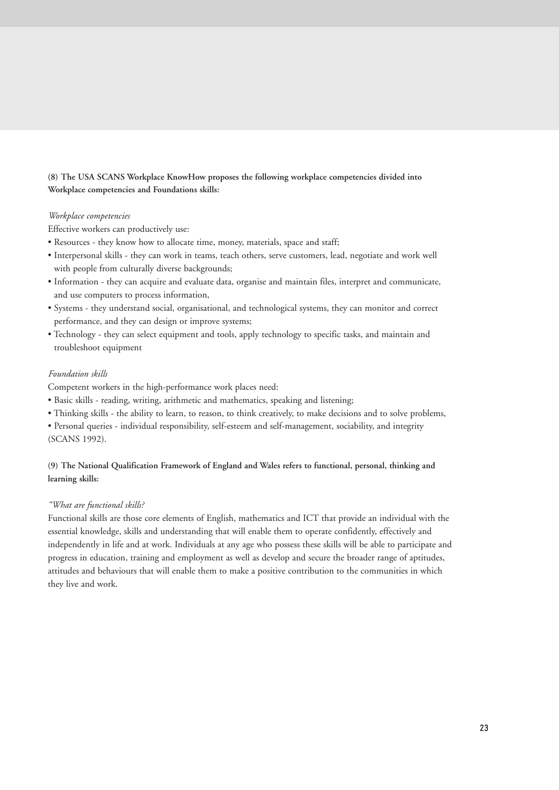## **(8) The USA SCANS Workplace KnowHow proposes the following workplace competencies divided into Workplace competencies and Foundations skills:**

### *Workplace competencies*

Effective workers can productively use:

- Resources they know how to allocate time, money, materials, space and staff;
- Interpersonal skills they can work in teams, teach others, serve customers, lead, negotiate and work well with people from culturally diverse backgrounds;
- Information they can acquire and evaluate data, organise and maintain files, interpret and communicate, and use computers to process information,
- Systems they understand social, organisational, and technological systems, they can monitor and correct performance, and they can design or improve systems;
- Technology they can select equipment and tools, apply technology to specific tasks, and maintain and troubleshoot equipment

## *Foundation skills*

Competent workers in the high-performance work places need:

- Basic skills reading, writing, arithmetic and mathematics, speaking and listening;
- Thinking skills the ability to learn, to reason, to think creatively, to make decisions and to solve problems,
- Personal queries individual responsibility, self-esteem and self-management, sociability, and integrity (SCANS 1992).

## **(9) The National Qualification Framework of England and Wales refers to functional, personal, thinking and learning skills:**

## *"What are functional skills?*

Functional skills are those core elements of English, mathematics and ICT that provide an individual with the essential knowledge, skills and understanding that will enable them to operate confidently, effectively and independently in life and at work. Individuals at any age who possess these skills will be able to participate and progress in education, training and employment as well as develop and secure the broader range of aptitudes, attitudes and behaviours that will enable them to make a positive contribution to the communities in which they live and work.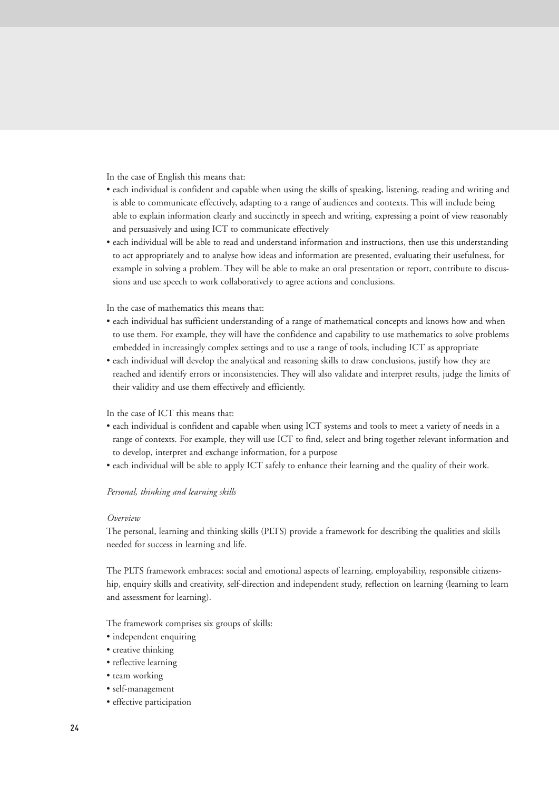In the case of English this means that:

- each individual is confident and capable when using the skills of speaking, listening, reading and writing and is able to communicate effectively, adapting to a range of audiences and contexts. This will include being able to explain information clearly and succinctly in speech and writing, expressing a point of view reasonably and persuasively and using ICT to communicate effectively
- each individual will be able to read and understand information and instructions, then use this understanding to act appropriately and to analyse how ideas and information are presented, evaluating their usefulness, for example in solving a problem. They will be able to make an oral presentation or report, contribute to discussions and use speech to work collaboratively to agree actions and conclusions.

In the case of mathematics this means that:

- each individual has sufficient understanding of a range of mathematical concepts and knows how and when to use them. For example, they will have the confidence and capability to use mathematics to solve problems embedded in increasingly complex settings and to use a range of tools, including ICT as appropriate
- each individual will develop the analytical and reasoning skills to draw conclusions, justify how they are reached and identify errors or inconsistencies. They will also validate and interpret results, judge the limits of their validity and use them effectively and efficiently.

#### In the case of ICT this means that:

- each individual is confident and capable when using ICT systems and tools to meet a variety of needs in a range of contexts. For example, they will use ICT to find, select and bring together relevant information and to develop, interpret and exchange information, for a purpose
- each individual will be able to apply ICT safely to enhance their learning and the quality of their work.

#### *Personal, thinking and learning skills*

#### *Overview*

The personal, learning and thinking skills (PLTS) provide a framework for describing the qualities and skills needed for success in learning and life.

The PLTS framework embraces: social and emotional aspects of learning, employability, responsible citizenship, enquiry skills and creativity, self-direction and independent study, reflection on learning (learning to learn and assessment for learning).

The framework comprises six groups of skills:

- independent enquiring
- creative thinking
- reflective learning
- team working
- self-management
- effective participation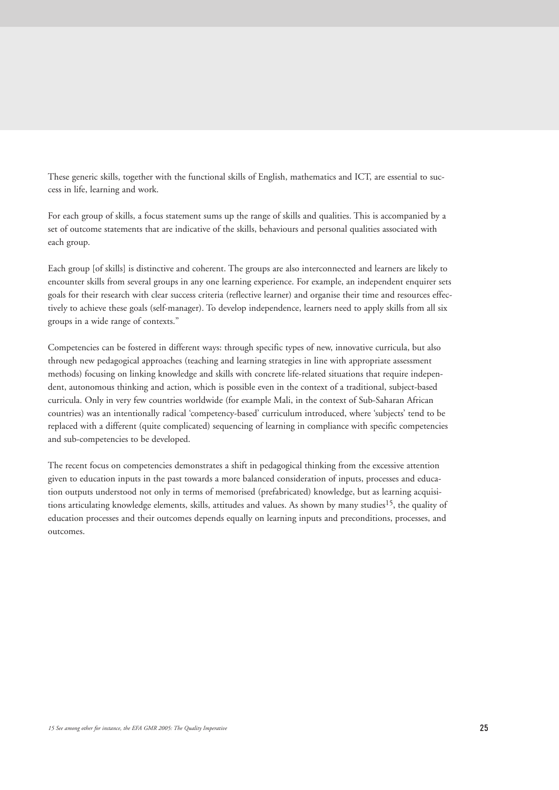These generic skills, together with the functional skills of English, mathematics and ICT, are essential to success in life, learning and work.

For each group of skills, a focus statement sums up the range of skills and qualities. This is accompanied by a set of outcome statements that are indicative of the skills, behaviours and personal qualities associated with each group.

Each group [of skills] is distinctive and coherent. The groups are also interconnected and learners are likely to encounter skills from several groups in any one learning experience. For example, an independent enquirer sets goals for their research with clear success criteria (reflective learner) and organise their time and resources effectively to achieve these goals (self-manager). To develop independence, learners need to apply skills from all six groups in a wide range of contexts."

Competencies can be fostered in different ways: through specific types of new, innovative curricula, but also through new pedagogical approaches (teaching and learning strategies in line with appropriate assessment methods) focusing on linking knowledge and skills with concrete life-related situations that require independent, autonomous thinking and action, which is possible even in the context of a traditional, subject-based curricula. Only in very few countries worldwide (for example Mali, in the context of Sub-Saharan African countries) was an intentionally radical 'competency-based' curriculum introduced, where 'subjects' tend to be replaced with a different (quite complicated) sequencing of learning in compliance with specific competencies and sub-competencies to be developed.

The recent focus on competencies demonstrates a shift in pedagogical thinking from the excessive attention given to education inputs in the past towards a more balanced consideration of inputs, processes and education outputs understood not only in terms of memorised (prefabricated) knowledge, but as learning acquisitions articulating knowledge elements, skills, attitudes and values. As shown by many studies<sup>15</sup>, the quality of education processes and their outcomes depends equally on learning inputs and preconditions, processes, and outcomes.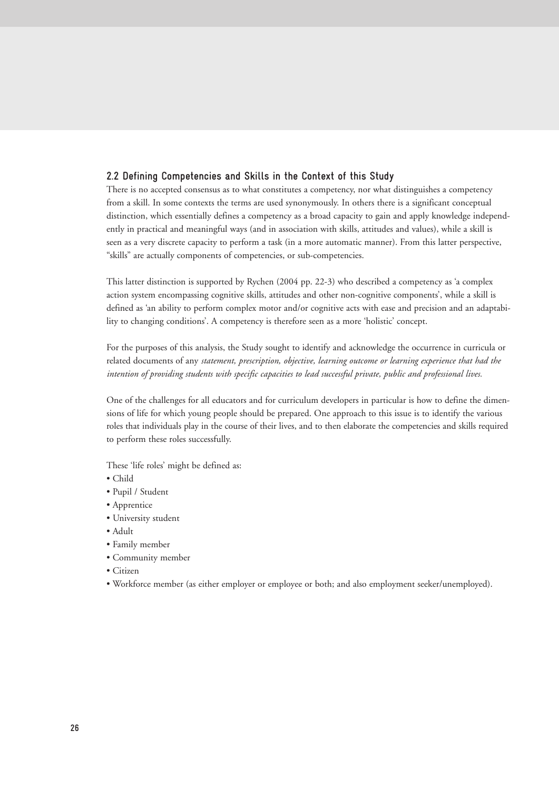## **2.2 Defining Competencies and Skills in the Context of this Study**

There is no accepted consensus as to what constitutes a competency, nor what distinguishes a competency from a skill. In some contexts the terms are used synonymously. In others there is a significant conceptual distinction, which essentially defines a competency as a broad capacity to gain and apply knowledge independently in practical and meaningful ways (and in association with skills, attitudes and values), while a skill is seen as a very discrete capacity to perform a task (in a more automatic manner). From this latter perspective, "skills" are actually components of competencies, or sub-competencies.

This latter distinction is supported by Rychen (2004 pp. 22-3) who described a competency as 'a complex action system encompassing cognitive skills, attitudes and other non-cognitive components', while a skill is defined as 'an ability to perform complex motor and/or cognitive acts with ease and precision and an adaptability to changing conditions'. A competency is therefore seen as a more 'holistic' concept.

For the purposes of this analysis, the Study sought to identify and acknowledge the occurrence in curricula or related documents of any *statement, prescription, objective, learning outcome or learning experience that had the intention of providing students with specific capacities to lead successful private, public and professional lives.*

One of the challenges for all educators and for curriculum developers in particular is how to define the dimensions of life for which young people should be prepared. One approach to this issue is to identify the various roles that individuals play in the course of their lives, and to then elaborate the competencies and skills required to perform these roles successfully.

These 'life roles' might be defined as:

- Child
- Pupil / Student
- Apprentice
- University student
- Adult
- Family member
- Community member
- Citizen
- Workforce member (as either employer or employee or both; and also employment seeker/unemployed).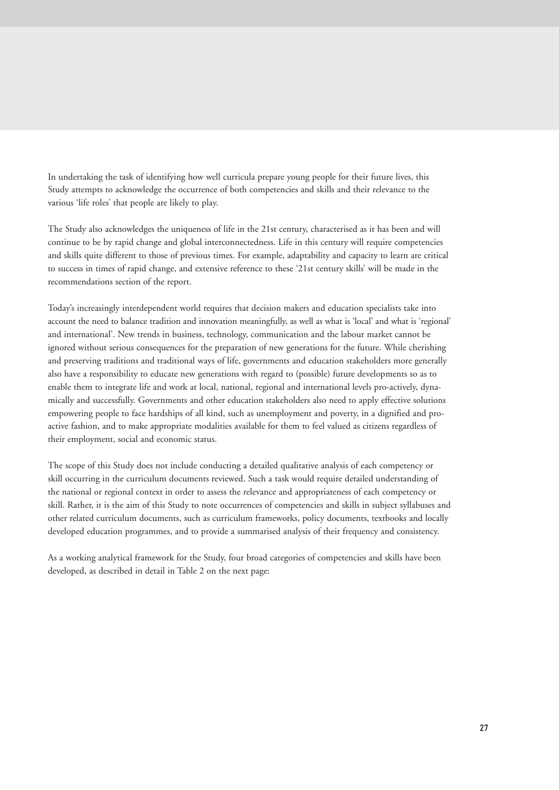In undertaking the task of identifying how well curricula prepare young people for their future lives, this Study attempts to acknowledge the occurrence of both competencies and skills and their relevance to the various 'life roles' that people are likely to play.

The Study also acknowledges the uniqueness of life in the 21st century, characterised as it has been and will continue to be by rapid change and global interconnectedness. Life in this century will require competencies and skills quite different to those of previous times. For example, adaptability and capacity to learn are critical to success in times of rapid change, and extensive reference to these '21st century skills' will be made in the recommendations section of the report.

Today's increasingly interdependent world requires that decision makers and education specialists take into account the need to balance tradition and innovation meaningfully, as well as what is 'local' and what is 'regional' and international'. New trends in business, technology, communication and the labour market cannot be ignored without serious consequences for the preparation of new generations for the future. While cherishing and preserving traditions and traditional ways of life, governments and education stakeholders more generally also have a responsibility to educate new generations with regard to (possible) future developments so as to enable them to integrate life and work at local, national, regional and international levels pro-actively, dynamically and successfully. Governments and other education stakeholders also need to apply effective solutions empowering people to face hardships of all kind, such as unemployment and poverty, in a dignified and proactive fashion, and to make appropriate modalities available for them to feel valued as citizens regardless of their employment, social and economic status.

The scope of this Study does not include conducting a detailed qualitative analysis of each competency or skill occurring in the curriculum documents reviewed. Such a task would require detailed understanding of the national or regional context in order to assess the relevance and appropriateness of each competency or skill. Rather, it is the aim of this Study to note occurrences of competencies and skills in subject syllabuses and other related curriculum documents, such as curriculum frameworks, policy documents, textbooks and locally developed education programmes, and to provide a summarised analysis of their frequency and consistency.

As a working analytical framework for the Study, four broad categories of competencies and skills have been developed, as described in detail in Table 2 on the next page: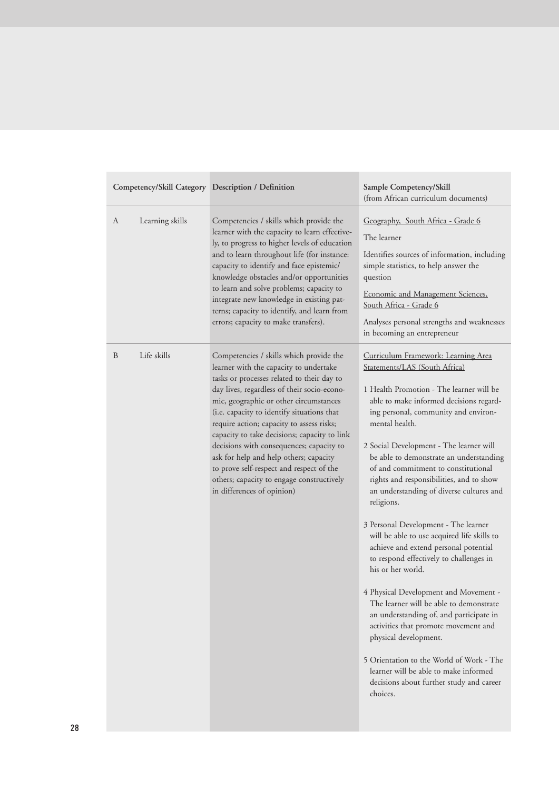| Competency/Skill Category Description / Definition |                 |                                                                                                                                                                                                                                                                                                                                                                                                                                                                                                                                                                                  | Sample Competency/Skill<br>(from African curriculum documents)                                                                                                                                                                                                                                                                                                                                                                                                                                                                                                                                                                                                                                                                                                                                                                                                                                                                                                                                        |  |  |  |
|----------------------------------------------------|-----------------|----------------------------------------------------------------------------------------------------------------------------------------------------------------------------------------------------------------------------------------------------------------------------------------------------------------------------------------------------------------------------------------------------------------------------------------------------------------------------------------------------------------------------------------------------------------------------------|-------------------------------------------------------------------------------------------------------------------------------------------------------------------------------------------------------------------------------------------------------------------------------------------------------------------------------------------------------------------------------------------------------------------------------------------------------------------------------------------------------------------------------------------------------------------------------------------------------------------------------------------------------------------------------------------------------------------------------------------------------------------------------------------------------------------------------------------------------------------------------------------------------------------------------------------------------------------------------------------------------|--|--|--|
| A                                                  | Learning skills | Competencies / skills which provide the<br>learner with the capacity to learn effective-<br>ly, to progress to higher levels of education<br>and to learn throughout life (for instance:<br>capacity to identify and face epistemic/<br>knowledge obstacles and/or opportunities<br>to learn and solve problems; capacity to<br>integrate new knowledge in existing pat-<br>terns; capacity to identify, and learn from<br>errors; capacity to make transfers).                                                                                                                  | Geography, South Africa - Grade 6<br>The learner<br>Identifies sources of information, including<br>simple statistics, to help answer the<br>question<br>Economic and Management Sciences,<br>South Africa - Grade 6<br>Analyses personal strengths and weaknesses<br>in becoming an entrepreneur                                                                                                                                                                                                                                                                                                                                                                                                                                                                                                                                                                                                                                                                                                     |  |  |  |
| B                                                  | Life skills     | Competencies / skills which provide the<br>learner with the capacity to undertake<br>tasks or processes related to their day to<br>day lives, regardless of their socio-econo-<br>mic, geographic or other circumstances<br>(i.e. capacity to identify situations that<br>require action; capacity to assess risks;<br>capacity to take decisions; capacity to link<br>decisions with consequences; capacity to<br>ask for help and help others; capacity<br>to prove self-respect and respect of the<br>others; capacity to engage constructively<br>in differences of opinion) | Curriculum Framework: Learning Area<br>Statements/LAS (South Africa)<br>1 Health Promotion - The learner will be<br>able to make informed decisions regard-<br>ing personal, community and environ-<br>mental health.<br>2 Social Development - The learner will<br>be able to demonstrate an understanding<br>of and commitment to constitutional<br>rights and responsibilities, and to show<br>an understanding of diverse cultures and<br>religions.<br>3 Personal Development - The learner<br>will be able to use acquired life skills to<br>achieve and extend personal potential<br>to respond effectively to challenges in<br>his or her world.<br>4 Physical Development and Movement -<br>The learner will be able to demonstrate<br>an understanding of, and participate in<br>activities that promote movement and<br>physical development.<br>5 Orientation to the World of Work - The<br>learner will be able to make informed<br>decisions about further study and career<br>choices. |  |  |  |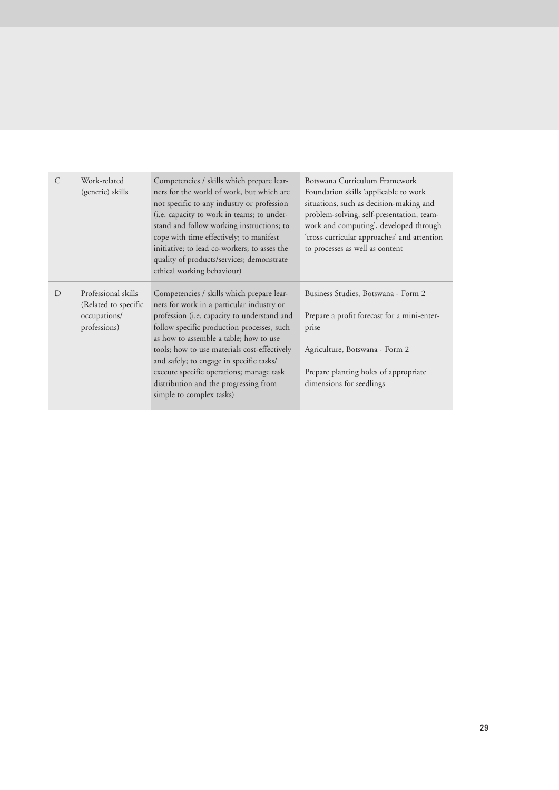| C | Work-related<br>(generic) skills                                            | Competencies / skills which prepare lear-<br>ners for the world of work, but which are<br>not specific to any industry or profession<br>(i.e. capacity to work in teams; to under-<br>stand and follow working instructions; to<br>cope with time effectively; to manifest<br>initiative; to lead co-workers; to asses the<br>quality of products/services; demonstrate<br>ethical working behaviour)                                      | Botswana Curriculum Framework<br>Foundation skills 'applicable to work<br>situations, such as decision-making and<br>problem-solving, self-presentation, team-<br>work and computing', developed through<br>'cross-curricular approaches' and attention<br>to processes as well as content |
|---|-----------------------------------------------------------------------------|--------------------------------------------------------------------------------------------------------------------------------------------------------------------------------------------------------------------------------------------------------------------------------------------------------------------------------------------------------------------------------------------------------------------------------------------|--------------------------------------------------------------------------------------------------------------------------------------------------------------------------------------------------------------------------------------------------------------------------------------------|
| D | Professional skills<br>(Related to specific<br>occupations/<br>professions) | Competencies / skills which prepare lear-<br>ners for work in a particular industry or<br>profession (i.e. capacity to understand and<br>follow specific production processes, such<br>as how to assemble a table; how to use<br>tools; how to use materials cost-effectively<br>and safely; to engage in specific tasks/<br>execute specific operations; manage task<br>distribution and the progressing from<br>simple to complex tasks) | Business Studies, Botswana - Form 2<br>Prepare a profit forecast for a mini-enter-<br>prise<br>Agriculture, Botswana - Form 2<br>Prepare planting holes of appropriate<br>dimensions for seedlings                                                                                         |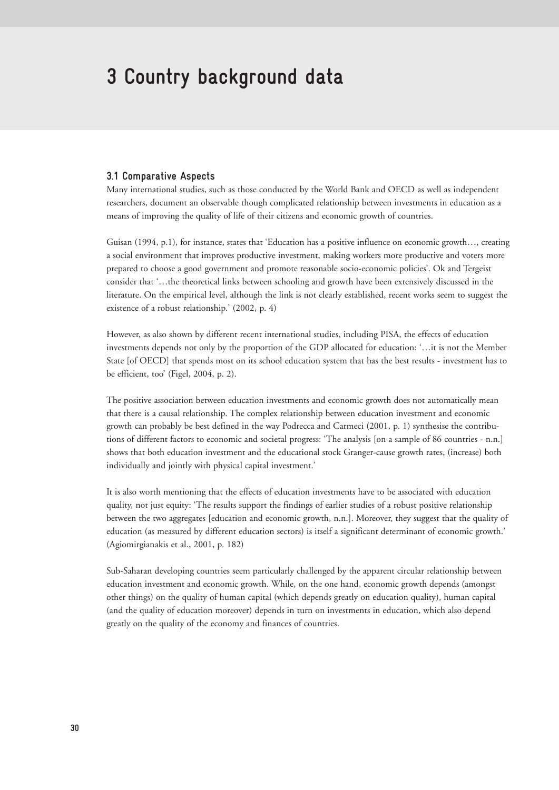## **3 Country background data**

#### **3.1 Comparative Aspects**

Many international studies, such as those conducted by the World Bank and OECD as well as independent researchers, document an observable though complicated relationship between investments in education as a means of improving the quality of life of their citizens and economic growth of countries.

Guisan (1994, p.1), for instance, states that 'Education has a positive influence on economic growth…, creating a social environment that improves productive investment, making workers more productive and voters more prepared to choose a good government and promote reasonable socio-economic policies'. Ok and Tergeist consider that '…the theoretical links between schooling and growth have been extensively discussed in the literature. On the empirical level, although the link is not clearly established, recent works seem to suggest the existence of a robust relationship.' (2002, p. 4)

However, as also shown by different recent international studies, including PISA, the effects of education investments depends not only by the proportion of the GDP allocated for education: '…it is not the Member State [of OECD] that spends most on its school education system that has the best results - investment has to be efficient, too' (Figel, 2004, p. 2).

The positive association between education investments and economic growth does not automatically mean that there is a causal relationship. The complex relationship between education investment and economic growth can probably be best defined in the way Podrecca and Carmeci (2001, p. 1) synthesise the contributions of different factors to economic and societal progress: 'The analysis [on a sample of 86 countries - n.n.] shows that both education investment and the educational stock Granger-cause growth rates, (increase) both individually and jointly with physical capital investment.'

It is also worth mentioning that the effects of education investments have to be associated with education quality, not just equity: 'The results support the findings of earlier studies of a robust positive relationship between the two aggregates [education and economic growth, n.n.]. Moreover, they suggest that the quality of education (as measured by different education sectors) is itself a significant determinant of economic growth.' (Agiomirgianakis et al., 2001, p. 182)

Sub-Saharan developing countries seem particularly challenged by the apparent circular relationship between education investment and economic growth. While, on the one hand, economic growth depends (amongst other things) on the quality of human capital (which depends greatly on education quality), human capital (and the quality of education moreover) depends in turn on investments in education, which also depend greatly on the quality of the economy and finances of countries.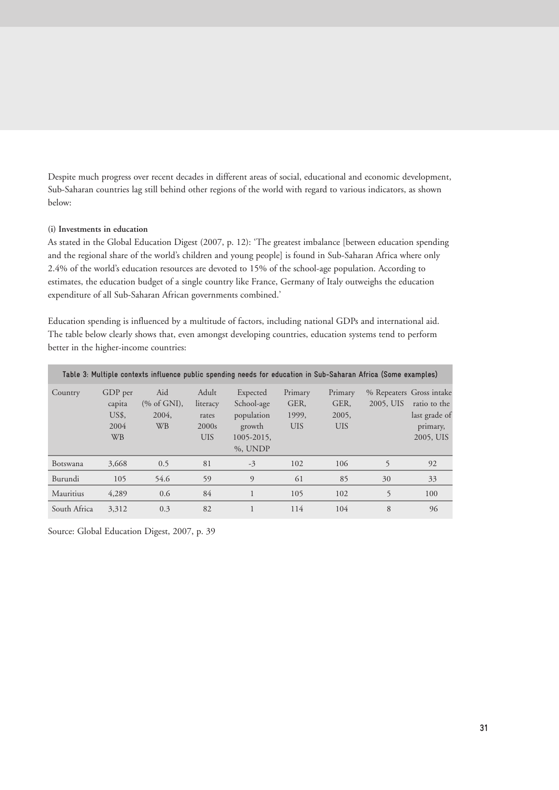Despite much progress over recent decades in different areas of social, educational and economic development, Sub-Saharan countries lag still behind other regions of the world with regard to various indicators, as shown below:

#### **(i) Investments in education**

As stated in the Global Education Digest (2007, p. 12): 'The greatest imbalance [between education spending and the regional share of the world's children and young people] is found in Sub-Saharan Africa where only 2.4% of the world's education resources are devoted to 15% of the school-age population. According to estimates, the education budget of a single country like France, Germany of Italy outweighs the education expenditure of all Sub-Saharan African governments combined.'

Education spending is influenced by a multitude of factors, including national GDPs and international aid. The table below clearly shows that, even amongst developing countries, education systems tend to perform better in the higher-income countries:

| Table 3: Multiple contexts influence public spending needs for education in Sub-Saharan Africa (Some examples) |                                                 |                                                     |                                                   |                                                                              |                                        |                                        |                                       |                                                        |  |  |
|----------------------------------------------------------------------------------------------------------------|-------------------------------------------------|-----------------------------------------------------|---------------------------------------------------|------------------------------------------------------------------------------|----------------------------------------|----------------------------------------|---------------------------------------|--------------------------------------------------------|--|--|
| Country                                                                                                        | GDP per<br>capita<br>US\$,<br>2004<br><b>WB</b> | Aid<br>$(\% \text{ of GNI}),$<br>2004.<br><b>WB</b> | Adult<br>literacy<br>rates<br>2000s<br><b>UIS</b> | Expected<br>School-age<br>population<br>growth<br>$1005 - 2015$ ,<br>%, UNDP | Primary<br>GER,<br>1999,<br><b>UIS</b> | Primary<br>GER,<br>2005,<br><b>UIS</b> | % Repeaters Gross intake<br>2005, UIS | ratio to the<br>last grade of<br>primary,<br>2005, UIS |  |  |
| Botswana                                                                                                       | 3,668                                           | 0.5                                                 | 81                                                | $-3$                                                                         | 102                                    | 106                                    | 5                                     | 92                                                     |  |  |
| Burundi                                                                                                        | 105                                             | 54.6                                                | 59                                                | 9                                                                            | 61                                     | 85                                     | 30                                    | 33                                                     |  |  |
| Mauritius                                                                                                      | 4,289                                           | 0.6                                                 | 84                                                |                                                                              | 105                                    | 102                                    | 5                                     | 100                                                    |  |  |
| South Africa                                                                                                   | 3,312                                           | 0.3                                                 | 82                                                |                                                                              | 114                                    | 104                                    | 8                                     | 96                                                     |  |  |

Source: Global Education Digest, 2007, p. 39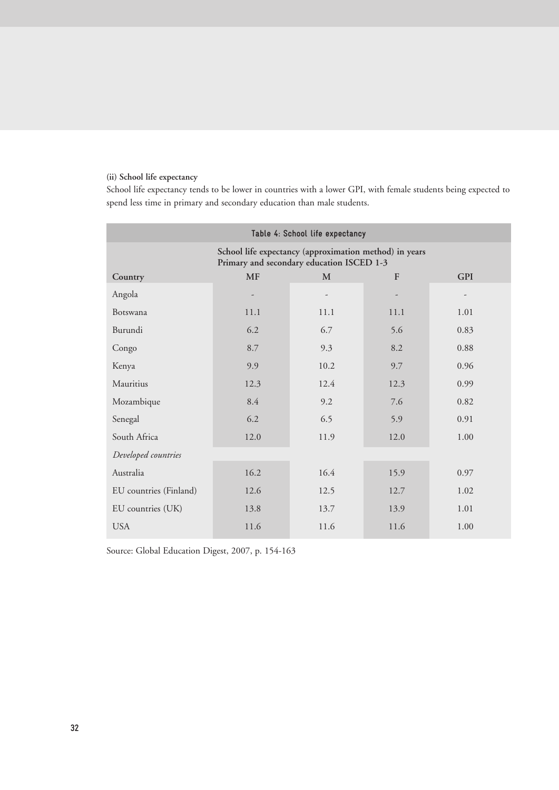## **(ii) School life expectancy**

School life expectancy tends to be lower in countries with a lower GPI, with female students being expected to spend less time in primary and secondary education than male students.

| Table 4: School life expectancy                                                                     |                                              |                          |      |                          |  |  |  |  |  |
|-----------------------------------------------------------------------------------------------------|----------------------------------------------|--------------------------|------|--------------------------|--|--|--|--|--|
| School life expectancy (approximation method) in years<br>Primary and secondary education ISCED 1-3 |                                              |                          |      |                          |  |  |  |  |  |
| Country                                                                                             | $\mathbf{F}$<br><b>GPI</b><br><b>MF</b><br>M |                          |      |                          |  |  |  |  |  |
| Angola                                                                                              |                                              | $\overline{\phantom{a}}$ |      | $\overline{\phantom{m}}$ |  |  |  |  |  |
| Botswana                                                                                            | 11.1                                         | 11.1                     | 11.1 | 1.01                     |  |  |  |  |  |
| Burundi                                                                                             | 6.2                                          | 6.7                      | 5.6  | 0.83                     |  |  |  |  |  |
| Congo                                                                                               | 8.7                                          | 9.3                      | 8.2  | 0.88                     |  |  |  |  |  |
| Kenya                                                                                               | 9.9                                          | 10.2                     | 9.7  | 0.96                     |  |  |  |  |  |
| Mauritius                                                                                           | 12.3                                         | 12.4                     | 12.3 | 0.99                     |  |  |  |  |  |
| Mozambique                                                                                          | 8.4                                          | 9.2                      | 7.6  | 0.82                     |  |  |  |  |  |
| Senegal                                                                                             | 6.2                                          | 6.5                      | 5.9  | 0.91                     |  |  |  |  |  |
| South Africa                                                                                        | 12.0                                         | 11.9                     | 12.0 | 1.00                     |  |  |  |  |  |
| Developed countries                                                                                 |                                              |                          |      |                          |  |  |  |  |  |
| Australia                                                                                           | 16.2                                         | 16.4                     | 15.9 | 0.97                     |  |  |  |  |  |
| EU countries (Finland)                                                                              | 12.6                                         | 12.5                     | 12.7 | 1.02                     |  |  |  |  |  |
| EU countries (UK)                                                                                   | 13.8                                         | 13.7                     | 13.9 | 1.01                     |  |  |  |  |  |
| <b>USA</b>                                                                                          | 11.6                                         | 11.6                     | 11.6 | 1.00                     |  |  |  |  |  |

Source: Global Education Digest, 2007, p. 154-163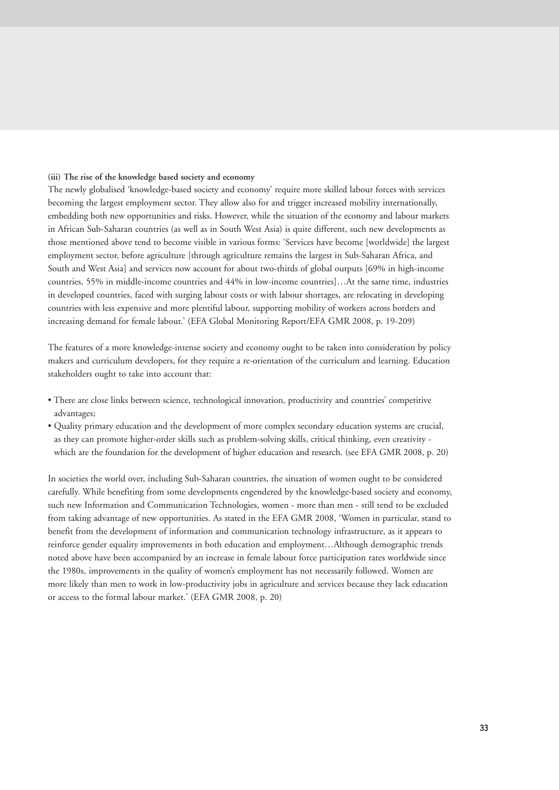#### **(iii) The rise of the knowledge based society and economy**

The newly globalised 'knowledge-based society and economy' require more skilled labour forces with services becoming the largest employment sector. They allow also for and trigger increased mobility internationally, embedding both new opportunities and risks. However, while the situation of the economy and labour markets in African Sub-Saharan countries (as well as in South West Asia) is quite different, such new developments as those mentioned above tend to become visible in various forms: 'Services have become [worldwide] the largest employment sector, before agriculture [through agriculture remains the largest in Sub-Saharan Africa, and South and West Asia] and services now account for about two-thirds of global outputs [69% in high-income countries, 55% in middle-income countries and 44% in low-income countries]…At the same time, industries in developed countries, faced with surging labour costs or with labour shortages, are relocating in developing countries with less expensive and more plentiful labour, supporting mobility of workers across borders and increasing demand for female labour.' (EFA Global Monitoring Report/EFA GMR 2008, p. 19-209)

The features of a more knowledge-intense society and economy ought to be taken into consideration by policy makers and curriculum developers, for they require a re-orientation of the curriculum and learning. Education stakeholders ought to take into account that:

- There are close links between science, technological innovation, productivity and countries' competitive advantages;
- Quality primary education and the development of more complex secondary education systems are crucial, as they can promote higher-order skills such as problem-solving skills, critical thinking, even creativity which are the foundation for the development of higher education and research. (see EFA GMR 2008, p. 20)

In societies the world over, including Sub-Saharan countries, the situation of women ought to be considered carefully. While benefiting from some developments engendered by the knowledge-based society and economy, such new Information and Communication Technologies, women - more than men - still tend to be excluded from taking advantage of new opportunities. As stated in the EFA GMR 2008, 'Women in particular, stand to benefit from the development of information and communication technology infrastructure, as it appears to reinforce gender equality improvements in both education and employment…Although demographic trends noted above have been accompanied by an increase in female labour force participation rates worldwide since the 1980s, improvements in the quality of women's employment has not necessarily followed. Women are more likely than men to work in low-productivity jobs in agriculture and services because they lack education or access to the formal labour market.' (EFA GMR 2008, p. 20)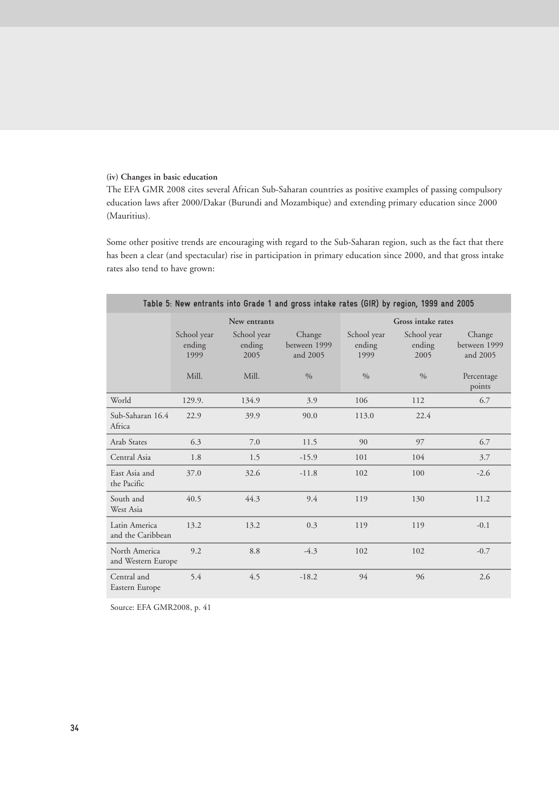#### **(iv) Changes in basic education**

The EFA GMR 2008 cites several African Sub-Saharan countries as positive examples of passing compulsory education laws after 2000/Dakar (Burundi and Mozambique) and extending primary education since 2000 (Mauritius).

Some other positive trends are encouraging with regard to the Sub-Saharan region, such as the fact that there has been a clear (and spectacular) rise in participation in primary education since 2000, and that gross intake rates also tend to have grown:

| Table 5: New entrants into Grade 1 and gross intake rates (GIR) by region, 1999 and 2005 |                               |                               |                                    |                               |                               |                                    |  |  |  |  |
|------------------------------------------------------------------------------------------|-------------------------------|-------------------------------|------------------------------------|-------------------------------|-------------------------------|------------------------------------|--|--|--|--|
|                                                                                          |                               | New entrants                  |                                    | Gross intake rates            |                               |                                    |  |  |  |  |
|                                                                                          | School year<br>ending<br>1999 | School year<br>ending<br>2005 | Change<br>between 1999<br>and 2005 | School year<br>ending<br>1999 | School year<br>ending<br>2005 | Change<br>between 1999<br>and 2005 |  |  |  |  |
|                                                                                          | Mill.                         | Mill.                         | $\frac{0}{0}$                      | $\%$                          | $\frac{0}{0}$                 | Percentage<br>points               |  |  |  |  |
| World                                                                                    | 129.9.                        | 134.9                         | 3.9                                | 106                           | 112                           | 6.7                                |  |  |  |  |
| Sub-Saharan 16.4<br>Africa                                                               | 22.9                          | 39.9                          | 90.0                               | 113.0                         | 22.4                          |                                    |  |  |  |  |
| Arab States                                                                              | 6.3                           | 7.0                           | 11.5                               | 90                            | 97                            | 6.7                                |  |  |  |  |
| Central Asia                                                                             | 1.8                           | 1.5                           | $-15.9$                            | 101                           | 104                           | 3.7                                |  |  |  |  |
| East Asia and<br>the Pacific                                                             | 37.0                          | 32.6                          | $-11.8$                            | 102                           | 100                           | $-2.6$                             |  |  |  |  |
| South and<br>West Asia                                                                   | 40.5                          | 44.3                          | 9.4                                | 119                           | 130                           | 11.2                               |  |  |  |  |
| Latin America<br>and the Caribbean                                                       | 13.2                          | 13.2                          | 0.3                                | 119                           | 119                           | $-0.1$                             |  |  |  |  |
| North America<br>and Western Europe                                                      | 9.2                           | 8.8                           | $-4.3$                             | 102                           | 102                           | $-0.7$                             |  |  |  |  |
| Central and<br>Eastern Europe                                                            | 5.4                           | 4.5                           | $-18.2$                            | 94                            | 96                            | 2.6                                |  |  |  |  |

Source: EFA GMR2008, p. 41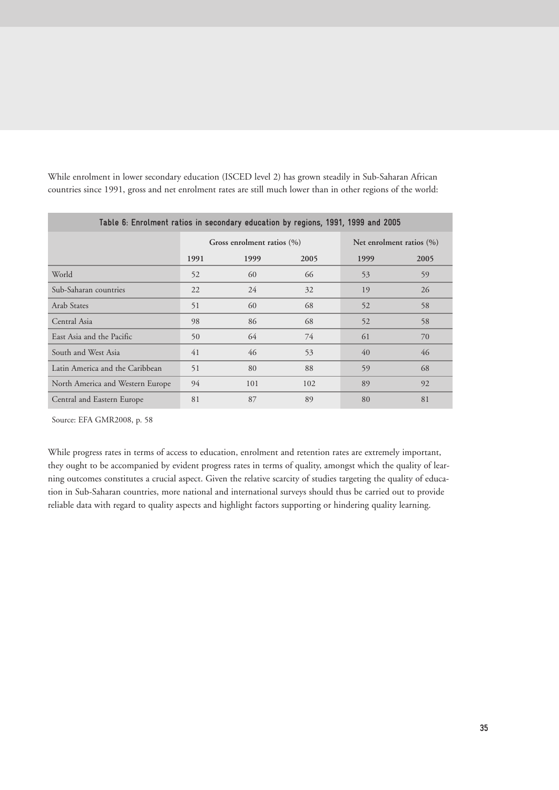| Table 6: Enrolment ratios in secondary education by regions, 1991, 1999 and 2005 |      |                                |      |                              |      |  |  |  |  |
|----------------------------------------------------------------------------------|------|--------------------------------|------|------------------------------|------|--|--|--|--|
|                                                                                  |      | Gross enrolment ratios $(\% )$ |      | Net enrolment ratios $(\% )$ |      |  |  |  |  |
|                                                                                  | 1991 | 1999                           | 2005 | 1999                         | 2005 |  |  |  |  |
| World                                                                            | 52   | 60                             | 66   | 53                           | 59   |  |  |  |  |
| Sub-Saharan countries                                                            | 22   | 24                             | 32   | 19                           | 26   |  |  |  |  |
| Arab States                                                                      | 51   | 60                             | 68   | 52                           | 58   |  |  |  |  |
| Central Asia                                                                     | 98   | 86                             | 68   | 52                           | 58   |  |  |  |  |
| East Asia and the Pacific                                                        | 50   | 64                             | 74   | 61                           | 70   |  |  |  |  |
| South and West Asia                                                              | 41   | 46                             | 53   | 40                           | 46   |  |  |  |  |
| Latin America and the Caribbean                                                  | 51   | 80                             | 88   | 59                           | 68   |  |  |  |  |
| North America and Western Europe                                                 | 94   | 101                            | 102  | 89                           | 92   |  |  |  |  |
| Central and Eastern Europe                                                       | 81   | 87                             | 89   | 80                           | 81   |  |  |  |  |

While enrolment in lower secondary education (ISCED level 2) has grown steadily in Sub-Saharan African countries since 1991, gross and net enrolment rates are still much lower than in other regions of the world:

Source: EFA GMR2008, p. 58

While progress rates in terms of access to education, enrolment and retention rates are extremely important, they ought to be accompanied by evident progress rates in terms of quality, amongst which the quality of learning outcomes constitutes a crucial aspect. Given the relative scarcity of studies targeting the quality of education in Sub-Saharan countries, more national and international surveys should thus be carried out to provide reliable data with regard to quality aspects and highlight factors supporting or hindering quality learning.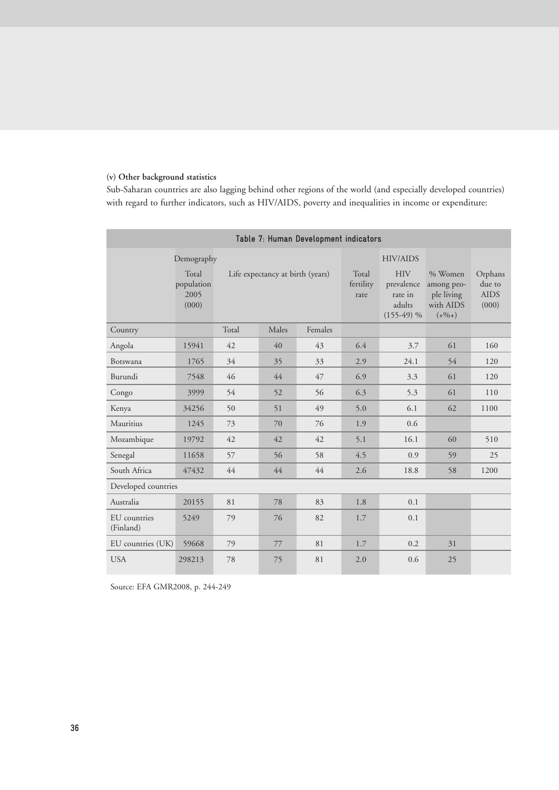## **(v) Other background statistics**

Sub-Saharan countries are also lagging behind other regions of the world (and especially developed countries) with regard to further indicators, such as HIV/AIDS, poverty and inequalities in income or expenditure:

| Table 7: Human Development indicators |                                      |                                  |       |         |                            |                                                               |                                                                  |                                           |  |
|---------------------------------------|--------------------------------------|----------------------------------|-------|---------|----------------------------|---------------------------------------------------------------|------------------------------------------------------------------|-------------------------------------------|--|
|                                       | Demography                           |                                  |       |         |                            | <b>HIV/AIDS</b>                                               |                                                                  |                                           |  |
|                                       | Total<br>population<br>2005<br>(000) | Life expectancy at birth (years) |       |         | Total<br>fertility<br>rate | <b>HIV</b><br>prevalence<br>rate in<br>adults<br>$(155-49)$ % | % Women<br>among peo-<br>ple living<br>with AIDS<br>$(+\%$ + $)$ | Orphans<br>due to<br><b>AIDS</b><br>(000) |  |
| Country                               |                                      | Total                            | Males | Females |                            |                                                               |                                                                  |                                           |  |
| Angola                                | 15941                                | 42                               | 40    | 43      | 6.4                        | 3.7                                                           | 61                                                               | 160                                       |  |
| Botswana                              | 1765                                 | 34                               | 35    | 33      | 2.9                        | 24.1                                                          | 54                                                               | 120                                       |  |
| Burundi                               | 7548                                 | 46                               | 44    | 47      | 6.9                        | 3.3                                                           | 61                                                               | 120                                       |  |
| Congo                                 | 3999                                 | 54                               | 52    | 56      | 6.3                        | 5.3                                                           | 61                                                               | 110                                       |  |
| Kenya                                 | 34256                                | 50                               | 51    | 49      | 5.0                        | 6.1                                                           | 62                                                               | 1100                                      |  |
| Mauritius                             | 1245                                 | 73                               | 70    | 76      | 1.9                        | 0.6                                                           |                                                                  |                                           |  |
| Mozambique                            | 19792                                | 42                               | 42    | 42      | 5.1                        | 16.1                                                          | 60                                                               | 510                                       |  |
| Senegal                               | 11658                                | 57                               | 56    | 58      | 4.5                        | 0.9                                                           | 59                                                               | 25                                        |  |
| South Africa                          | 47432                                | 44                               | 44    | 44      | 2.6                        | 18.8                                                          | 58                                                               | 1200                                      |  |
| Developed countries                   |                                      |                                  |       |         |                            |                                                               |                                                                  |                                           |  |
| Australia                             | 20155                                | 81                               | 78    | 83      | 1.8                        | 0.1                                                           |                                                                  |                                           |  |
| EU countries<br>(Finland)             | 5249                                 | 79                               | 76    | 82      | 1.7                        | 0.1                                                           |                                                                  |                                           |  |
| EU countries (UK)                     | 59668                                | 79                               | 77    | 81      | 1.7                        | 0.2                                                           | 31                                                               |                                           |  |
| <b>USA</b>                            | 298213                               | 78                               | 75    | 81      | 2.0                        | 0.6                                                           | 25                                                               |                                           |  |

Source: EFA GMR2008, p. 244-249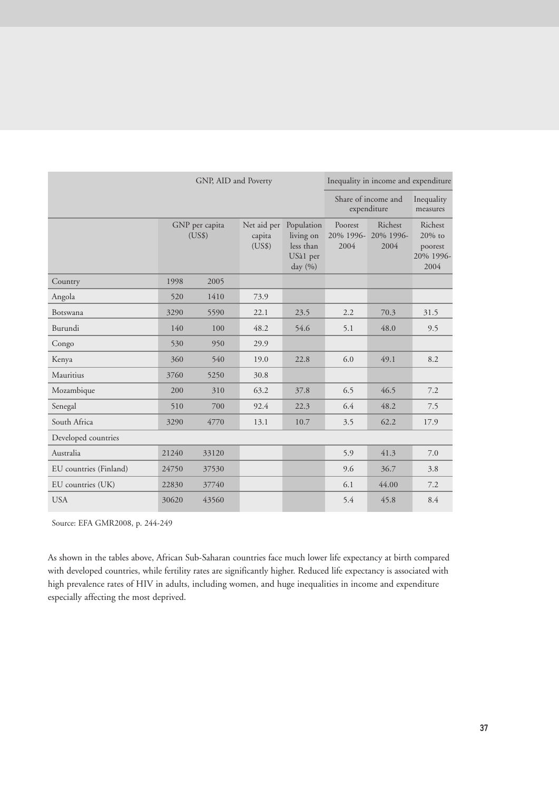| GNP, AID and Poverty   |       |                          |                                 |                                                             |                              | Inequality in income and expenditure |                                                      |
|------------------------|-------|--------------------------|---------------------------------|-------------------------------------------------------------|------------------------------|--------------------------------------|------------------------------------------------------|
|                        |       |                          |                                 |                                                             |                              | Share of income and<br>expenditure   | Inequality<br>measures                               |
|                        |       | GNP per capita<br>(US\$) | Net aid per<br>capita<br>(US\$) | Population<br>living on<br>less than<br>USà1 per<br>day (%) | Poorest<br>20% 1996-<br>2004 | Richest<br>20% 1996-<br>2004         | Richest<br>$20\%$ to<br>poorest<br>20% 1996-<br>2004 |
| Country                | 1998  | 2005                     |                                 |                                                             |                              |                                      |                                                      |
| Angola                 | 520   | 1410                     | 73.9                            |                                                             |                              |                                      |                                                      |
| Botswana               | 3290  | 5590                     | 22.1                            | 23.5                                                        | 2.2                          | 70.3                                 | 31.5                                                 |
| Burundi                | 140   | 100                      | 48.2                            | 54.6                                                        | 5.1                          | 48.0                                 | 9.5                                                  |
| Congo                  | 530   | 950                      | 29.9                            |                                                             |                              |                                      |                                                      |
| Kenya                  | 360   | 540                      | 19.0                            | 22.8                                                        | 6.0                          | 49.1                                 | 8.2                                                  |
| Mauritius              | 3760  | 5250                     | 30.8                            |                                                             |                              |                                      |                                                      |
| Mozambique             | 200   | 310                      | 63.2                            | 37.8                                                        | 6.5                          | 46.5                                 | 7.2                                                  |
| Senegal                | 510   | 700                      | 92.4                            | 22.3                                                        | 6.4                          | 48.2                                 | 7.5                                                  |
| South Africa           | 3290  | 4770                     | 13.1                            | 10.7                                                        | 3.5                          | 62.2                                 | 17.9                                                 |
| Developed countries    |       |                          |                                 |                                                             |                              |                                      |                                                      |
| Australia              | 21240 | 33120                    |                                 |                                                             | 5.9                          | 41.3                                 | 7.0                                                  |
| EU countries (Finland) | 24750 | 37530                    |                                 |                                                             | 9.6                          | 36.7                                 | 3.8                                                  |
| EU countries (UK)      | 22830 | 37740                    |                                 |                                                             | 6.1                          | 44.00                                | 7.2                                                  |
| <b>USA</b>             | 30620 | 43560                    |                                 |                                                             | 5.4                          | 45.8                                 | 8.4                                                  |

Source: EFA GMR2008, p. 244-249

As shown in the tables above, African Sub-Saharan countries face much lower life expectancy at birth compared with developed countries, while fertility rates are significantly higher. Reduced life expectancy is associated with high prevalence rates of HIV in adults, including women, and huge inequalities in income and expenditure especially affecting the most deprived.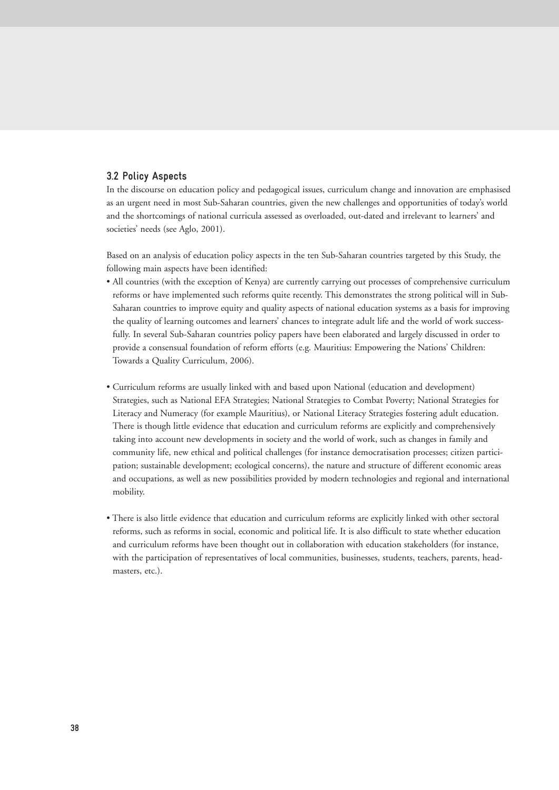# **3.2 Policy Aspects**

In the discourse on education policy and pedagogical issues, curriculum change and innovation are emphasised as an urgent need in most Sub-Saharan countries, given the new challenges and opportunities of today's world and the shortcomings of national curricula assessed as overloaded, out-dated and irrelevant to learners' and societies' needs (see Aglo, 2001).

Based on an analysis of education policy aspects in the ten Sub-Saharan countries targeted by this Study, the following main aspects have been identified:

- All countries (with the exception of Kenya) are currently carrying out processes of comprehensive curriculum reforms or have implemented such reforms quite recently. This demonstrates the strong political will in Sub-Saharan countries to improve equity and quality aspects of national education systems as a basis for improving the quality of learning outcomes and learners' chances to integrate adult life and the world of work successfully. In several Sub-Saharan countries policy papers have been elaborated and largely discussed in order to provide a consensual foundation of reform efforts (e.g. Mauritius: Empowering the Nations' Children: Towards a Quality Curriculum, 2006).
- Curriculum reforms are usually linked with and based upon National (education and development) Strategies, such as National EFA Strategies; National Strategies to Combat Poverty; National Strategies for Literacy and Numeracy (for example Mauritius), or National Literacy Strategies fostering adult education. There is though little evidence that education and curriculum reforms are explicitly and comprehensively taking into account new developments in society and the world of work, such as changes in family and community life, new ethical and political challenges (for instance democratisation processes; citizen participation; sustainable development; ecological concerns), the nature and structure of different economic areas and occupations, as well as new possibilities provided by modern technologies and regional and international mobility.
- There is also little evidence that education and curriculum reforms are explicitly linked with other sectoral reforms, such as reforms in social, economic and political life. It is also difficult to state whether education and curriculum reforms have been thought out in collaboration with education stakeholders (for instance, with the participation of representatives of local communities, businesses, students, teachers, parents, headmasters, etc.).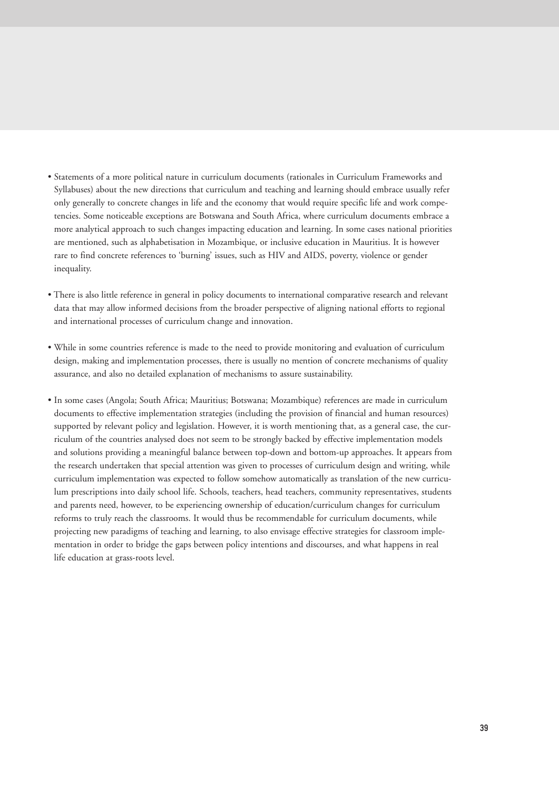- Statements of a more political nature in curriculum documents (rationales in Curriculum Frameworks and Syllabuses) about the new directions that curriculum and teaching and learning should embrace usually refer only generally to concrete changes in life and the economy that would require specific life and work competencies. Some noticeable exceptions are Botswana and South Africa, where curriculum documents embrace a more analytical approach to such changes impacting education and learning. In some cases national priorities are mentioned, such as alphabetisation in Mozambique, or inclusive education in Mauritius. It is however rare to find concrete references to 'burning' issues, such as HIV and AIDS, poverty, violence or gender inequality.
- There is also little reference in general in policy documents to international comparative research and relevant data that may allow informed decisions from the broader perspective of aligning national efforts to regional and international processes of curriculum change and innovation.
- While in some countries reference is made to the need to provide monitoring and evaluation of curriculum design, making and implementation processes, there is usually no mention of concrete mechanisms of quality assurance, and also no detailed explanation of mechanisms to assure sustainability.
- In some cases (Angola; South Africa; Mauritius; Botswana; Mozambique) references are made in curriculum documents to effective implementation strategies (including the provision of financial and human resources) supported by relevant policy and legislation. However, it is worth mentioning that, as a general case, the curriculum of the countries analysed does not seem to be strongly backed by effective implementation models and solutions providing a meaningful balance between top-down and bottom-up approaches. It appears from the research undertaken that special attention was given to processes of curriculum design and writing, while curriculum implementation was expected to follow somehow automatically as translation of the new curriculum prescriptions into daily school life. Schools, teachers, head teachers, community representatives, students and parents need, however, to be experiencing ownership of education/curriculum changes for curriculum reforms to truly reach the classrooms. It would thus be recommendable for curriculum documents, while projecting new paradigms of teaching and learning, to also envisage effective strategies for classroom implementation in order to bridge the gaps between policy intentions and discourses, and what happens in real life education at grass-roots level.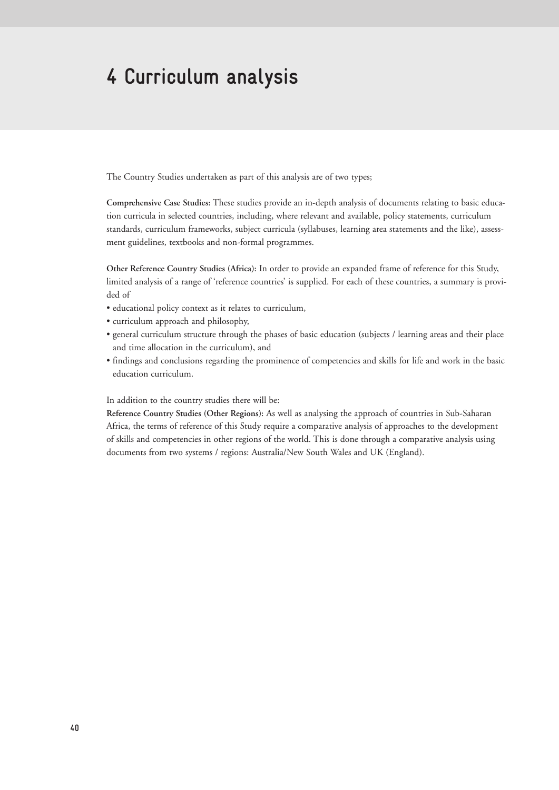# **4 Curriculum analysis**

The Country Studies undertaken as part of this analysis are of two types;

**Comprehensive Case Studies:** These studies provide an in-depth analysis of documents relating to basic education curricula in selected countries, including, where relevant and available, policy statements, curriculum standards, curriculum frameworks, subject curricula (syllabuses, learning area statements and the like), assessment guidelines, textbooks and non-formal programmes.

**Other Reference Country Studies (Africa):** In order to provide an expanded frame of reference for this Study, limited analysis of a range of 'reference countries' is supplied. For each of these countries, a summary is provided of

- educational policy context as it relates to curriculum,
- curriculum approach and philosophy,
- general curriculum structure through the phases of basic education (subjects / learning areas and their place and time allocation in the curriculum), and
- findings and conclusions regarding the prominence of competencies and skills for life and work in the basic education curriculum.

In addition to the country studies there will be:

**Reference Country Studies (Other Regions):** As well as analysing the approach of countries in Sub-Saharan Africa, the terms of reference of this Study require a comparative analysis of approaches to the development of skills and competencies in other regions of the world. This is done through a comparative analysis using documents from two systems / regions: Australia/New South Wales and UK (England).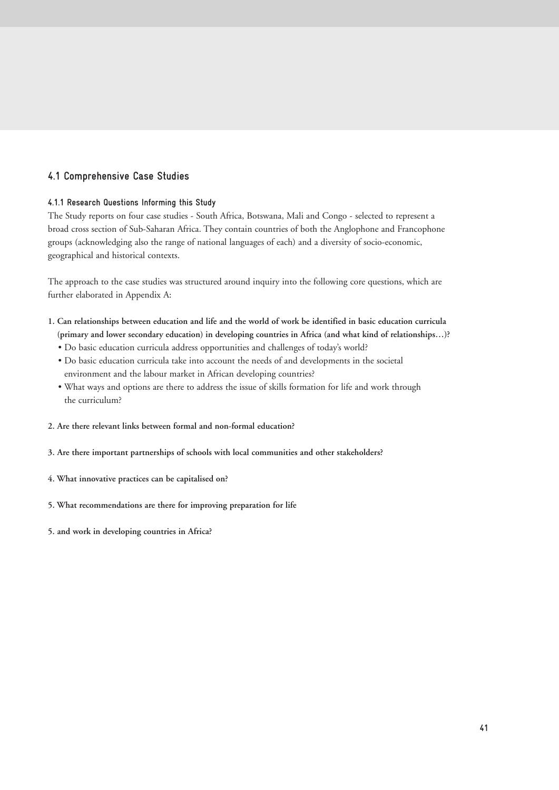# **4.1 Comprehensive Case Studies**

# **4.1.1 Research Questions Informing this Study**

The Study reports on four case studies - South Africa, Botswana, Mali and Congo - selected to represent a broad cross section of Sub-Saharan Africa. They contain countries of both the Anglophone and Francophone groups (acknowledging also the range of national languages of each) and a diversity of socio-economic, geographical and historical contexts.

The approach to the case studies was structured around inquiry into the following core questions, which are further elaborated in Appendix A:

- **1. Can relationships between education and life and the world of work be identified in basic education curricula (primary and lower secondary education) in developing countries in Africa (and what kind of relationships…)?**
	- Do basic education curricula address opportunities and challenges of today's world?
	- Do basic education curricula take into account the needs of and developments in the societal environment and the labour market in African developing countries?
	- What ways and options are there to address the issue of skills formation for life and work through the curriculum?
- **2. Are there relevant links between formal and non-formal education?**
- **3. Are there important partnerships of schools with local communities and other stakeholders?**
- **4. What innovative practices can be capitalised on?**
- **5. What recommendations are there for improving preparation for life**
- **5. and work in developing countries in Africa?**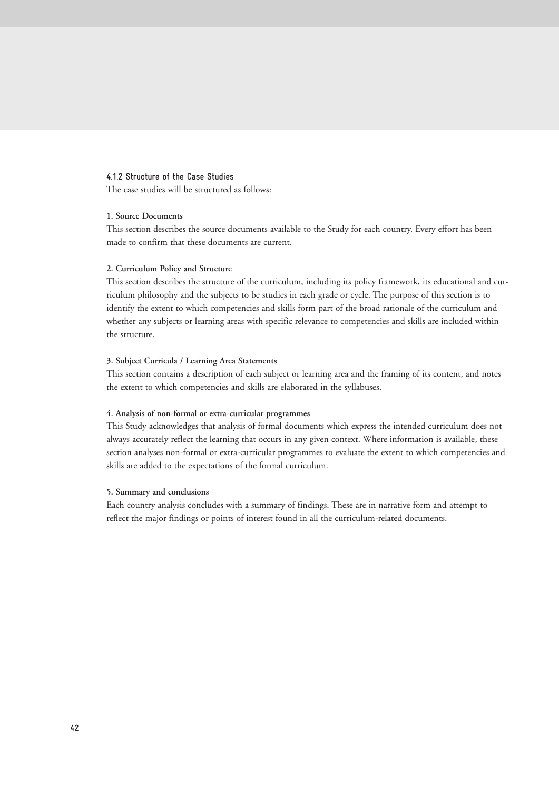# **4.1.2 Structure of the Case Studies**

The case studies will be structured as follows:

# **1. Source Documents**

This section describes the source documents available to the Study for each country. Every effort has been made to confirm that these documents are current.

## **2. Curriculum Policy and Structure**

This section describes the structure of the curriculum, including its policy framework, its educational and curriculum philosophy and the subjects to be studies in each grade or cycle. The purpose of this section is to identify the extent to which competencies and skills form part of the broad rationale of the curriculum and whether any subjects or learning areas with specific relevance to competencies and skills are included within the structure.

## **3. Subject Curricula / Learning Area Statements**

This section contains a description of each subject or learning area and the framing of its content, and notes the extent to which competencies and skills are elaborated in the syllabuses.

# **4. Analysis of non-formal or extra-curricular programmes**

This Study acknowledges that analysis of formal documents which express the intended curriculum does not always accurately reflect the learning that occurs in any given context. Where information is available, these section analyses non-formal or extra-curricular programmes to evaluate the extent to which competencies and skills are added to the expectations of the formal curriculum.

## **5. Summary and conclusions**

Each country analysis concludes with a summary of findings. These are in narrative form and attempt to reflect the major findings or points of interest found in all the curriculum-related documents.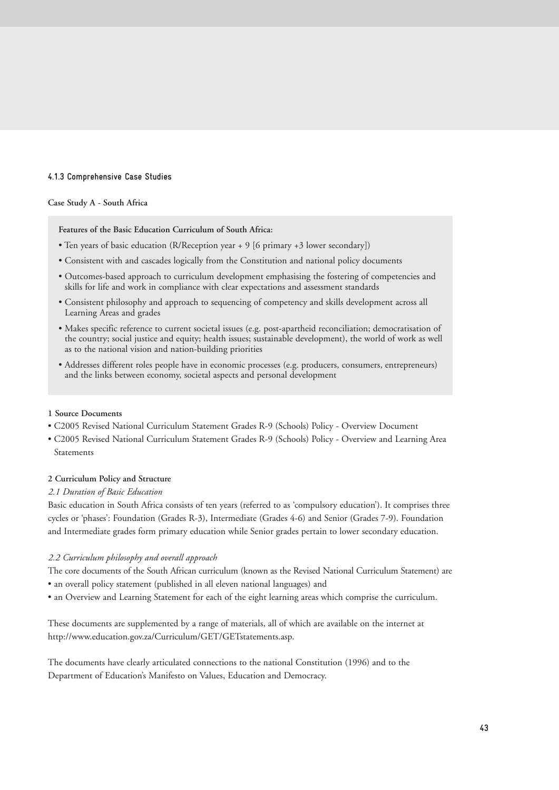# **4.1.3 Comprehensive Case Studies**

## **Case Study A - South Africa**

**Features of the Basic Education Curriculum of South Africa:**

- Ten years of basic education (R/Reception year + 9 [6 primary +3 lower secondary])
- Consistent with and cascades logically from the Constitution and national policy documents
- Outcomes-based approach to curriculum development emphasising the fostering of competencies and skills for life and work in compliance with clear expectations and assessment standards
- Consistent philosophy and approach to sequencing of competency and skills development across all Learning Areas and grades
- Makes specific reference to current societal issues (e.g. post-apartheid reconciliation; democratisation of the country; social justice and equity; health issues; sustainable development), the world of work as well as to the national vision and nation-building priorities
- Addresses different roles people have in economic processes (e.g. producers, consumers, entrepreneurs) and the links between economy, societal aspects and personal development

#### **1 Source Documents**

- C2005 Revised National Curriculum Statement Grades R-9 (Schools) Policy Overview Document
- C2005 Revised National Curriculum Statement Grades R-9 (Schools) Policy Overview and Learning Area Statements

## **2 Curriculum Policy and Structure**

#### *2.1 Duration of Basic Education*

Basic education in South Africa consists of ten years (referred to as 'compulsory education'). It comprises three cycles or 'phases': Foundation (Grades R-3), Intermediate (Grades 4-6) and Senior (Grades 7-9). Foundation and Intermediate grades form primary education while Senior grades pertain to lower secondary education.

#### *2.2 Curriculum philosophy and overall approach*

The core documents of the South African curriculum (known as the Revised National Curriculum Statement) are • an overall policy statement (published in all eleven national languages) and

• an Overview and Learning Statement for each of the eight learning areas which comprise the curriculum.

These documents are supplemented by a range of materials, all of which are available on the internet at http://www.education.gov.za/Curriculum/GET/GETstatements.asp.

The documents have clearly articulated connections to the national Constitution (1996) and to the Department of Education's Manifesto on Values, Education and Democracy.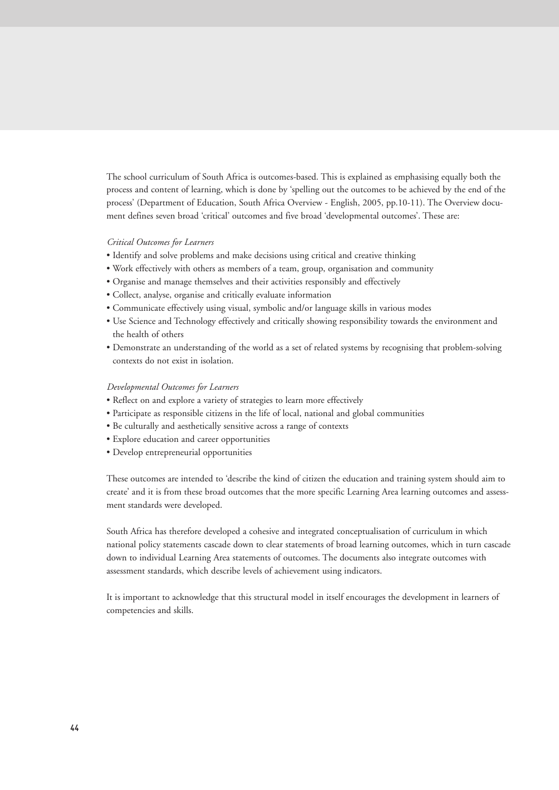The school curriculum of South Africa is outcomes-based. This is explained as emphasising equally both the process and content of learning, which is done by 'spelling out the outcomes to be achieved by the end of the process' (Department of Education, South Africa Overview - English, 2005, pp.10-11). The Overview document defines seven broad 'critical' outcomes and five broad 'developmental outcomes'. These are:

# *Critical Outcomes for Learners*

- Identify and solve problems and make decisions using critical and creative thinking
- Work effectively with others as members of a team, group, organisation and community
- Organise and manage themselves and their activities responsibly and effectively
- Collect, analyse, organise and critically evaluate information
- Communicate effectively using visual, symbolic and/or language skills in various modes
- Use Science and Technology effectively and critically showing responsibility towards the environment and the health of others
- Demonstrate an understanding of the world as a set of related systems by recognising that problem-solving contexts do not exist in isolation.

#### *Developmental Outcomes for Learners*

- Reflect on and explore a variety of strategies to learn more effectively
- Participate as responsible citizens in the life of local, national and global communities
- Be culturally and aesthetically sensitive across a range of contexts
- Explore education and career opportunities
- Develop entrepreneurial opportunities

These outcomes are intended to 'describe the kind of citizen the education and training system should aim to create' and it is from these broad outcomes that the more specific Learning Area learning outcomes and assessment standards were developed.

South Africa has therefore developed a cohesive and integrated conceptualisation of curriculum in which national policy statements cascade down to clear statements of broad learning outcomes, which in turn cascade down to individual Learning Area statements of outcomes. The documents also integrate outcomes with assessment standards, which describe levels of achievement using indicators.

It is important to acknowledge that this structural model in itself encourages the development in learners of competencies and skills.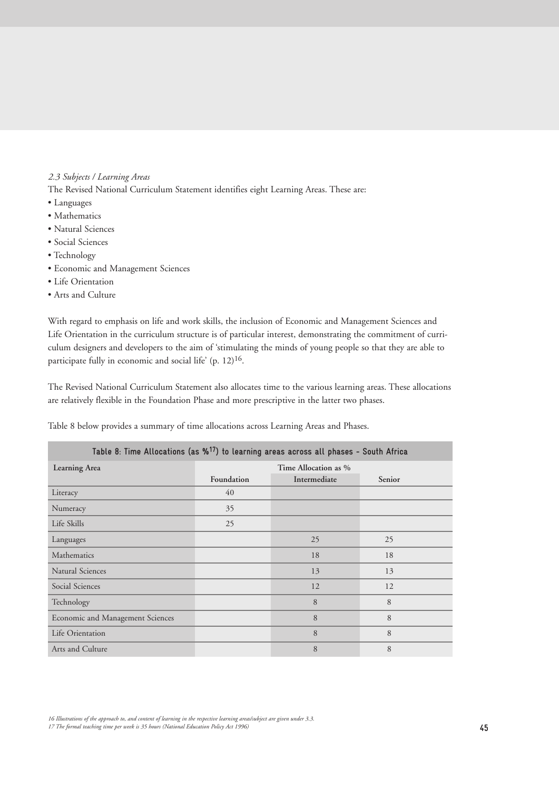# *2.3 Subjects / Learning Areas*

The Revised National Curriculum Statement identifies eight Learning Areas. These are:

- Languages
- Mathematics
- Natural Sciences
- Social Sciences
- Technology
- Economic and Management Sciences
- Life Orientation
- Arts and Culture

With regard to emphasis on life and work skills, the inclusion of Economic and Management Sciences and Life Orientation in the curriculum structure is of particular interest, demonstrating the commitment of curriculum designers and developers to the aim of 'stimulating the minds of young people so that they are able to participate fully in economic and social life' (p. 12)<sup>16</sup>.

The Revised National Curriculum Statement also allocates time to the various learning areas. These allocations are relatively flexible in the Foundation Phase and more prescriptive in the latter two phases.

Table 8 below provides a summary of time allocations across Learning Areas and Phases.

| Table 8: Time Allocations (as % <sup>17</sup> ) to learning areas across all phases - South Africa |            |              |        |  |  |
|----------------------------------------------------------------------------------------------------|------------|--------------|--------|--|--|
| Learning Area                                                                                      |            |              |        |  |  |
|                                                                                                    | Foundation | Intermediate | Senior |  |  |
| Literacy                                                                                           | 40         |              |        |  |  |
| Numeracy                                                                                           | 35         |              |        |  |  |
| Life Skills                                                                                        | 25         |              |        |  |  |
| Languages                                                                                          |            | 25           | 25     |  |  |
| Mathematics                                                                                        |            | 18           | 18     |  |  |
| <b>Natural Sciences</b>                                                                            |            | 13           | 13     |  |  |
| Social Sciences                                                                                    |            | 12           | 12     |  |  |
| Technology                                                                                         |            | 8            | 8      |  |  |
| Economic and Management Sciences                                                                   |            | 8            | 8      |  |  |
| Life Orientation                                                                                   |            | 8            | 8      |  |  |
| Arts and Culture                                                                                   |            | 8            | 8      |  |  |

*16 Illustrations of the approach to, and content of learning in the respective learning areas/subject are given under 3.3.*

*17 The formal teaching time per week is 35 hours (National Education Policy Act 1996)*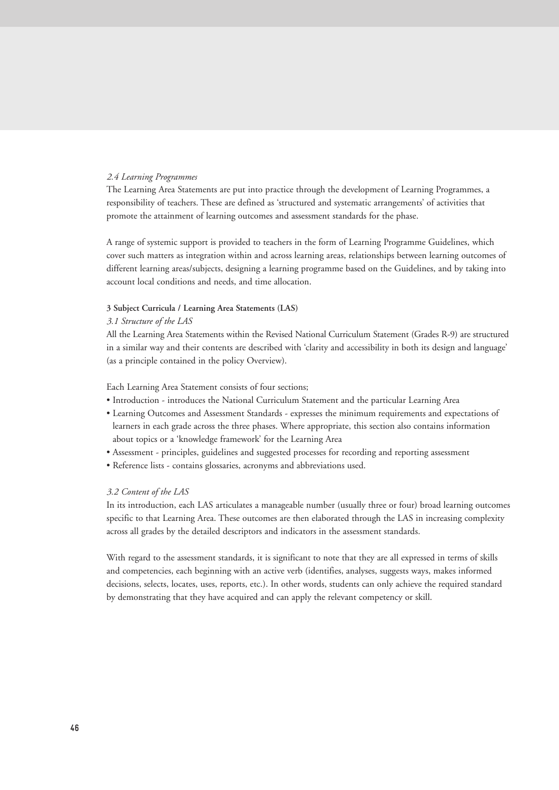# *2.4 Learning Programmes*

The Learning Area Statements are put into practice through the development of Learning Programmes, a responsibility of teachers. These are defined as 'structured and systematic arrangements' of activities that promote the attainment of learning outcomes and assessment standards for the phase.

A range of systemic support is provided to teachers in the form of Learning Programme Guidelines, which cover such matters as integration within and across learning areas, relationships between learning outcomes of different learning areas/subjects, designing a learning programme based on the Guidelines, and by taking into account local conditions and needs, and time allocation.

# **3 Subject Curricula / Learning Area Statements (LAS)**

#### *3.1 Structure of the LAS*

All the Learning Area Statements within the Revised National Curriculum Statement (Grades R-9) are structured in a similar way and their contents are described with 'clarity and accessibility in both its design and language' (as a principle contained in the policy Overview).

Each Learning Area Statement consists of four sections;

- Introduction introduces the National Curriculum Statement and the particular Learning Area
- Learning Outcomes and Assessment Standards expresses the minimum requirements and expectations of learners in each grade across the three phases. Where appropriate, this section also contains information about topics or a 'knowledge framework' for the Learning Area
- Assessment principles, guidelines and suggested processes for recording and reporting assessment
- Reference lists contains glossaries, acronyms and abbreviations used.

#### *3.2 Content of the LAS*

In its introduction, each LAS articulates a manageable number (usually three or four) broad learning outcomes specific to that Learning Area. These outcomes are then elaborated through the LAS in increasing complexity across all grades by the detailed descriptors and indicators in the assessment standards.

With regard to the assessment standards, it is significant to note that they are all expressed in terms of skills and competencies, each beginning with an active verb (identifies, analyses, suggests ways, makes informed decisions, selects, locates, uses, reports, etc.). In other words, students can only achieve the required standard by demonstrating that they have acquired and can apply the relevant competency or skill.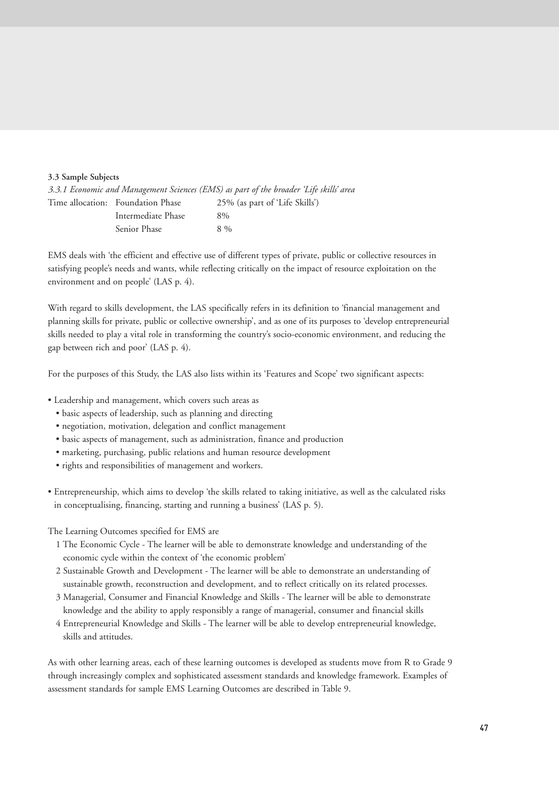# **3.3 Sample Subjects**

|                                   | 3.3.1 Economic and Management Sciences (EMS) as part of the broader 'Life skills' area |
|-----------------------------------|----------------------------------------------------------------------------------------|
| Time allocation: Foundation Phase | 25% (as part of 'Life Skills')                                                         |
| Intermediate Phase                | $8\%$                                                                                  |
| Senior Phase                      | $8\%$                                                                                  |

EMS deals with 'the efficient and effective use of different types of private, public or collective resources in satisfying people's needs and wants, while reflecting critically on the impact of resource exploitation on the environment and on people' (LAS p. 4).

With regard to skills development, the LAS specifically refers in its definition to 'financial management and planning skills for private, public or collective ownership', and as one of its purposes to 'develop entrepreneurial skills needed to play a vital role in transforming the country's socio-economic environment, and reducing the gap between rich and poor' (LAS p. 4).

For the purposes of this Study, the LAS also lists within its 'Features and Scope' two significant aspects:

- Leadership and management, which covers such areas as
	- basic aspects of leadership, such as planning and directing
	- negotiation, motivation, delegation and conflict management
	- basic aspects of management, such as administration, finance and production
	- marketing, purchasing, public relations and human resource development
	- rights and responsibilities of management and workers.
- Entrepreneurship, which aims to develop 'the skills related to taking initiative, as well as the calculated risks in conceptualising, financing, starting and running a business' (LAS p. 5).

The Learning Outcomes specified for EMS are

- 1 The Economic Cycle The learner will be able to demonstrate knowledge and understanding of the economic cycle within the context of 'the economic problem'
- 2 Sustainable Growth and Development The learner will be able to demonstrate an understanding of sustainable growth, reconstruction and development, and to reflect critically on its related processes.
- 3 Managerial, Consumer and Financial Knowledge and Skills The learner will be able to demonstrate knowledge and the ability to apply responsibly a range of managerial, consumer and financial skills
- 4 Entrepreneurial Knowledge and Skills The learner will be able to develop entrepreneurial knowledge, skills and attitudes.

As with other learning areas, each of these learning outcomes is developed as students move from R to Grade 9 through increasingly complex and sophisticated assessment standards and knowledge framework. Examples of assessment standards for sample EMS Learning Outcomes are described in Table 9.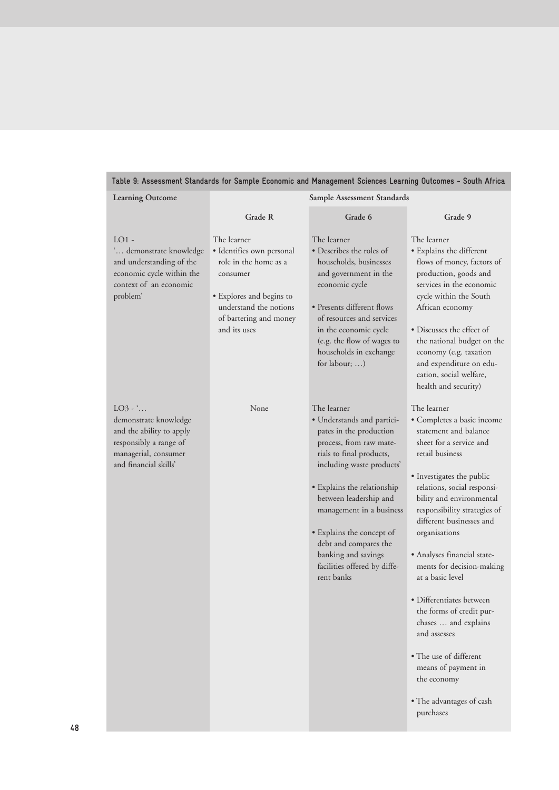| Table 9: Assessment Standards for Sample Economic and Management Sciences Learning Outcomes - South Africa                                    |                                                                                                                                                                               |                                                                                                                                                                                                                                                                                                                                                                          |                                                                                                                                                                                                                                                                                                                                                                                                                                                                                                                                                                                |  |  |
|-----------------------------------------------------------------------------------------------------------------------------------------------|-------------------------------------------------------------------------------------------------------------------------------------------------------------------------------|--------------------------------------------------------------------------------------------------------------------------------------------------------------------------------------------------------------------------------------------------------------------------------------------------------------------------------------------------------------------------|--------------------------------------------------------------------------------------------------------------------------------------------------------------------------------------------------------------------------------------------------------------------------------------------------------------------------------------------------------------------------------------------------------------------------------------------------------------------------------------------------------------------------------------------------------------------------------|--|--|
| <b>Learning Outcome</b>                                                                                                                       |                                                                                                                                                                               | Sample Assessment Standards                                                                                                                                                                                                                                                                                                                                              |                                                                                                                                                                                                                                                                                                                                                                                                                                                                                                                                                                                |  |  |
|                                                                                                                                               | Grade R                                                                                                                                                                       | Grade 6                                                                                                                                                                                                                                                                                                                                                                  | Grade 9                                                                                                                                                                                                                                                                                                                                                                                                                                                                                                                                                                        |  |  |
| $LO1$ -<br>' demonstrate knowledge<br>and understanding of the<br>economic cycle within the<br>context of an economic<br>problem'             | The learner<br>· Identifies own personal<br>role in the home as a<br>consumer<br>• Explores and begins to<br>understand the notions<br>of bartering and money<br>and its uses | The learner<br>• Describes the roles of<br>households, businesses<br>and government in the<br>economic cycle<br>• Presents different flows<br>of resources and services<br>in the economic cycle<br>(e.g. the flow of wages to<br>households in exchange<br>for labour; )                                                                                                | The learner<br>· Explains the different<br>flows of money, factors of<br>production, goods and<br>services in the economic<br>cycle within the South<br>African economy<br>• Discusses the effect of<br>the national budget on the<br>economy (e.g. taxation<br>and expenditure on edu-<br>cation, social welfare,<br>health and security)                                                                                                                                                                                                                                     |  |  |
| $LO3 - \dots$<br>demonstrate knowledge<br>and the ability to apply<br>responsibly a range of<br>managerial, consumer<br>and financial skills' | None                                                                                                                                                                          | The learner<br>· Understands and partici-<br>pates in the production<br>process, from raw mate-<br>rials to final products,<br>including waste products'<br>• Explains the relationship<br>between leadership and<br>management in a business<br>• Explains the concept of<br>debt and compares the<br>banking and savings<br>facilities offered by diffe-<br>rent banks | The learner<br>• Completes a basic income<br>statement and balance<br>sheet for a service and<br>retail business<br>• Investigates the public<br>relations, social responsi-<br>bility and environmental<br>responsibility strategies of<br>different businesses and<br>organisations<br>• Analyses financial state-<br>ments for decision-making<br>at a basic level<br>• Differentiates between<br>the forms of credit pur-<br>chases  and explains<br>and assesses<br>• The use of different<br>means of payment in<br>the economy<br>• The advantages of cash<br>purchases |  |  |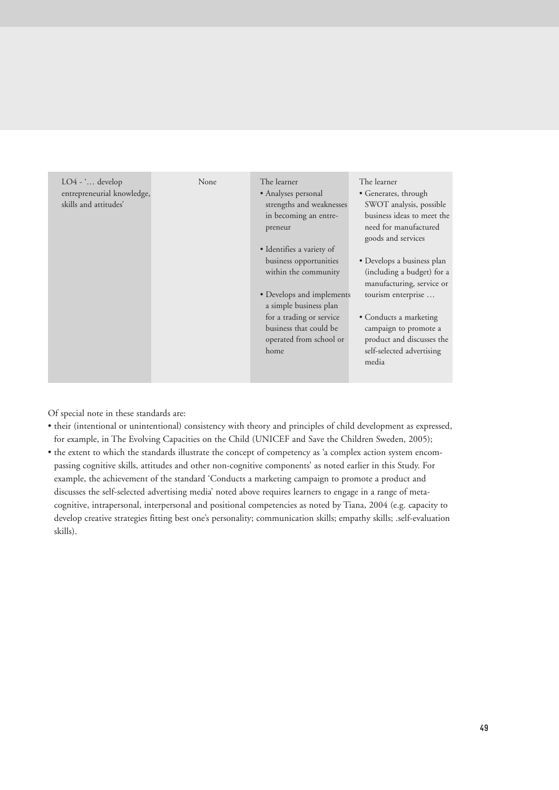| $LO4 - \dots$ develop<br>entrepreneurial knowledge,<br>skills and attitudes' | <b>None</b> | The learner<br>• Analyses personal<br>strengths and weaknesses<br>in becoming an entre-<br>preneur<br>• Identifies a variety of<br>business opportunities<br>within the community<br>• Develops and implements<br>a simple business plan<br>for a trading or service<br>business that could be<br>operated from school or<br>home | The learner<br>• Generates, through<br>SWOT analysis, possible<br>business ideas to meet the<br>need for manufactured<br>goods and services<br>• Develops a business plan<br>(including a budget) for a<br>manufacturing, service or<br>tourism enterprise<br>• Conducts a marketing<br>campaign to promote a<br>product and discusses the<br>self-selected advertising<br>media |
|------------------------------------------------------------------------------|-------------|-----------------------------------------------------------------------------------------------------------------------------------------------------------------------------------------------------------------------------------------------------------------------------------------------------------------------------------|----------------------------------------------------------------------------------------------------------------------------------------------------------------------------------------------------------------------------------------------------------------------------------------------------------------------------------------------------------------------------------|
|------------------------------------------------------------------------------|-------------|-----------------------------------------------------------------------------------------------------------------------------------------------------------------------------------------------------------------------------------------------------------------------------------------------------------------------------------|----------------------------------------------------------------------------------------------------------------------------------------------------------------------------------------------------------------------------------------------------------------------------------------------------------------------------------------------------------------------------------|

Of special note in these standards are:

- their (intentional or unintentional) consistency with theory and principles of child development as expressed, for example, in The Evolving Capacities on the Child (UNICEF and Save the Children Sweden, 2005);
- the extent to which the standards illustrate the concept of competency as 'a complex action system encompassing cognitive skills, attitudes and other non-cognitive components' as noted earlier in this Study. For example, the achievement of the standard 'Conducts a marketing campaign to promote a product and discusses the self-selected advertising media' noted above requires learners to engage in a range of metacognitive, intrapersonal, interpersonal and positional competencies as noted by Tiana, 2004 (e.g. capacity to develop creative strategies fitting best one's personality; communication skills; empathy skills; .self-evaluation skills).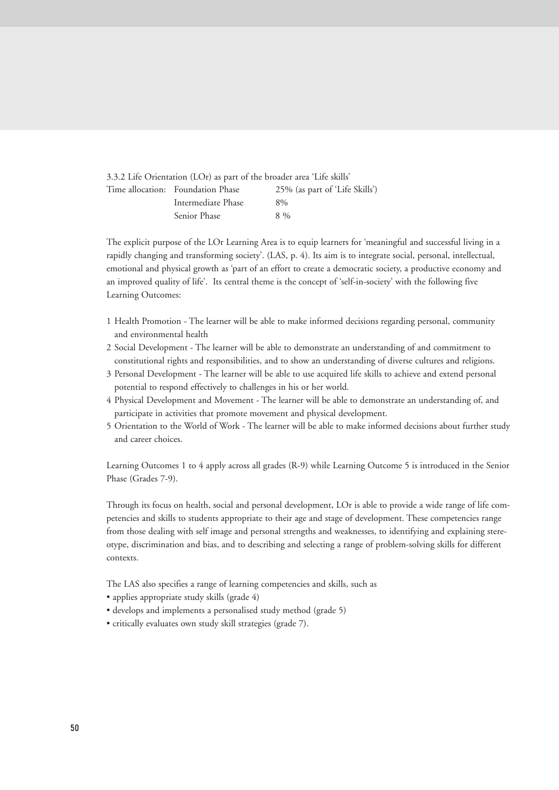| 3.3.2 Life Orientation (LOr) as part of the broader area 'Life skills' |                                |
|------------------------------------------------------------------------|--------------------------------|
| Time allocation: Foundation Phase                                      | 25% (as part of 'Life Skills') |
| Intermediate Phase                                                     | $8\%$                          |
| Senior Phase                                                           | $8\%$                          |

The explicit purpose of the LOr Learning Area is to equip learners for 'meaningful and successful living in a rapidly changing and transforming society'. (LAS, p. 4). Its aim is to integrate social, personal, intellectual, emotional and physical growth as 'part of an effort to create a democratic society, a productive economy and an improved quality of life'. Its central theme is the concept of 'self-in-society' with the following five Learning Outcomes:

- 1 Health Promotion The learner will be able to make informed decisions regarding personal, community and environmental health
- 2 Social Development The learner will be able to demonstrate an understanding of and commitment to constitutional rights and responsibilities, and to show an understanding of diverse cultures and religions.
- 3 Personal Development The learner will be able to use acquired life skills to achieve and extend personal potential to respond effectively to challenges in his or her world.
- 4 Physical Development and Movement The learner will be able to demonstrate an understanding of, and participate in activities that promote movement and physical development.
- 5 Orientation to the World of Work The learner will be able to make informed decisions about further study and career choices.

Learning Outcomes 1 to 4 apply across all grades (R-9) while Learning Outcome 5 is introduced in the Senior Phase (Grades 7-9).

Through its focus on health, social and personal development, LOr is able to provide a wide range of life competencies and skills to students appropriate to their age and stage of development. These competencies range from those dealing with self image and personal strengths and weaknesses, to identifying and explaining stereotype, discrimination and bias, and to describing and selecting a range of problem-solving skills for different contexts.

The LAS also specifies a range of learning competencies and skills, such as

- applies appropriate study skills (grade 4)
- develops and implements a personalised study method (grade 5)
- critically evaluates own study skill strategies (grade 7).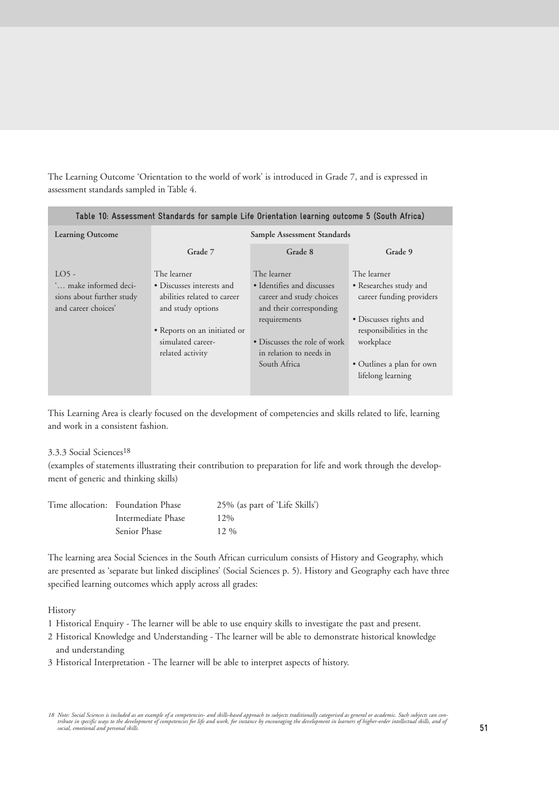The Learning Outcome 'Orientation to the world of work' is introduced in Grade 7, and is expressed in assessment standards sampled in Table 4.

| Table 10: Assessment Standards for sample Life Orientation learning outcome 5 (South Africa) |                                                                                                                                                                       |                                                                                                                                                                                             |                                                                                                                                                                                       |  |  |
|----------------------------------------------------------------------------------------------|-----------------------------------------------------------------------------------------------------------------------------------------------------------------------|---------------------------------------------------------------------------------------------------------------------------------------------------------------------------------------------|---------------------------------------------------------------------------------------------------------------------------------------------------------------------------------------|--|--|
| <b>Learning Outcome</b>                                                                      |                                                                                                                                                                       | Sample Assessment Standards                                                                                                                                                                 |                                                                                                                                                                                       |  |  |
|                                                                                              | Grade 7                                                                                                                                                               | Grade 8                                                                                                                                                                                     | Grade 9                                                                                                                                                                               |  |  |
| LO <sub>5</sub><br>' make informed deci-<br>sions about further study<br>and career choices' | The learner<br>• Discusses interests and<br>abilities related to career<br>and study options<br>· Reports on an initiated or<br>simulated career-<br>related activity | The learner<br>• Identifies and discusses<br>career and study choices<br>and their corresponding<br>requirements<br>• Discusses the role of work<br>in relation to needs in<br>South Africa | The learner<br>• Researches study and<br>career funding providers<br>• Discusses rights and<br>responsibilities in the<br>workplace<br>• Outlines a plan for own<br>lifelong learning |  |  |

This Learning Area is clearly focused on the development of competencies and skills related to life, learning and work in a consistent fashion.

# 3.3.3 Social Sciences18

(examples of statements illustrating their contribution to preparation for life and work through the development of generic and thinking skills)

| Time allocation: Foundation Phase | 25% (as part of 'Life Skills') |
|-----------------------------------|--------------------------------|
| Intermediate Phase                | $12\%$                         |
| Senior Phase                      | 12.96                          |

The learning area Social Sciences in the South African curriculum consists of History and Geography, which are presented as 'separate but linked disciplines' (Social Sciences p. 5). History and Geography each have three specified learning outcomes which apply across all grades:

History

- 1 Historical Enquiry The learner will be able to use enquiry skills to investigate the past and present.
- 2 Historical Knowledge and Understanding The learner will be able to demonstrate historical knowledge and understanding
- 3 Historical Interpretation The learner will be able to interpret aspects of history.

<sup>18</sup> Note: Social Sciences is included as an example of a competencies- and skills-based approach to subjects traditionally categorised as general or academic. Such subjects can con-<br>tribute in specific ways to the developme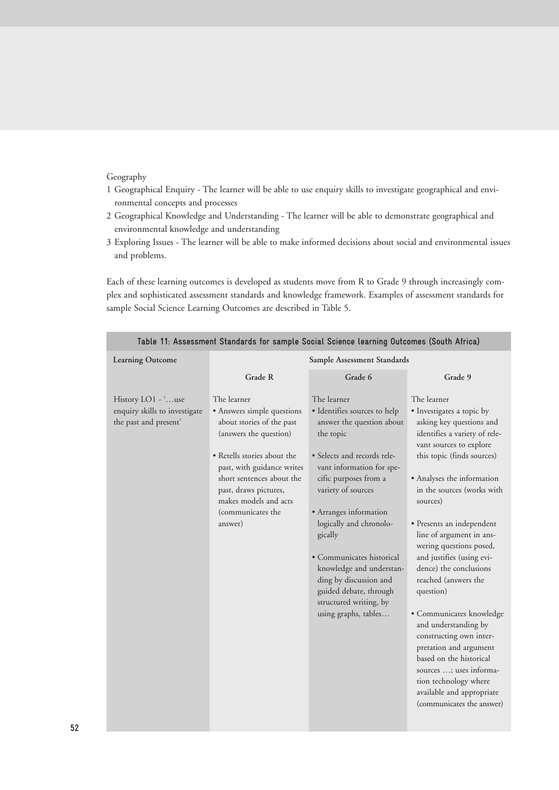# Geography

- 1 Geographical Enquiry The learner will be able to use enquiry skills to investigate geographical and environmental concepts and processes
- 2 Geographical Knowledge and Understanding The learner will be able to demonstrate geographical and environmental knowledge and understanding
- 3 Exploring Issues The learner will be able to make informed decisions about social and environmental issues and problems.

Each of these learning outcomes is developed as students move from R to Grade 9 through increasingly complex and sophisticated assessment standards and knowledge framework. Examples of assessment standards for sample Social Science Learning Outcomes are described in Table 5.

| <b>Learning Outcome</b>                                                      | Sample Assessment Standards                                                                                                                                                                                                                                                  |                                                                                                                                                                                                                                                                                                                                                                                                                                 |                                                                                                                                                                                                                                                                                                                                                                                                                                                                                                                                                                                                                                                                          |  |  |
|------------------------------------------------------------------------------|------------------------------------------------------------------------------------------------------------------------------------------------------------------------------------------------------------------------------------------------------------------------------|---------------------------------------------------------------------------------------------------------------------------------------------------------------------------------------------------------------------------------------------------------------------------------------------------------------------------------------------------------------------------------------------------------------------------------|--------------------------------------------------------------------------------------------------------------------------------------------------------------------------------------------------------------------------------------------------------------------------------------------------------------------------------------------------------------------------------------------------------------------------------------------------------------------------------------------------------------------------------------------------------------------------------------------------------------------------------------------------------------------------|--|--|
|                                                                              | Grade R                                                                                                                                                                                                                                                                      | Grade 6                                                                                                                                                                                                                                                                                                                                                                                                                         | Grade 9                                                                                                                                                                                                                                                                                                                                                                                                                                                                                                                                                                                                                                                                  |  |  |
| History LO1 - 'use<br>enquiry skills to investigate<br>the past and present' | The learner<br>• Answers simple questions<br>about stories of the past<br>(answers the question)<br>• Retells stories about the<br>past, with guidance writes<br>short sentences about the<br>past, draws pictures,<br>makes models and acts<br>(communicates the<br>answer) | The learner<br>· Identifies sources to help<br>answer the question about<br>the topic<br>· Selects and records rele-<br>vant information for spe-<br>cific purposes from a<br>variety of sources<br>• Arranges information<br>logically and chronolo-<br>gically<br>• Communicates historical<br>knowledge and understan-<br>ding by discussion and<br>guided debate, through<br>structured writing, by<br>using graphs, tables | The learner<br>· Investigates a topic by<br>asking key questions and<br>identifies a variety of rele-<br>vant sources to explore<br>this topic (finds sources)<br>• Analyses the information<br>in the sources (works with<br>sources)<br>• Presents an independent<br>line of argument in ans-<br>wering questions posed,<br>and justifies (using evi-<br>dence) the conclusions<br>reached (answers the<br>question)<br>· Communicates knowledge<br>and understanding by<br>constructing own inter-<br>pretation and argument<br>based on the historical<br>sources ; uses informa-<br>tion technology where<br>available and appropriate<br>(communicates the answer) |  |  |

**Table 11: Assessment Standards for sample Social Science learning Outcomes (South Africa)**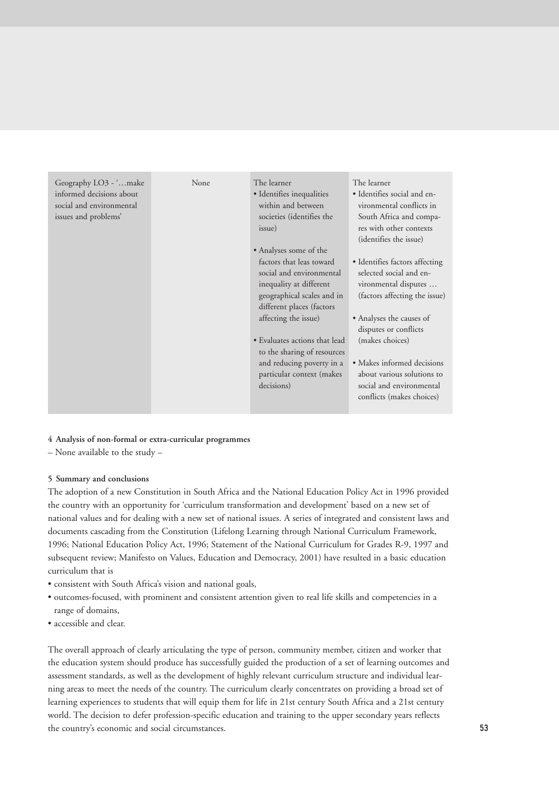| Geography LO3 - 'make<br>None<br>informed decisions about<br>social and environmental<br>issues and problems' | The learner<br>• Identifies inequalities<br>within and between<br>societies (identifies the<br>issue)<br>• Analyses some of the<br>factors that leas toward<br>social and environmental<br>inequality at different<br>geographical scales and in<br>different places (factors<br>affecting the issue)<br>• Evaluates actions that lead<br>to the sharing of resources<br>and reducing poverty in a<br>particular context (makes<br>decisions) | The learner<br>• Identifies social and en-<br>vironmental conflicts in<br>South Africa and compa-<br>res with other contexts<br>(identifies the issue)<br>• Identifies factors affecting<br>selected social and en-<br>vironmental disputes<br>(factors affecting the issue)<br>• Analyses the causes of<br>disputes or conflicts<br>(makes choices)<br>• Makes informed decisions<br>about various solutions to<br>social and environmental<br>conflicts (makes choices) |
|---------------------------------------------------------------------------------------------------------------|-----------------------------------------------------------------------------------------------------------------------------------------------------------------------------------------------------------------------------------------------------------------------------------------------------------------------------------------------------------------------------------------------------------------------------------------------|---------------------------------------------------------------------------------------------------------------------------------------------------------------------------------------------------------------------------------------------------------------------------------------------------------------------------------------------------------------------------------------------------------------------------------------------------------------------------|
|---------------------------------------------------------------------------------------------------------------|-----------------------------------------------------------------------------------------------------------------------------------------------------------------------------------------------------------------------------------------------------------------------------------------------------------------------------------------------------------------------------------------------------------------------------------------------|---------------------------------------------------------------------------------------------------------------------------------------------------------------------------------------------------------------------------------------------------------------------------------------------------------------------------------------------------------------------------------------------------------------------------------------------------------------------------|

# **4 Analysis of non-formal or extra-curricular programmes**

– None available to the study –

# **5 Summary and conclusions**

The adoption of a new Constitution in South Africa and the National Education Policy Act in 1996 provided the country with an opportunity for 'curriculum transformation and development' based on a new set of national values and for dealing with a new set of national issues. A series of integrated and consistent laws and documents cascading from the Constitution (Lifelong Learning through National Curriculum Framework, 1996; National Education Policy Act, 1996; Statement of the National Curriculum for Grades R-9, 1997 and subsequent review; Manifesto on Values, Education and Democracy, 2001) have resulted in a basic education curriculum that is

- consistent with South Africa's vision and national goals,
- outcomes-focused, with prominent and consistent attention given to real life skills and competencies in a range of domains,
- accessible and clear.

The overall approach of clearly articulating the type of person, community member, citizen and worker that the education system should produce has successfully guided the production of a set of learning outcomes and assessment standards, as well as the development of highly relevant curriculum structure and individual learning areas to meet the needs of the country. The curriculum clearly concentrates on providing a broad set of learning experiences to students that will equip them for life in 21st century South Africa and a 21st century world. The decision to defer profession-specific education and training to the upper secondary years reflects the country's economic and social circumstances.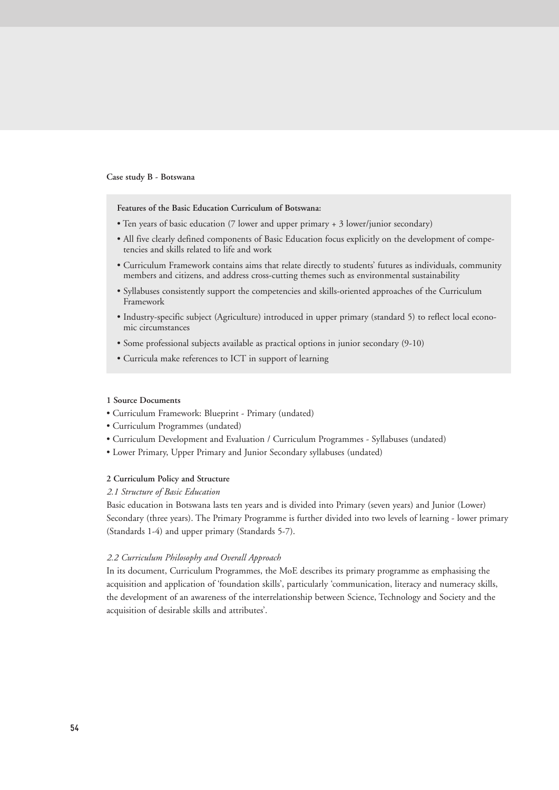## **Case study B - Botswana**

#### **Features of the Basic Education Curriculum of Botswana:**

- Ten years of basic education (7 lower and upper primary + 3 lower/junior secondary)
- All five clearly defined components of Basic Education focus explicitly on the development of competencies and skills related to life and work
- Curriculum Framework contains aims that relate directly to students' futures as individuals, community members and citizens, and address cross-cutting themes such as environmental sustainability
- Syllabuses consistently support the competencies and skills-oriented approaches of the Curriculum Framework
- Industry-specific subject (Agriculture) introduced in upper primary (standard 5) to reflect local economic circumstances
- Some professional subjects available as practical options in junior secondary (9-10)
- Curricula make references to ICT in support of learning

#### **1 Source Documents**

- Curriculum Framework: Blueprint Primary (undated)
- Curriculum Programmes (undated)
- Curriculum Development and Evaluation / Curriculum Programmes Syllabuses (undated)
- Lower Primary, Upper Primary and Junior Secondary syllabuses (undated)

## **2 Curriculum Policy and Structure**

#### *2.1 Structure of Basic Education*

Basic education in Botswana lasts ten years and is divided into Primary (seven years) and Junior (Lower) Secondary (three years). The Primary Programme is further divided into two levels of learning - lower primary (Standards 1-4) and upper primary (Standards 5-7).

## *2.2 Curriculum Philosophy and Overall Approach*

In its document, Curriculum Programmes, the MoE describes its primary programme as emphasising the acquisition and application of 'foundation skills', particularly 'communication, literacy and numeracy skills, the development of an awareness of the interrelationship between Science, Technology and Society and the acquisition of desirable skills and attributes'.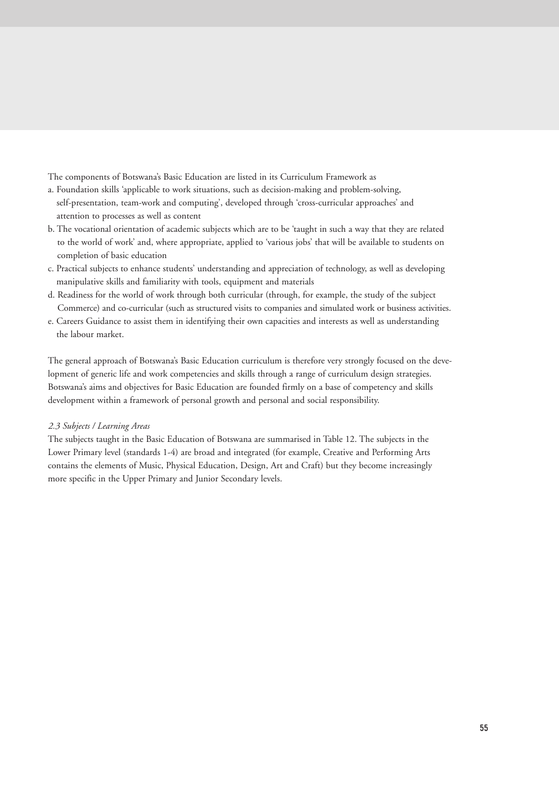The components of Botswana's Basic Education are listed in its Curriculum Framework as

- a. Foundation skills 'applicable to work situations, such as decision-making and problem-solving, self-presentation, team-work and computing', developed through 'cross-curricular approaches' and attention to processes as well as content
- b. The vocational orientation of academic subjects which are to be 'taught in such a way that they are related to the world of work' and, where appropriate, applied to 'various jobs' that will be available to students on completion of basic education
- c. Practical subjects to enhance students' understanding and appreciation of technology, as well as developing manipulative skills and familiarity with tools, equipment and materials
- d. Readiness for the world of work through both curricular (through, for example, the study of the subject Commerce) and co-curricular (such as structured visits to companies and simulated work or business activities.
- e. Careers Guidance to assist them in identifying their own capacities and interests as well as understanding the labour market.

The general approach of Botswana's Basic Education curriculum is therefore very strongly focused on the development of generic life and work competencies and skills through a range of curriculum design strategies. Botswana's aims and objectives for Basic Education are founded firmly on a base of competency and skills development within a framework of personal growth and personal and social responsibility.

## *2.3 Subjects / Learning Areas*

The subjects taught in the Basic Education of Botswana are summarised in Table 12. The subjects in the Lower Primary level (standards 1-4) are broad and integrated (for example, Creative and Performing Arts contains the elements of Music, Physical Education, Design, Art and Craft) but they become increasingly more specific in the Upper Primary and Junior Secondary levels.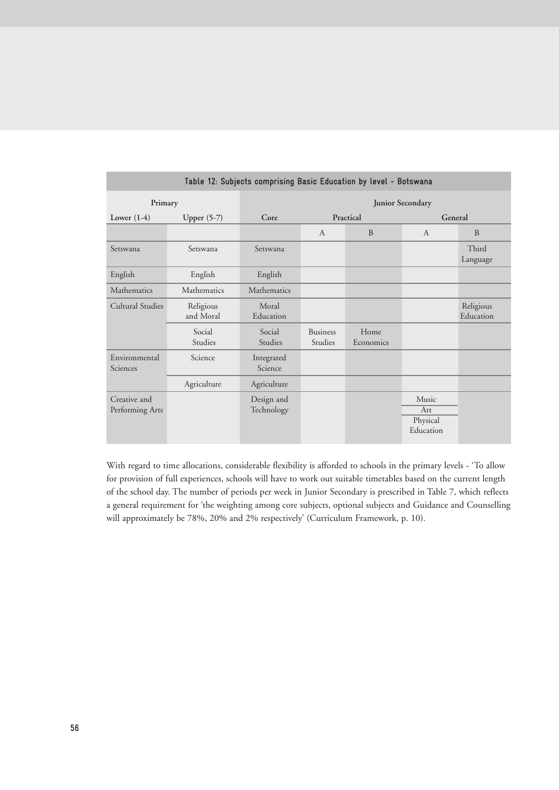| Table 12: Subjects comprising Basic Education by level - Botswana |                        |                          |                            |                   |                                       |                        |
|-------------------------------------------------------------------|------------------------|--------------------------|----------------------------|-------------------|---------------------------------------|------------------------|
| Primary                                                           |                        | <b>Junior Secondary</b>  |                            |                   |                                       |                        |
| Lower $(1-4)$                                                     | Upper $(5-7)$          | Core                     |                            | Practical         | General                               |                        |
|                                                                   |                        |                          | $\mathsf{A}$               | <sub>B</sub>      | $\mathsf{A}$                          | <sub>B</sub>           |
| Setswana                                                          | Setswana               | Setswana                 |                            |                   |                                       | Third<br>Language      |
| English                                                           | English                | English                  |                            |                   |                                       |                        |
| Mathematics                                                       | Mathematics            | Mathematics              |                            |                   |                                       |                        |
| Cultural Studies                                                  | Religious<br>and Moral | Moral<br>Education       |                            |                   |                                       | Religious<br>Education |
|                                                                   | Social<br>Studies      | Social<br><b>Studies</b> | <b>Business</b><br>Studies | Home<br>Economics |                                       |                        |
| Environmental<br>Sciences                                         | Science                | Integrated<br>Science    |                            |                   |                                       |                        |
|                                                                   | Agriculture            | Agriculture              |                            |                   |                                       |                        |
| Creative and<br>Performing Arts                                   |                        | Design and<br>Technology |                            |                   | Music<br>Art<br>Physical<br>Education |                        |

With regard to time allocations, considerable flexibility is afforded to schools in the primary levels - 'To allow for provision of full experiences, schools will have to work out suitable timetables based on the current length of the school day. The number of periods per week in Junior Secondary is prescribed in Table 7, which reflects a general requirement for 'the weighting among core subjects, optional subjects and Guidance and Counselling will approximately be 78%, 20% and 2% respectively' (Curriculum Framework, p. 10).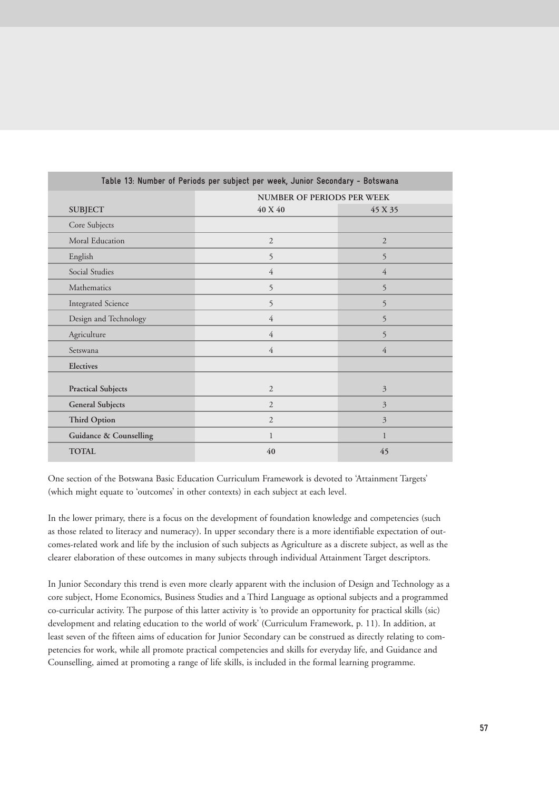| Table 13: Number of Periods per subject per week, Junior Secondary - Botswana |                                   |                |  |  |  |
|-------------------------------------------------------------------------------|-----------------------------------|----------------|--|--|--|
|                                                                               | <b>NUMBER OF PERIODS PER WEEK</b> |                |  |  |  |
| <b>SUBJECT</b>                                                                | 40 X 40                           | 45 X 35        |  |  |  |
| Core Subjects                                                                 |                                   |                |  |  |  |
| Moral Education                                                               | $\overline{2}$                    | $\overline{2}$ |  |  |  |
| English                                                                       | 5                                 | 5              |  |  |  |
| Social Studies                                                                | $\overline{4}$                    | 4              |  |  |  |
| Mathematics                                                                   | 5                                 | 5              |  |  |  |
| <b>Integrated Science</b>                                                     | 5                                 | 5              |  |  |  |
| Design and Technology                                                         | $\overline{4}$                    | 5              |  |  |  |
| Agriculture                                                                   | $\overline{4}$                    | 5              |  |  |  |
| Setswana                                                                      | $\overline{4}$                    | 4              |  |  |  |
| Electives                                                                     |                                   |                |  |  |  |
| <b>Practical Subjects</b>                                                     | $\overline{2}$                    | 3              |  |  |  |
| <b>General Subjects</b>                                                       | $\overline{2}$                    | 3              |  |  |  |
| <b>Third Option</b>                                                           | $\overline{2}$                    | 3              |  |  |  |
| <b>Guidance &amp; Counselling</b>                                             | $\mathbf{1}$                      | $\mathbf{1}$   |  |  |  |
| <b>TOTAL</b>                                                                  | 40                                | 45             |  |  |  |

One section of the Botswana Basic Education Curriculum Framework is devoted to 'Attainment Targets' (which might equate to 'outcomes' in other contexts) in each subject at each level.

In the lower primary, there is a focus on the development of foundation knowledge and competencies (such as those related to literacy and numeracy). In upper secondary there is a more identifiable expectation of outcomes-related work and life by the inclusion of such subjects as Agriculture as a discrete subject, as well as the clearer elaboration of these outcomes in many subjects through individual Attainment Target descriptors.

In Junior Secondary this trend is even more clearly apparent with the inclusion of Design and Technology as a core subject, Home Economics, Business Studies and a Third Language as optional subjects and a programmed co-curricular activity. The purpose of this latter activity is 'to provide an opportunity for practical skills (sic) development and relating education to the world of work' (Curriculum Framework, p. 11). In addition, at least seven of the fifteen aims of education for Junior Secondary can be construed as directly relating to competencies for work, while all promote practical competencies and skills for everyday life, and Guidance and Counselling, aimed at promoting a range of life skills, is included in the formal learning programme.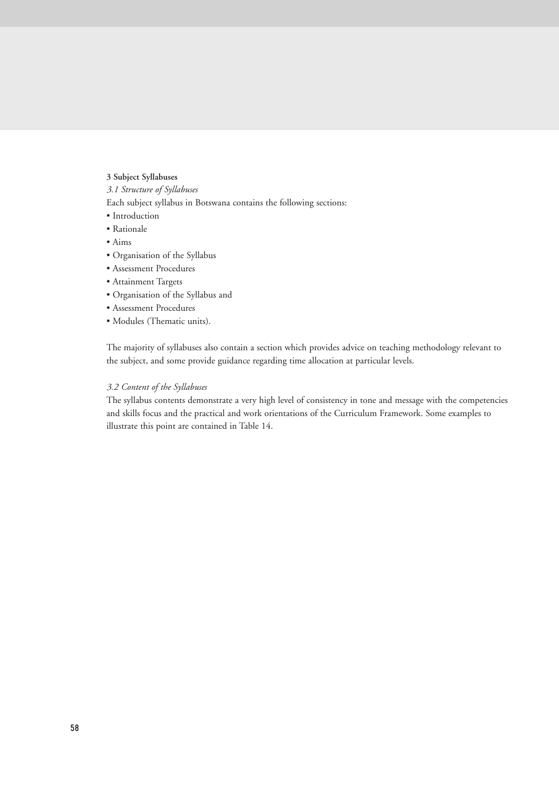## **3 Subject Syllabuses**

*3.1 Structure of Syllabuses*

Each subject syllabus in Botswana contains the following sections:

- Introduction
- Rationale
- Aims
- Organisation of the Syllabus
- Assessment Procedures
- Attainment Targets
- Organisation of the Syllabus and
- Assessment Procedures
- Modules (Thematic units).

The majority of syllabuses also contain a section which provides advice on teaching methodology relevant to the subject, and some provide guidance regarding time allocation at particular levels.

# *3.2 Content of the Syllabuses*

The syllabus contents demonstrate a very high level of consistency in tone and message with the competencies and skills focus and the practical and work orientations of the Curriculum Framework. Some examples to illustrate this point are contained in Table 14.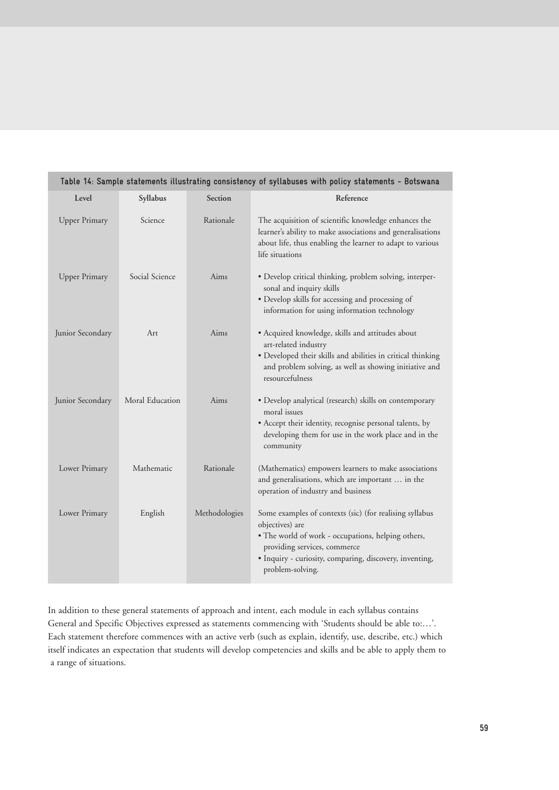| Table 14: Sample statements illustrating consistency of syllabuses with policy statements - Botswana |                 |               |                                                                                                                                                                                                                                                 |  |  |
|------------------------------------------------------------------------------------------------------|-----------------|---------------|-------------------------------------------------------------------------------------------------------------------------------------------------------------------------------------------------------------------------------------------------|--|--|
| Level                                                                                                | Syllabus        | Section       | Reference                                                                                                                                                                                                                                       |  |  |
| <b>Upper Primary</b>                                                                                 | Science         | Rationale     | The acquisition of scientific knowledge enhances the<br>learner's ability to make associations and generalisations<br>about life, thus enabling the learner to adapt to various<br>life situations                                              |  |  |
| <b>Upper Primary</b>                                                                                 | Social Science  | Aims          | · Develop critical thinking, problem solving, interper-<br>sonal and inquiry skills<br>· Develop skills for accessing and processing of<br>information for using information technology                                                         |  |  |
| Junior Secondary                                                                                     | Art             | Aims          | • Acquired knowledge, skills and attitudes about<br>art-related industry<br>· Developed their skills and abilities in critical thinking<br>and problem solving, as well as showing initiative and<br>resourcefulness                            |  |  |
| Junior Secondary                                                                                     | Moral Education | Aims          | · Develop analytical (research) skills on contemporary<br>moral issues<br>• Accept their identity, recognise personal talents, by<br>developing them for use in the work place and in the<br>community                                          |  |  |
| Lower Primary                                                                                        | Mathematic      | Rationale     | (Mathematics) empowers learners to make associations<br>and generalisations, which are important  in the<br>operation of industry and business                                                                                                  |  |  |
| Lower Primary                                                                                        | English         | Methodologies | Some examples of contexts (sic) (for realising syllabus<br>objectives) are<br>• The world of work - occupations, helping others,<br>providing services, commerce<br>· Inquiry - curiosity, comparing, discovery, inventing,<br>problem-solving. |  |  |

In addition to these general statements of approach and intent, each module in each syllabus contains General and Specific Objectives expressed as statements commencing with 'Students should be able to:…'. Each statement therefore commences with an active verb (such as explain, identify, use, describe, etc.) which itself indicates an expectation that students will develop competencies and skills and be able to apply them to a range of situations.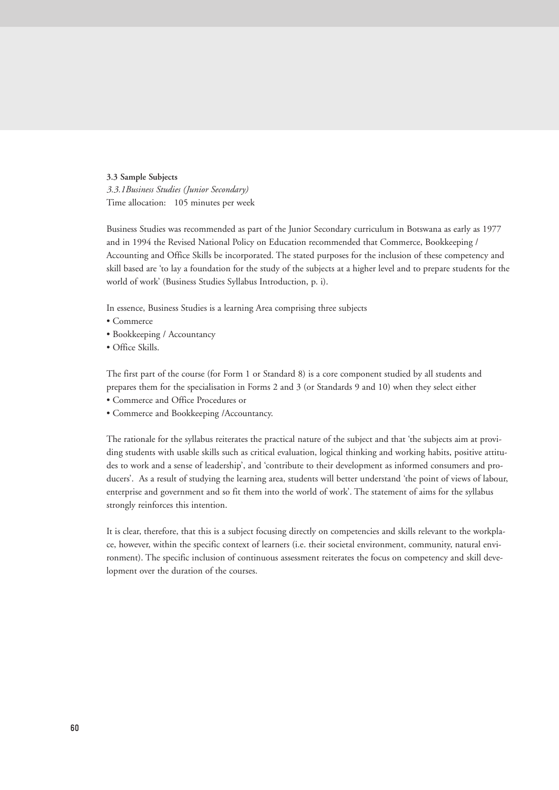#### **3.3 Sample Subjects**

*3.3.1Business Studies (Junior Secondary)* Time allocation: 105 minutes per week

Business Studies was recommended as part of the Junior Secondary curriculum in Botswana as early as 1977 and in 1994 the Revised National Policy on Education recommended that Commerce, Bookkeeping / Accounting and Office Skills be incorporated. The stated purposes for the inclusion of these competency and skill based are 'to lay a foundation for the study of the subjects at a higher level and to prepare students for the world of work' (Business Studies Syllabus Introduction, p. i).

In essence, Business Studies is a learning Area comprising three subjects

- Commerce
- Bookkeeping / Accountancy
- Office Skills.

The first part of the course (for Form 1 or Standard 8) is a core component studied by all students and prepares them for the specialisation in Forms 2 and 3 (or Standards 9 and 10) when they select either

- Commerce and Office Procedures or
- Commerce and Bookkeeping /Accountancy.

The rationale for the syllabus reiterates the practical nature of the subject and that 'the subjects aim at providing students with usable skills such as critical evaluation, logical thinking and working habits, positive attitudes to work and a sense of leadership', and 'contribute to their development as informed consumers and producers'. As a result of studying the learning area, students will better understand 'the point of views of labour, enterprise and government and so fit them into the world of work'. The statement of aims for the syllabus strongly reinforces this intention.

It is clear, therefore, that this is a subject focusing directly on competencies and skills relevant to the workplace, however, within the specific context of learners (i.e. their societal environment, community, natural environment). The specific inclusion of continuous assessment reiterates the focus on competency and skill development over the duration of the courses.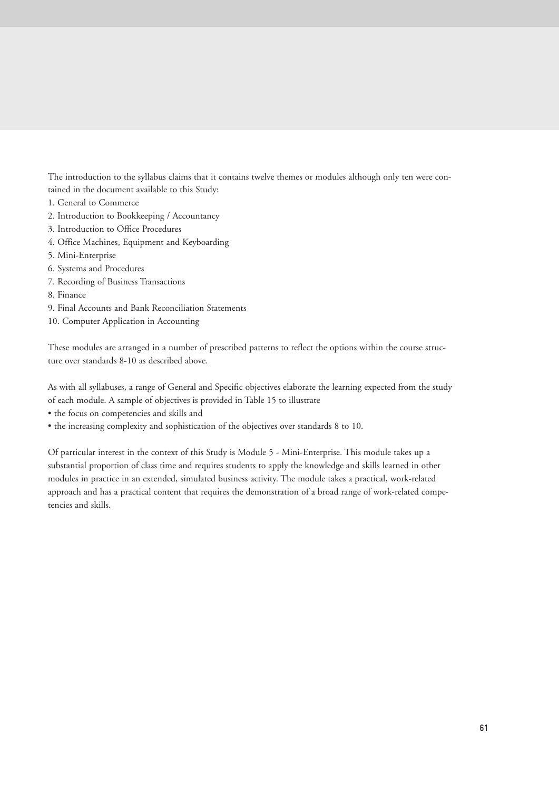The introduction to the syllabus claims that it contains twelve themes or modules although only ten were contained in the document available to this Study:

- 1. General to Commerce
- 2. Introduction to Bookkeeping / Accountancy
- 3. Introduction to Office Procedures
- 4. Office Machines, Equipment and Keyboarding
- 5. Mini-Enterprise
- 6. Systems and Procedures
- 7. Recording of Business Transactions
- 8. Finance
- 9. Final Accounts and Bank Reconciliation Statements
- 10. Computer Application in Accounting

These modules are arranged in a number of prescribed patterns to reflect the options within the course structure over standards 8-10 as described above.

As with all syllabuses, a range of General and Specific objectives elaborate the learning expected from the study of each module. A sample of objectives is provided in Table 15 to illustrate

- the focus on competencies and skills and
- the increasing complexity and sophistication of the objectives over standards 8 to 10.

Of particular interest in the context of this Study is Module 5 - Mini-Enterprise. This module takes up a substantial proportion of class time and requires students to apply the knowledge and skills learned in other modules in practice in an extended, simulated business activity. The module takes a practical, work-related approach and has a practical content that requires the demonstration of a broad range of work-related competencies and skills.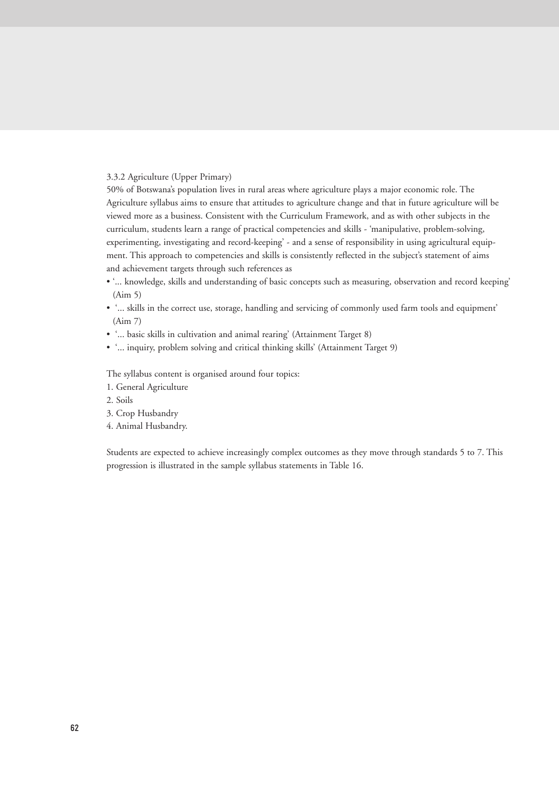# 3.3.2 Agriculture (Upper Primary)

50% of Botswana's population lives in rural areas where agriculture plays a major economic role. The Agriculture syllabus aims to ensure that attitudes to agriculture change and that in future agriculture will be viewed more as a business. Consistent with the Curriculum Framework, and as with other subjects in the curriculum, students learn a range of practical competencies and skills - 'manipulative, problem-solving, experimenting, investigating and record-keeping' - and a sense of responsibility in using agricultural equipment. This approach to competencies and skills is consistently reflected in the subject's statement of aims and achievement targets through such references as

- '... knowledge, skills and understanding of basic concepts such as measuring, observation and record keeping' (Aim 5)
- '... skills in the correct use, storage, handling and servicing of commonly used farm tools and equipment' (Aim 7)
- '... basic skills in cultivation and animal rearing' (Attainment Target 8)
- '... inquiry, problem solving and critical thinking skills' (Attainment Target 9)

The syllabus content is organised around four topics:

- 1. General Agriculture
- 2. Soils
- 3. Crop Husbandry
- 4. Animal Husbandry.

Students are expected to achieve increasingly complex outcomes as they move through standards 5 to 7. This progression is illustrated in the sample syllabus statements in Table 16.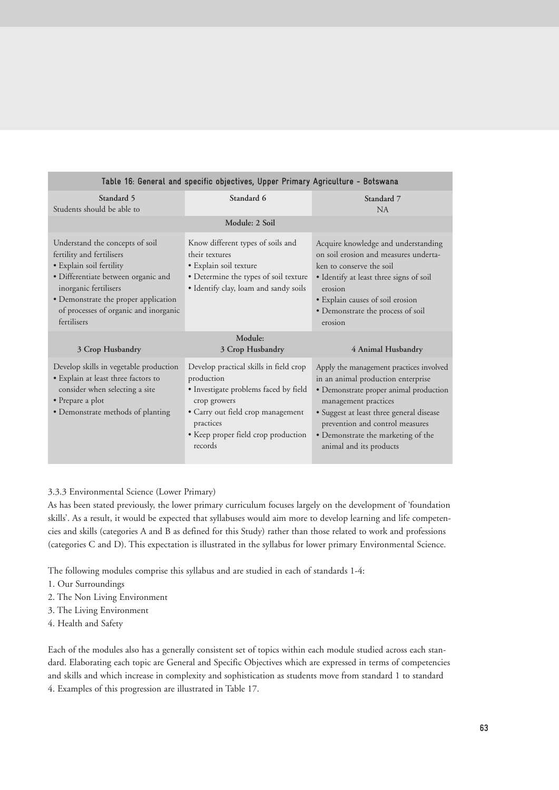| Table 16: General and specific objectives, Upper Primary Agriculture - Botswana                                                                                                                                                                          |                                                                                                                                                                                                                   |                                                                                                                                                                                                                                                                                                 |  |  |
|----------------------------------------------------------------------------------------------------------------------------------------------------------------------------------------------------------------------------------------------------------|-------------------------------------------------------------------------------------------------------------------------------------------------------------------------------------------------------------------|-------------------------------------------------------------------------------------------------------------------------------------------------------------------------------------------------------------------------------------------------------------------------------------------------|--|--|
| Standard 5<br>Students should be able to                                                                                                                                                                                                                 | Standard 6                                                                                                                                                                                                        | Standard 7<br><b>NA</b>                                                                                                                                                                                                                                                                         |  |  |
| Module: 2 Soil                                                                                                                                                                                                                                           |                                                                                                                                                                                                                   |                                                                                                                                                                                                                                                                                                 |  |  |
| Understand the concepts of soil<br>fertility and fertilisers<br>• Explain soil fertility<br>· Differentiate between organic and<br>inorganic fertilisers<br>· Demonstrate the proper application<br>of processes of organic and inorganic<br>fertilisers | Know different types of soils and<br>their textures<br>• Explain soil texture<br>• Determine the types of soil texture<br>· Identify clay, loam and sandy soils                                                   | Acquire knowledge and understanding<br>on soil erosion and measures underta-<br>ken to conserve the soil<br>• Identify at least three signs of soil<br>erosion<br>· Explain causes of soil erosion<br>· Demonstrate the process of soil<br>erosion                                              |  |  |
| 3 Crop Husbandry                                                                                                                                                                                                                                         | Module:<br>3 Crop Husbandry                                                                                                                                                                                       | 4 Animal Husbandry                                                                                                                                                                                                                                                                              |  |  |
| Develop skills in vegetable production<br>· Explain at least three factors to<br>consider when selecting a site<br>• Prepare a plot<br>• Demonstrate methods of planting                                                                                 | Develop practical skills in field crop<br>production<br>· Investigate problems faced by field<br>crop growers<br>• Carry out field crop management<br>practices<br>· Keep proper field crop production<br>records | Apply the management practices involved<br>in an animal production enterprise<br>• Demonstrate proper animal production<br>management practices<br>· Suggest at least three general disease<br>prevention and control measures<br>• Demonstrate the marketing of the<br>animal and its products |  |  |

# 3.3.3 Environmental Science (Lower Primary)

As has been stated previously, the lower primary curriculum focuses largely on the development of 'foundation skills'. As a result, it would be expected that syllabuses would aim more to develop learning and life competencies and skills (categories A and B as defined for this Study) rather than those related to work and professions (categories C and D). This expectation is illustrated in the syllabus for lower primary Environmental Science.

The following modules comprise this syllabus and are studied in each of standards 1-4:

- 1. Our Surroundings
- 2. The Non Living Environment
- 3. The Living Environment
- 4. Health and Safety

Each of the modules also has a generally consistent set of topics within each module studied across each standard. Elaborating each topic are General and Specific Objectives which are expressed in terms of competencies and skills and which increase in complexity and sophistication as students move from standard 1 to standard 4. Examples of this progression are illustrated in Table 17.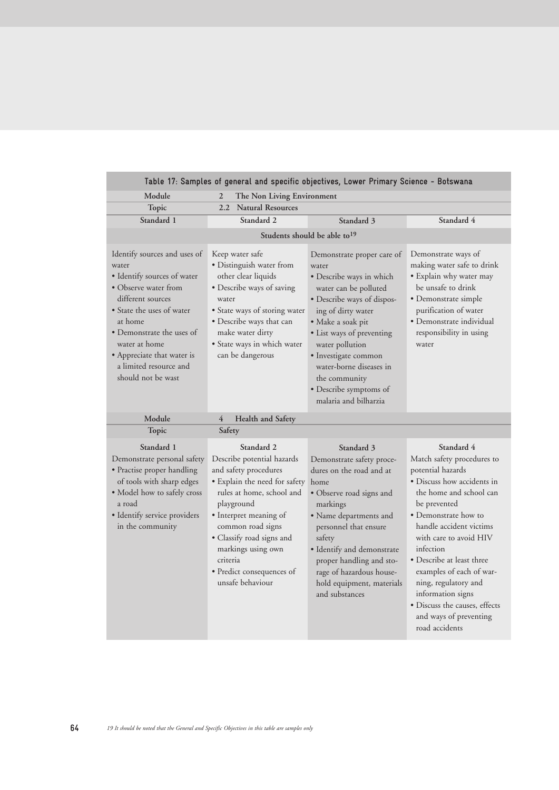| Table 17: Samples of general and specific objectives, Lower Primary Science - Botswana                                                                                                                                                                                                                                                                                                                                                                                                                                                |                                                                                                                                                                                                                                                                                                              |                                                                                                                                                                                                                                                                                                                                          |                                                                                                                                                                                                                                                                                                                                                                                                                     |  |
|---------------------------------------------------------------------------------------------------------------------------------------------------------------------------------------------------------------------------------------------------------------------------------------------------------------------------------------------------------------------------------------------------------------------------------------------------------------------------------------------------------------------------------------|--------------------------------------------------------------------------------------------------------------------------------------------------------------------------------------------------------------------------------------------------------------------------------------------------------------|------------------------------------------------------------------------------------------------------------------------------------------------------------------------------------------------------------------------------------------------------------------------------------------------------------------------------------------|---------------------------------------------------------------------------------------------------------------------------------------------------------------------------------------------------------------------------------------------------------------------------------------------------------------------------------------------------------------------------------------------------------------------|--|
| Module                                                                                                                                                                                                                                                                                                                                                                                                                                                                                                                                | 2<br>The Non Living Environment                                                                                                                                                                                                                                                                              |                                                                                                                                                                                                                                                                                                                                          |                                                                                                                                                                                                                                                                                                                                                                                                                     |  |
| Topic                                                                                                                                                                                                                                                                                                                                                                                                                                                                                                                                 | 2.2<br><b>Natural Resources</b>                                                                                                                                                                                                                                                                              |                                                                                                                                                                                                                                                                                                                                          |                                                                                                                                                                                                                                                                                                                                                                                                                     |  |
| Standard 1                                                                                                                                                                                                                                                                                                                                                                                                                                                                                                                            | Standard 2                                                                                                                                                                                                                                                                                                   | Standard 3                                                                                                                                                                                                                                                                                                                               | Standard 4                                                                                                                                                                                                                                                                                                                                                                                                          |  |
|                                                                                                                                                                                                                                                                                                                                                                                                                                                                                                                                       |                                                                                                                                                                                                                                                                                                              | Students should be able to <sup>19</sup>                                                                                                                                                                                                                                                                                                 |                                                                                                                                                                                                                                                                                                                                                                                                                     |  |
| Identify sources and uses of<br>Keep water safe<br>· Distinguish water from<br>water<br>· Identify sources of water<br>other clear liquids<br>• Observe water from<br>· Describe ways of saving<br>different sources<br>water<br>• State the uses of water<br>• State ways of storing water<br>at home<br>· Describe ways that can<br>• Demonstrate the uses of<br>make water dirty<br>water at home<br>· State ways in which water<br>can be dangerous<br>• Appreciate that water is<br>a limited resource and<br>should not be wast |                                                                                                                                                                                                                                                                                                              | Demonstrate proper care of<br>water<br>· Describe ways in which<br>water can be polluted<br>· Describe ways of dispos-<br>ing of dirty water<br>· Make a soak pit<br>• List ways of preventing<br>water pollution<br>• Investigate common<br>water-borne diseases in<br>the community<br>· Describe symptoms of<br>malaria and bilharzia | Demonstrate ways of<br>making water safe to drink<br>· Explain why water may<br>be unsafe to drink<br>· Demonstrate simple<br>purification of water<br>· Demonstrate individual<br>responsibility in using<br>water                                                                                                                                                                                                 |  |
| Module                                                                                                                                                                                                                                                                                                                                                                                                                                                                                                                                | 4<br>Health and Safety                                                                                                                                                                                                                                                                                       |                                                                                                                                                                                                                                                                                                                                          |                                                                                                                                                                                                                                                                                                                                                                                                                     |  |
| Topic                                                                                                                                                                                                                                                                                                                                                                                                                                                                                                                                 | Safety                                                                                                                                                                                                                                                                                                       |                                                                                                                                                                                                                                                                                                                                          |                                                                                                                                                                                                                                                                                                                                                                                                                     |  |
| Standard 1<br>Demonstrate personal safety<br>· Practise proper handling<br>of tools with sharp edges<br>• Model how to safely cross<br>a road<br>· Identify service providers<br>in the community                                                                                                                                                                                                                                                                                                                                     | Standard 2<br>Describe potential hazards<br>and safety procedures<br>· Explain the need for safety<br>rules at home, school and<br>playground<br>• Interpret meaning of<br>common road signs<br>· Classify road signs and<br>markings using own<br>criteria<br>• Predict consequences of<br>unsafe behaviour | Standard 3<br>Demonstrate safety proce-<br>dures on the road and at<br>home<br>· Observe road signs and<br>markings<br>• Name departments and<br>personnel that ensure<br>safety<br>· Identify and demonstrate<br>proper handling and sto-<br>rage of hazardous house-<br>hold equipment, materials<br>and substances                    | Standard 4<br>Match safety procedures to<br>potential hazards<br>• Discuss how accidents in<br>the home and school can<br>be prevented<br>• Demonstrate how to<br>handle accident victims<br>with care to avoid HIV<br>infection<br>• Describe at least three<br>examples of each of war-<br>ning, regulatory and<br>information signs<br>• Discuss the causes, effects<br>and ways of preventing<br>road accidents |  |

п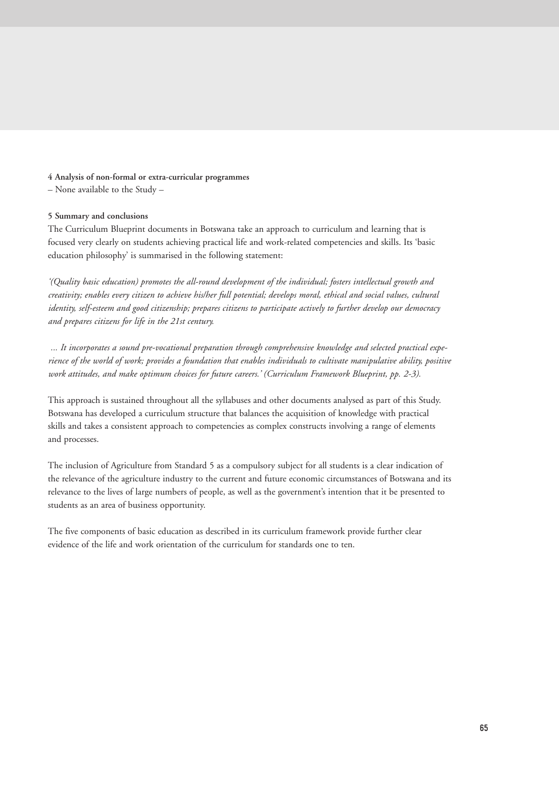# **4 Analysis of non-formal or extra-curricular programmes**

– None available to the Study –

# **5 Summary and conclusions**

The Curriculum Blueprint documents in Botswana take an approach to curriculum and learning that is focused very clearly on students achieving practical life and work-related competencies and skills. Its 'basic education philosophy' is summarised in the following statement:

*'(Quality basic education) promotes the all-round development of the individual; fosters intellectual growth and creativity; enables every citizen to achieve his/her full potential; develops moral, ethical and social values, cultural identity, self-esteem and good citizenship; prepares citizens to participate actively to further develop our democracy and prepares citizens for life in the 21st century.*

*... It incorporates a sound pre-vocational preparation through comprehensive knowledge and selected practical experience of the world of work; provides a foundation that enables individuals to cultivate manipulative ability, positive work attitudes, and make optimum choices for future careers.' (Curriculum Framework Blueprint, pp. 2-3).*

This approach is sustained throughout all the syllabuses and other documents analysed as part of this Study. Botswana has developed a curriculum structure that balances the acquisition of knowledge with practical skills and takes a consistent approach to competencies as complex constructs involving a range of elements and processes.

The inclusion of Agriculture from Standard 5 as a compulsory subject for all students is a clear indication of the relevance of the agriculture industry to the current and future economic circumstances of Botswana and its relevance to the lives of large numbers of people, as well as the government's intention that it be presented to students as an area of business opportunity.

The five components of basic education as described in its curriculum framework provide further clear evidence of the life and work orientation of the curriculum for standards one to ten.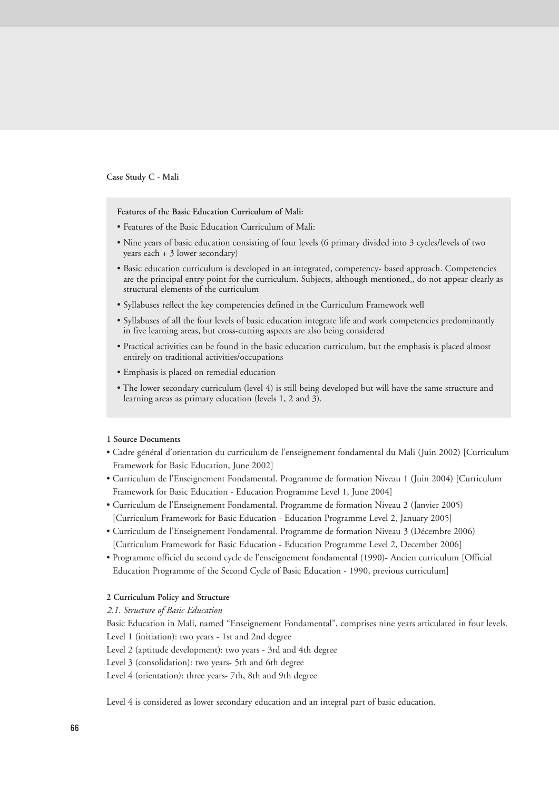#### **Case Study C - Mali**

**Features of the Basic Education Curriculum of Mali:**

- Features of the Basic Education Curriculum of Mali:
- Nine years of basic education consisting of four levels (6 primary divided into 3 cycles/levels of two years each + 3 lower secondary)
- Basic education curriculum is developed in an integrated, competency- based approach. Competencies are the principal entry point for the curriculum. Subjects, although mentioned,, do not appear clearly as structural elements of the curriculum
- Syllabuses reflect the key competencies defined in the Curriculum Framework well
- Syllabuses of all the four levels of basic education integrate life and work competencies predominantly in five learning areas, but cross-cutting aspects are also being considered
- Practical activities can be found in the basic education curriculum, but the emphasis is placed almost entirely on traditional activities/occupations
- Emphasis is placed on remedial education
- The lower secondary curriculum (level 4) is still being developed but will have the same structure and learning areas as primary education (levels 1, 2 and 3).

## **1 Source Documents**

- Cadre général d'orientation du curriculum de l'enseignement fondamental du Mali (Juin 2002) [Curriculum Framework for Basic Education, June 2002]
- Curriculum de l'Enseignement Fondamental. Programme de formation Niveau 1 (Juin 2004) [Curriculum Framework for Basic Education - Education Programme Level 1, June 2004]
- Curriculum de l'Enseignement Fondamental. Programme de formation Niveau 2 (Janvier 2005) [Curriculum Framework for Basic Education - Education Programme Level 2, January 2005]
- Curriculum de l'Enseignement Fondamental. Programme de formation Niveau 3 (Décembre 2006) [Curriculum Framework for Basic Education - Education Programme Level 2, December 2006]
- Programme officiel du second cycle de l'enseignement fondamental (1990)- Ancien curriculum [Official Education Programme of the Second Cycle of Basic Education - 1990, previous curriculum]

# **2 Curriculum Policy and Structure**

# *2.1. Structure of Basic Education*

Basic Education in Mali, named "Enseignement Fondamental", comprises nine years articulated in four levels. Level 1 (initiation): two years - 1st and 2nd degree

Level 2 (aptitude development): two years - 3rd and 4th degree

Level 3 (consolidation): two years- 5th and 6th degree

Level 4 (orientation): three years- 7th, 8th and 9th degree

Level 4 is considered as lower secondary education and an integral part of basic education.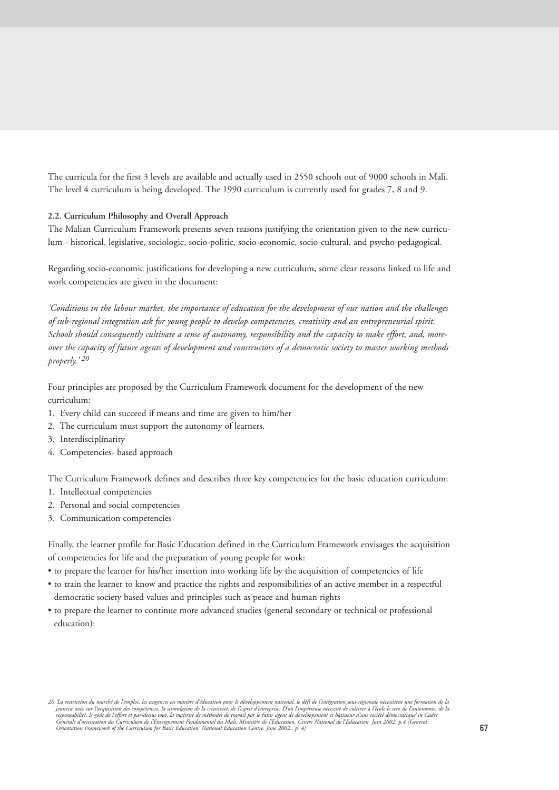The curricula for the first 3 levels are available and actually used in 2550 schools out of 9000 schools in Mali. The level 4 curriculum is being developed. The 1990 curriculum is currently used for grades 7, 8 and 9.

# **2.2. Curriculum Philosophy and Overall Approach**

The Malian Curriculum Framework presents seven reasons justifying the orientation given to the new curriculum - historical, legislative, sociologic, socio-politic, socio-economic, socio-cultural, and psycho-pedagogical.

Regarding socio-economic justifications for developing a new curriculum, some clear reasons linked to life and work competencies are given in the document:

*'Conditions in the labour market, the importance of education for the development of our nation and the challenges of sub-regional integration ask for young people to develop competencies, creativity and an entrepreneurial spirit. Schools should consequently cultivate a sense of autonomy, responsibility and the capacity to make effort, and, moreover the capacity of future agents of development and constructors of a democratic society to master working methods properly.' 20*

Four principles are proposed by the Curriculum Framework document for the development of the new curriculum:

- 1. Every child can succeed if means and time are given to him/her
- 2. The curriculum must support the autonomy of learners.
- 3. Interdisciplinarity
- 4. Competencies- based approach

The Curriculum Framework defines and describes three key competencies for the basic education curriculum:

- 1. Intellectual competencies
- 2. Personal and social competencies
- 3. Communication competencies

Finally, the learner profile for Basic Education defined in the Curriculum Framework envisages the acquisition of competencies for life and the preparation of young people for work:

- to prepare the learner for his/her insertion into working life by the acquisition of competencies of life
- to train the learner to know and practice the rights and responsibilities of an active member in a respectful democratic society based values and principles such as peace and human rights
- to prepare the learner to continue more advanced studies (general secondary or technical or professional education):

<sup>20 &#</sup>x27;La restriction du marché de l'emploi, les exigences en matière d'éducation pour le développement national, le défi de l'intégration sous-régionale nécessitent une formation de la<br>responsabilité, le goût de l'éffort et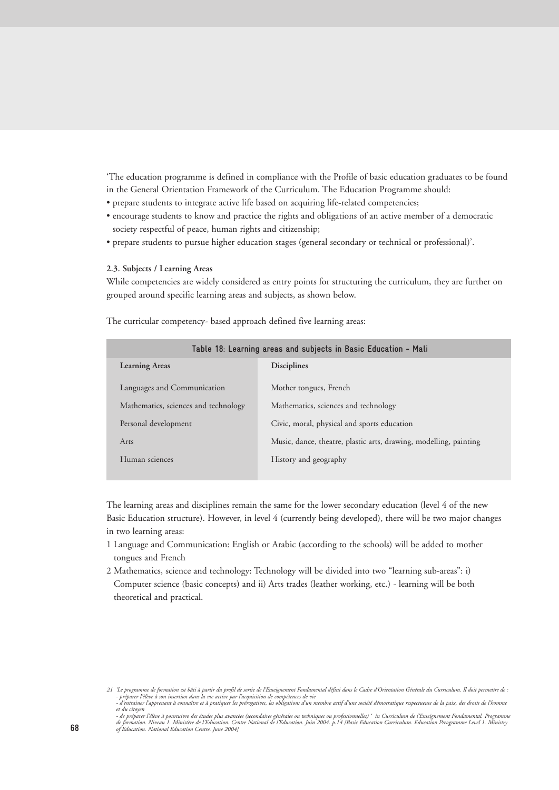'The education programme is defined in compliance with the Profile of basic education graduates to be found in the General Orientation Framework of the Curriculum. The Education Programme should:

- prepare students to integrate active life based on acquiring life-related competencies;
- encourage students to know and practice the rights and obligations of an active member of a democratic society respectful of peace, human rights and citizenship;
- prepare students to pursue higher education stages (general secondary or technical or professional)'.

## **2.3. Subjects / Learning Areas**

While competencies are widely considered as entry points for structuring the curriculum, they are further on grouped around specific learning areas and subjects, as shown below.

| Table 18: Learning areas and subjects in Basic Education - Mali |                                                                   |  |  |
|-----------------------------------------------------------------|-------------------------------------------------------------------|--|--|
| <b>Learning Areas</b>                                           | <b>Disciplines</b>                                                |  |  |
| Languages and Communication                                     | Mother tongues, French                                            |  |  |
| Mathematics, sciences and technology                            | Mathematics, sciences and technology                              |  |  |
| Personal development                                            | Civic, moral, physical and sports education                       |  |  |
| Arts                                                            | Music, dance, theatre, plastic arts, drawing, modelling, painting |  |  |
| Human sciences                                                  | History and geography                                             |  |  |
|                                                                 |                                                                   |  |  |

The curricular competency- based approach defined five learning areas:

The learning areas and disciplines remain the same for the lower secondary education (level 4 of the new Basic Education structure). However, in level 4 (currently being developed), there will be two major changes in two learning areas:

- 1 Language and Communication: English or Arabic (according to the schools) will be added to mother tongues and French
- 2 Mathematics, science and technology: Technology will be divided into two "learning sub-areas": i) Computer science (basic concepts) and ii) Arts trades (leather working, etc.) - learning will be both theoretical and practical.

*<sup>21 &#</sup>x27;Le programme de formation est bâti à partir du profil de sortie de l'Enseignement Fondamental défini dans le Cadre d'Orientation Générale du Curriculum. Il doit permettre de :* - préparer l'élève à son insertion dans la vie active par l'acquisition de compétences de vie<br>- d'entrainer l'apprenant à connaître et à pratiquer les prérogatives, les obligations d'un membre actif d'une

*et du citoyen*

<sup>-</sup> de préparer l'élève à poursuivre des études plus avancées (secondaires générales ou professionnelles) \* in Curriculum de l'Enseignement Fondamental. Programm<br>de formation. Niveau 1. Ministère de l'Education. Centre Natio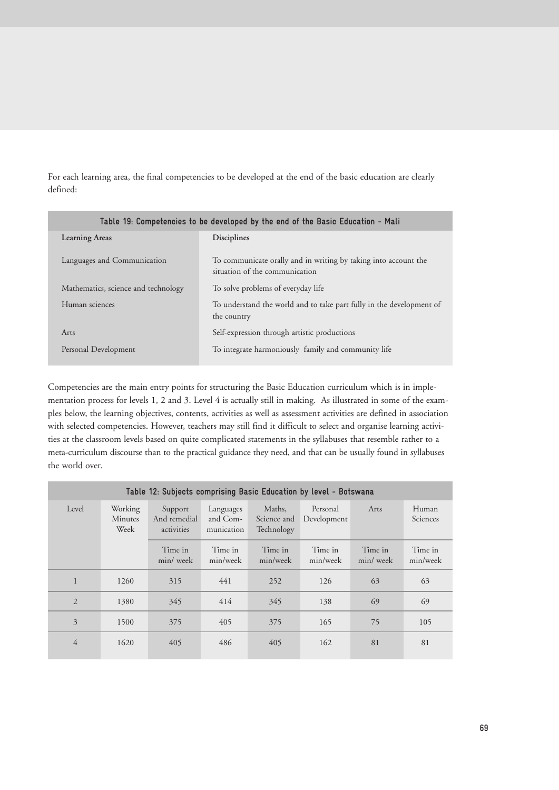For each learning area, the final competencies to be developed at the end of the basic education are clearly defined:

| Table 19: Competencies to be developed by the end of the Basic Education - Mali |                                                                                                   |  |  |
|---------------------------------------------------------------------------------|---------------------------------------------------------------------------------------------------|--|--|
| <b>Learning Areas</b>                                                           | <b>Disciplines</b>                                                                                |  |  |
| Languages and Communication                                                     | To communicate orally and in writing by taking into account the<br>situation of the communication |  |  |
| Mathematics, science and technology                                             | To solve problems of everyday life                                                                |  |  |
| Human sciences                                                                  | To understand the world and to take part fully in the development of<br>the country               |  |  |
| Arts                                                                            | Self-expression through artistic productions                                                      |  |  |
| Personal Development                                                            | To integrate harmoniously family and community life                                               |  |  |

Competencies are the main entry points for structuring the Basic Education curriculum which is in implementation process for levels 1, 2 and 3. Level 4 is actually still in making. As illustrated in some of the examples below, the learning objectives, contents, activities as well as assessment activities are defined in association with selected competencies. However, teachers may still find it difficult to select and organise learning activities at the classroom levels based on quite complicated statements in the syllabuses that resemble rather to a meta-curriculum discourse than to the practical guidance they need, and that can be usually found in syllabuses the world over.

| Table 12: Subjects comprising Basic Education by level - Botswana |                                   |                                       |                                     |                                     |                         |                     |                     |
|-------------------------------------------------------------------|-----------------------------------|---------------------------------------|-------------------------------------|-------------------------------------|-------------------------|---------------------|---------------------|
| Level                                                             | Working<br><b>Minutes</b><br>Week | Support<br>And remedial<br>activities | Languages<br>and Com-<br>munication | Maths,<br>Science and<br>Technology | Personal<br>Development | Arts                | Human<br>Sciences   |
|                                                                   |                                   | Time in<br>min/week                   | Time in<br>min/week                 | Time in<br>min/week                 | Time in<br>min/week     | Time in<br>min/week | Time in<br>min/week |
|                                                                   | 1260                              | 315                                   | 441                                 | 252                                 | 126                     | 63                  | 63                  |
| $\overline{2}$                                                    | 1380                              | 345                                   | 414                                 | 345                                 | 138                     | 69                  | 69                  |
| 3                                                                 | 1500                              | 375                                   | 405                                 | 375                                 | 165                     | 75                  | 105                 |
| $\overline{4}$                                                    | 1620                              | 405                                   | 486                                 | 405                                 | 162                     | 81                  | 81                  |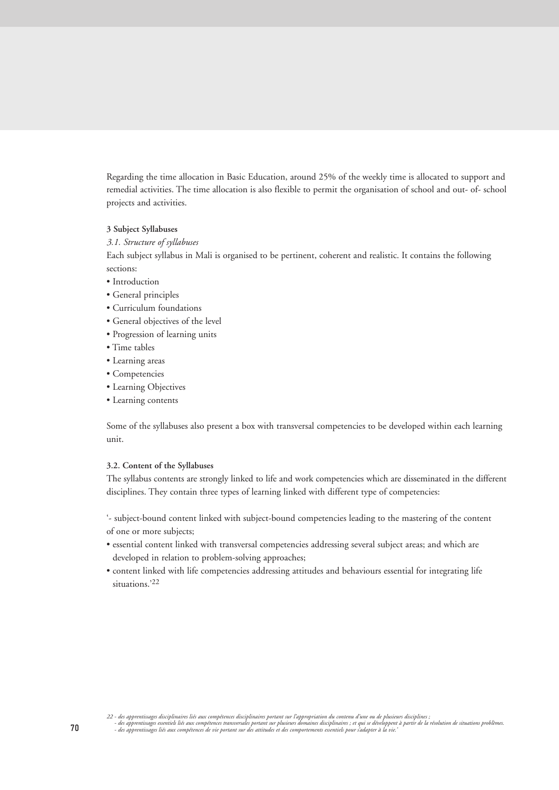Regarding the time allocation in Basic Education, around 25% of the weekly time is allocated to support and remedial activities. The time allocation is also flexible to permit the organisation of school and out- of- school projects and activities.

## **3 Subject Syllabuses**

# *3.1. Structure of syllabuses*

Each subject syllabus in Mali is organised to be pertinent, coherent and realistic. It contains the following sections:

- Introduction
- General principles
- Curriculum foundations
- General objectives of the level
- Progression of learning units
- Time tables
- Learning areas
- Competencies
- Learning Objectives
- Learning contents

Some of the syllabuses also present a box with transversal competencies to be developed within each learning unit.

# **3.2. Content of the Syllabuses**

The syllabus contents are strongly linked to life and work competencies which are disseminated in the different disciplines. They contain three types of learning linked with different type of competencies:

'- subject-bound content linked with subject-bound competencies leading to the mastering of the content of one or more subjects;

- essential content linked with transversal competencies addressing several subject areas; and which are developed in relation to problem-solving approaches;
- content linked with life competencies addressing attitudes and behaviours essential for integrating life situations.'22

<sup>-</sup>des apprentisages disciplinaires liés aux compétences disciplinaires portant sur l'appropriation du contenu d'une ou de plusieurs disciplines ;<br>- des apprentisages essentiels liés aux compétences transversales portant sur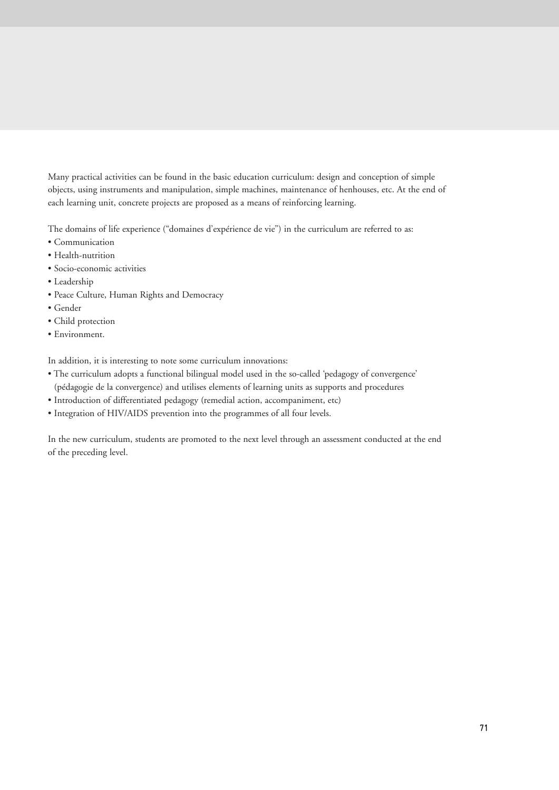Many practical activities can be found in the basic education curriculum: design and conception of simple objects, using instruments and manipulation, simple machines, maintenance of henhouses, etc. At the end of each learning unit, concrete projects are proposed as a means of reinforcing learning.

The domains of life experience ("domaines d'expérience de vie") in the curriculum are referred to as:

- Communication
- Health-nutrition
- Socio-economic activities
- Leadership
- Peace Culture, Human Rights and Democracy
- Gender
- Child protection
- Environment.

In addition, it is interesting to note some curriculum innovations:

- The curriculum adopts a functional bilingual model used in the so-called 'pedagogy of convergence' (pédagogie de la convergence) and utilises elements of learning units as supports and procedures
- Introduction of differentiated pedagogy (remedial action, accompaniment, etc)
- Integration of HIV/AIDS prevention into the programmes of all four levels.

In the new curriculum, students are promoted to the next level through an assessment conducted at the end of the preceding level.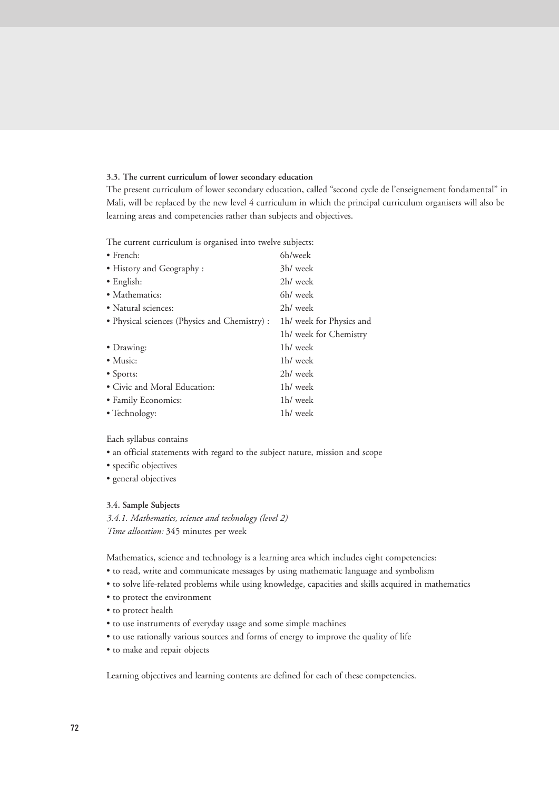# **3.3. The current curriculum of lower secondary education**

The present curriculum of lower secondary education, called "second cycle de l'enseignement fondamental" in Mali, will be replaced by the new level 4 curriculum in which the principal curriculum organisers will also be learning areas and competencies rather than subjects and objectives.

The current curriculum is organised into twelve subjects:

| $\bullet$ French:                             | 6h/week                  |
|-----------------------------------------------|--------------------------|
| • History and Geography :                     | 3h/ week                 |
| $\bullet$ English:                            | 2h/ week                 |
| • Mathematics:                                | 6h/ week                 |
| • Natural sciences:                           | 2h/ week                 |
| • Physical sciences (Physics and Chemistry) : | 1h/ week for Physics and |
|                                               | 1h/ week for Chemistry   |
| • Drawing:                                    | 1h/ week                 |
| $\bullet$ Music:                              | 1h/ week                 |
| • Sports:                                     | 2h/ week                 |
| • Civic and Moral Education:                  | 1h/ week                 |
| • Family Economics:                           | 1h/ week                 |
| • Technology:                                 | 1h/ week                 |

Each syllabus contains

- an official statements with regard to the subject nature, mission and scope
- specific objectives
- general objectives

#### **3.4. Sample Subjects**

*3.4.1. Mathematics, science and technology (level 2) Time allocation:* 345 minutes per week

Mathematics, science and technology is a learning area which includes eight competencies:

- to read, write and communicate messages by using mathematic language and symbolism
- to solve life-related problems while using knowledge, capacities and skills acquired in mathematics
- to protect the environment
- to protect health
- to use instruments of everyday usage and some simple machines
- to use rationally various sources and forms of energy to improve the quality of life
- to make and repair objects

Learning objectives and learning contents are defined for each of these competencies.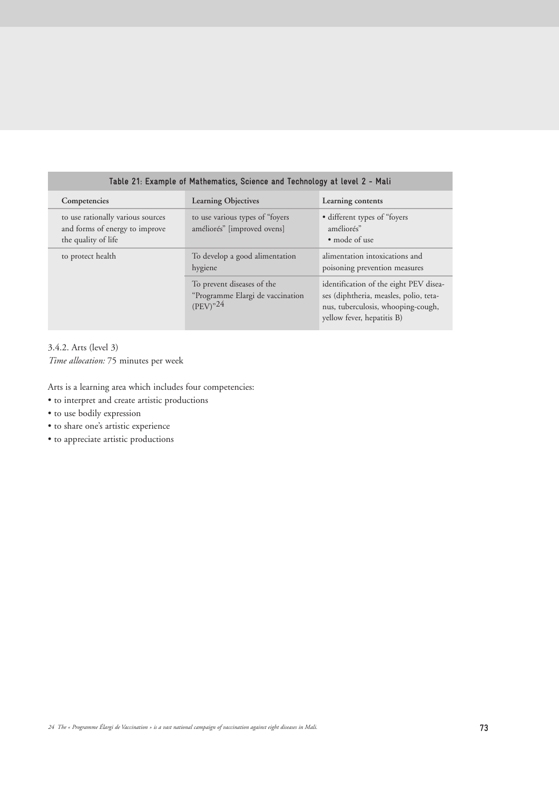| Table 21: Example of Mathematics, Science and Technology at level 2 - Mali                 |                                                                                 |                                                                                                                                                      |  |  |  |
|--------------------------------------------------------------------------------------------|---------------------------------------------------------------------------------|------------------------------------------------------------------------------------------------------------------------------------------------------|--|--|--|
| Competencies                                                                               | <b>Learning Objectives</b>                                                      | Learning contents                                                                                                                                    |  |  |  |
| to use rationally various sources<br>and forms of energy to improve<br>the quality of life | to use various types of "foyers"<br>améliorés" [improved ovens]                 | • different types of "foyers"<br>améliorés"<br>• mode of use                                                                                         |  |  |  |
| to protect health                                                                          | To develop a good alimentation<br>hygiene                                       | alimentation intoxications and<br>poisoning prevention measures                                                                                      |  |  |  |
|                                                                                            | To prevent diseases of the<br>"Programme Elargi de vaccination<br>$(PEV)^{324}$ | identification of the eight PEV disea-<br>ses (diphtheria, measles, polio, teta-<br>nus, tuberculosis, whooping-cough,<br>yellow fever, hepatitis B) |  |  |  |

3.4.2. Arts (level 3)

*Time allocation:* 75 minutes per week

Arts is a learning area which includes four competencies:

- to interpret and create artistic productions
- to use bodily expression
- to share one's artistic experience
- to appreciate artistic productions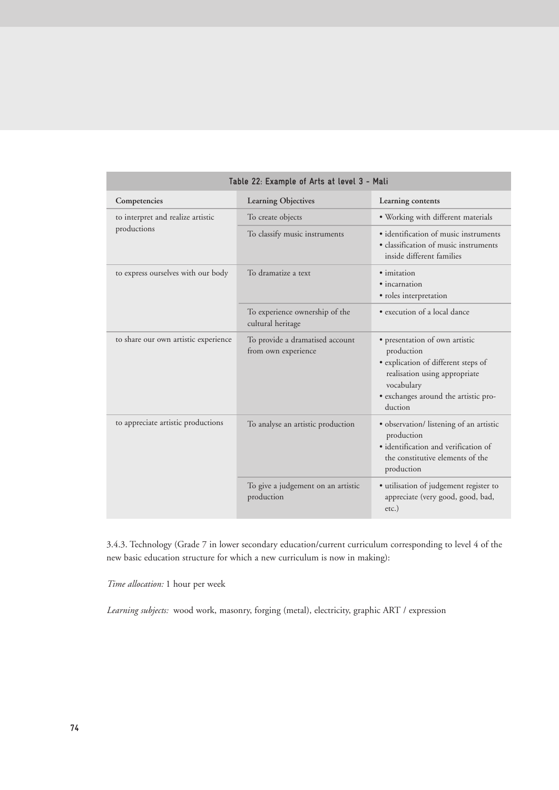| Table 22: Example of Arts at level 3 - Mali |                                                        |                                                                                                                                                                                       |  |  |  |
|---------------------------------------------|--------------------------------------------------------|---------------------------------------------------------------------------------------------------------------------------------------------------------------------------------------|--|--|--|
| Competencies                                | Learning Objectives                                    | Learning contents                                                                                                                                                                     |  |  |  |
| to interpret and realize artistic           | To create objects                                      | · Working with different materials                                                                                                                                                    |  |  |  |
| productions                                 | To classify music instruments                          | · identification of music instruments<br>• classification of music instruments<br>inside different families                                                                           |  |  |  |
| to express ourselves with our body          | To dramatize a text                                    | · imitation<br>• incarnation<br>· roles interpretation                                                                                                                                |  |  |  |
|                                             | To experience ownership of the<br>cultural heritage    | · execution of a local dance                                                                                                                                                          |  |  |  |
| to share our own artistic experience        | To provide a dramatised account<br>from own experience | · presentation of own artistic<br>production<br>· explication of different steps of<br>realisation using appropriate<br>vocabulary<br>· exchanges around the artistic pro-<br>duction |  |  |  |
| to appreciate artistic productions          | To analyse an artistic production                      | · observation/ listening of an artistic<br>production<br>• identification and verification of<br>the constitutive elements of the<br>production                                       |  |  |  |
|                                             | To give a judgement on an artistic<br>production       | · utilisation of judgement register to<br>appreciate (very good, good, bad,<br>$etc.$ )                                                                                               |  |  |  |

# 3.4.3. Technology (Grade 7 in lower secondary education/current curriculum corresponding to level 4 of the new basic education structure for which a new curriculum is now in making):

*Time allocation:* 1 hour per week

*Learning subjects:* wood work, masonry, forging (metal), electricity, graphic ART / expression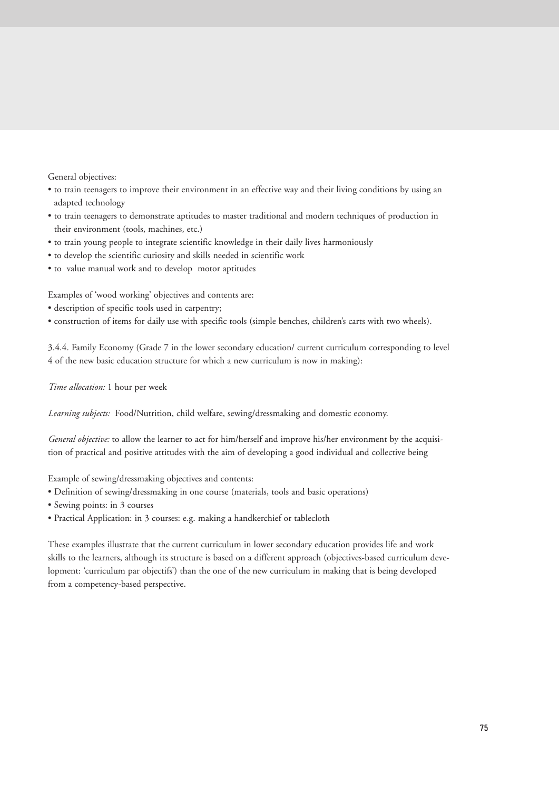General objectives:

- to train teenagers to improve their environment in an effective way and their living conditions by using an adapted technology
- to train teenagers to demonstrate aptitudes to master traditional and modern techniques of production in their environment (tools, machines, etc.)
- to train young people to integrate scientific knowledge in their daily lives harmoniously
- to develop the scientific curiosity and skills needed in scientific work
- to value manual work and to develop motor aptitudes

Examples of 'wood working' objectives and contents are:

- description of specific tools used in carpentry;
- construction of items for daily use with specific tools (simple benches, children's carts with two wheels).

3.4.4. Family Economy (Grade 7 in the lower secondary education/ current curriculum corresponding to level 4 of the new basic education structure for which a new curriculum is now in making):

*Time allocation:* 1 hour per week

*Learning subjects:* Food/Nutrition, child welfare, sewing/dressmaking and domestic economy.

*General objective:* to allow the learner to act for him/herself and improve his/her environment by the acquisition of practical and positive attitudes with the aim of developing a good individual and collective being

Example of sewing/dressmaking objectives and contents:

- Definition of sewing/dressmaking in one course (materials, tools and basic operations)
- Sewing points: in 3 courses
- Practical Application: in 3 courses: e.g. making a handkerchief or tablecloth

These examples illustrate that the current curriculum in lower secondary education provides life and work skills to the learners, although its structure is based on a different approach (objectives-based curriculum development: 'curriculum par objectifs') than the one of the new curriculum in making that is being developed from a competency-based perspective.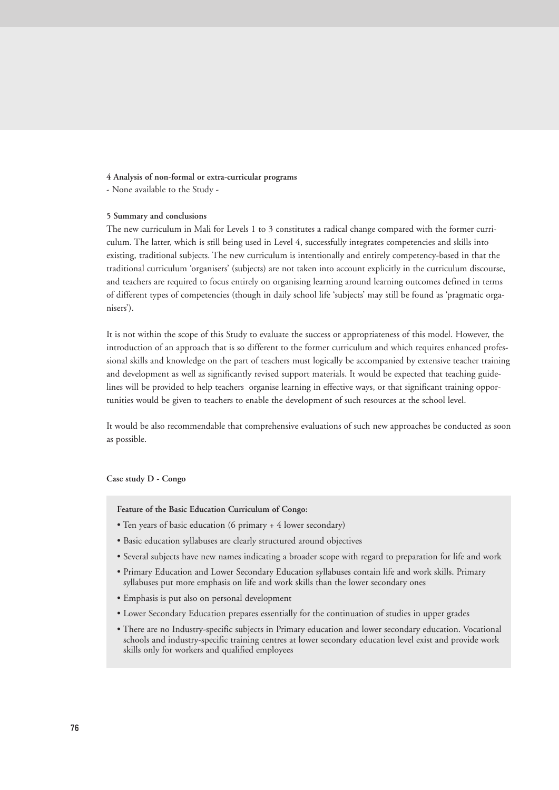#### **4 Analysis of non-formal or extra-curricular programs**

- None available to the Study -

# **5 Summary and conclusions**

The new curriculum in Mali for Levels 1 to 3 constitutes a radical change compared with the former curriculum. The latter, which is still being used in Level 4, successfully integrates competencies and skills into existing, traditional subjects. The new curriculum is intentionally and entirely competency-based in that the traditional curriculum 'organisers' (subjects) are not taken into account explicitly in the curriculum discourse, and teachers are required to focus entirely on organising learning around learning outcomes defined in terms of different types of competencies (though in daily school life 'subjects' may still be found as 'pragmatic organisers').

It is not within the scope of this Study to evaluate the success or appropriateness of this model. However, the introduction of an approach that is so different to the former curriculum and which requires enhanced professional skills and knowledge on the part of teachers must logically be accompanied by extensive teacher training and development as well as significantly revised support materials. It would be expected that teaching guidelines will be provided to help teachers organise learning in effective ways, or that significant training opportunities would be given to teachers to enable the development of such resources at the school level.

It would be also recommendable that comprehensive evaluations of such new approaches be conducted as soon as possible.

# **Case study D - Congo**

**Feature of the Basic Education Curriculum of Congo:**

- Ten years of basic education (6 primary + 4 lower secondary)
- Basic education syllabuses are clearly structured around objectives
- Several subjects have new names indicating a broader scope with regard to preparation for life and work
- Primary Education and Lower Secondary Education syllabuses contain life and work skills. Primary syllabuses put more emphasis on life and work skills than the lower secondary ones
- Emphasis is put also on personal development
- Lower Secondary Education prepares essentially for the continuation of studies in upper grades
- There are no Industry-specific subjects in Primary education and lower secondary education. Vocational schools and industry-specific training centres at lower secondary education level exist and provide work skills only for workers and qualified employees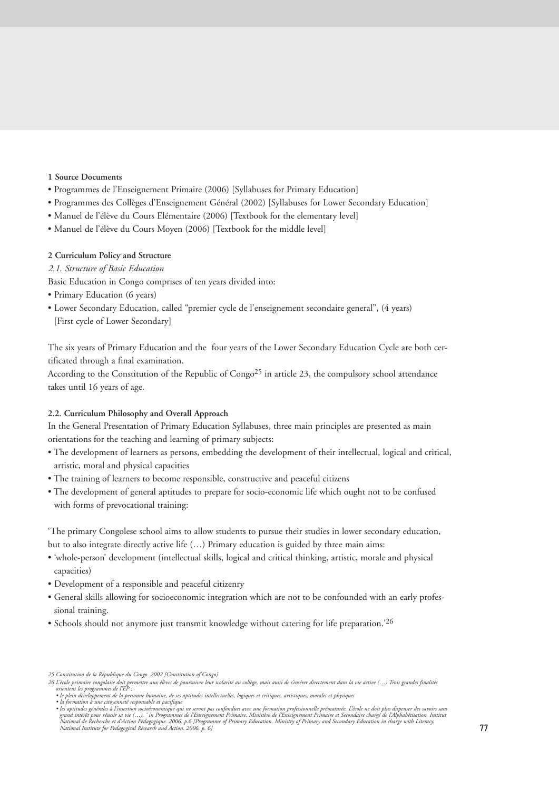# **1 Source Documents**

- Programmes de l'Enseignement Primaire (2006) [Syllabuses for Primary Education]
- Programmes des Collèges d'Enseignement Général (2002) [Syllabuses for Lower Secondary Education]
- Manuel de l'élève du Cours Elémentaire (2006) [Textbook for the elementary level]
- Manuel de l'élève du Cours Moyen (2006) [Textbook for the middle level]

# **2 Curriculum Policy and Structure**

# *2.1. Structure of Basic Education*

Basic Education in Congo comprises of ten years divided into:

- Primary Education (6 years)
- Lower Secondary Education, called "premier cycle de l'enseignement secondaire general", (4 years) [First cycle of Lower Secondary]

The six years of Primary Education and the four years of the Lower Secondary Education Cycle are both certificated through a final examination.

According to the Constitution of the Republic of Congo<sup>25</sup> in article 23, the compulsory school attendance takes until 16 years of age.

# **2.2. Curriculum Philosophy and Overall Approach**

In the General Presentation of Primary Education Syllabuses, three main principles are presented as main orientations for the teaching and learning of primary subjects:

- The development of learners as persons, embedding the development of their intellectual, logical and critical, artistic, moral and physical capacities
- The training of learners to become responsible, constructive and peaceful citizens
- The development of general aptitudes to prepare for socio-economic life which ought not to be confused with forms of prevocational training:

'The primary Congolese school aims to allow students to pursue their studies in lower secondary education, but to also integrate directly active life (…) Primary education is guided by three main aims:

- 'whole-person' development (intellectual skills, logical and critical thinking, artistic, morale and physical capacities)
- Development of a responsible and peaceful citizenry
- General skills allowing for socioeconomic integration which are not to be confounded with an early professional training.
- Schools should not anymore just transmit knowledge without catering for life preparation.<sup>26</sup>

*<sup>25</sup> Constitution de la République du Congo. 2002 [Constitution of Congo]*

<sup>26</sup> L'école primaire congolaise doit permettre aux élèves de poursuivre leur scolarité au collège, mais aussi de s'insérer directement dans la vie active (…) Trois grandes finalité:<br>orientent les programmes de l'aP :<br>le ple

<sup>•</sup> la formation à une citoyenneté responsable et pacifique<br>• les aptitudes générales à l'insertion socioéconomique qui ne seront pas confondues avec une formaton professionnelle prématurée. L'école ne doit plus dispenser de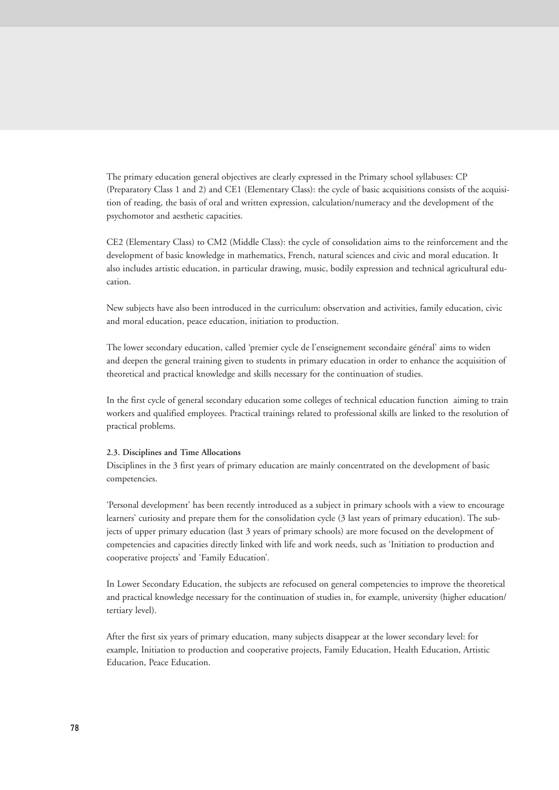The primary education general objectives are clearly expressed in the Primary school syllabuses: CP (Preparatory Class 1 and 2) and CE1 (Elementary Class): the cycle of basic acquisitions consists of the acquisition of reading, the basis of oral and written expression, calculation/numeracy and the development of the psychomotor and aesthetic capacities.

CE2 (Elementary Class) to CM2 (Middle Class): the cycle of consolidation aims to the reinforcement and the development of basic knowledge in mathematics, French, natural sciences and civic and moral education. It also includes artistic education, in particular drawing, music, bodily expression and technical agricultural education.

New subjects have also been introduced in the curriculum: observation and activities, family education, civic and moral education, peace education, initiation to production.

The lower secondary education, called 'premier cycle de l'enseignement secondaire général' aims to widen and deepen the general training given to students in primary education in order to enhance the acquisition of theoretical and practical knowledge and skills necessary for the continuation of studies.

In the first cycle of general secondary education some colleges of technical education function aiming to train workers and qualified employees. Practical trainings related to professional skills are linked to the resolution of practical problems.

#### **2.3. Disciplines and Time Allocations**

Disciplines in the 3 first years of primary education are mainly concentrated on the development of basic competencies.

'Personal development' has been recently introduced as a subject in primary schools with a view to encourage learners' curiosity and prepare them for the consolidation cycle (3 last years of primary education). The subjects of upper primary education (last 3 years of primary schools) are more focused on the development of competencies and capacities directly linked with life and work needs, such as 'Initiation to production and cooperative projects' and 'Family Education'.

In Lower Secondary Education, the subjects are refocused on general competencies to improve the theoretical and practical knowledge necessary for the continuation of studies in, for example, university (higher education/ tertiary level).

After the first six years of primary education, many subjects disappear at the lower secondary level: for example, Initiation to production and cooperative projects, Family Education, Health Education, Artistic Education, Peace Education.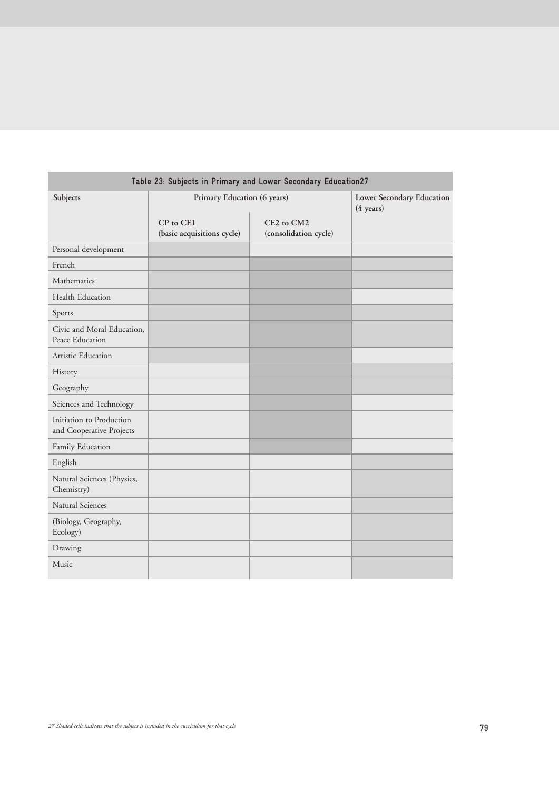| Table 23: Subjects in Primary and Lower Secondary Education27 |                                         |                                     |                                                  |  |  |
|---------------------------------------------------------------|-----------------------------------------|-------------------------------------|--------------------------------------------------|--|--|
| Subjects                                                      | Primary Education (6 years)             |                                     | Lower Secondary Education<br>$(4 \text{ years})$ |  |  |
|                                                               | CP to CE1<br>(basic acquisitions cycle) | CE2 to CM2<br>(consolidation cycle) |                                                  |  |  |
| Personal development                                          |                                         |                                     |                                                  |  |  |
| French                                                        |                                         |                                     |                                                  |  |  |
| Mathematics                                                   |                                         |                                     |                                                  |  |  |
| Health Education                                              |                                         |                                     |                                                  |  |  |
| Sports                                                        |                                         |                                     |                                                  |  |  |
| Civic and Moral Education.<br>Peace Education                 |                                         |                                     |                                                  |  |  |
| Artistic Education                                            |                                         |                                     |                                                  |  |  |
| History                                                       |                                         |                                     |                                                  |  |  |
| Geography                                                     |                                         |                                     |                                                  |  |  |
| Sciences and Technology                                       |                                         |                                     |                                                  |  |  |
| Initiation to Production<br>and Cooperative Projects          |                                         |                                     |                                                  |  |  |
| Family Education                                              |                                         |                                     |                                                  |  |  |
| English                                                       |                                         |                                     |                                                  |  |  |
| Natural Sciences (Physics,<br>Chemistry)                      |                                         |                                     |                                                  |  |  |
| Natural Sciences                                              |                                         |                                     |                                                  |  |  |
| (Biology, Geography,<br>Ecology)                              |                                         |                                     |                                                  |  |  |
| Drawing                                                       |                                         |                                     |                                                  |  |  |
| Music                                                         |                                         |                                     |                                                  |  |  |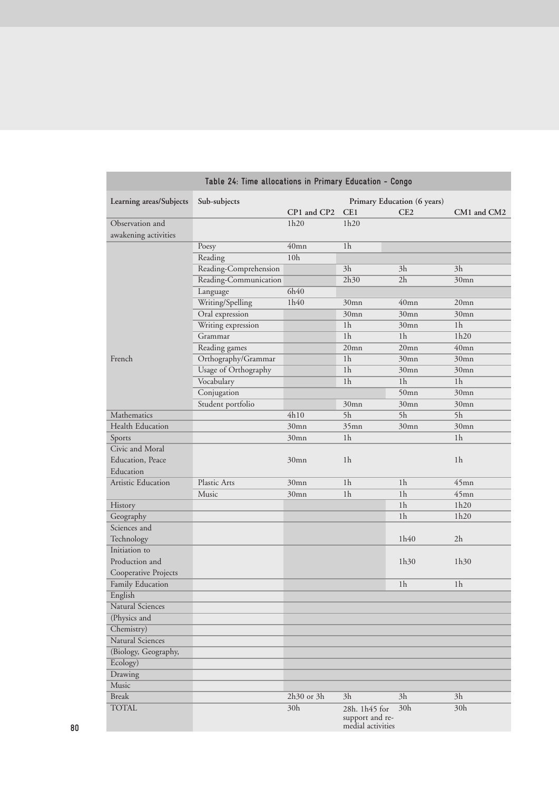| Table 24: Time allocations in Primary Education - Congo |                                             |                  |                                      |                  |                |
|---------------------------------------------------------|---------------------------------------------|------------------|--------------------------------------|------------------|----------------|
| Learning areas/Subjects                                 | Sub-subjects<br>Primary Education (6 years) |                  |                                      |                  |                |
|                                                         |                                             | CP1 and CP2      | CE1                                  | CE <sub>2</sub>  | CM1 and CM2    |
| Observation and                                         |                                             | 1h20             | 1h20                                 |                  |                |
| awakening activities                                    |                                             |                  |                                      |                  |                |
|                                                         | Poesy                                       | $40$ mn          | 1 <sub>h</sub>                       |                  |                |
|                                                         | Reading                                     | 10 <sub>h</sub>  |                                      |                  |                |
|                                                         | Reading-Comprehension                       |                  | 3h                                   | 3h               | 3h             |
|                                                         | Reading-Communication                       |                  | 2h30                                 | 2h               | 30mn           |
|                                                         | Language                                    | 6h40             |                                      |                  |                |
|                                                         | Writing/Spelling                            | 1h40             | 30mn                                 | $40$ mn          | $20$ mn        |
|                                                         | Oral expression                             |                  | 30mn                                 | 30mn             | 30mn           |
|                                                         | Writing expression                          |                  | 1 <sub>h</sub>                       | 30mn             | 1 <sub>h</sub> |
|                                                         | Grammar                                     |                  | 1 <sub>h</sub>                       | 1 <sub>h</sub>   | 1h20           |
|                                                         | Reading games                               |                  | $20$ mn                              | $20$ mn          | $40$ mn        |
| French                                                  | Orthography/Grammar                         |                  | 1 <sub>h</sub>                       | 30mn             | 30mn           |
|                                                         | Usage of Orthography                        |                  | 1 <sub>h</sub>                       | 30mn             | 30mn           |
|                                                         | Vocabulary                                  |                  | 1 <sub>h</sub>                       | 1 <sub>h</sub>   | 1 <sub>h</sub> |
|                                                         | Conjugation                                 |                  |                                      | $50$ mn          | 30mn           |
|                                                         | Student portfolio                           |                  | 30mn                                 | 30mn             | 30mn           |
| <b>Mathematics</b>                                      |                                             | 4h10             | 5h                                   | 5h               | 5h             |
| Health Education                                        |                                             | 30 <sub>mn</sub> | $35$ mn                              | 30 <sub>mn</sub> | 30mn           |
| Sports                                                  |                                             | 30mn             | 1 <sub>h</sub>                       |                  | 1 <sub>h</sub> |
| Civic and Moral                                         |                                             |                  |                                      |                  |                |
| Education, Peace                                        |                                             | 30mn             | 1 <sub>h</sub>                       |                  | 1 <sub>h</sub> |
| Education                                               |                                             |                  |                                      |                  |                |
| Artistic Education                                      | Plastic Arts                                | 30mn             | 1 <sub>h</sub>                       | 1 <sub>h</sub>   | $45$ mn        |
|                                                         | Music                                       | 30 <sub>mn</sub> | 1 <sub>h</sub>                       | 1 <sub>h</sub>   | $45$ mn        |
| History                                                 |                                             |                  |                                      | 1 <sub>h</sub>   | 1h20           |
| Geography                                               |                                             |                  |                                      | 1 <sub>h</sub>   | 1h20           |
| Sciences and                                            |                                             |                  |                                      |                  |                |
| Technology                                              |                                             |                  |                                      | 1h40             | 2h             |
| Initiation to                                           |                                             |                  |                                      |                  |                |
| Production and                                          |                                             |                  |                                      | 1h30             | 1h30           |
| Cooperative Projects                                    |                                             |                  |                                      |                  |                |
| Family Education                                        |                                             |                  |                                      | 1 <sub>h</sub>   | 1 <sub>h</sub> |
| English                                                 |                                             |                  |                                      |                  |                |
| Natural Sciences                                        |                                             |                  |                                      |                  |                |
| (Physics and                                            |                                             |                  |                                      |                  |                |
| Chemistry)                                              |                                             |                  |                                      |                  |                |
| Natural Sciences                                        |                                             |                  |                                      |                  |                |
| (Biology, Geography,                                    |                                             |                  |                                      |                  |                |
| Ecology)                                                |                                             |                  |                                      |                  |                |
| Drawing                                                 |                                             |                  |                                      |                  |                |
| Music                                                   |                                             |                  |                                      |                  |                |
| <b>Break</b>                                            |                                             | 2h30 or 3h       | 3h                                   | 3h               | 3h             |
| <b>TOTAL</b>                                            |                                             | 30h              | 28h. 1h45 for                        | 30h              | 30h            |
|                                                         |                                             |                  | support and re-<br>medial activities |                  |                |

П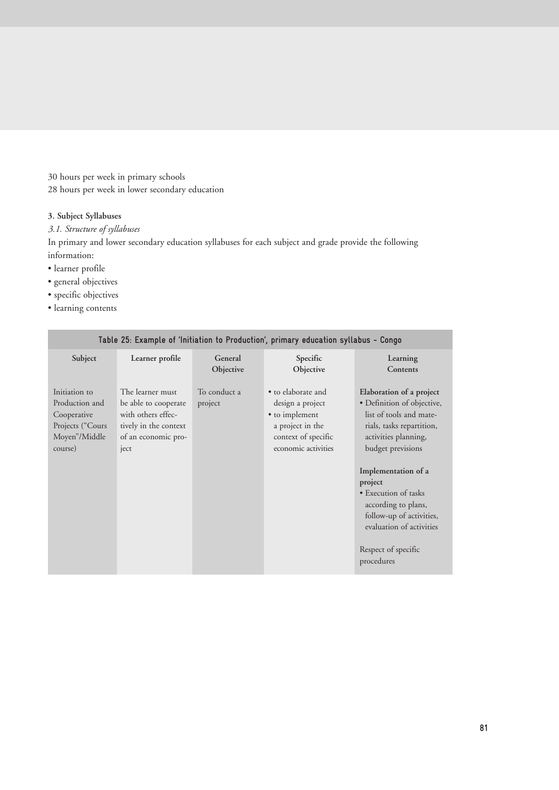30 hours per week in primary schools 28 hours per week in lower secondary education

# **3. Subject Syllabuses**

*3.1. Structure of syllabuses*

In primary and lower secondary education syllabuses for each subject and grade provide the following information:

- learner profile
- general objectives
- specific objectives
- learning contents

| Table Z5: Example of Initiation to Production , primary education syllabus - Congo                     |                                                                                                                |                         |                                                                                                                            |                                                                                                                                                                                                                                                                                                                                           |  |  |
|--------------------------------------------------------------------------------------------------------|----------------------------------------------------------------------------------------------------------------|-------------------------|----------------------------------------------------------------------------------------------------------------------------|-------------------------------------------------------------------------------------------------------------------------------------------------------------------------------------------------------------------------------------------------------------------------------------------------------------------------------------------|--|--|
| Subject                                                                                                | Learner profile                                                                                                | General<br>Objective    | Specific<br>Objective                                                                                                      | Learning<br>Contents                                                                                                                                                                                                                                                                                                                      |  |  |
| Initiation to<br>Production and<br>Cooperative<br>Projects ("Cours<br>Moyen"/Middle<br>course)<br>ject | The learner must<br>be able to cooperate<br>with others effec-<br>tively in the context<br>of an economic pro- | To conduct a<br>project | • to elaborate and<br>design a project<br>• to implement<br>a project in the<br>context of specific<br>economic activities | Elaboration of a project<br>• Definition of objective,<br>list of tools and mate-<br>rials, tasks repartition,<br>activities planning,<br>budget previsions<br>Implementation of a<br>project<br>• Execution of tasks<br>according to plans,<br>follow-up of activities,<br>evaluation of activities<br>Respect of specific<br>procedures |  |  |

## **Table 25: Example of 'Initiation to Production', primary education syllabus - Congo**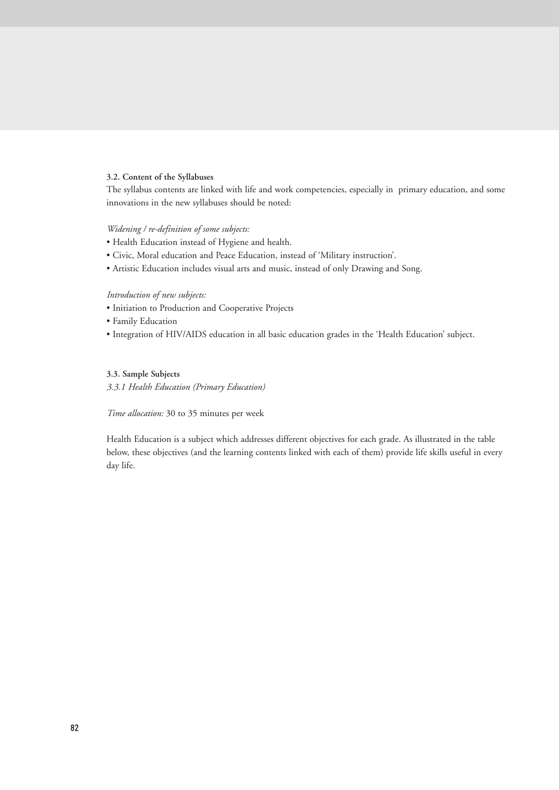# **3.2. Content of the Syllabuses**

The syllabus contents are linked with life and work competencies, especially in primary education, and some innovations in the new syllabuses should be noted:

# *Widening / re-definition of some subjects:*

- Health Education instead of Hygiene and health.
- Civic, Moral education and Peace Education, instead of 'Military instruction'.
- Artistic Education includes visual arts and music, instead of only Drawing and Song.

#### *Introduction of new subjects:*

- Initiation to Production and Cooperative Projects
- Family Education
- Integration of HIV/AIDS education in all basic education grades in the 'Health Education' subject.

# **3.3. Sample Subjects**

*3.3.1 Health Education (Primary Education)*

*Time allocation:* 30 to 35 minutes per week

Health Education is a subject which addresses different objectives for each grade. As illustrated in the table below, these objectives (and the learning contents linked with each of them) provide life skills useful in every day life.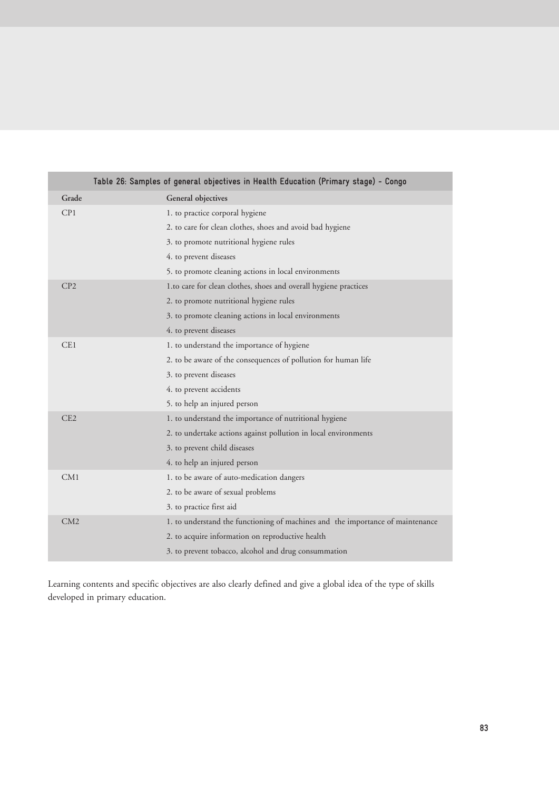|       | Table 26: Samples of general objectives in Health Education (Primary stage) - Congo |
|-------|-------------------------------------------------------------------------------------|
| Grade | General objectives                                                                  |
| CP1   | 1. to practice corporal hygiene                                                     |
|       | 2. to care for clean clothes, shoes and avoid bad hygiene                           |
|       | 3. to promote nutritional hygiene rules                                             |
|       | 4. to prevent diseases                                                              |
|       | 5. to promote cleaning actions in local environments                                |
| CP2   | 1.to care for clean clothes, shoes and overall hygiene practices                    |
|       | 2. to promote nutritional hygiene rules                                             |
|       | 3. to promote cleaning actions in local environments                                |
|       | 4. to prevent diseases                                                              |
| CE1   | 1. to understand the importance of hygiene                                          |
|       | 2. to be aware of the consequences of pollution for human life                      |
|       | 3. to prevent diseases                                                              |
|       | 4. to prevent accidents                                                             |
|       | 5. to help an injured person                                                        |
| CE2   | 1. to understand the importance of nutritional hygiene                              |
|       | 2. to undertake actions against pollution in local environments                     |
|       | 3. to prevent child diseases                                                        |
|       | 4. to help an injured person                                                        |
| CM1   | 1. to be aware of auto-medication dangers                                           |
|       | 2. to be aware of sexual problems                                                   |
|       | 3. to practice first aid                                                            |
| CM2   | 1. to understand the functioning of machines and the importance of maintenance      |
|       | 2. to acquire information on reproductive health                                    |
|       | 3. to prevent tobacco, alcohol and drug consummation                                |

Learning contents and specific objectives are also clearly defined and give a global idea of the type of skills developed in primary education.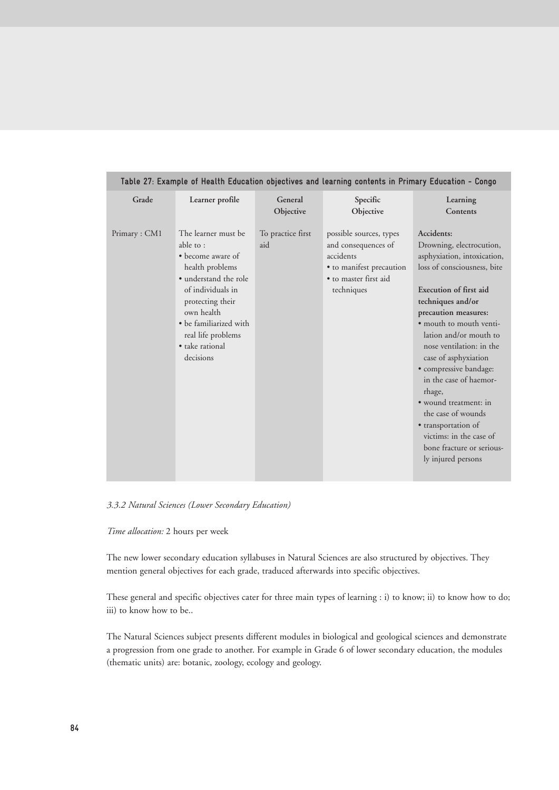| Table 27: Example of Health Education objectives and learning contents in Primary Education - Congo |                                                                                                                                                                                                                                         |                          |                                                                                                                                |                                                                                                                                                                                                                                                                                                                                                                                                                                                                                                        |  |  |
|-----------------------------------------------------------------------------------------------------|-----------------------------------------------------------------------------------------------------------------------------------------------------------------------------------------------------------------------------------------|--------------------------|--------------------------------------------------------------------------------------------------------------------------------|--------------------------------------------------------------------------------------------------------------------------------------------------------------------------------------------------------------------------------------------------------------------------------------------------------------------------------------------------------------------------------------------------------------------------------------------------------------------------------------------------------|--|--|
| Grade                                                                                               | Learner profile                                                                                                                                                                                                                         | General<br>Objective     | Specific<br>Objective                                                                                                          | Learning<br>Contents                                                                                                                                                                                                                                                                                                                                                                                                                                                                                   |  |  |
| Primary: CM1                                                                                        | The learner must be<br>able to:<br>• become aware of<br>health problems<br>• understand the role<br>of individuals in<br>protecting their<br>own health<br>• be familiarized with<br>real life problems<br>• take rational<br>decisions | To practice first<br>aid | possible sources, types<br>and consequences of<br>accidents<br>• to manifest precaution<br>• to master first aid<br>techniques | Accidents:<br>Drowning, electrocution,<br>asphyxiation, intoxication,<br>loss of consciousness, bite<br>Execution of first aid<br>techniques and/or<br>precaution measures:<br>• mouth to mouth venti-<br>lation and/or mouth to<br>nose ventilation: in the<br>case of asphyxiation<br>· compressive bandage:<br>in the case of haemor-<br>rhage,<br>• wound treatment: in<br>the case of wounds<br>· transportation of<br>victims: in the case of<br>bone fracture or serious-<br>ly injured persons |  |  |

*3.3.2 Natural Sciences (Lower Secondary Education)*

*Time allocation:* 2 hours per week

The new lower secondary education syllabuses in Natural Sciences are also structured by objectives. They mention general objectives for each grade, traduced afterwards into specific objectives.

These general and specific objectives cater for three main types of learning : i) to know; ii) to know how to do; iii) to know how to be..

The Natural Sciences subject presents different modules in biological and geological sciences and demonstrate a progression from one grade to another. For example in Grade 6 of lower secondary education, the modules (thematic units) are: botanic, zoology, ecology and geology.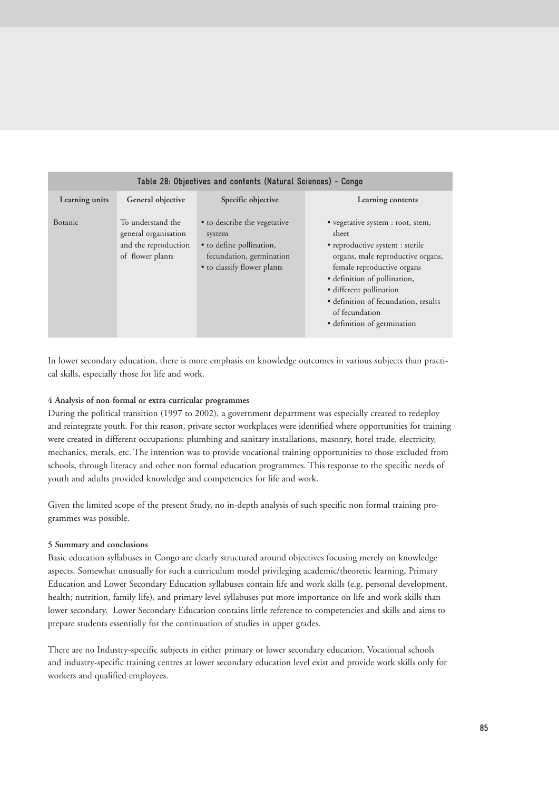| Table 28: Objectives and contents (Natural Sciences) - Congo |                                                                                       |                                                                                                                               |                                                                                                                                                                                                                                                                                                      |  |  |  |  |  |
|--------------------------------------------------------------|---------------------------------------------------------------------------------------|-------------------------------------------------------------------------------------------------------------------------------|------------------------------------------------------------------------------------------------------------------------------------------------------------------------------------------------------------------------------------------------------------------------------------------------------|--|--|--|--|--|
| Learning units                                               | General objective                                                                     | Specific objective                                                                                                            | Learning contents                                                                                                                                                                                                                                                                                    |  |  |  |  |  |
| <b>Botanic</b>                                               | To understand the<br>general organisation<br>and the reproduction<br>of flower plants | • to describe the vegetative<br>system<br>• to define pollination,<br>fecundation, germination<br>• to classify flower plants | • vegetative system : root, stem,<br>sheet<br>• reproductive system : sterile<br>organs, male reproductive organs,<br>female reproductive organs<br>· definition of pollination,<br>· different pollination<br>· definition of fecundation, results<br>of fecundation<br>· definition of germination |  |  |  |  |  |

In lower secondary education, there is more emphasis on knowledge outcomes in various subjects than practical skills, especially those for life and work.

# **4 Analysis of non-formal or extra-curricular programmes**

During the political transition (1997 to 2002), a government department was especially created to redeploy and reintegrate youth. For this reason, private sector workplaces were identified where opportunities for training were created in different occupations: plumbing and sanitary installations, masonry, hotel trade, electricity, mechanics, metals, etc. The intention was to provide vocational training opportunities to those excluded from schools, through literacy and other non formal education programmes. This response to the specific needs of youth and adults provided knowledge and competencies for life and work.

Given the limited scope of the present Study, no in-depth analysis of such specific non formal training programmes was possible.

# **5 Summary and conclusions**

Basic education syllabuses in Congo are clearly structured around objectives focusing merely on knowledge aspects. Somewhat unusually for such a curriculum model privileging academic/theoretic learning, Primary Education and Lower Secondary Education syllabuses contain life and work skills (e.g. personal development, health; nutrition, family life), and primary level syllabuses put more importance on life and work skills than lower secondary. Lower Secondary Education contains little reference to competencies and skills and aims to prepare students essentially for the continuation of studies in upper grades.

There are no Industry-specific subjects in either primary or lower secondary education. Vocational schools and industry-specific training centres at lower secondary education level exist and provide work skills only for workers and qualified employees.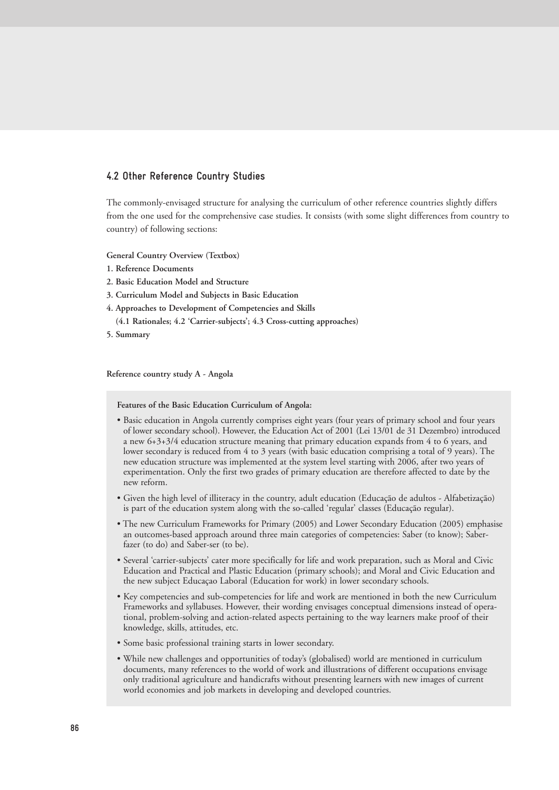# **4.2 Other Reference Country Studies**

The commonly-envisaged structure for analysing the curriculum of other reference countries slightly differs from the one used for the comprehensive case studies. It consists (with some slight differences from country to country) of following sections:

**General Country Overview (Textbox)**

- **1. Reference Documents**
- **2. Basic Education Model and Structure**
- **3. Curriculum Model and Subjects in Basic Education**
- **4. Approaches to Development of Competencies and Skills**
- **(4.1 Rationales; 4.2 'Carrier-subjects'; 4.3 Cross-cutting approaches)**
- **5. Summary**

**Reference country study A - Angola**

**Features of the Basic Education Curriculum of Angola:**

- Basic education in Angola currently comprises eight years (four years of primary school and four years of lower secondary school). However, the Education Act of 2001 (Lei 13/01 de 31 Dezembro) introduced a new 6+3+3/4 education structure meaning that primary education expands from 4 to 6 years, and lower secondary is reduced from 4 to 3 years (with basic education comprising a total of 9 years). The new education structure was implemented at the system level starting with 2006, after two years of experimentation. Only the first two grades of primary education are therefore affected to date by the new reform.
- Given the high level of illiteracy in the country, adult education (Educação de adultos Alfabetização) is part of the education system along with the so-called 'regular' classes (Educação regular).
- The new Curriculum Frameworks for Primary (2005) and Lower Secondary Education (2005) emphasise an outcomes-based approach around three main categories of competencies: Saber (to know); Saberfazer (to do) and Saber-ser (to be).
- Several 'carrier-subjects' cater more specifically for life and work preparation, such as Moral and Civic Education and Practical and Plastic Education (primary schools); and Moral and Civic Education and the new subject Educaçao Laboral (Education for work) in lower secondary schools.
- Key competencies and sub-competencies for life and work are mentioned in both the new Curriculum Frameworks and syllabuses. However, their wording envisages conceptual dimensions instead of operational, problem-solving and action-related aspects pertaining to the way learners make proof of their knowledge, skills, attitudes, etc.
- Some basic professional training starts in lower secondary.
- While new challenges and opportunities of today's (globalised) world are mentioned in curriculum documents, many references to the world of work and illustrations of different occupations envisage only traditional agriculture and handicrafts without presenting learners with new images of current world economies and job markets in developing and developed countries.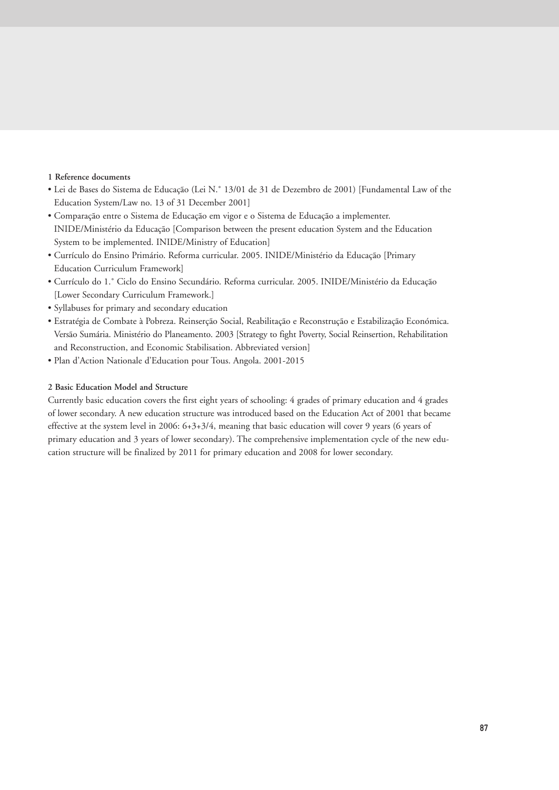# **1 Reference documents**

- Lei de Bases do Sistema de Educação (Lei N.˚ 13/01 de 31 de Dezembro de 2001) [Fundamental Law of the Education System/Law no. 13 of 31 December 2001]
- Comparação entre o Sistema de Educação em vigor e o Sistema de Educação a implementer. INIDE/Ministério da Educação [Comparison between the present education System and the Education System to be implemented. INIDE/Ministry of Education]
- Currículo do Ensino Primário. Reforma curricular. 2005. INIDE/Ministério da Educação [Primary Education Curriculum Framework]
- Currículo do 1.˚ Ciclo do Ensino Secundário. Reforma curricular. 2005. INIDE/Ministério da Educação [Lower Secondary Curriculum Framework.]
- Syllabuses for primary and secondary education
- Estratégia de Combate à Pobreza. Reinserção Social, Reabilitação e Reconstrução e Estabilização Económica. Versão Sumária. Ministério do Planeamento. 2003 [Strategy to fight Poverty, Social Reinsertion, Rehabilitation and Reconstruction, and Economic Stabilisation. Abbreviated version]
- Plan d'Action Nationale d'Education pour Tous. Angola. 2001-2015

# **2 Basic Education Model and Structure**

Currently basic education covers the first eight years of schooling: 4 grades of primary education and 4 grades of lower secondary. A new education structure was introduced based on the Education Act of 2001 that became effective at the system level in 2006: 6+3+3/4, meaning that basic education will cover 9 years (6 years of primary education and 3 years of lower secondary). The comprehensive implementation cycle of the new education structure will be finalized by 2011 for primary education and 2008 for lower secondary.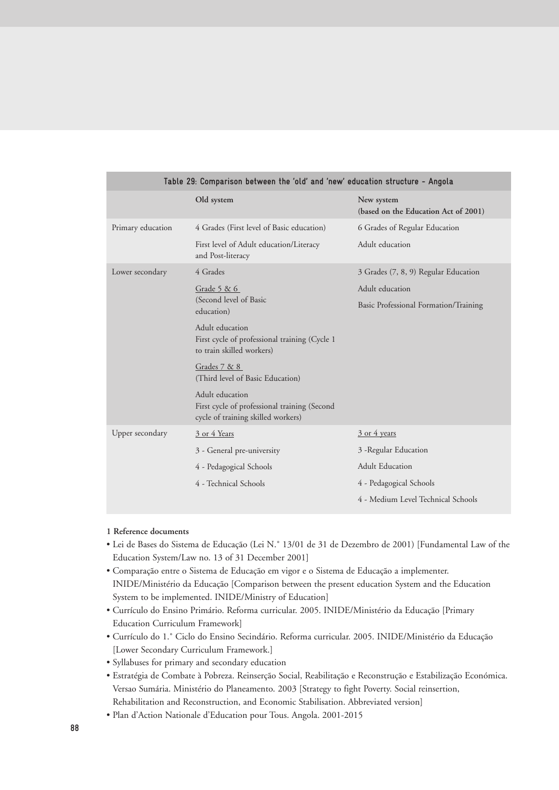| Table 29: Comparison between the 'old' and 'new' education structure - Angola |                                                                                                       |                                                    |  |  |  |
|-------------------------------------------------------------------------------|-------------------------------------------------------------------------------------------------------|----------------------------------------------------|--|--|--|
|                                                                               | Old system                                                                                            | New system<br>(based on the Education Act of 2001) |  |  |  |
| Primary education                                                             | 4 Grades (First level of Basic education)                                                             | 6 Grades of Regular Education                      |  |  |  |
|                                                                               | First level of Adult education/Literacy<br>and Post-literacy                                          | Adult education                                    |  |  |  |
| Lower secondary                                                               | 4 Grades                                                                                              | 3 Grades (7, 8, 9) Regular Education               |  |  |  |
|                                                                               | Grade $5 & 6$                                                                                         | Adult education                                    |  |  |  |
|                                                                               | (Second level of Basic<br>education)                                                                  | Basic Professional Formation/Training              |  |  |  |
|                                                                               | Adult education<br>First cycle of professional training (Cycle 1<br>to train skilled workers)         |                                                    |  |  |  |
|                                                                               | Grades 7 & 8<br>(Third level of Basic Education)                                                      |                                                    |  |  |  |
|                                                                               | Adult education<br>First cycle of professional training (Second<br>cycle of training skilled workers) |                                                    |  |  |  |
| Upper secondary                                                               | 3 or 4 Years                                                                                          | $\frac{3 \text{ or } 4 \text{ years}}{2}$          |  |  |  |
|                                                                               | 3 - General pre-university                                                                            | 3 - Regular Education                              |  |  |  |
|                                                                               | 4 - Pedagogical Schools                                                                               | <b>Adult Education</b>                             |  |  |  |
|                                                                               | 4 - Technical Schools                                                                                 | 4 - Pedagogical Schools                            |  |  |  |
|                                                                               |                                                                                                       | 4 - Medium Level Technical Schools                 |  |  |  |

#### **1 Reference documents**

- Lei de Bases do Sistema de Educação (Lei N.˚ 13/01 de 31 de Dezembro de 2001) [Fundamental Law of the Education System/Law no. 13 of 31 December 2001]
- Comparação entre o Sistema de Educação em vigor e o Sistema de Educação a implementer. INIDE/Ministério da Educação [Comparison between the present education System and the Education System to be implemented. INIDE/Ministry of Education]
- Currículo do Ensino Primário. Reforma curricular. 2005. INIDE/Ministério da Educação [Primary Education Curriculum Framework]
- Currículo do 1.˚ Ciclo do Ensino Secindário. Reforma curricular. 2005. INIDE/Ministério da Educação [Lower Secondary Curriculum Framework.]
- Syllabuses for primary and secondary education
- Estratégia de Combate à Pobreza. Reinserção Social, Reabilitação e Reconstrução e Estabilização Económica. Versao Sumária. Ministério do Planeamento. 2003 [Strategy to fight Poverty. Social reinsertion, Rehabilitation and Reconstruction, and Economic Stabilisation. Abbreviated version]
- Plan d'Action Nationale d'Education pour Tous. Angola. 2001-2015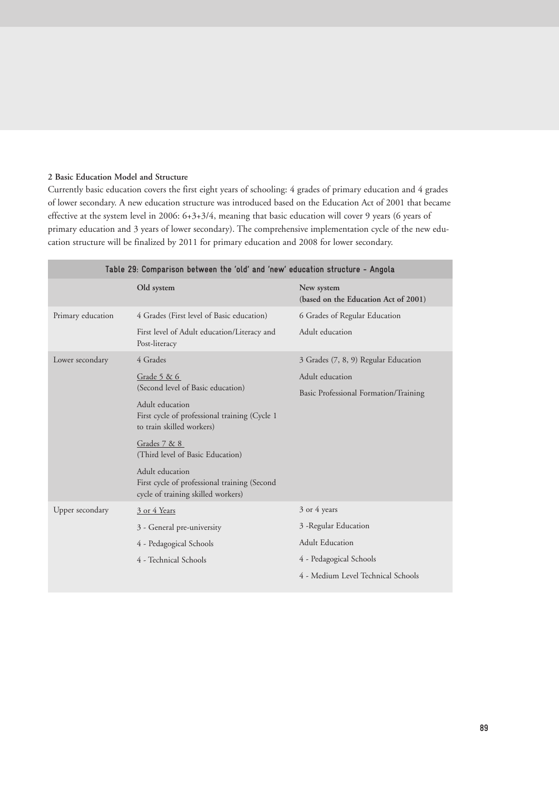# **2 Basic Education Model and Structure**

Currently basic education covers the first eight years of schooling: 4 grades of primary education and 4 grades of lower secondary. A new education structure was introduced based on the Education Act of 2001 that became effective at the system level in 2006: 6+3+3/4, meaning that basic education will cover 9 years (6 years of primary education and 3 years of lower secondary). The comprehensive implementation cycle of the new education structure will be finalized by 2011 for primary education and 2008 for lower secondary.

| Table 29: Comparison between the 'old' and 'new' education structure - Angola |                                                                                                       |                                                    |  |  |  |
|-------------------------------------------------------------------------------|-------------------------------------------------------------------------------------------------------|----------------------------------------------------|--|--|--|
|                                                                               | Old system                                                                                            | New system<br>(based on the Education Act of 2001) |  |  |  |
| Primary education                                                             | 4 Grades (First level of Basic education)                                                             | 6 Grades of Regular Education                      |  |  |  |
|                                                                               | First level of Adult education/Literacy and<br>Post-literacy                                          | Adult education                                    |  |  |  |
| Lower secondary                                                               | 4 Grades                                                                                              | 3 Grades (7, 8, 9) Regular Education               |  |  |  |
|                                                                               | Grade $5 & 6$                                                                                         | Adult education                                    |  |  |  |
|                                                                               | (Second level of Basic education)                                                                     | Basic Professional Formation/Training              |  |  |  |
|                                                                               | Adult education<br>First cycle of professional training (Cycle 1<br>to train skilled workers)         |                                                    |  |  |  |
|                                                                               | Grades 7 & 8<br>(Third level of Basic Education)                                                      |                                                    |  |  |  |
|                                                                               | Adult education<br>First cycle of professional training (Second<br>cycle of training skilled workers) |                                                    |  |  |  |
| Upper secondary                                                               | 3 or 4 Years                                                                                          | 3 or 4 years                                       |  |  |  |
|                                                                               | 3 - General pre-university                                                                            | 3 - Regular Education                              |  |  |  |
|                                                                               | 4 - Pedagogical Schools                                                                               | <b>Adult Education</b>                             |  |  |  |
|                                                                               | 4 - Technical Schools                                                                                 | 4 - Pedagogical Schools                            |  |  |  |
|                                                                               |                                                                                                       | 4 - Medium Level Technical Schools                 |  |  |  |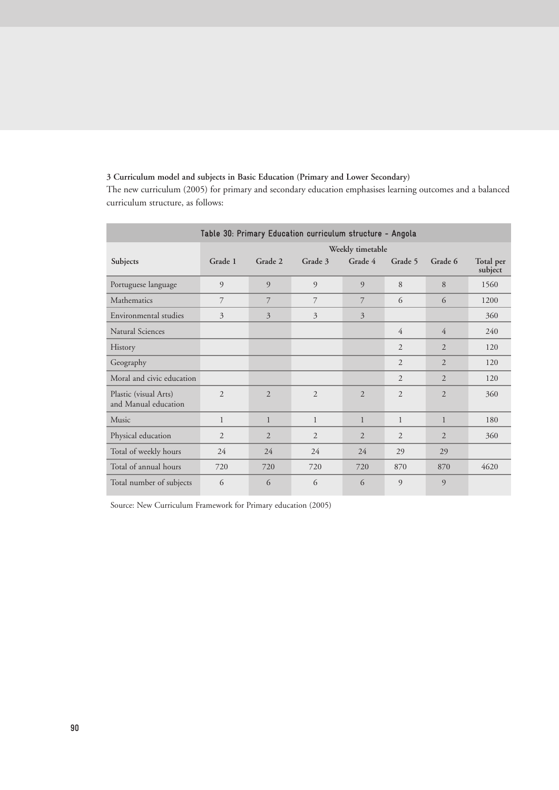# **3 Curriculum model and subjects in Basic Education (Primary and Lower Secondary)**

The new curriculum (2005) for primary and secondary education emphasises learning outcomes and a balanced curriculum structure, as follows:

| Table 30: Primary Education curriculum structure - Angola |                |                          |                |                  |                |                |                      |
|-----------------------------------------------------------|----------------|--------------------------|----------------|------------------|----------------|----------------|----------------------|
|                                                           |                |                          |                | Weekly timetable |                |                |                      |
| Subjects                                                  | Grade 1        | Grade 2                  | Grade 3        | Grade 4          | Grade 5        | Grade 6        | Total per<br>subject |
| Portuguese language                                       | 9              | 9                        | $\overline{9}$ | 9                | 8              | 8              | 1560                 |
| Mathematics                                               | 7              | 7                        | 7              | 7                | 6              | 6              | 1200                 |
| Environmental studies                                     | 3              | 3                        | 3              | 3                |                |                | 360                  |
| Natural Sciences                                          |                |                          |                |                  | 4              | $\overline{4}$ | 240                  |
| History                                                   |                |                          |                |                  | $\overline{2}$ | $\overline{2}$ | 120                  |
| Geography                                                 |                |                          |                |                  | $\overline{2}$ | $\overline{2}$ | 120                  |
| Moral and civic education                                 |                |                          |                |                  | $\overline{2}$ | $\overline{2}$ | 120                  |
| Plastic (visual Arts)<br>and Manual education             | $\overline{2}$ | $\overline{2}$           | 2              | $\overline{2}$   | $\overline{2}$ | $\overline{2}$ | 360                  |
| Music                                                     | $\mathbf{1}$   | $\mathbf{1}$             | $\mathbf{1}$   | $\mathbf{1}$     | $\mathbf{1}$   | $\mathbf{1}$   | 180                  |
| Physical education                                        | $\overline{2}$ | $\overline{\mathcal{L}}$ | $\overline{2}$ | $\overline{2}$   | $\overline{2}$ | $\overline{2}$ | 360                  |
| Total of weekly hours                                     | 24             | 24                       | 24             | 24               | 29             | 29             |                      |
| Total of annual hours                                     | 720            | 720                      | 720            | 720              | 870            | 870            | 4620                 |
| Total number of subjects                                  | 6              | 6                        | 6              | 6                | 9              | 9              |                      |

Source: New Curriculum Framework for Primary education (2005)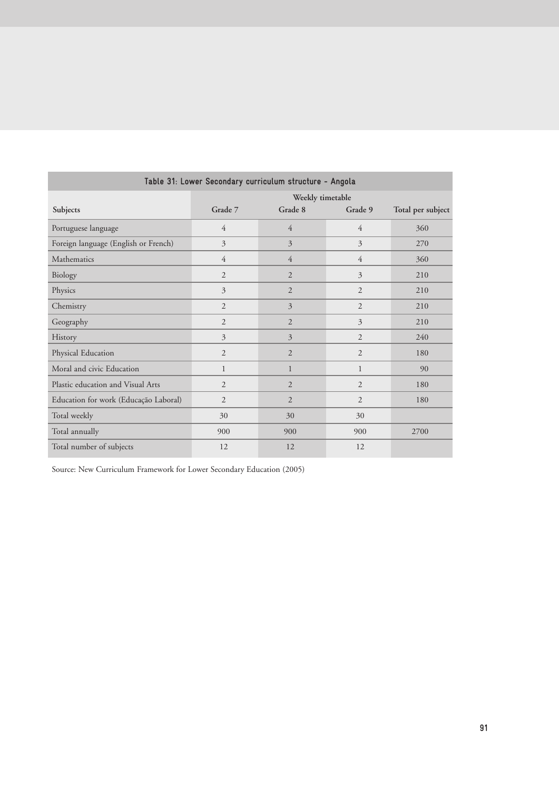| Table 31: Lower Secondary curriculum structure - Angola |                |                  |                |                   |  |
|---------------------------------------------------------|----------------|------------------|----------------|-------------------|--|
|                                                         |                | Weekly timetable |                |                   |  |
| Subjects                                                | Grade 7        | Grade 8          | Grade 9        | Total per subject |  |
| Portuguese language                                     | $\overline{4}$ | 4                | $\overline{4}$ | 360               |  |
| Foreign language (English or French)                    | 3              | 3                | $\overline{3}$ | 270               |  |
| Mathematics                                             | $\overline{4}$ | $\overline{4}$   | $\overline{4}$ | 360               |  |
| Biology                                                 | $\overline{2}$ | $\overline{2}$   | 3              | 210               |  |
| Physics                                                 | 3              | $\overline{2}$   | $\overline{2}$ | 210               |  |
| Chemistry                                               | $\overline{2}$ | 3                | $\overline{2}$ | 210               |  |
| Geography                                               | $\overline{2}$ | $\overline{2}$   | 3              | 210               |  |
| History                                                 | 3              | 3                | $\overline{2}$ | 240               |  |
| Physical Education                                      | $\overline{2}$ | $\overline{2}$   | 2              | 180               |  |
| Moral and civic Education                               | $\mathbf{1}$   | $\mathbf{1}$     | $\mathbf{1}$   | 90                |  |
| Plastic education and Visual Arts                       | $\overline{2}$ | 2                | 2              | 180               |  |
| Education for work (Educação Laboral)                   | $\overline{2}$ | 2                | 2              | 180               |  |
| Total weekly                                            | 30             | 30               | 30             |                   |  |
| Total annually                                          | 900            | 900              | 900            | 2700              |  |
| Total number of subjects                                | 12             | 12               | 12             |                   |  |

Source: New Curriculum Framework for Lower Secondary Education (2005)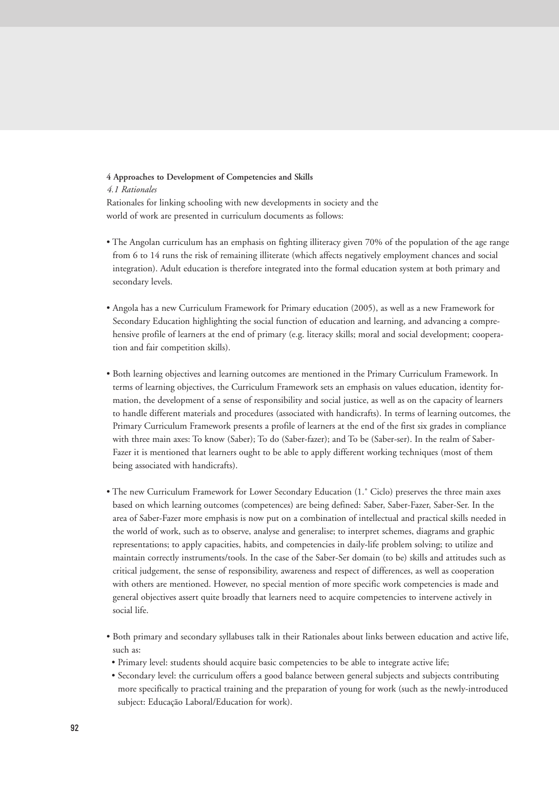# **4 Approaches to Development of Competencies and Skills**

*4.1 Rationales*

Rationales for linking schooling with new developments in society and the world of work are presented in curriculum documents as follows:

- The Angolan curriculum has an emphasis on fighting illiteracy given 70% of the population of the age range from 6 to 14 runs the risk of remaining illiterate (which affects negatively employment chances and social integration). Adult education is therefore integrated into the formal education system at both primary and secondary levels.
- Angola has a new Curriculum Framework for Primary education (2005), as well as a new Framework for Secondary Education highlighting the social function of education and learning, and advancing a comprehensive profile of learners at the end of primary (e.g. literacy skills; moral and social development; cooperation and fair competition skills).
- Both learning objectives and learning outcomes are mentioned in the Primary Curriculum Framework. In terms of learning objectives, the Curriculum Framework sets an emphasis on values education, identity formation, the development of a sense of responsibility and social justice, as well as on the capacity of learners to handle different materials and procedures (associated with handicrafts). In terms of learning outcomes, the Primary Curriculum Framework presents a profile of learners at the end of the first six grades in compliance with three main axes: To know (Saber); To do (Saber-fazer); and To be (Saber-ser). In the realm of Saber-Fazer it is mentioned that learners ought to be able to apply different working techniques (most of them being associated with handicrafts).
- The new Curriculum Framework for Lower Secondary Education (1.˚ Ciclo) preserves the three main axes based on which learning outcomes (competences) are being defined: Saber, Saber-Fazer, Saber-Ser. In the area of Saber-Fazer more emphasis is now put on a combination of intellectual and practical skills needed in the world of work, such as to observe, analyse and generalise; to interpret schemes, diagrams and graphic representations; to apply capacities, habits, and competencies in daily-life problem solving; to utilize and maintain correctly instruments/tools. In the case of the Saber-Ser domain (to be) skills and attitudes such as critical judgement, the sense of responsibility, awareness and respect of differences, as well as cooperation with others are mentioned. However, no special mention of more specific work competencies is made and general objectives assert quite broadly that learners need to acquire competencies to intervene actively in social life.
- Both primary and secondary syllabuses talk in their Rationales about links between education and active life, such as:
- Primary level: students should acquire basic competencies to be able to integrate active life;
- Secondary level: the curriculum offers a good balance between general subjects and subjects contributing more specifically to practical training and the preparation of young for work (such as the newly-introduced subject: Educação Laboral/Education for work).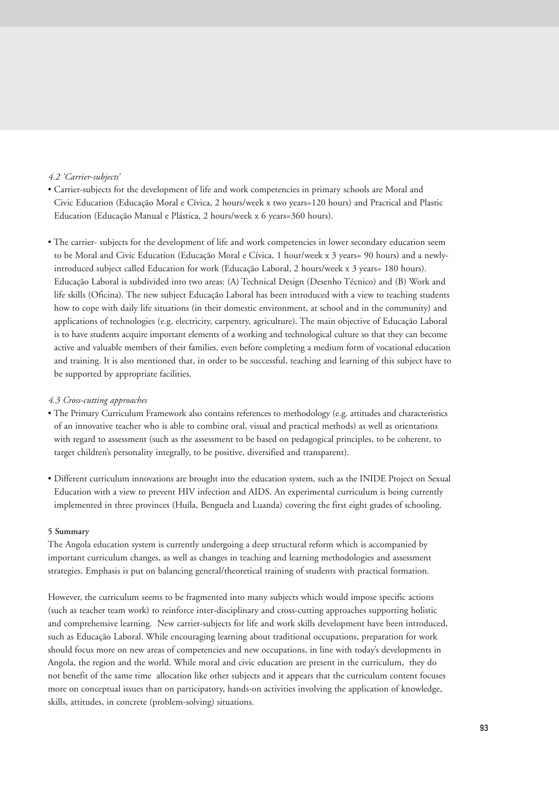# *4.2 'Carrier-subjects'*

- Carrier-subjects for the development of life and work competencies in primary schools are Moral and Civic Education (Educação Moral e Cívica, 2 hours/week x two years=120 hours) and Practical and Plastic Education (Educação Manual e Plástica, 2 hours/week x 6 years=360 hours).
- The carrier- subjects for the development of life and work competencies in lower secondary education seem to be Moral and Civic Education (Educação Moral e Cívica, 1 hour/week x 3 years= 90 hours) and a newlyintroduced subject called Education for work (Educação Laboral, 2 hours/week x 3 years= 180 hours). Educação Laboral is subdivided into two areas: (A) Technical Design (Desenho Técnico) and (B) Work and life skills (Oficina). The new subject Educação Laboral has been introduced with a view to teaching students how to cope with daily life situations (in their domestic environment, at school and in the community) and applications of technologies (e.g. electricity, carpentry, agriculture). The main objective of Educação Laboral is to have students acquire important elements of a working and technological culture so that they can become active and valuable members of their families, even before completing a medium form of vocational education and training. It is also mentioned that, in order to be successful, teaching and learning of this subject have to be supported by appropriate facilities.

## *4.3 Cross-cutting approaches*

- The Primary Curriculum Framework also contains references to methodology (e.g. attitudes and characteristics of an innovative teacher who is able to combine oral, visual and practical methods) as well as orientations with regard to assessment (such as the assessment to be based on pedagogical principles, to be coherent, to target children's personality integrally, to be positive, diversified and transparent).
- Different curriculum innovations are brought into the education system, such as the INIDE Project on Sexual Education with a view to prevent HIV infection and AIDS. An experimental curriculum is being currently implemented in three provinces (Huíla, Benguela and Luanda) covering the first eight grades of schooling.

# **5 Summary**

The Angola education system is currently undergoing a deep structural reform which is accompanied by important curriculum changes, as well as changes in teaching and learning methodologies and assessment strategies. Emphasis is put on balancing general/theoretical training of students with practical formation.

However, the curriculum seems to be fragmented into many subjects which would impose specific actions (such as teacher team work) to reinforce inter-disciplinary and cross-cutting approaches supporting holistic and comprehensive learning. New carrier-subjects for life and work skills development have been introduced, such as Educação Laboral. While encouraging learning about traditional occupations, preparation for work should focus more on new areas of competencies and new occupations, in line with today's developments in Angola, the region and the world. While moral and civic education are present in the curriculum, they do not benefit of the same time allocation like other subjects and it appears that the curriculum content focuses more on conceptual issues than on participatory, hands-on activities involving the application of knowledge, skills, attitudes, in concrete (problem-solving) situations.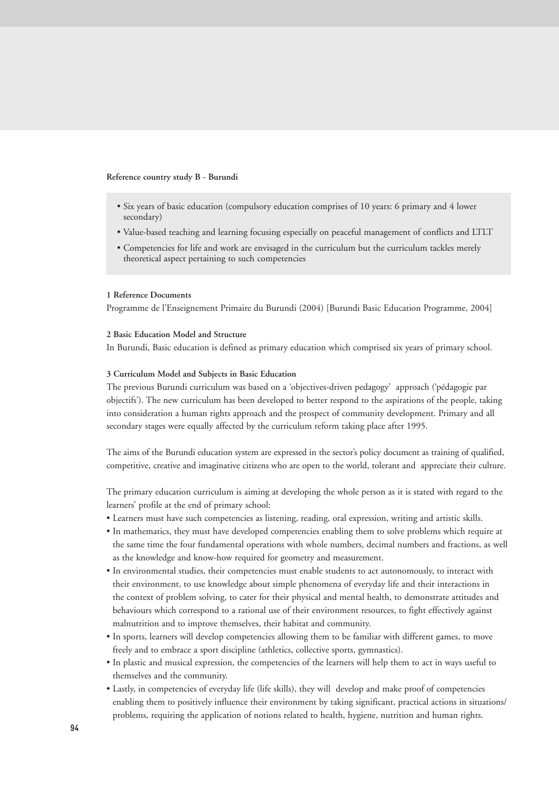#### **Reference country study B - Burundi**

- Six years of basic education (compulsory education comprises of 10 years: 6 primary and 4 lower secondary)
- Value-based teaching and learning focusing especially on peaceful management of conflicts and LTLT
- Competencies for life and work are envisaged in the curriculum but the curriculum tackles merely theoretical aspect pertaining to such competencies

#### **1 Reference Documents**

Programme de l'Enseignement Primaire du Burundi (2004) [Burundi Basic Education Programme, 2004]

## **2 Basic Education Model and Structure**

In Burundi, Basic education is defined as primary education which comprised six years of primary school.

# **3 Curriculum Model and Subjects in Basic Education**

The previous Burundi curriculum was based on a 'objectives-driven pedagogy' approach ('pédagogie par objectifs'). The new curriculum has been developed to better respond to the aspirations of the people, taking into consideration a human rights approach and the prospect of community development. Primary and all secondary stages were equally affected by the curriculum reform taking place after 1995.

The aims of the Burundi education system are expressed in the sector's policy document as training of qualified, competitive, creative and imaginative citizens who are open to the world, tolerant and appreciate their culture.

The primary education curriculum is aiming at developing the whole person as it is stated with regard to the learners' profile at the end of primary school:

- Learners must have such competencies as listening, reading, oral expression, writing and artistic skills.
- In mathematics, they must have developed competencies enabling them to solve problems which require at the same time the four fundamental operations with whole numbers, decimal numbers and fractions, as well as the knowledge and know-how required for geometry and measurement.
- In environmental studies, their competencies must enable students to act autonomously, to interact with their environment, to use knowledge about simple phenomena of everyday life and their interactions in the context of problem solving, to cater for their physical and mental health, to demonstrate attitudes and behaviours which correspond to a rational use of their environment resources, to fight effectively against malnutrition and to improve themselves, their habitat and community.
- In sports, learners will develop competencies allowing them to be familiar with different games, to move freely and to embrace a sport discipline (athletics, collective sports, gymnastics).
- In plastic and musical expression, the competencies of the learners will help them to act in ways useful to themselves and the community.
- Lastly, in competencies of everyday life (life skills), they will develop and make proof of competencies enabling them to positively influence their environment by taking significant, practical actions in situations/ problems, requiring the application of notions related to health, hygiene, nutrition and human rights.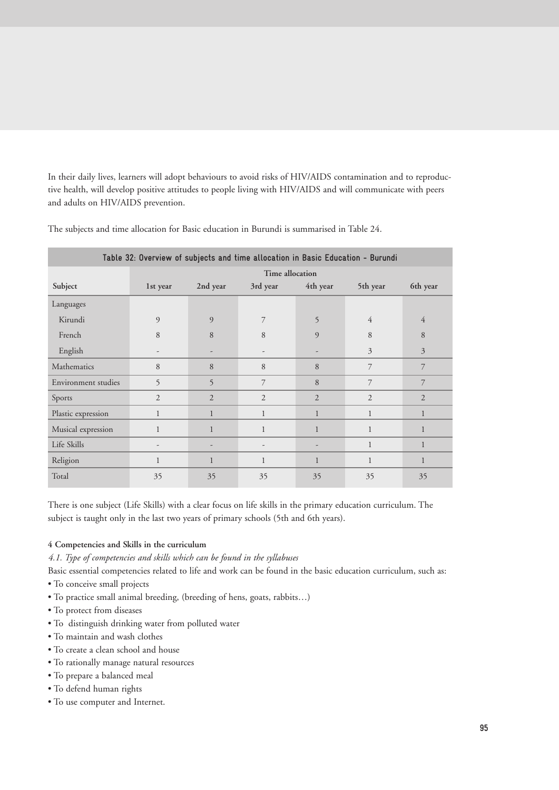In their daily lives, learners will adopt behaviours to avoid risks of HIV/AIDS contamination and to reproductive health, will develop positive attitudes to people living with HIV/AIDS and will communicate with peers and adults on HIV/AIDS prevention.

| Table 32: Overview of subjects and time allocation in Basic Education - Burundi |                          |                          |                          |                |                |                |
|---------------------------------------------------------------------------------|--------------------------|--------------------------|--------------------------|----------------|----------------|----------------|
|                                                                                 | Time allocation          |                          |                          |                |                |                |
| Subject                                                                         | 1st year                 | 2nd year                 | 3rd year                 | 4th year       | 5th year       | 6th year       |
| Languages                                                                       |                          |                          |                          |                |                |                |
| Kirundi                                                                         | 9                        | 9                        | 7                        | 5              | $\overline{4}$ | $\overline{4}$ |
| French                                                                          | 8                        | 8                        | 8                        | 9              | 8              | 8              |
| English                                                                         | $\overline{\phantom{a}}$ | ۰                        | $\overline{\phantom{a}}$ |                | 3              | 3              |
| Mathematics                                                                     | 8                        | 8                        | 8                        | 8              | 7              | 7              |
| Environment studies                                                             | 5                        | 5                        | 7                        | 8              | 7              | 7              |
| Sports                                                                          | $\overline{2}$           | $\overline{2}$           | $\overline{2}$           | $\overline{2}$ | $\overline{2}$ | $\overline{2}$ |
| Plastic expression                                                              | $\mathbf{1}$             | $\mathbf{1}$             | 1                        | 1              |                | $\mathbf{1}$   |
| Musical expression                                                              | $\mathbf{1}$             | $\mathbf{1}$             | 1                        | $\mathbf{1}$   | $\mathbf{1}$   | $\mathbf{1}$   |
| Life Skills                                                                     | -                        | $\overline{\phantom{0}}$ | $\overline{\phantom{m}}$ |                | 1              | 1              |
| Religion                                                                        | $\mathbf{1}$             | $\mathbf{1}$             | $\mathbf{1}$             | $\mathbf{1}$   | $\mathbf{1}$   | 1              |
| Total                                                                           | 35                       | 35                       | 35                       | 35             | 35             | 35             |

The subjects and time allocation for Basic education in Burundi is summarised in Table 24.

There is one subject (Life Skills) with a clear focus on life skills in the primary education curriculum. The subject is taught only in the last two years of primary schools (5th and 6th years).

# **4 Competencies and Skills in the curriculum**

*4.1. Type of competencies and skills which can be found in the syllabuses*

Basic essential competencies related to life and work can be found in the basic education curriculum, such as:

- To conceive small projects
- To practice small animal breeding, (breeding of hens, goats, rabbits…)
- To protect from diseases
- To distinguish drinking water from polluted water
- To maintain and wash clothes
- To create a clean school and house
- To rationally manage natural resources
- To prepare a balanced meal
- To defend human rights
- To use computer and Internet.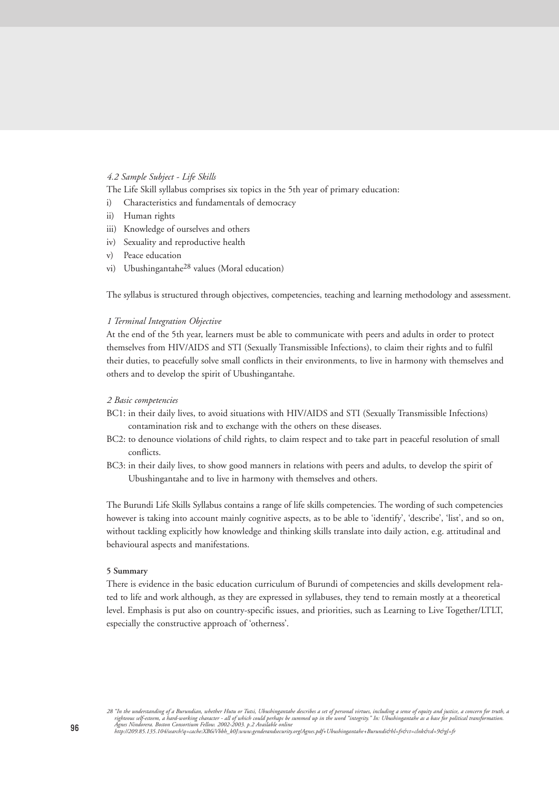# *4.2 Sample Subject - Life Skills*

The Life Skill syllabus comprises six topics in the 5th year of primary education:

- i) Characteristics and fundamentals of democracy
- ii) Human rights
- iii) Knowledge of ourselves and others
- iv) Sexuality and reproductive health
- v) Peace education
- vi) Ubushingantahe28 values (Moral education)

The syllabus is structured through objectives, competencies, teaching and learning methodology and assessment.

#### *1 Terminal Integration Objective*

At the end of the 5th year, learners must be able to communicate with peers and adults in order to protect themselves from HIV/AIDS and STI (Sexually Transmissible Infections), to claim their rights and to fulfil their duties, to peacefully solve small conflicts in their environments, to live in harmony with themselves and others and to develop the spirit of Ubushingantahe.

#### *2 Basic competencies*

- BC1: in their daily lives, to avoid situations with HIV/AIDS and STI (Sexually Transmissible Infections) contamination risk and to exchange with the others on these diseases.
- BC2: to denounce violations of child rights, to claim respect and to take part in peaceful resolution of small conflicts.
- BC3: in their daily lives, to show good manners in relations with peers and adults, to develop the spirit of Ubushingantahe and to live in harmony with themselves and others.

The Burundi Life Skills Syllabus contains a range of life skills competencies. The wording of such competencies however is taking into account mainly cognitive aspects, as to be able to 'identify', 'describe', 'list', and so on, without tackling explicitly how knowledge and thinking skills translate into daily action, e.g. attitudinal and behavioural aspects and manifestations.

# **5 Summary**

There is evidence in the basic education curriculum of Burundi of competencies and skills development related to life and work although, as they are expressed in syllabuses, they tend to remain mostly at a theoretical level. Emphasis is put also on country-specific issues, and priorities, such as Learning to Live Together/LTLT, especially the constructive approach of 'otherness'.

28 "In the understanding of a Burundian, whether Hutu or Tutsi, Ubushingantahe describes a set of personal virtues, including a sense of equity and justice, a concern for truth, a<br>righteous self-esteem, a hard-working char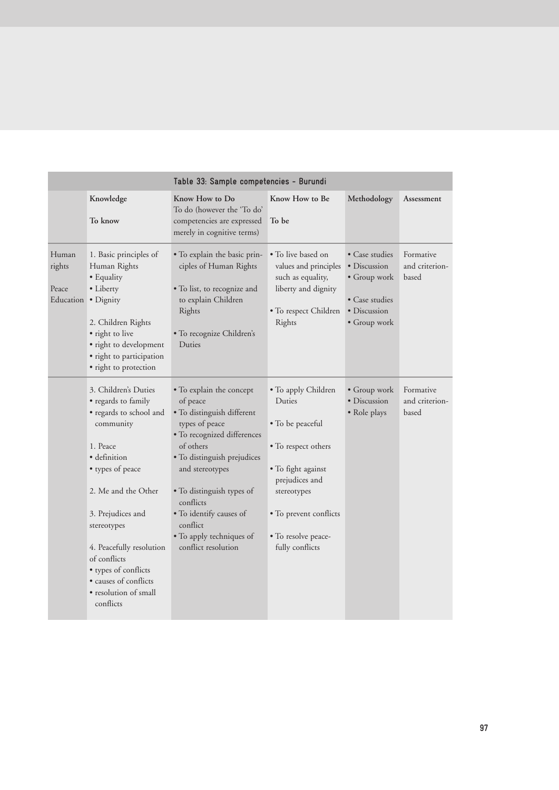|                                       |                                                                                                                                                                                                                                                                                                                                   | Table 33: Sample competencies - Burundi                                                                                                                                                                                                                                                                                |                                                                                                                                                                                                     |                                                                                                  |                                      |
|---------------------------------------|-----------------------------------------------------------------------------------------------------------------------------------------------------------------------------------------------------------------------------------------------------------------------------------------------------------------------------------|------------------------------------------------------------------------------------------------------------------------------------------------------------------------------------------------------------------------------------------------------------------------------------------------------------------------|-----------------------------------------------------------------------------------------------------------------------------------------------------------------------------------------------------|--------------------------------------------------------------------------------------------------|--------------------------------------|
|                                       | Knowledge<br>To know                                                                                                                                                                                                                                                                                                              | Know How to Do<br>To do (however the 'To do'<br>competencies are expressed<br>merely in cognitive terms)                                                                                                                                                                                                               | Know How to Be<br>To be                                                                                                                                                                             | Methodology                                                                                      | Assessment                           |
| Human<br>rights<br>Peace<br>Education | 1. Basic principles of<br>Human Rights<br>• Equality<br>• Liberty<br>• Dignity<br>2. Children Rights<br>• right to live<br>· right to development<br>· right to participation<br>· right to protection                                                                                                                            | • To explain the basic prin-<br>ciples of Human Rights<br>· To list, to recognize and<br>to explain Children<br>Rights<br>· To recognize Children's<br>Duties                                                                                                                                                          | • To live based on<br>values and principles<br>such as equality,<br>liberty and dignity<br>• To respect Children<br>Rights                                                                          | • Case studies<br>• Discussion<br>• Group work<br>• Case studies<br>• Discussion<br>• Group work | Formative<br>and criterion-<br>based |
|                                       | 3. Children's Duties<br>• regards to family<br>· regards to school and<br>community<br>1. Peace<br>· definition<br>• types of peace<br>2. Me and the Other<br>3. Prejudices and<br>stereotypes<br>4. Peacefully resolution<br>of conflicts<br>• types of conflicts<br>· causes of conflicts<br>• resolution of small<br>conflicts | • To explain the concept<br>of peace<br>• To distinguish different<br>types of peace<br>• To recognized differences<br>of others<br>• To distinguish prejudices<br>and stereotypes<br>• To distinguish types of<br>conflicts<br>· To identify causes of<br>conflict<br>• To apply techniques of<br>conflict resolution | • To apply Children<br>Duties<br>• To be peaceful<br>• To respect others<br>• To fight against<br>prejudices and<br>stereotypes<br>• To prevent conflicts<br>• To resolve peace-<br>fully conflicts | $\bullet$ Group work<br>· Discussion<br>• Role plays                                             | Formative<br>and criterion-<br>based |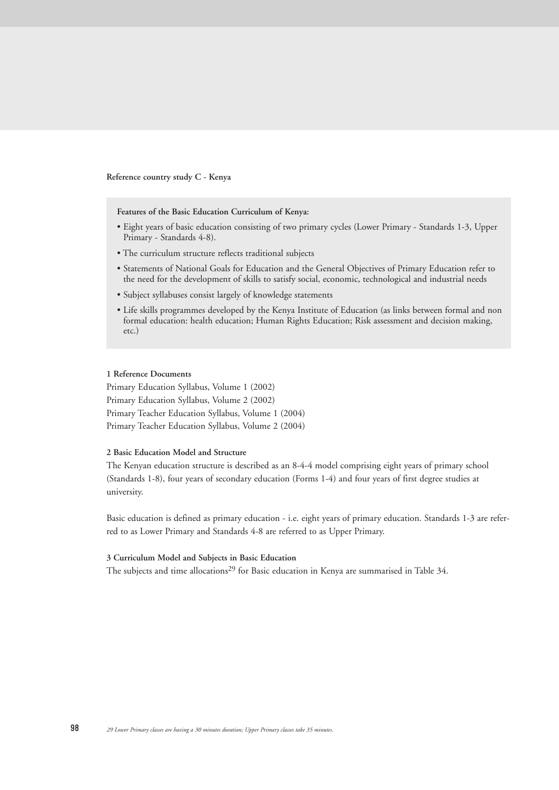**Reference country study C - Kenya**

**Features of the Basic Education Curriculum of Kenya:**

- Eight years of basic education consisting of two primary cycles (Lower Primary Standards 1-3, Upper Primary - Standards 4-8).
- The curriculum structure reflects traditional subjects
- Statements of National Goals for Education and the General Objectives of Primary Education refer to the need for the development of skills to satisfy social, economic, technological and industrial needs
- Subject syllabuses consist largely of knowledge statements
- Life skills programmes developed by the Kenya Institute of Education (as links between formal and non formal education: health education; Human Rights Education; Risk assessment and decision making, etc.)

#### **1 Reference Documents**

Primary Education Syllabus, Volume 1 (2002) Primary Education Syllabus, Volume 2 (2002) Primary Teacher Education Syllabus, Volume 1 (2004) Primary Teacher Education Syllabus, Volume 2 (2004)

# **2 Basic Education Model and Structure**

The Kenyan education structure is described as an 8-4-4 model comprising eight years of primary school (Standards 1-8), four years of secondary education (Forms 1-4) and four years of first degree studies at university.

Basic education is defined as primary education - i.e. eight years of primary education. Standards 1-3 are referred to as Lower Primary and Standards 4-8 are referred to as Upper Primary.

## **3 Curriculum Model and Subjects in Basic Education**

The subjects and time allocations<sup>29</sup> for Basic education in Kenya are summarised in Table 34.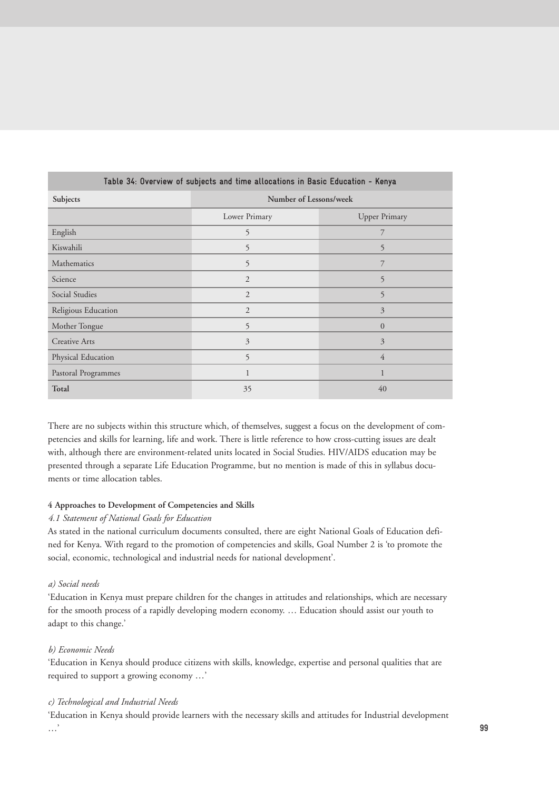| Table 34: Overview of subjects and time allocations in Basic Education - Kenya |                        |                      |  |
|--------------------------------------------------------------------------------|------------------------|----------------------|--|
| Subjects                                                                       | Number of Lessons/week |                      |  |
|                                                                                | Lower Primary          | <b>Upper Primary</b> |  |
| English                                                                        | 5                      | 7                    |  |
| Kiswahili                                                                      | 5                      | 5                    |  |
| Mathematics                                                                    | 5                      | 7                    |  |
| Science                                                                        | $\overline{2}$         | 5                    |  |
| Social Studies                                                                 | $\overline{2}$         | 5                    |  |
| Religious Education                                                            | $\overline{2}$         | 3                    |  |
| Mother Tongue                                                                  | 5                      | $\overline{0}$       |  |
| <b>Creative Arts</b>                                                           | $\overline{3}$         | 3                    |  |
| Physical Education                                                             | 5                      | $\overline{4}$       |  |
| Pastoral Programmes                                                            | 1                      | 1                    |  |
| Total                                                                          | 35                     | 40                   |  |

There are no subjects within this structure which, of themselves, suggest a focus on the development of competencies and skills for learning, life and work. There is little reference to how cross-cutting issues are dealt with, although there are environment-related units located in Social Studies. HIV/AIDS education may be presented through a separate Life Education Programme, but no mention is made of this in syllabus documents or time allocation tables.

# **4 Approaches to Development of Competencies and Skills**

# *4.1 Statement of National Goals for Education*

As stated in the national curriculum documents consulted, there are eight National Goals of Education defined for Kenya. With regard to the promotion of competencies and skills, Goal Number 2 is 'to promote the social, economic, technological and industrial needs for national development'.

# *a) Social needs*

'Education in Kenya must prepare children for the changes in attitudes and relationships, which are necessary for the smooth process of a rapidly developing modern economy. … Education should assist our youth to adapt to this change.'

#### *b) Economic Needs*

'Education in Kenya should produce citizens with skills, knowledge, expertise and personal qualities that are required to support a growing economy …'

# *c) Technological and Industrial Needs*

'Education in Kenya should provide learners with the necessary skills and attitudes for Industrial development …' **99**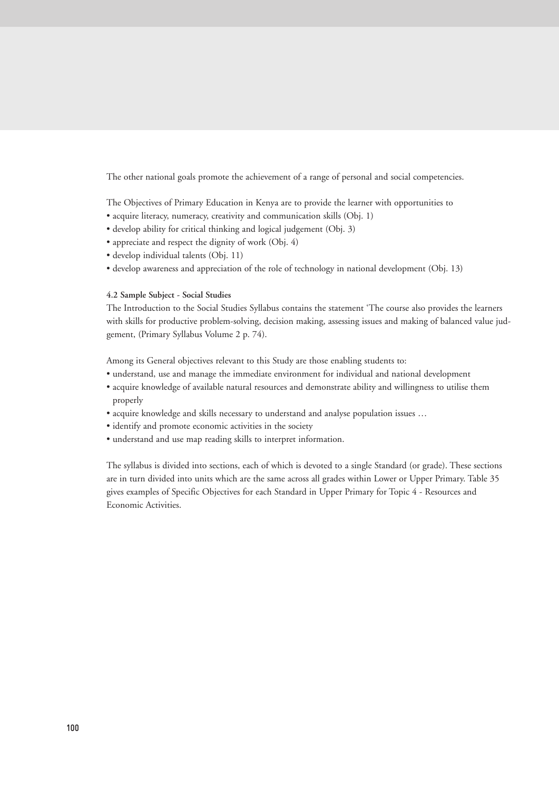The other national goals promote the achievement of a range of personal and social competencies.

The Objectives of Primary Education in Kenya are to provide the learner with opportunities to

- acquire literacy, numeracy, creativity and communication skills (Obj. 1)
- develop ability for critical thinking and logical judgement (Obj. 3)
- appreciate and respect the dignity of work (Obj. 4)
- develop individual talents (Obj. 11)
- develop awareness and appreciation of the role of technology in national development (Obj. 13)

#### **4.2 Sample Subject - Social Studies**

The Introduction to the Social Studies Syllabus contains the statement 'The course also provides the learners with skills for productive problem-solving, decision making, assessing issues and making of balanced value judgement, (Primary Syllabus Volume 2 p. 74).

Among its General objectives relevant to this Study are those enabling students to:

- understand, use and manage the immediate environment for individual and national development
- acquire knowledge of available natural resources and demonstrate ability and willingness to utilise them properly
- acquire knowledge and skills necessary to understand and analyse population issues …
- identify and promote economic activities in the society
- understand and use map reading skills to interpret information.

The syllabus is divided into sections, each of which is devoted to a single Standard (or grade). These sections are in turn divided into units which are the same across all grades within Lower or Upper Primary. Table 35 gives examples of Specific Objectives for each Standard in Upper Primary for Topic 4 - Resources and Economic Activities.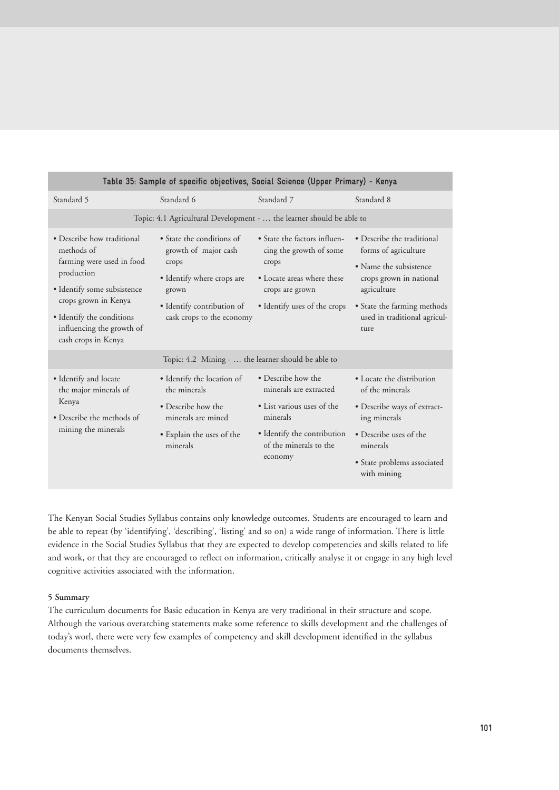| Standard 6                                                                                                                                                   | Standard 7                                                                                                                                                 | Standard 8                                                                                                                                                                                                    |
|--------------------------------------------------------------------------------------------------------------------------------------------------------------|------------------------------------------------------------------------------------------------------------------------------------------------------------|---------------------------------------------------------------------------------------------------------------------------------------------------------------------------------------------------------------|
|                                                                                                                                                              |                                                                                                                                                            |                                                                                                                                                                                                               |
| • State the conditions of<br>growth of major cash<br>crops<br>• Identify where crops are<br>grown<br>· Identify contribution of<br>cask crops to the economy | • State the factors influen-<br>cing the growth of some<br>crops<br>• Locate areas where these<br>crops are grown<br>• Identify uses of the crops          | • Describe the traditional<br>forms of agriculture<br>• Name the subsistence<br>crops grown in national<br>agriculture<br>• State the farming methods<br>used in traditional agricul-<br>ture                 |
|                                                                                                                                                              |                                                                                                                                                            |                                                                                                                                                                                                               |
| · Identify the location of<br>the minerals<br>• Describe how the<br>minerals are mined<br>• Explain the uses of the<br>minerals                              | • Describe how the<br>minerals are extracted<br>• List various uses of the<br>minerals<br>· Identify the contribution<br>of the minerals to the<br>economy | • Locate the distribution<br>of the minerals<br>• Describe ways of extract-<br>ing minerals<br>• Describe uses of the<br>minerals<br>• State problems associated<br>with mining                               |
|                                                                                                                                                              |                                                                                                                                                            | Table 35: Sample of specific objectives, Social Science (Upper Primary) - Kenya<br>Topic: 4.1 Agricultural Development -  the learner should be able to<br>Topic: 4.2 Mining -  the learner should be able to |

The Kenyan Social Studies Syllabus contains only knowledge outcomes. Students are encouraged to learn and be able to repeat (by 'identifying', 'describing', 'listing' and so on) a wide range of information. There is little evidence in the Social Studies Syllabus that they are expected to develop competencies and skills related to life and work, or that they are encouraged to reflect on information, critically analyse it or engage in any high level cognitive activities associated with the information.

## **5 Summary**

The curriculum documents for Basic education in Kenya are very traditional in their structure and scope. Although the various overarching statements make some reference to skills development and the challenges of today's worl, there were very few examples of competency and skill development identified in the syllabus documents themselves.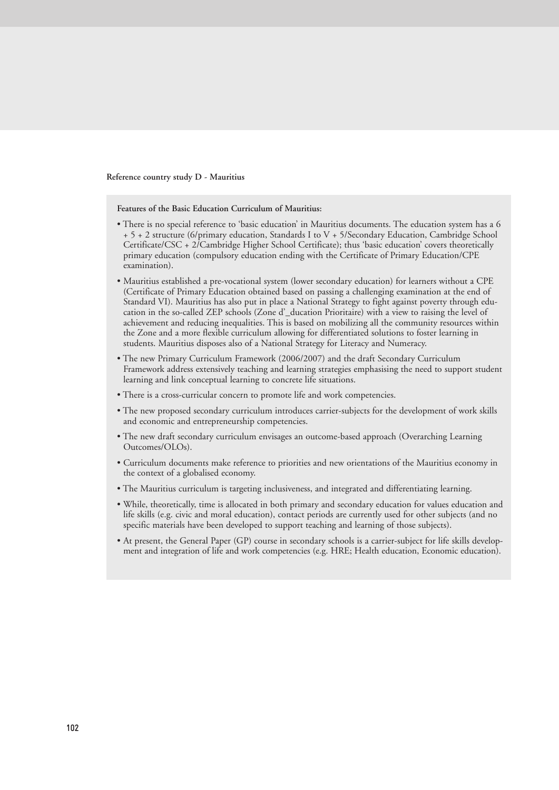**Reference country study D - Mauritius** 

**Features of the Basic Education Curriculum of Mauritius:**

- There is no special reference to 'basic education' in Mauritius documents. The education system has a 6 + 5 + 2 structure (6/primary education, Standards I to V + 5/Secondary Education, Cambridge School Certificate/CSC + 2/Cambridge Higher School Certificate); thus 'basic education' covers theoretically primary education (compulsory education ending with the Certificate of Primary Education/CPE examination).
- Mauritius established a pre-vocational system (lower secondary education) for learners without a CPE (Certificate of Primary Education obtained based on passing a challenging examination at the end of Standard VI). Mauritius has also put in place a National Strategy to fight against poverty through education in the so-called ZEP schools (Zone d'\_ducation Prioritaire) with a view to raising the level of achievement and reducing inequalities. This is based on mobilizing all the community resources within the Zone and a more flexible curriculum allowing for differentiated solutions to foster learning in students. Mauritius disposes also of a National Strategy for Literacy and Numeracy.
- The new Primary Curriculum Framework (2006/2007) and the draft Secondary Curriculum Framework address extensively teaching and learning strategies emphasising the need to support student learning and link conceptual learning to concrete life situations.
- There is a cross-curricular concern to promote life and work competencies.
- The new proposed secondary curriculum introduces carrier-subjects for the development of work skills and economic and entrepreneurship competencies.
- The new draft secondary curriculum envisages an outcome-based approach (Overarching Learning Outcomes/OLOs).
- Curriculum documents make reference to priorities and new orientations of the Mauritius economy in the context of a globalised economy.
- The Mauritius curriculum is targeting inclusiveness, and integrated and differentiating learning.
- While, theoretically, time is allocated in both primary and secondary education for values education and life skills (e.g. civic and moral education), contact periods are currently used for other subjects (and no specific materials have been developed to support teaching and learning of those subjects).
- At present, the General Paper (GP) course in secondary schools is a carrier-subject for life skills development and integration of life and work competencies (e.g. HRE; Health education, Economic education).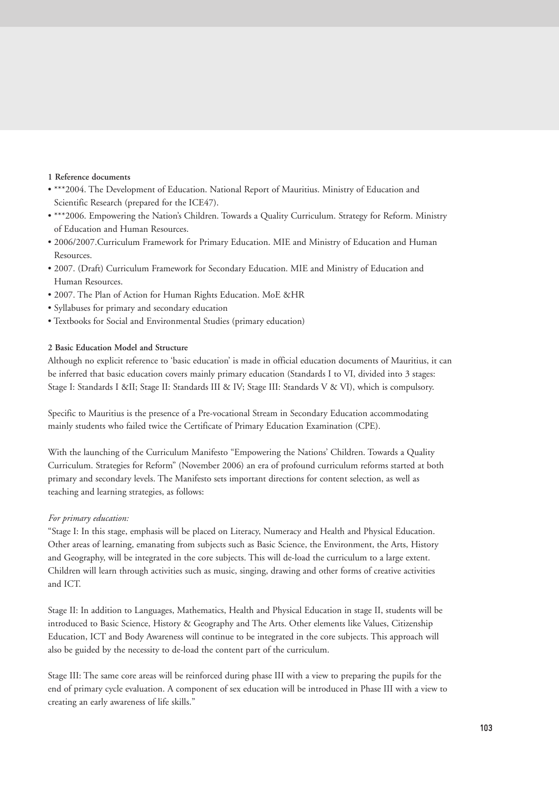# **1 Reference documents**

- \*\*\*2004. The Development of Education. National Report of Mauritius. Ministry of Education and Scientific Research (prepared for the ICE47).
- \*\*\*2006. Empowering the Nation's Children. Towards a Quality Curriculum. Strategy for Reform. Ministry of Education and Human Resources.
- 2006/2007.Curriculum Framework for Primary Education. MIE and Ministry of Education and Human Resources.
- 2007. (Draft) Curriculum Framework for Secondary Education. MIE and Ministry of Education and Human Resources.
- 2007. The Plan of Action for Human Rights Education. MoE &HR
- Syllabuses for primary and secondary education
- Textbooks for Social and Environmental Studies (primary education)

# **2 Basic Education Model and Structure**

Although no explicit reference to 'basic education' is made in official education documents of Mauritius, it can be inferred that basic education covers mainly primary education (Standards I to VI, divided into 3 stages: Stage I: Standards I ⅈ Stage II: Standards III & IV; Stage III: Standards V & VI), which is compulsory.

Specific to Mauritius is the presence of a Pre-vocational Stream in Secondary Education accommodating mainly students who failed twice the Certificate of Primary Education Examination (CPE).

With the launching of the Curriculum Manifesto "Empowering the Nations' Children. Towards a Quality Curriculum. Strategies for Reform" (November 2006) an era of profound curriculum reforms started at both primary and secondary levels. The Manifesto sets important directions for content selection, as well as teaching and learning strategies, as follows:

# *For primary education:*

"Stage I: In this stage, emphasis will be placed on Literacy, Numeracy and Health and Physical Education. Other areas of learning, emanating from subjects such as Basic Science, the Environment, the Arts, History and Geography, will be integrated in the core subjects. This will de-load the curriculum to a large extent. Children will learn through activities such as music, singing, drawing and other forms of creative activities and ICT.

Stage II: In addition to Languages, Mathematics, Health and Physical Education in stage II, students will be introduced to Basic Science, History & Geography and The Arts. Other elements like Values, Citizenship Education, ICT and Body Awareness will continue to be integrated in the core subjects. This approach will also be guided by the necessity to de-load the content part of the curriculum.

Stage III: The same core areas will be reinforced during phase III with a view to preparing the pupils for the end of primary cycle evaluation. A component of sex education will be introduced in Phase III with a view to creating an early awareness of life skills."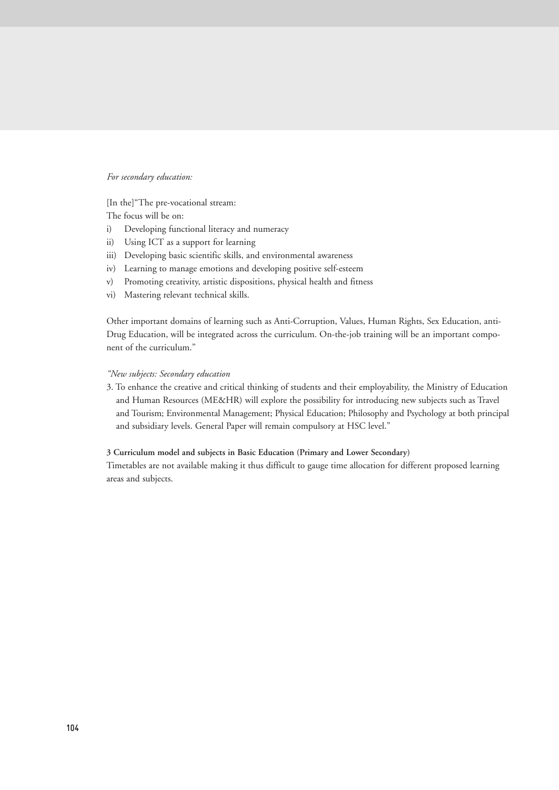#### *For secondary education:*

[In the]"The pre-vocational stream:

The focus will be on:

- i) Developing functional literacy and numeracy
- ii) Using ICT as a support for learning
- iii) Developing basic scientific skills, and environmental awareness
- iv) Learning to manage emotions and developing positive self-esteem
- v) Promoting creativity, artistic dispositions, physical health and fitness
- vi) Mastering relevant technical skills.

Other important domains of learning such as Anti-Corruption, Values, Human Rights, Sex Education, anti-Drug Education, will be integrated across the curriculum. On-the-job training will be an important component of the curriculum."

#### *"New subjects: Secondary education*

3. To enhance the creative and critical thinking of students and their employability, the Ministry of Education and Human Resources (ME&HR) will explore the possibility for introducing new subjects such as Travel and Tourism; Environmental Management; Physical Education; Philosophy and Psychology at both principal and subsidiary levels. General Paper will remain compulsory at HSC level."

#### **3 Curriculum model and subjects in Basic Education (Primary and Lower Secondary)**

Timetables are not available making it thus difficult to gauge time allocation for different proposed learning areas and subjects.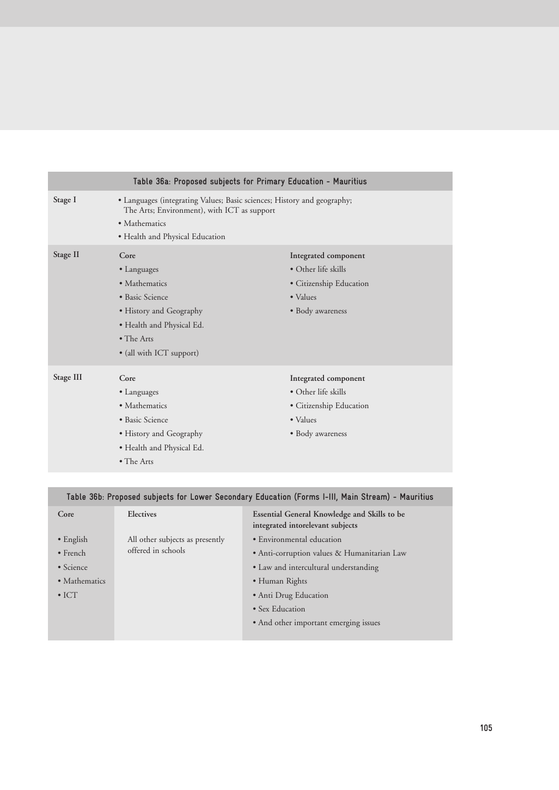|           | Table 36a: Proposed subjects for Primary Education - Mauritius                                                                                                             |                                                                                                                |
|-----------|----------------------------------------------------------------------------------------------------------------------------------------------------------------------------|----------------------------------------------------------------------------------------------------------------|
| Stage I   | • Languages (integrating Values; Basic sciences; History and geography;<br>The Arts; Environment), with ICT as support<br>• Mathematics<br>• Health and Physical Education |                                                                                                                |
| Stage II  | Core<br>• Languages<br>• Mathematics<br>• Basic Science<br>• History and Geography<br>• Health and Physical Ed.<br>$\bullet$ The Arts<br>• (all with ICT support)          | Integrated component<br>$\bullet$ Other life skills<br>• Citizenship Education<br>• Values<br>• Body awareness |
| Stage III | Core<br>• Languages<br>• Mathematics<br>· Basic Science<br>• History and Geography<br>• Health and Physical Ed.<br>• The Arts                                              | Integrated component<br>• Other life skills<br>• Citizenship Education<br>• Values<br>• Body awareness         |

# **Table 36b: Proposed subjects for Lower Secondary Education (Forms I-III, Main Stream) - Mauritius**

| Core              | Electives                                             | Essential General Knowledge and Skills to be<br>integrated intorelevant subjects |
|-------------------|-------------------------------------------------------|----------------------------------------------------------------------------------|
| $\bullet$ English | All other subjects as presently<br>offered in schools | • Environmental education                                                        |
| $\bullet$ French  |                                                       | • Anti-corruption values & Humanitarian Law                                      |
| • Science         |                                                       | • Law and intercultural understanding                                            |
| • Mathematics     |                                                       | • Human Rights                                                                   |
| $\bullet$ ICT     |                                                       | • Anti Drug Education                                                            |
|                   |                                                       | • Sex Education                                                                  |
|                   |                                                       | • And other important emerging issues                                            |
|                   |                                                       |                                                                                  |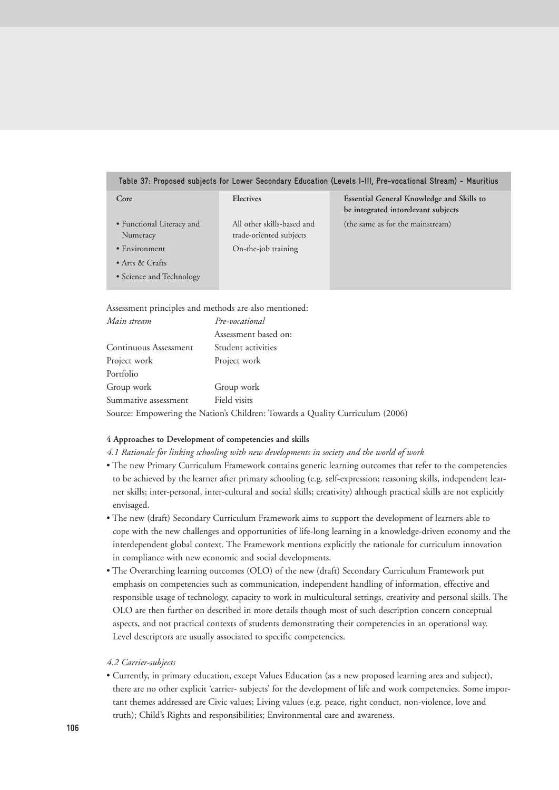#### **Table 37: Proposed subjects for Lower Secondary Education (Levels I-III, Pre-vocational Stream) - Mauritius**

| Core                                  | Electives                                             | <b>Essential General Knowledge and Skills to</b><br>be integrated intorelevant subjects |
|---------------------------------------|-------------------------------------------------------|-----------------------------------------------------------------------------------------|
| • Functional Literacy and<br>Numeracy | All other skills-based and<br>trade-oriented subjects | (the same as for the mainstream)                                                        |
| • Environment                         | On-the-job training                                   |                                                                                         |
| $\bullet$ Arts & Crafts               |                                                       |                                                                                         |
| • Science and Technology              |                                                       |                                                                                         |

Assessment principles and methods are also mentioned:

| Main stream           | Pre-vocational                                                                |
|-----------------------|-------------------------------------------------------------------------------|
|                       | Assessment based on:                                                          |
| Continuous Assessment | Student activities                                                            |
| Project work          | Project work                                                                  |
| Portfolio             |                                                                               |
| Group work            | Group work                                                                    |
| Summative assessment  | Field visits                                                                  |
|                       | Source: Empowering the Nation's Children: Towards a Quality Curriculum (2006) |

#### **4 Approaches to Development of competencies and skills**

- *4.1 Rationale for linking schooling with new developments in society and the world of work*
- The new Primary Curriculum Framework contains generic learning outcomes that refer to the competencies to be achieved by the learner after primary schooling (e.g. self-expression; reasoning skills, independent learner skills; inter-personal, inter-cultural and social skills; creativity) although practical skills are not explicitly envisaged.
- The new (draft) Secondary Curriculum Framework aims to support the development of learners able to cope with the new challenges and opportunities of life-long learning in a knowledge-driven economy and the interdependent global context. The Framework mentions explicitly the rationale for curriculum innovation in compliance with new economic and social developments.
- The Overarching learning outcomes (OLO) of the new (draft) Secondary Curriculum Framework put emphasis on competencies such as communication, independent handling of information, effective and responsible usage of technology, capacity to work in multicultural settings, creativity and personal skills. The OLO are then further on described in more details though most of such description concern conceptual aspects, and not practical contexts of students demonstrating their competencies in an operational way. Level descriptors are usually associated to specific competencies.

# *4.2 Carrier-subjects*

• Currently, in primary education, except Values Education (as a new proposed learning area and subject), there are no other explicit 'carrier- subjects' for the development of life and work competencies. Some important themes addressed are Civic values; Living values (e.g. peace, right conduct, non-violence, love and truth); Child's Rights and responsibilities; Environmental care and awareness.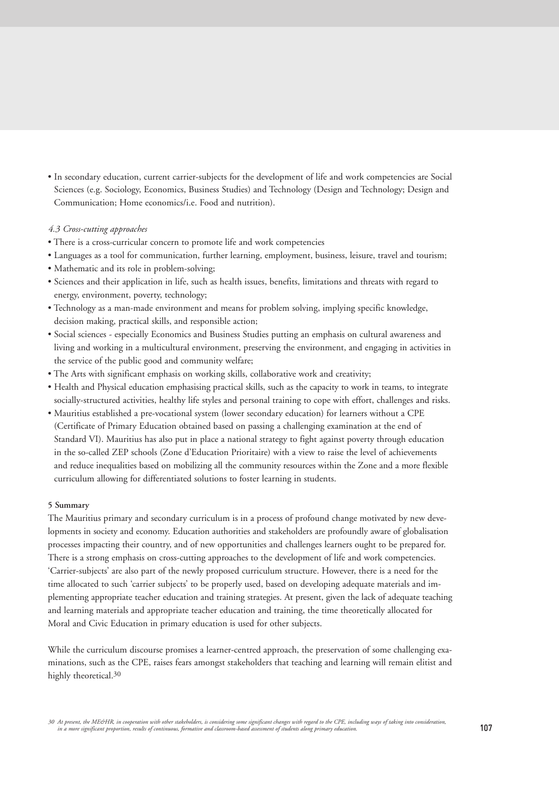• In secondary education, current carrier-subjects for the development of life and work competencies are Social Sciences (e.g. Sociology, Economics, Business Studies) and Technology (Design and Technology; Design and Communication; Home economics/i.e. Food and nutrition).

# *4.3 Cross-cutting approaches*

- There is a cross-curricular concern to promote life and work competencies
- Languages as a tool for communication, further learning, employment, business, leisure, travel and tourism;
- Mathematic and its role in problem-solving;
- Sciences and their application in life, such as health issues, benefits, limitations and threats with regard to energy, environment, poverty, technology;
- Technology as a man-made environment and means for problem solving, implying specific knowledge, decision making, practical skills, and responsible action;
- Social sciences especially Economics and Business Studies putting an emphasis on cultural awareness and living and working in a multicultural environment, preserving the environment, and engaging in activities in the service of the public good and community welfare;
- The Arts with significant emphasis on working skills, collaborative work and creativity;
- Health and Physical education emphasising practical skills, such as the capacity to work in teams, to integrate socially-structured activities, healthy life styles and personal training to cope with effort, challenges and risks.
- Mauritius established a pre-vocational system (lower secondary education) for learners without a CPE (Certificate of Primary Education obtained based on passing a challenging examination at the end of Standard VI). Mauritius has also put in place a national strategy to fight against poverty through education in the so-called ZEP schools (Zone d'Education Prioritaire) with a view to raise the level of achievements and reduce inequalities based on mobilizing all the community resources within the Zone and a more flexible curriculum allowing for differentiated solutions to foster learning in students.

#### **5 Summary**

The Mauritius primary and secondary curriculum is in a process of profound change motivated by new developments in society and economy. Education authorities and stakeholders are profoundly aware of globalisation processes impacting their country, and of new opportunities and challenges learners ought to be prepared for. There is a strong emphasis on cross-cutting approaches to the development of life and work competencies. 'Carrier-subjects' are also part of the newly proposed curriculum structure. However, there is a need for the time allocated to such 'carrier subjects' to be properly used, based on developing adequate materials and implementing appropriate teacher education and training strategies. At present, given the lack of adequate teaching and learning materials and appropriate teacher education and training, the time theoretically allocated for Moral and Civic Education in primary education is used for other subjects.

While the curriculum discourse promises a learner-centred approach, the preservation of some challenging examinations, such as the CPE, raises fears amongst stakeholders that teaching and learning will remain elitist and highly theoretical.<sup>30</sup>

<sup>30</sup> At present, the ME&HR, in cooperation with other stakeholders, is considering some significant changes with regard to the CPE, including ways of taking into consideration, **107** in a more significant proportion, results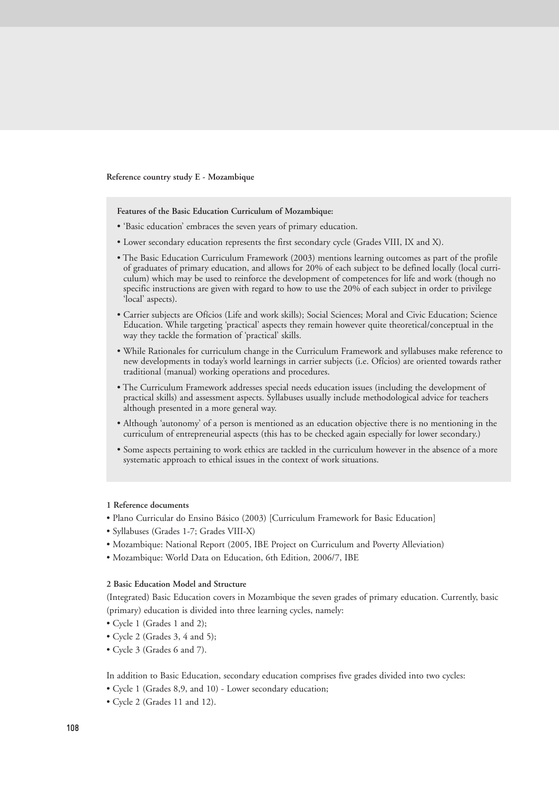**Reference country study E - Mozambique** 

**Features of the Basic Education Curriculum of Mozambique:**

- 'Basic education' embraces the seven years of primary education.
- Lower secondary education represents the first secondary cycle (Grades VIII, IX and X).
- The Basic Education Curriculum Framework (2003) mentions learning outcomes as part of the profile of graduates of primary education, and allows for 20% of each subject to be defined locally (local curriculum) which may be used to reinforce the development of competences for life and work (though no specific instructions are given with regard to how to use the 20% of each subject in order to privilege 'local' aspects).
- Carrier subjects are Ofícios (Life and work skills); Social Sciences; Moral and Civic Education; Science Education. While targeting 'practical' aspects they remain however quite theoretical/conceptual in the way they tackle the formation of 'practical' skills.
- While Rationales for curriculum change in the Curriculum Framework and syllabuses make reference to new developments in today's world learnings in carrier subjects (i.e. Ofícios) are oriented towards rather traditional (manual) working operations and procedures.
- The Curriculum Framework addresses special needs education issues (including the development of practical skills) and assessment aspects. Syllabuses usually include methodological advice for teachers although presented in a more general way.
- Although 'autonomy' of a person is mentioned as an education objective there is no mentioning in the curriculum of entrepreneurial aspects (this has to be checked again especially for lower secondary.)
- Some aspects pertaining to work ethics are tackled in the curriculum however in the absence of a more systematic approach to ethical issues in the context of work situations.

#### **1 Reference documents**

- Plano Curricular do Ensino Básico (2003) [Curriculum Framework for Basic Education]
- Syllabuses (Grades 1-7; Grades VIII-X)
- Mozambique: National Report (2005, IBE Project on Curriculum and Poverty Alleviation)
- Mozambique: World Data on Education, 6th Edition, 2006/7, IBE

#### **2 Basic Education Model and Structure**

(Integrated) Basic Education covers in Mozambique the seven grades of primary education. Currently, basic (primary) education is divided into three learning cycles, namely:

- Cycle 1 (Grades 1 and 2);
- Cycle 2 (Grades 3, 4 and 5);
- Cycle 3 (Grades 6 and 7).

In addition to Basic Education, secondary education comprises five grades divided into two cycles:

- Cycle 1 (Grades 8,9, and 10) Lower secondary education;
- Cycle 2 (Grades 11 and 12).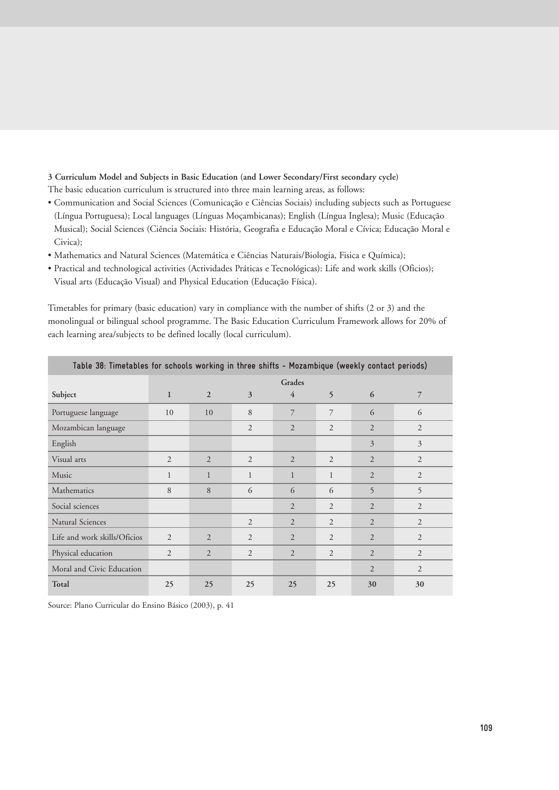# **3 Curriculum Model and Subjects in Basic Education (and Lower Secondary/First secondary cycle)**

The basic education curriculum is structured into three main learning areas, as follows:

- Communication and Social Sciences (Comunicação e Ciências Sociais) including subjects such as Portuguese (Língua Portuguesa); Local languages (Línguas Moçambicanas); English (Língua Inglesa); Music (Educação Musical); Social Sciences (Ciência Sociais: História, Geografia e Educação Moral e Cívica; Educação Moral e Civica);
- Mathematics and Natural Sciences (Matemática e Ciências Naturais/Biologia, Fisica e Química);
- Practical and technological activities (Actividades Práticas e Tecnológicas): Life and work skills (Oficios); Visual arts (Educação Visual) and Physical Education (Educação Física).

Timetables for primary (basic education) vary in compliance with the number of shifts (2 or 3) and the monolingual or bilingual school programme. The Basic Education Curriculum Framework allows for 20% of each learning area/subjects to be defined locally (local curriculum).

|                              | Table 38: Timetables for schools working in three shifts - Mozambique (weekly contact periods) |                |                |                |                |                |                |
|------------------------------|------------------------------------------------------------------------------------------------|----------------|----------------|----------------|----------------|----------------|----------------|
|                              |                                                                                                |                |                | Grades         |                |                |                |
| Subject                      | $\mathbf{1}$                                                                                   | $\overline{2}$ | 3              | $\overline{4}$ | 5              | 6              | 7              |
| Portuguese language          | 10                                                                                             | 10             | 8              | 7              | 7              | 6              | 6              |
| Mozambican language          |                                                                                                |                | $\overline{2}$ | $\overline{2}$ | 2              | $\overline{2}$ | $\overline{2}$ |
| English                      |                                                                                                |                |                |                |                | 3              | 3              |
| Visual arts                  | 2                                                                                              | $\overline{2}$ | 2              | $\overline{2}$ | 2              | 2              | $\overline{2}$ |
| Music                        | $\mathbf{1}$                                                                                   | $\mathbf{1}$   | $\mathbf{1}$   | $\mathbf{1}$   | $\mathbf{1}$   | $\overline{2}$ | $\overline{c}$ |
| Mathematics                  | 8                                                                                              | 8              | 6              | 6              | 6              | 5              | 5              |
| Social sciences              |                                                                                                |                |                | $\overline{2}$ | $\overline{2}$ | $\overline{2}$ | $\overline{2}$ |
| <b>Natural Sciences</b>      |                                                                                                |                | 2              | $\overline{2}$ | $\overline{2}$ | $\overline{2}$ | $\overline{2}$ |
| Life and work skills/Oficios | $\overline{2}$                                                                                 | $\overline{2}$ | $\overline{2}$ | $\overline{2}$ | $\overline{2}$ | $\overline{2}$ | $\overline{2}$ |
| Physical education           | $\overline{2}$                                                                                 | $\overline{2}$ | $\overline{2}$ | $\overline{2}$ | $\overline{2}$ | $\overline{2}$ | $\overline{2}$ |
| Moral and Civic Education    |                                                                                                |                |                |                |                | $\overline{2}$ | $\overline{2}$ |
| Total                        | 25                                                                                             | 25             | 25             | 25             | 25             | 30             | 30             |

Source: Plano Curricular do Ensino Básico (2003), p. 41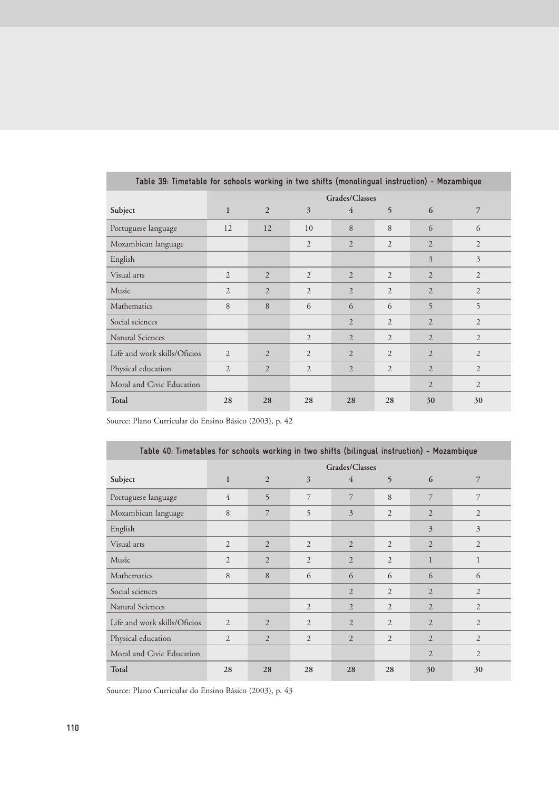| Table 39: Timetable for schools working in two shifts (monolingual instruction) - Mozambique |                |                |                |                |                |                |                |
|----------------------------------------------------------------------------------------------|----------------|----------------|----------------|----------------|----------------|----------------|----------------|
|                                                                                              | Grades/Classes |                |                |                |                |                |                |
| Subject                                                                                      | $\mathbf{1}$   | $\overline{2}$ | 3              | $\overline{4}$ | 5              | 6              | 7              |
| Portuguese language                                                                          | 12             | 12             | 10             | 8              | 8              | 6              | 6              |
| Mozambican language                                                                          |                |                | $\overline{2}$ | $\overline{2}$ | $\overline{2}$ | $\overline{2}$ | 2              |
| English                                                                                      |                |                |                |                |                | 3              | $\overline{3}$ |
| Visual arts                                                                                  | $\overline{2}$ | 2              | $\overline{2}$ | $\overline{2}$ | $\overline{2}$ | $\overline{2}$ | $\overline{2}$ |
| Music                                                                                        | $\overline{2}$ | $\overline{2}$ | $\overline{2}$ | $\overline{2}$ | $\overline{2}$ | $\overline{2}$ | $\overline{c}$ |
| Mathematics                                                                                  | 8              | 8              | 6              | 6              | 6              | 5              | 5              |
| Social sciences                                                                              |                |                |                | $\overline{2}$ | $\overline{2}$ | $\overline{2}$ | $\overline{2}$ |
| <b>Natural Sciences</b>                                                                      |                |                | $\overline{2}$ | $\overline{2}$ | $\overline{2}$ | $\overline{2}$ | $\overline{2}$ |
| Life and work skills/Oficios                                                                 | $\overline{2}$ | $\mathfrak{D}$ | $\overline{2}$ | $\overline{2}$ | $\overline{2}$ | $\overline{2}$ | $\overline{2}$ |
| Physical education                                                                           | $\overline{2}$ | 2              | 2              | $\overline{2}$ | $\overline{2}$ | $\overline{2}$ | 2              |
| Moral and Civic Education                                                                    |                |                |                |                |                | $\overline{2}$ | $\overline{2}$ |
| Total                                                                                        | 28             | 28             | 28             | 28             | 28             | 30             | 30             |

Source: Plano Curricular do Ensino Básico (2003), p. 42

| Table 40: Timetables for schools working in two shifts (bilingual instruction) - Mozambique |                |                |                |                |                |                |                |
|---------------------------------------------------------------------------------------------|----------------|----------------|----------------|----------------|----------------|----------------|----------------|
|                                                                                             |                | Grades/Classes |                |                |                |                |                |
| Subject                                                                                     | $\mathbf{1}$   | $\overline{2}$ | $\overline{3}$ | $\overline{4}$ | 5              | 6              | 7              |
| Portuguese language                                                                         | $\overline{4}$ | 5              | 7              | 7              | 8              | 7              | 7              |
| Mozambican language                                                                         | 8              | 7              | 5              | 3              | $\overline{2}$ | $\overline{2}$ | $\overline{2}$ |
| English                                                                                     |                |                |                |                |                | 3              | 3              |
| Visual arts                                                                                 | $\overline{2}$ | $\overline{2}$ | $\overline{2}$ | $\overline{2}$ | $\overline{2}$ | $\overline{2}$ | 2              |
| Music                                                                                       | $\overline{2}$ | $\overline{2}$ | $\overline{c}$ | $\overline{2}$ | 2              | $\mathbf{1}$   | $\mathbf{1}$   |
| Mathematics                                                                                 | 8              | 8              | 6              | 6              | 6              | 6              | 6              |
| Social sciences                                                                             |                |                |                | $\overline{2}$ | $\overline{2}$ | $\overline{2}$ | $\overline{2}$ |
| Natural Sciences                                                                            |                |                | $\overline{2}$ | $\overline{2}$ | 2              | $\overline{2}$ | 2              |
| Life and work skills/Oficios                                                                | $\overline{2}$ | 2              | $\overline{2}$ | $\overline{2}$ | 2              | $\overline{2}$ | $\overline{c}$ |
| Physical education                                                                          | $\overline{2}$ | $\overline{2}$ | $\overline{2}$ | $\overline{2}$ | $\overline{2}$ | $\overline{2}$ | $\overline{2}$ |
| Moral and Civic Education                                                                   |                |                |                |                |                | $\overline{2}$ | $\overline{2}$ |
| Total                                                                                       | 28             | 28             | 28             | 28             | 28             | 30             | 30             |

Source: Plano Curricular do Ensino Básico (2003), p. 43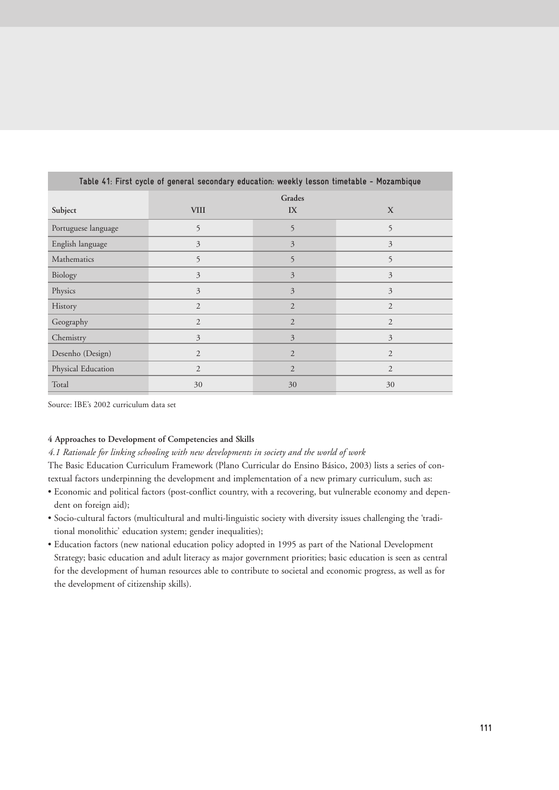| Table 41: First cycle of general secondary education: weekly lesson timetable - Mozambique |                |                |                |  |  |  |  |
|--------------------------------------------------------------------------------------------|----------------|----------------|----------------|--|--|--|--|
|                                                                                            | Grades         |                |                |  |  |  |  |
| Subject                                                                                    | <b>VIII</b>    | IX             | X              |  |  |  |  |
| Portuguese language                                                                        | 5              | 5              | 5              |  |  |  |  |
| English language                                                                           | $\overline{3}$ | 3              | 3              |  |  |  |  |
| Mathematics                                                                                | 5              | 5              | 5              |  |  |  |  |
| Biology                                                                                    | $\overline{3}$ | 3              | 3              |  |  |  |  |
| Physics                                                                                    | $\overline{3}$ | 3              | 3              |  |  |  |  |
| History                                                                                    | $\overline{2}$ | $\overline{2}$ | $\mathfrak{2}$ |  |  |  |  |
| Geography                                                                                  | $\mathfrak{2}$ | $\overline{2}$ | $\mathfrak{2}$ |  |  |  |  |
| Chemistry                                                                                  | 3              | 3              | $\overline{3}$ |  |  |  |  |
| Desenho (Design)                                                                           | $\overline{2}$ | $\overline{2}$ | $\overline{2}$ |  |  |  |  |
| Physical Education                                                                         | $\overline{2}$ | $\overline{2}$ | $\mathfrak{2}$ |  |  |  |  |
| Total                                                                                      | 30             | 30             | 30             |  |  |  |  |

Source: IBE's 2002 curriculum data set

# **4 Approaches to Development of Competencies and Skills**

## *4.1 Rationale for linking schooling with new developments in society and the world of work*

The Basic Education Curriculum Framework (Plano Curricular do Ensino Básico, 2003) lists a series of contextual factors underpinning the development and implementation of a new primary curriculum, such as:

- Economic and political factors (post-conflict country, with a recovering, but vulnerable economy and dependent on foreign aid);
- Socio-cultural factors (multicultural and multi-linguistic society with diversity issues challenging the 'traditional monolithic' education system; gender inequalities);
- Education factors (new national education policy adopted in 1995 as part of the National Development Strategy; basic education and adult literacy as major government priorities; basic education is seen as central for the development of human resources able to contribute to societal and economic progress, as well as for the development of citizenship skills).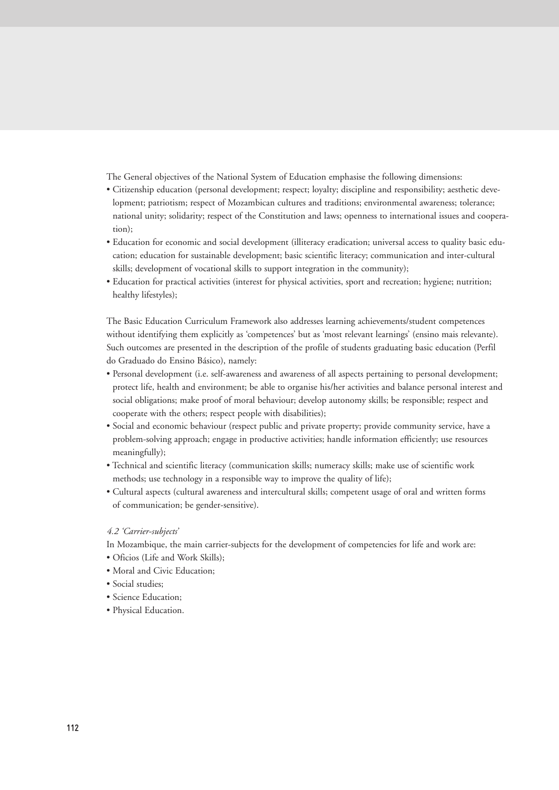The General objectives of the National System of Education emphasise the following dimensions:

- Citizenship education (personal development; respect; loyalty; discipline and responsibility; aesthetic development; patriotism; respect of Mozambican cultures and traditions; environmental awareness; tolerance; national unity; solidarity; respect of the Constitution and laws; openness to international issues and cooperation);
- Education for economic and social development (illiteracy eradication; universal access to quality basic education; education for sustainable development; basic scientific literacy; communication and inter-cultural skills; development of vocational skills to support integration in the community);
- Education for practical activities (interest for physical activities, sport and recreation; hygiene; nutrition; healthy lifestyles);

The Basic Education Curriculum Framework also addresses learning achievements/student competences without identifying them explicitly as 'competences' but as 'most relevant learnings' (ensino mais relevante). Such outcomes are presented in the description of the profile of students graduating basic education (Perfil do Graduado do Ensino Básico), namely:

- Personal development (i.e. self-awareness and awareness of all aspects pertaining to personal development; protect life, health and environment; be able to organise his/her activities and balance personal interest and social obligations; make proof of moral behaviour; develop autonomy skills; be responsible; respect and cooperate with the others; respect people with disabilities);
- Social and economic behaviour (respect public and private property; provide community service, have a problem-solving approach; engage in productive activities; handle information efficiently; use resources meaningfully);
- Technical and scientific literacy (communication skills; numeracy skills; make use of scientific work methods; use technology in a responsible way to improve the quality of life);
- Cultural aspects (cultural awareness and intercultural skills; competent usage of oral and written forms of communication; be gender-sensitive).

#### *4.2 'Carrier-subjects'*

In Mozambique, the main carrier-subjects for the development of competencies for life and work are:

- Oficios (Life and Work Skills);
- Moral and Civic Education;
- Social studies;
- Science Education;
- Physical Education.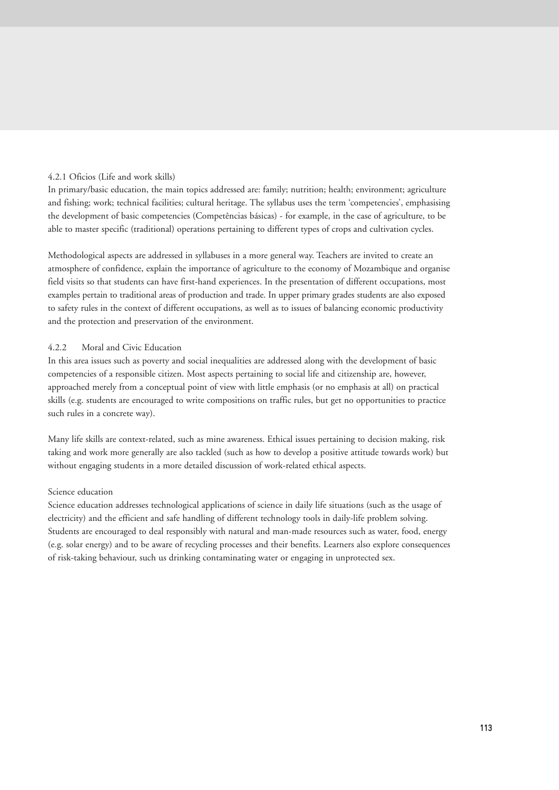# 4.2.1 Oficios (Life and work skills)

In primary/basic education, the main topics addressed are: family; nutrition; health; environment; agriculture and fishing; work; technical facilities; cultural heritage. The syllabus uses the term 'competencies', emphasising the development of basic competencies (Competências básicas) - for example, in the case of agriculture, to be able to master specific (traditional) operations pertaining to different types of crops and cultivation cycles.

Methodological aspects are addressed in syllabuses in a more general way. Teachers are invited to create an atmosphere of confidence, explain the importance of agriculture to the economy of Mozambique and organise field visits so that students can have first-hand experiences. In the presentation of different occupations, most examples pertain to traditional areas of production and trade. In upper primary grades students are also exposed to safety rules in the context of different occupations, as well as to issues of balancing economic productivity and the protection and preservation of the environment.

# 4.2.2 Moral and Civic Education

In this area issues such as poverty and social inequalities are addressed along with the development of basic competencies of a responsible citizen. Most aspects pertaining to social life and citizenship are, however, approached merely from a conceptual point of view with little emphasis (or no emphasis at all) on practical skills (e.g. students are encouraged to write compositions on traffic rules, but get no opportunities to practice such rules in a concrete way).

Many life skills are context-related, such as mine awareness. Ethical issues pertaining to decision making, risk taking and work more generally are also tackled (such as how to develop a positive attitude towards work) but without engaging students in a more detailed discussion of work-related ethical aspects.

#### Science education

Science education addresses technological applications of science in daily life situations (such as the usage of electricity) and the efficient and safe handling of different technology tools in daily-life problem solving. Students are encouraged to deal responsibly with natural and man-made resources such as water, food, energy (e.g. solar energy) and to be aware of recycling processes and their benefits. Learners also explore consequences of risk-taking behaviour, such us drinking contaminating water or engaging in unprotected sex.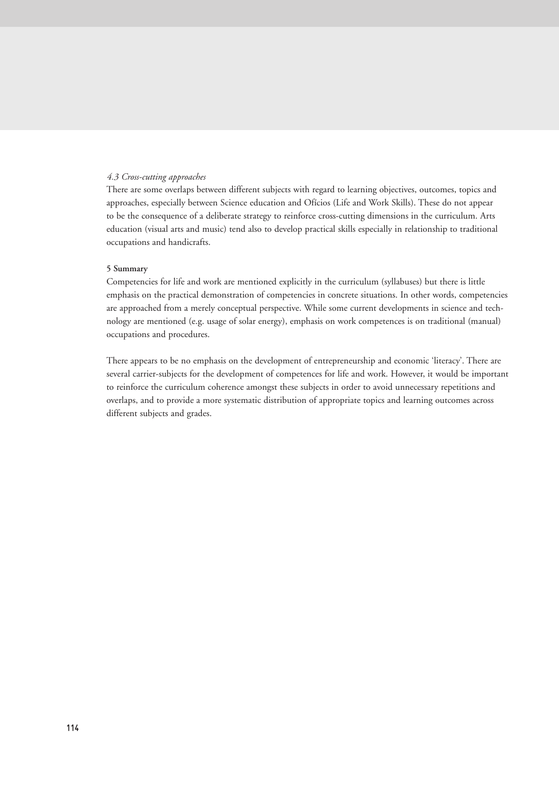# *4.3 Cross-cutting approaches*

There are some overlaps between different subjects with regard to learning objectives, outcomes, topics and approaches, especially between Science education and Ofícios (Life and Work Skills). These do not appear to be the consequence of a deliberate strategy to reinforce cross-cutting dimensions in the curriculum. Arts education (visual arts and music) tend also to develop practical skills especially in relationship to traditional occupations and handicrafts.

#### **5 Summary**

Competencies for life and work are mentioned explicitly in the curriculum (syllabuses) but there is little emphasis on the practical demonstration of competencies in concrete situations. In other words, competencies are approached from a merely conceptual perspective. While some current developments in science and technology are mentioned (e.g. usage of solar energy), emphasis on work competences is on traditional (manual) occupations and procedures.

There appears to be no emphasis on the development of entrepreneurship and economic 'literacy'. There are several carrier-subjects for the development of competences for life and work. However, it would be important to reinforce the curriculum coherence amongst these subjects in order to avoid unnecessary repetitions and overlaps, and to provide a more systematic distribution of appropriate topics and learning outcomes across different subjects and grades.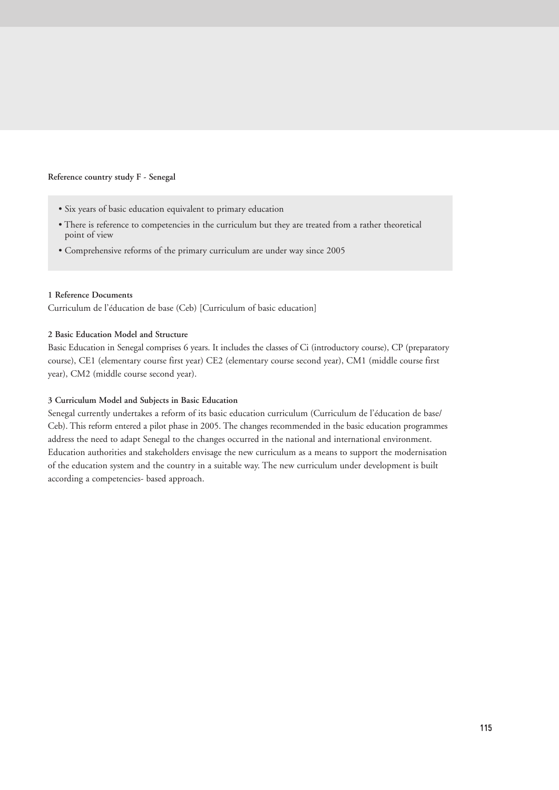#### **Reference country study F - Senegal**

- Six years of basic education equivalent to primary education
- There is reference to competencies in the curriculum but they are treated from a rather theoretical point of view
- Comprehensive reforms of the primary curriculum are under way since 2005

# **1 Reference Documents**

Curriculum de l'éducation de base (Ceb) [Curriculum of basic education]

# **2 Basic Education Model and Structure**

Basic Education in Senegal comprises 6 years. It includes the classes of Ci (introductory course), CP (preparatory course), CE1 (elementary course first year) CE2 (elementary course second year), CM1 (middle course first year), CM2 (middle course second year).

# **3 Curriculum Model and Subjects in Basic Education**

Senegal currently undertakes a reform of its basic education curriculum (Curriculum de l'éducation de base/ Ceb). This reform entered a pilot phase in 2005. The changes recommended in the basic education programmes address the need to adapt Senegal to the changes occurred in the national and international environment. Education authorities and stakeholders envisage the new curriculum as a means to support the modernisation of the education system and the country in a suitable way. The new curriculum under development is built according a competencies- based approach.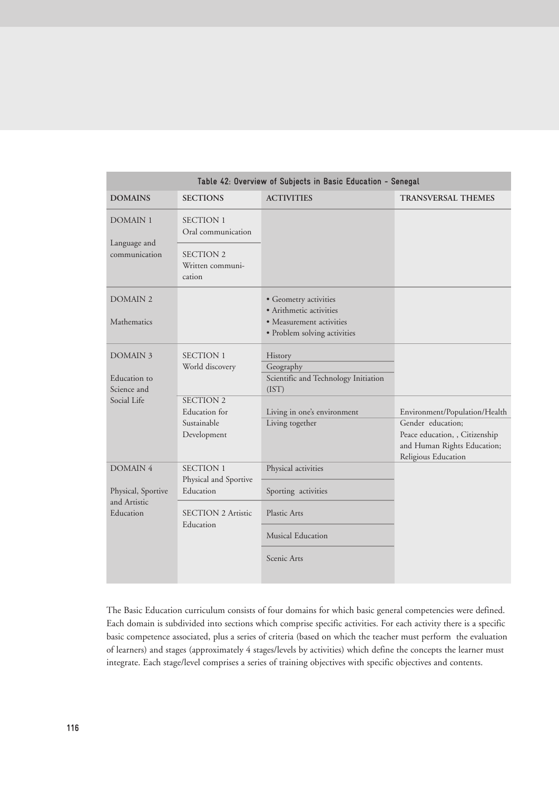|                                    | Table 42: Overview of Subjects in Basic Education - Senegal     |                                                              |                                                                                                                     |  |  |  |  |
|------------------------------------|-----------------------------------------------------------------|--------------------------------------------------------------|---------------------------------------------------------------------------------------------------------------------|--|--|--|--|
| <b>DOMAINS</b>                     | <b>SECTIONS</b>                                                 | <b>ACTIVITIES</b>                                            | <b>TRANSVERSAL THEMES</b>                                                                                           |  |  |  |  |
| <b>DOMAIN 1</b>                    | <b>SECTION 1</b><br>Oral communication                          |                                                              |                                                                                                                     |  |  |  |  |
| Language and<br>communication      | <b>SECTION 2</b><br>Written communi-<br>cation                  |                                                              |                                                                                                                     |  |  |  |  |
| DOMAIN <sub>2</sub>                |                                                                 | • Geometry activities<br>· Arithmetic activities             |                                                                                                                     |  |  |  |  |
| Mathematics                        |                                                                 | • Measurement activities<br>· Problem solving activities     |                                                                                                                     |  |  |  |  |
| <b>DOMAIN 3</b><br>Education to    | <b>SECTION 1</b><br>World discovery                             | History<br>Geography<br>Scientific and Technology Initiation |                                                                                                                     |  |  |  |  |
| Science and                        |                                                                 | (IST)                                                        |                                                                                                                     |  |  |  |  |
| Social Life                        | <b>SECTION 2</b><br>Education for<br>Sustainable<br>Development | Living in one's environment<br>Living together               | Environment/Population/Health<br>Gender education;<br>Peace education, , Citizenship<br>and Human Rights Education; |  |  |  |  |
| <b>DOMAIN 4</b>                    | <b>SECTION 1</b>                                                | Physical activities                                          | Religious Education                                                                                                 |  |  |  |  |
| Physical, Sportive<br>and Artistic | Physical and Sportive<br>Education                              | Sporting activities                                          |                                                                                                                     |  |  |  |  |
| Education                          | <b>SECTION 2 Artistic</b><br>Education                          | Plastic Arts                                                 |                                                                                                                     |  |  |  |  |
|                                    |                                                                 | Musical Education                                            |                                                                                                                     |  |  |  |  |
|                                    |                                                                 | Scenic Arts                                                  |                                                                                                                     |  |  |  |  |

The Basic Education curriculum consists of four domains for which basic general competencies were defined. Each domain is subdivided into sections which comprise specific activities. For each activity there is a specific basic competence associated, plus a series of criteria (based on which the teacher must perform the evaluation of learners) and stages (approximately 4 stages/levels by activities) which define the concepts the learner must integrate. Each stage/level comprises a series of training objectives with specific objectives and contents.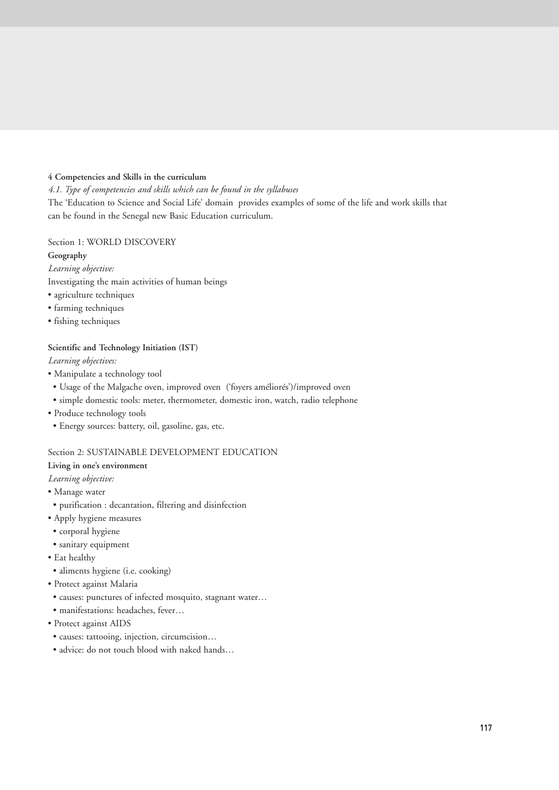# **4 Competencies and Skills in the curriculum**

*4.1. Type of competencies and skills which can be found in the syllabuses*

The 'Education to Science and Social Life' domain provides examples of some of the life and work skills that can be found in the Senegal new Basic Education curriculum.

# Section 1: WORLD DISCOVERY

# **Geography**

*Learning objective:*

Investigating the main activities of human beings

- agriculture techniques
- farming techniques
- fishing techniques

# **Scientific and Technology Initiation (IST)**

*Learning objectives:*

- Manipulate a technology tool
- Usage of the Malgache oven, improved oven ('foyers améliorés')/improved oven
- simple domestic tools: meter, thermometer, domestic iron, watch, radio telephone
- Produce technology tools
- Energy sources: battery, oil, gasoline, gas, etc.

# Section 2: SUSTAINABLE DEVELOPMENT EDUCATION

# **Living in one's environment**

*Learning objective:*

- Manage water
- purification : decantation, filtering and disinfection
- Apply hygiene measures
- corporal hygiene
- sanitary equipment
- Eat healthy
- aliments hygiene (i.e. cooking)
- Protect against Malaria
- causes: punctures of infected mosquito, stagnant water…
- manifestations: headaches, fever…
- Protect against AIDS
- causes: tattooing, injection, circumcision…
- advice: do not touch blood with naked hands…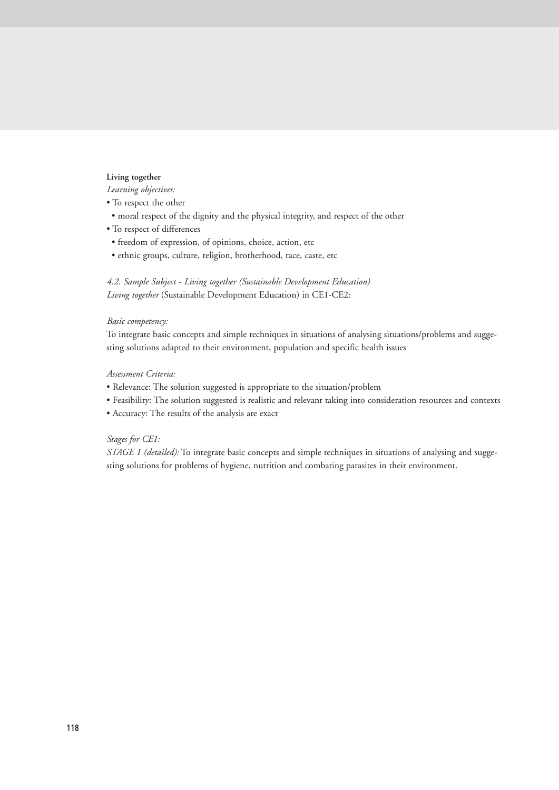#### **Living together**

*Learning objectives:*

- To respect the other
- moral respect of the dignity and the physical integrity, and respect of the other
- To respect of differences
- freedom of expression, of opinions, choice, action, etc
- ethnic groups, culture, religion, brotherhood, race, caste, etc

*4.2. Sample Subject - Living together (Sustainable Development Education) Living together* (Sustainable Development Education) in CE1-CE2:

#### *Basic competency:*

To integrate basic concepts and simple techniques in situations of analysing situations/problems and suggesting solutions adapted to their environment, population and specific health issues

#### *Assessment Criteria:*

- Relevance: The solution suggested is appropriate to the situation/problem
- Feasibility: The solution suggested is realistic and relevant taking into consideration resources and contexts
- Accuracy: The results of the analysis are exact

# *Stages for CE1:*

*STAGE 1 (detailed):* To integrate basic concepts and simple techniques in situations of analysing and suggesting solutions for problems of hygiene, nutrition and combating parasites in their environment.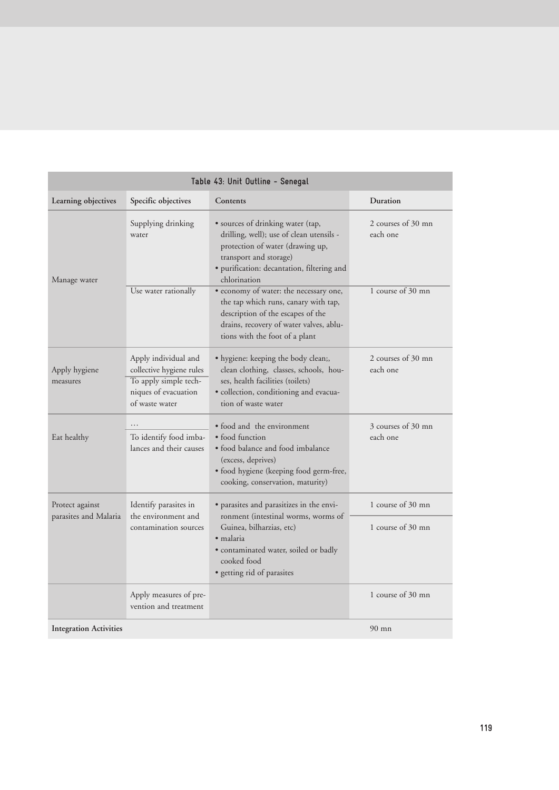| Table 43: Unit Outline - Senegal |                                                                                                                     |                                                                                                                                                                                                           |                                |  |  |
|----------------------------------|---------------------------------------------------------------------------------------------------------------------|-----------------------------------------------------------------------------------------------------------------------------------------------------------------------------------------------------------|--------------------------------|--|--|
| Learning objectives              | Specific objectives                                                                                                 | Contents                                                                                                                                                                                                  | <b>Duration</b>                |  |  |
| Manage water                     | Supplying drinking<br>water                                                                                         | • sources of drinking water (tap,<br>drilling, well); use of clean utensils -<br>protection of water (drawing up,<br>transport and storage)<br>· purification: decantation, filtering and<br>chlorination | 2 courses of 30 mn<br>each one |  |  |
|                                  | Use water rationally                                                                                                | • economy of water: the necessary one,<br>the tap which runs, canary with tap,<br>description of the escapes of the<br>drains, recovery of water valves, ablu-<br>tions with the foot of a plant          | 1 course of 30 mn              |  |  |
| Apply hygiene<br>measures        | Apply individual and<br>collective hygiene rules<br>To apply simple tech-<br>niques of evacuation<br>of waste water | • hygiene: keeping the body clean;,<br>clean clothing, classes, schools, hou-<br>ses, health facilities (toilets)<br>· collection, conditioning and evacua-<br>tion of waste water                        | 2 courses of 30 mn<br>each one |  |  |
| Eat healthy                      | .<br>To identify food imba-<br>lances and their causes                                                              | • food and the environment<br>• food function<br>• food balance and food imbalance<br>(excess, deprives)<br>· food hygiene (keeping food germ-free,<br>cooking, conservation, maturity)                   | 3 courses of 30 mn<br>each one |  |  |
| Protect against                  | Identify parasites in                                                                                               | · parasites and parasitizes in the envi-                                                                                                                                                                  | 1 course of 30 mn              |  |  |
| parasites and Malaria            | the environment and<br>contamination sources                                                                        | ronment (intestinal worms, worms of<br>Guinea, bilharzias, etc)<br>$\bullet$ malaria<br>· contaminated water, soiled or badly<br>cooked food<br>· getting rid of parasites                                | 1 course of 30 mn              |  |  |
|                                  | Apply measures of pre-<br>vention and treatment                                                                     |                                                                                                                                                                                                           | 1 course of 30 mn              |  |  |
| <b>Integration Activities</b>    |                                                                                                                     |                                                                                                                                                                                                           | $90$ mn                        |  |  |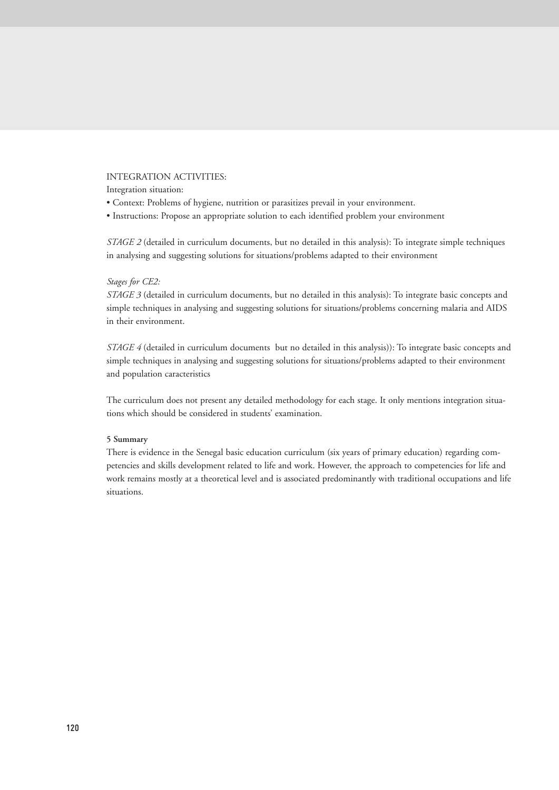# INTEGRATION ACTIVITIES:

Integration situation:

- Context: Problems of hygiene, nutrition or parasitizes prevail in your environment.
- Instructions: Propose an appropriate solution to each identified problem your environment

*STAGE 2* (detailed in curriculum documents, but no detailed in this analysis): To integrate simple techniques in analysing and suggesting solutions for situations/problems adapted to their environment

# *Stages for CE2:*

*STAGE 3* (detailed in curriculum documents, but no detailed in this analysis): To integrate basic concepts and simple techniques in analysing and suggesting solutions for situations/problems concerning malaria and AIDS in their environment.

*STAGE 4* (detailed in curriculum documents but no detailed in this analysis)): To integrate basic concepts and simple techniques in analysing and suggesting solutions for situations/problems adapted to their environment and population caracteristics

The curriculum does not present any detailed methodology for each stage. It only mentions integration situations which should be considered in students' examination.

# **5 Summary**

There is evidence in the Senegal basic education curriculum (six years of primary education) regarding competencies and skills development related to life and work. However, the approach to competencies for life and work remains mostly at a theoretical level and is associated predominantly with traditional occupations and life situations.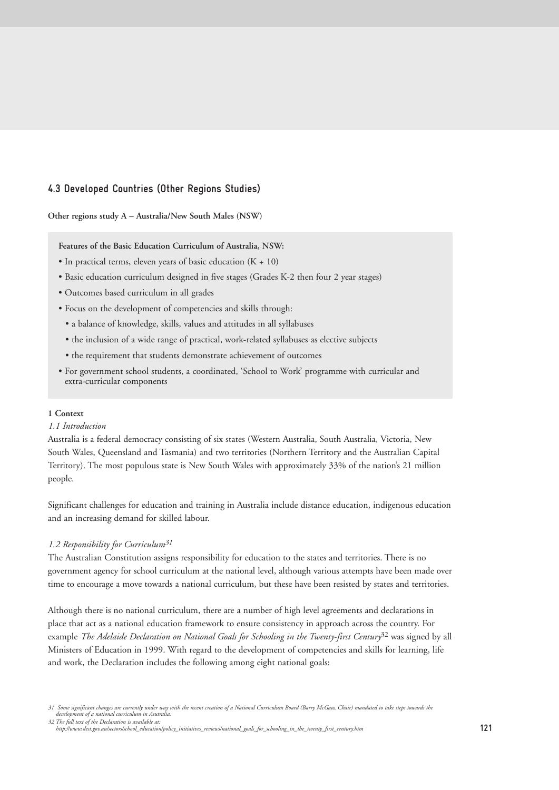# **4.3 Developed Countries (Other Regions Studies)**

**Other regions study A – Australia/New South Males (NSW)**

**Features of the Basic Education Curriculum of Australia, NSW:**

- In practical terms, eleven years of basic education (K + 10)
- Basic education curriculum designed in five stages (Grades K-2 then four 2 year stages)
- Outcomes based curriculum in all grades
- Focus on the development of competencies and skills through:
- a balance of knowledge, skills, values and attitudes in all syllabuses
- the inclusion of a wide range of practical, work-related syllabuses as elective subjects
- the requirement that students demonstrate achievement of outcomes
- For government school students, a coordinated, 'School to Work' programme with curricular and extra-curricular components

# **1 Context**

# *1.1 Introduction*

Australia is a federal democracy consisting of six states (Western Australia, South Australia, Victoria, New South Wales, Queensland and Tasmania) and two territories (Northern Territory and the Australian Capital Territory). The most populous state is New South Wales with approximately 33% of the nation's 21 million people.

Significant challenges for education and training in Australia include distance education, indigenous education and an increasing demand for skilled labour.

# *1.2 Responsibility for Curriculum31*

The Australian Constitution assigns responsibility for education to the states and territories. There is no government agency for school curriculum at the national level, although various attempts have been made over time to encourage a move towards a national curriculum, but these have been resisted by states and territories.

Although there is no national curriculum, there are a number of high level agreements and declarations in place that act as a national education framework to ensure consistency in approach across the country. For example *The Adelaide Declaration on National Goals for Schooling in the Twenty-first Century*<sup>32</sup> was signed by all Ministers of Education in 1999. With regard to the development of competencies and skills for learning, life and work, the Declaration includes the following among eight national goals:

<sup>31</sup> Some significant changes are currently under way with the recent creation of a National Curriculum Board (Barry McGaw, Chair) mandated to take steps towards the<br>development of a national curriculum in Asutralia. *32 The full text of the Declaration is available at:*

*http://www.dest.gov.au/sectors/school\_education/policy\_initiatives\_reviews/national\_goals\_for\_schooling\_in\_the\_twenty\_first\_century.htm*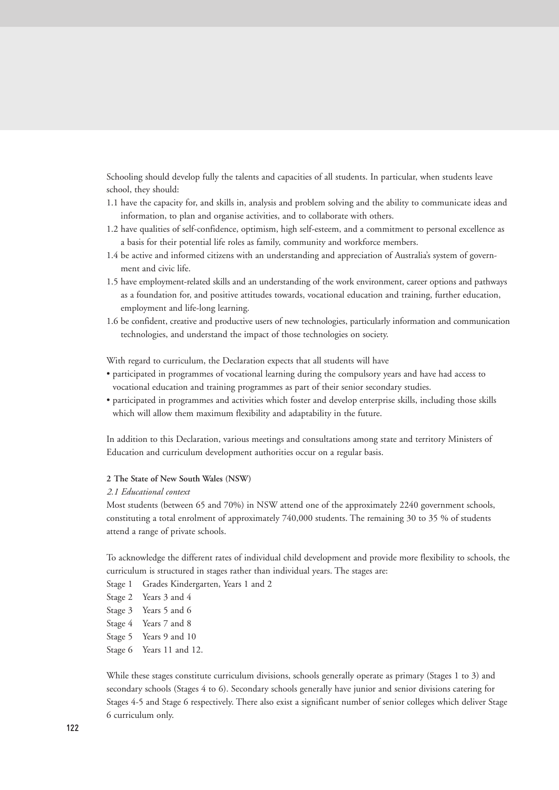Schooling should develop fully the talents and capacities of all students. In particular, when students leave school, they should:

- 1.1 have the capacity for, and skills in, analysis and problem solving and the ability to communicate ideas and information, to plan and organise activities, and to collaborate with others.
- 1.2 have qualities of self-confidence, optimism, high self-esteem, and a commitment to personal excellence as a basis for their potential life roles as family, community and workforce members.
- 1.4 be active and informed citizens with an understanding and appreciation of Australia's system of government and civic life.
- 1.5 have employment-related skills and an understanding of the work environment, career options and pathways as a foundation for, and positive attitudes towards, vocational education and training, further education, employment and life-long learning.
- 1.6 be confident, creative and productive users of new technologies, particularly information and communication technologies, and understand the impact of those technologies on society.

With regard to curriculum, the Declaration expects that all students will have

- participated in programmes of vocational learning during the compulsory years and have had access to vocational education and training programmes as part of their senior secondary studies.
- participated in programmes and activities which foster and develop enterprise skills, including those skills which will allow them maximum flexibility and adaptability in the future.

In addition to this Declaration, various meetings and consultations among state and territory Ministers of Education and curriculum development authorities occur on a regular basis.

# **2 The State of New South Wales (NSW)**

#### *2.1 Educational context*

Most students (between 65 and 70%) in NSW attend one of the approximately 2240 government schools, constituting a total enrolment of approximately 740,000 students. The remaining 30 to 35 % of students attend a range of private schools.

To acknowledge the different rates of individual child development and provide more flexibility to schools, the curriculum is structured in stages rather than individual years. The stages are:

- Stage 1 Grades Kindergarten, Years 1 and 2
- Stage 2 Years 3 and 4
- Stage 3 Years 5 and 6
- Stage 4 Years 7 and 8
- Stage 5 Years 9 and 10
- Stage 6 Years 11 and 12.

While these stages constitute curriculum divisions, schools generally operate as primary (Stages 1 to 3) and secondary schools (Stages 4 to 6). Secondary schools generally have junior and senior divisions catering for Stages 4-5 and Stage 6 respectively. There also exist a significant number of senior colleges which deliver Stage 6 curriculum only.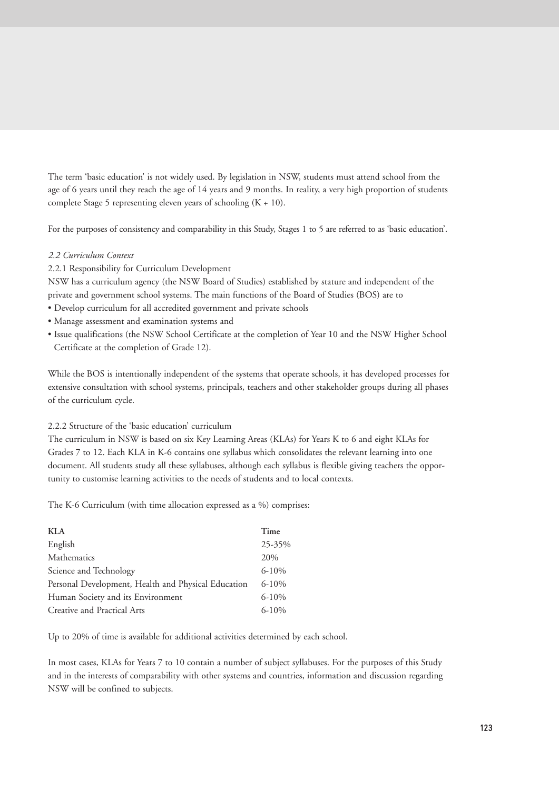The term 'basic education' is not widely used. By legislation in NSW, students must attend school from the age of 6 years until they reach the age of 14 years and 9 months. In reality, a very high proportion of students complete Stage 5 representing eleven years of schooling  $(K + 10)$ .

For the purposes of consistency and comparability in this Study, Stages 1 to 5 are referred to as 'basic education'.

# *2.2 Curriculum Context*

2.2.1 Responsibility for Curriculum Development

NSW has a curriculum agency (the NSW Board of Studies) established by stature and independent of the private and government school systems. The main functions of the Board of Studies (BOS) are to

- Develop curriculum for all accredited government and private schools
- Manage assessment and examination systems and
- Issue qualifications (the NSW School Certificate at the completion of Year 10 and the NSW Higher School Certificate at the completion of Grade 12).

While the BOS is intentionally independent of the systems that operate schools, it has developed processes for extensive consultation with school systems, principals, teachers and other stakeholder groups during all phases of the curriculum cycle.

# 2.2.2 Structure of the 'basic education' curriculum

The curriculum in NSW is based on six Key Learning Areas (KLAs) for Years K to 6 and eight KLAs for Grades 7 to 12. Each KLA in K-6 contains one syllabus which consolidates the relevant learning into one document. All students study all these syllabuses, although each syllabus is flexible giving teachers the opportunity to customise learning activities to the needs of students and to local contexts.

The K-6 Curriculum (with time allocation expressed as a %) comprises:

| Time<br>KLA                                                      |  |
|------------------------------------------------------------------|--|
| English<br>25-35%                                                |  |
| Mathematics<br>20%                                               |  |
| $6 - 10%$<br>Science and Technology                              |  |
| $6 - 10%$<br>Personal Development, Health and Physical Education |  |
| $6 - 10%$<br>Human Society and its Environment                   |  |
| $6 - 10%$<br>Creative and Practical Arts                         |  |

Up to 20% of time is available for additional activities determined by each school.

In most cases, KLAs for Years 7 to 10 contain a number of subject syllabuses. For the purposes of this Study and in the interests of comparability with other systems and countries, information and discussion regarding NSW will be confined to subjects.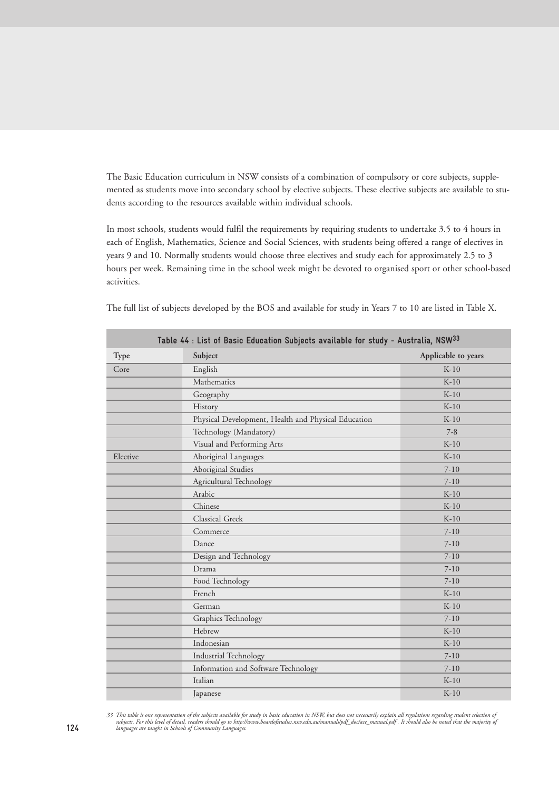The Basic Education curriculum in NSW consists of a combination of compulsory or core subjects, supplemented as students move into secondary school by elective subjects. These elective subjects are available to students according to the resources available within individual schools.

In most schools, students would fulfil the requirements by requiring students to undertake 3.5 to 4 hours in each of English, Mathematics, Science and Social Sciences, with students being offered a range of electives in years 9 and 10. Normally students would choose three electives and study each for approximately 2.5 to 3 hours per week. Remaining time in the school week might be devoted to organised sport or other school-based activities.

| Table 44 : List of Basic Education Subjects available for study - Australia, NSW33 |                                                     |                     |  |  |
|------------------------------------------------------------------------------------|-----------------------------------------------------|---------------------|--|--|
| <b>Type</b>                                                                        | Subject                                             | Applicable to years |  |  |
| Core                                                                               | English                                             | $K-10$              |  |  |
|                                                                                    | Mathematics                                         | $K-10$              |  |  |
|                                                                                    | Geography                                           | $K-10$              |  |  |
|                                                                                    | History                                             | $K-10$              |  |  |
|                                                                                    | Physical Development, Health and Physical Education | $K-10$              |  |  |
|                                                                                    | Technology (Mandatory)                              | $7 - 8$             |  |  |
|                                                                                    | Visual and Performing Arts                          | $K-10$              |  |  |
| Elective                                                                           | Aboriginal Languages                                | $K-10$              |  |  |
|                                                                                    | Aboriginal Studies                                  | $7 - 10$            |  |  |
|                                                                                    | Agricultural Technology                             | $7 - 10$            |  |  |
|                                                                                    | Arabic                                              | $K-10$              |  |  |
|                                                                                    | Chinese                                             | $K-10$              |  |  |
|                                                                                    | Classical Greek                                     | $K-10$              |  |  |
|                                                                                    | Commerce                                            | $7 - 10$            |  |  |
|                                                                                    | Dance                                               | $7 - 10$            |  |  |
|                                                                                    | Design and Technology                               | $7 - 10$            |  |  |
|                                                                                    | Drama                                               | $7 - 10$            |  |  |
|                                                                                    | Food Technology                                     | $7 - 10$            |  |  |
|                                                                                    | French                                              | $K-10$              |  |  |
|                                                                                    | German                                              | $K-10$              |  |  |
|                                                                                    | <b>Graphics Technology</b>                          | $7-10$              |  |  |
|                                                                                    | Hebrew                                              | $K-10$              |  |  |
|                                                                                    | Indonesian                                          | $K-10$              |  |  |
|                                                                                    | Industrial Technology                               | $7 - 10$            |  |  |
|                                                                                    | Information and Software Technology                 | $7-10$              |  |  |
|                                                                                    | Italian                                             | $K-10$              |  |  |
|                                                                                    | Japanese                                            | $K-10$              |  |  |

33 This table is one representation of the subjects available for study in basic education in NSW, but does not necessarily explain all regulations regarding student selection of<br>subjects. For this level of detail, readers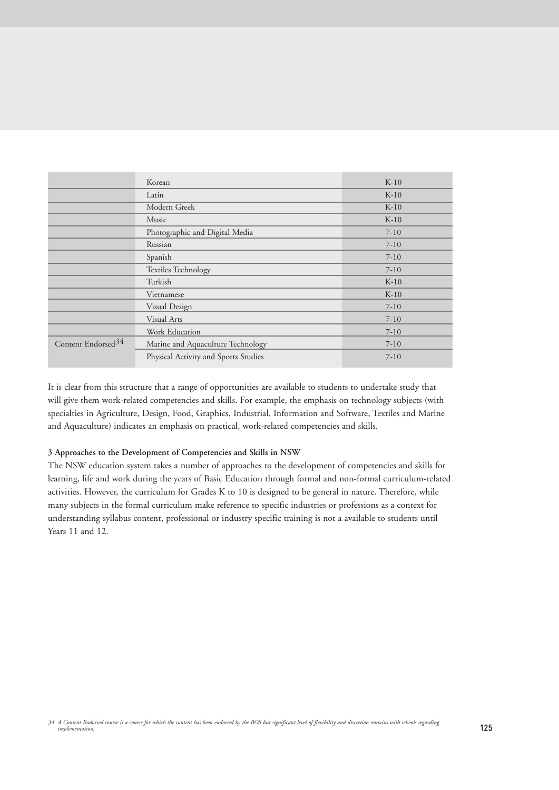|                                | Korean                               | $K-10$   |
|--------------------------------|--------------------------------------|----------|
|                                | Latin                                | $K-10$   |
|                                | Modern Greek                         | $K-10$   |
|                                | Music                                | $K-10$   |
|                                | Photographic and Digital Media       | $7 - 10$ |
|                                | Russian                              | $7-10$   |
|                                | Spanish                              | $7-10$   |
|                                | <b>Textiles Technology</b>           | $7-10$   |
|                                | Turkish                              | $K-10$   |
|                                | Vietnamese                           | $K-10$   |
|                                | Visual Design                        | $7-10$   |
|                                | Visual Arts                          | $7-10$   |
|                                | Work Education                       | $7 - 10$ |
| Content Endorsed <sup>34</sup> | Marine and Aquaculture Technology    | $7 - 10$ |
|                                | Physical Activity and Sports Studies | $7 - 10$ |

It is clear from this structure that a range of opportunities are available to students to undertake study that will give them work-related competencies and skills. For example, the emphasis on technology subjects (with specialties in Agriculture, Design, Food, Graphics, Industrial, Information and Software, Textiles and Marine and Aquaculture) indicates an emphasis on practical, work-related competencies and skills.

# **3 Approaches to the Development of Competencies and Skills in NSW**

The NSW education system takes a number of approaches to the development of competencies and skills for learning, life and work during the years of Basic Education through formal and non-formal curriculum-related activities. However, the curriculum for Grades K to 10 is designed to be general in nature. Therefore, while many subjects in the formal curriculum make reference to specific industries or professions as a context for understanding syllabus content, professional or industry specific training is not a available to students until Years 11 and 12.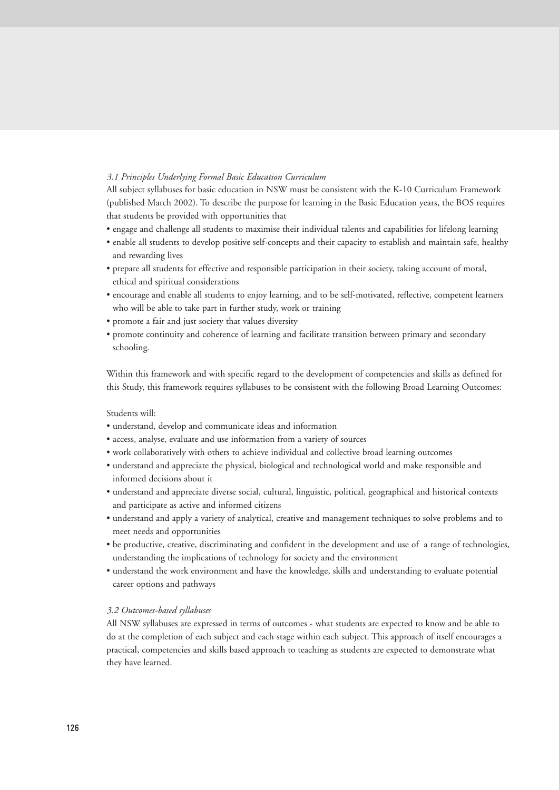# *3.1 Principles Underlying Formal Basic Education Curriculum*

All subject syllabuses for basic education in NSW must be consistent with the K-10 Curriculum Framework (published March 2002). To describe the purpose for learning in the Basic Education years, the BOS requires that students be provided with opportunities that

- engage and challenge all students to maximise their individual talents and capabilities for lifelong learning
- enable all students to develop positive self-concepts and their capacity to establish and maintain safe, healthy and rewarding lives
- prepare all students for effective and responsible participation in their society, taking account of moral, ethical and spiritual considerations
- encourage and enable all students to enjoy learning, and to be self-motivated, reflective, competent learners who will be able to take part in further study, work or training
- promote a fair and just society that values diversity
- promote continuity and coherence of learning and facilitate transition between primary and secondary schooling.

Within this framework and with specific regard to the development of competencies and skills as defined for this Study, this framework requires syllabuses to be consistent with the following Broad Learning Outcomes:

# Students will:

- understand, develop and communicate ideas and information
- access, analyse, evaluate and use information from a variety of sources
- work collaboratively with others to achieve individual and collective broad learning outcomes
- understand and appreciate the physical, biological and technological world and make responsible and informed decisions about it
- understand and appreciate diverse social, cultural, linguistic, political, geographical and historical contexts and participate as active and informed citizens
- understand and apply a variety of analytical, creative and management techniques to solve problems and to meet needs and opportunities
- be productive, creative, discriminating and confident in the development and use of a range of technologies, understanding the implications of technology for society and the environment
- understand the work environment and have the knowledge, skills and understanding to evaluate potential career options and pathways

#### *3.2 Outcomes-based syllabuses*

All NSW syllabuses are expressed in terms of outcomes - what students are expected to know and be able to do at the completion of each subject and each stage within each subject. This approach of itself encourages a practical, competencies and skills based approach to teaching as students are expected to demonstrate what they have learned.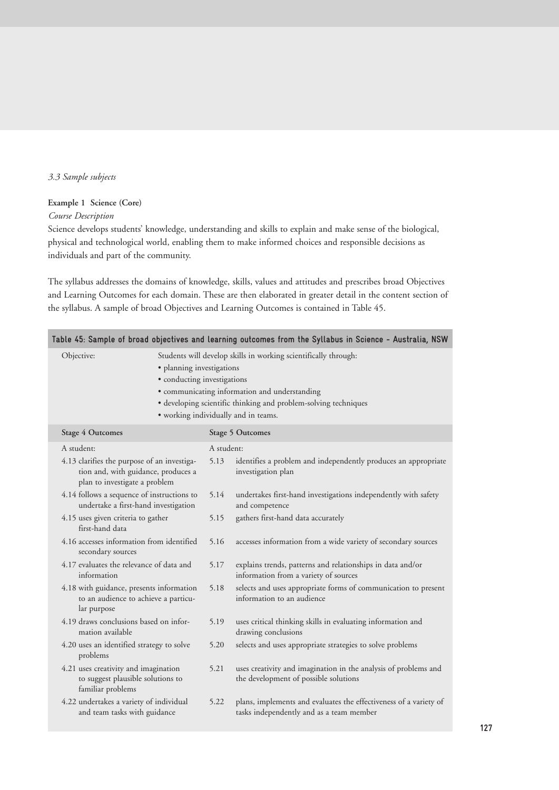# *3.3 Sample subjects*

# **Example 1 Science (Core)**

# *Course Description*

Science develops students' knowledge, understanding and skills to explain and make sense of the biological, physical and technological world, enabling them to make informed choices and responsible decisions as individuals and part of the community.

The syllabus addresses the domains of knowledge, skills, values and attitudes and prescribes broad Objectives and Learning Outcomes for each domain. These are then elaborated in greater detail in the content section of the syllabus. A sample of broad Objectives and Learning Outcomes is contained in Table 45.

|                                                                                                                     |                                                                                                                                                                                                                                                                                         |            | Table 45: Sample of broad objectives and learning outcomes from the Syllabus in Science - Australia, NSW      |  |  |  |
|---------------------------------------------------------------------------------------------------------------------|-----------------------------------------------------------------------------------------------------------------------------------------------------------------------------------------------------------------------------------------------------------------------------------------|------------|---------------------------------------------------------------------------------------------------------------|--|--|--|
| Objective:                                                                                                          | Students will develop skills in working scientifically through:<br>· planning investigations<br>• conducting investigations<br>· communicating information and understanding<br>· developing scientific thinking and problem-solving techniques<br>• working individually and in teams. |            |                                                                                                               |  |  |  |
| <b>Stage 4 Outcomes</b>                                                                                             |                                                                                                                                                                                                                                                                                         |            | <b>Stage 5 Outcomes</b>                                                                                       |  |  |  |
| A student:                                                                                                          |                                                                                                                                                                                                                                                                                         | A student: |                                                                                                               |  |  |  |
| 4.13 clarifies the purpose of an investiga-<br>tion and, with guidance, produces a<br>plan to investigate a problem |                                                                                                                                                                                                                                                                                         | 5.13       | identifies a problem and independently produces an appropriate<br>investigation plan                          |  |  |  |
| 4.14 follows a sequence of instructions to<br>undertake a first-hand investigation                                  |                                                                                                                                                                                                                                                                                         | 5.14       | undertakes first-hand investigations independently with safety<br>and competence                              |  |  |  |
| 4.15 uses given criteria to gather<br>first-hand data                                                               |                                                                                                                                                                                                                                                                                         | 5.15       | gathers first-hand data accurately                                                                            |  |  |  |
| 4.16 accesses information from identified<br>secondary sources                                                      |                                                                                                                                                                                                                                                                                         | 5.16       | accesses information from a wide variety of secondary sources                                                 |  |  |  |
| 4.17 evaluates the relevance of data and<br>information                                                             |                                                                                                                                                                                                                                                                                         | 5.17       | explains trends, patterns and relationships in data and/or<br>information from a variety of sources           |  |  |  |
| 4.18 with guidance, presents information<br>to an audience to achieve a particu-<br>lar purpose                     |                                                                                                                                                                                                                                                                                         | 5.18       | selects and uses appropriate forms of communication to present<br>information to an audience                  |  |  |  |
| 4.19 draws conclusions based on infor-<br>mation available                                                          |                                                                                                                                                                                                                                                                                         | 5.19       | uses critical thinking skills in evaluating information and<br>drawing conclusions                            |  |  |  |
| 4.20 uses an identified strategy to solve<br>problems                                                               |                                                                                                                                                                                                                                                                                         | 5.20       | selects and uses appropriate strategies to solve problems                                                     |  |  |  |
| 4.21 uses creativity and imagination<br>to suggest plausible solutions to<br>familiar problems                      |                                                                                                                                                                                                                                                                                         | 5.21       | uses creativity and imagination in the analysis of problems and<br>the development of possible solutions      |  |  |  |
| 4.22 undertakes a variety of individual<br>and team tasks with guidance                                             |                                                                                                                                                                                                                                                                                         | 5.22       | plans, implements and evaluates the effectiveness of a variety of<br>tasks independently and as a team member |  |  |  |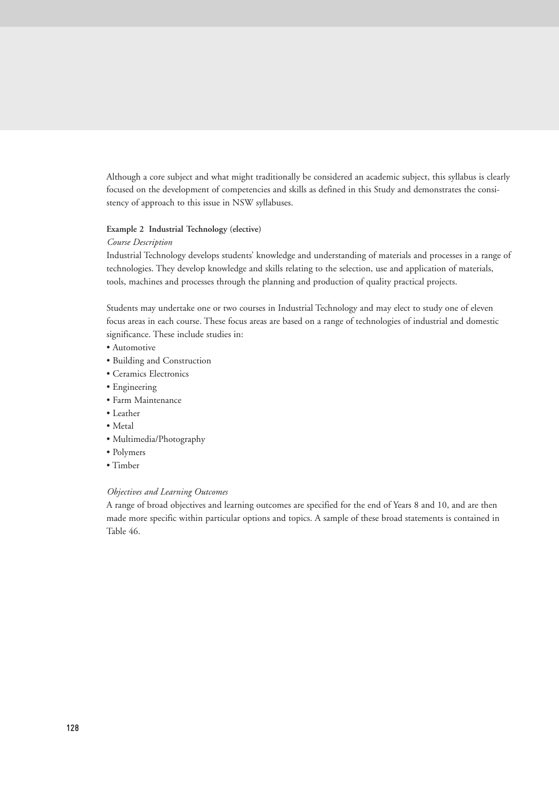Although a core subject and what might traditionally be considered an academic subject, this syllabus is clearly focused on the development of competencies and skills as defined in this Study and demonstrates the consistency of approach to this issue in NSW syllabuses.

#### **Example 2 Industrial Technology (elective)**

# *Course Description*

Industrial Technology develops students' knowledge and understanding of materials and processes in a range of technologies. They develop knowledge and skills relating to the selection, use and application of materials, tools, machines and processes through the planning and production of quality practical projects.

Students may undertake one or two courses in Industrial Technology and may elect to study one of eleven focus areas in each course. These focus areas are based on a range of technologies of industrial and domestic significance. These include studies in:

- Automotive
- Building and Construction
- Ceramics Electronics
- Engineering
- Farm Maintenance
- Leather
- Metal
- Multimedia/Photography
- Polymers
- Timber

# *Objectives and Learning Outcomes*

A range of broad objectives and learning outcomes are specified for the end of Years 8 and 10, and are then made more specific within particular options and topics. A sample of these broad statements is contained in Table 46.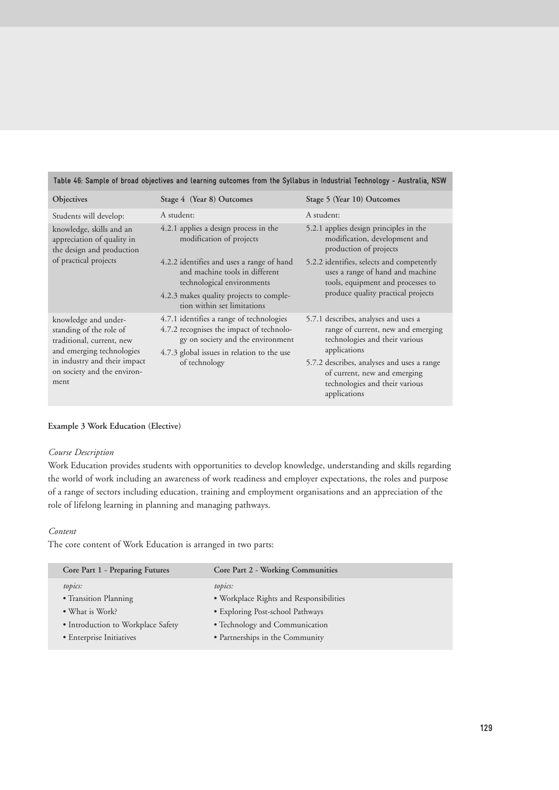| $\frac{1}{2}$ and $\frac{1}{2}$ and $\frac{1}{2}$ and $\frac{1}{2}$ and $\frac{1}{2}$ are $\frac{1}{2}$ and $\frac{1}{2}$ are $\frac{1}{2}$ and $\frac{1}{2}$ and $\frac{1}{2}$ and $\frac{1}{2}$ and $\frac{1}{2}$ and $\frac{1}{2}$ and $\frac{1}{2}$ |                                                                                                                                                                                          |                                                                                                                                                                                                                                                              |  |  |  |  |
|---------------------------------------------------------------------------------------------------------------------------------------------------------------------------------------------------------------------------------------------------------|------------------------------------------------------------------------------------------------------------------------------------------------------------------------------------------|--------------------------------------------------------------------------------------------------------------------------------------------------------------------------------------------------------------------------------------------------------------|--|--|--|--|
| <b>Objectives</b>                                                                                                                                                                                                                                       | Stage 4 (Year 8) Outcomes                                                                                                                                                                | Stage 5 (Year 10) Outcomes                                                                                                                                                                                                                                   |  |  |  |  |
| Students will develop:                                                                                                                                                                                                                                  | A student:                                                                                                                                                                               | A student:                                                                                                                                                                                                                                                   |  |  |  |  |
| knowledge, skills and an<br>appreciation of quality in<br>the design and production<br>of practical projects                                                                                                                                            | 4.2.1 applies a design process in the<br>modification of projects                                                                                                                        | 5.2.1 applies design principles in the<br>modification, development and<br>production of projects                                                                                                                                                            |  |  |  |  |
|                                                                                                                                                                                                                                                         | 4.2.2 identifies and uses a range of hand<br>and machine tools in different<br>technological environments                                                                                | 5.2.2 identifies, selects and competently<br>uses a range of hand and machine<br>tools, equipment and processes to                                                                                                                                           |  |  |  |  |
|                                                                                                                                                                                                                                                         | 4.2.3 makes quality projects to comple-<br>tion within set limitations                                                                                                                   | produce quality practical projects                                                                                                                                                                                                                           |  |  |  |  |
| knowledge and under-<br>standing of the role of<br>traditional, current, new<br>and emerging technologies<br>in industry and their impact<br>on society and the environ-<br>ment                                                                        | 4.7.1 identifies a range of technologies<br>4.7.2 recognises the impact of technolo-<br>gy on society and the environment<br>4.7.3 global issues in relation to the use<br>of technology | 5.7.1 describes, analyses and uses a<br>range of current, new and emerging<br>technologies and their various<br>applications<br>5.7.2 describes, analyses and uses a range<br>of current, new and emerging<br>technologies and their various<br>applications |  |  |  |  |

# **Table 46: Sample of broad objectives and learning outcomes from the Syllabus in Industrial Technology - Australia, NSW**

## **Example 3 Work Education (Elective)**

## *Course Description*

Work Education provides students with opportunities to develop knowledge, understanding and skills regarding the world of work including an awareness of work readiness and employer expectations, the roles and purpose of a range of sectors including education, training and employment organisations and an appreciation of the role of lifelong learning in planning and managing pathways.

# *Content*

The core content of Work Education is arranged in two parts:

| Core Part 1 - Preparing Futures    | <b>Core Part 2 - Working Communities</b> |
|------------------------------------|------------------------------------------|
| topics:                            | topics:                                  |
| • Transition Planning              | • Workplace Rights and Responsibilities  |
| • What is Work?                    | • Exploring Post-school Pathways         |
| • Introduction to Workplace Safety | • Technology and Communication           |
| • Enterprise Initiatives           | • Partnerships in the Community          |
|                                    |                                          |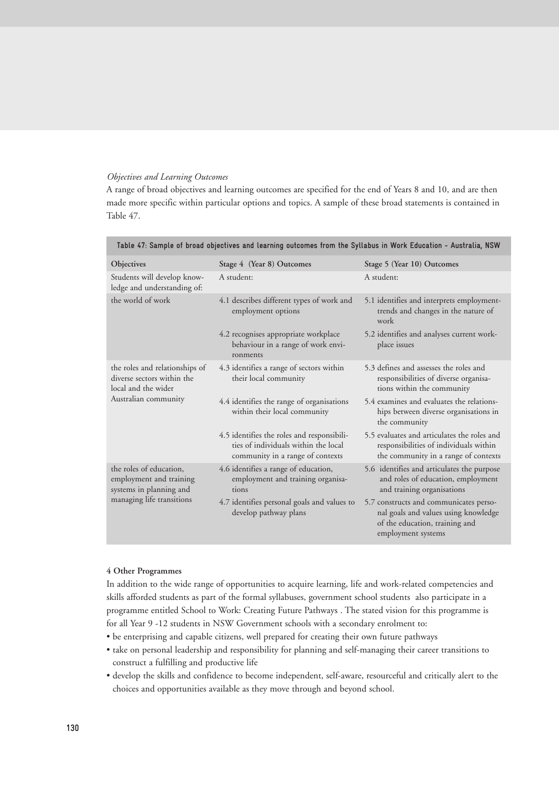#### *Objectives and Learning Outcomes*

A range of broad objectives and learning outcomes are specified for the end of Years 8 and 10, and are then made more specific within particular options and topics. A sample of these broad statements is contained in Table 47.

| Table 47: Sample of broad objectives and learning outcomes from the Syllabus in Work Education - Australia, NSW |                                                                                                                        |                                                                                                                                        |  |  |
|-----------------------------------------------------------------------------------------------------------------|------------------------------------------------------------------------------------------------------------------------|----------------------------------------------------------------------------------------------------------------------------------------|--|--|
| Objectives                                                                                                      | Stage 4 (Year 8) Outcomes                                                                                              | Stage 5 (Year 10) Outcomes                                                                                                             |  |  |
| Students will develop know-<br>ledge and understanding of:                                                      | A student:                                                                                                             | A student:                                                                                                                             |  |  |
| the world of work                                                                                               | 4.1 describes different types of work and<br>employment options                                                        | 5.1 identifies and interprets employment-<br>trends and changes in the nature of<br>work                                               |  |  |
|                                                                                                                 | 4.2 recognises appropriate workplace<br>behaviour in a range of work envi-<br>ronments                                 | 5.2 identifies and analyses current work-<br>place issues                                                                              |  |  |
| the roles and relationships of<br>diverse sectors within the<br>local and the wider<br>Australian community     | 4.3 identifies a range of sectors within<br>their local community                                                      | 5.3 defines and assesses the roles and<br>responsibilities of diverse organisa-<br>tions within the community                          |  |  |
|                                                                                                                 | 4.4 identifies the range of organisations<br>within their local community                                              | 5.4 examines and evaluates the relations-<br>hips between diverse organisations in<br>the community                                    |  |  |
|                                                                                                                 | 4.5 identifies the roles and responsibili-<br>ties of individuals within the local<br>community in a range of contexts | 5.5 evaluates and articulates the roles and<br>responsibilities of individuals within<br>the community in a range of contexts          |  |  |
| the roles of education,<br>employment and training<br>systems in planning and<br>managing life transitions      | 4.6 identifies a range of education,<br>employment and training organisa-<br>tions                                     | 5.6 identifies and articulates the purpose<br>and roles of education, employment<br>and training organisations                         |  |  |
|                                                                                                                 | 4.7 identifies personal goals and values to<br>develop pathway plans                                                   | 5.7 constructs and communicates perso-<br>nal goals and values using knowledge<br>of the education, training and<br>employment systems |  |  |

**Table 47: Sample of broad objectives and learning outcomes from the Syllabus in Work Education - Australia, NSW**

#### **4 Other Programmes**

In addition to the wide range of opportunities to acquire learning, life and work-related competencies and skills afforded students as part of the formal syllabuses, government school students also participate in a programme entitled School to Work: Creating Future Pathways . The stated vision for this programme is for all Year 9 -12 students in NSW Government schools with a secondary enrolment to:

• be enterprising and capable citizens, well prepared for creating their own future pathways

- take on personal leadership and responsibility for planning and self-managing their career transitions to construct a fulfilling and productive life
- develop the skills and confidence to become independent, self-aware, resourceful and critically alert to the choices and opportunities available as they move through and beyond school.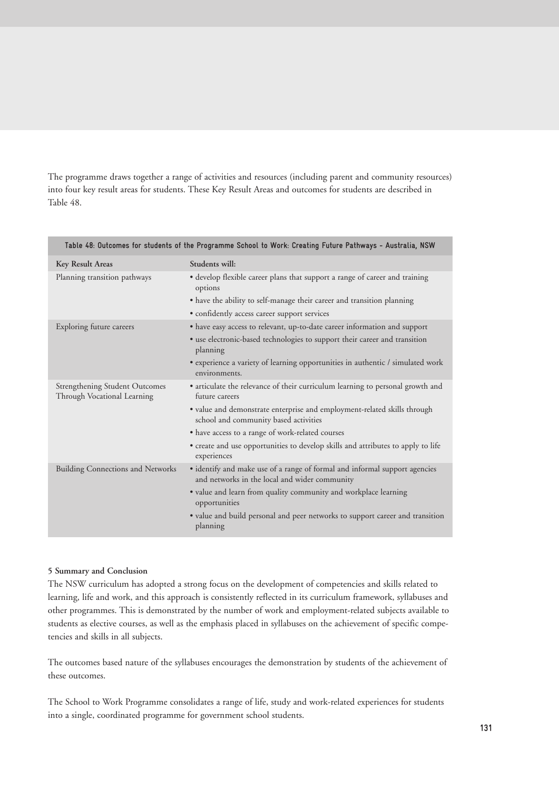The programme draws together a range of activities and resources (including parent and community resources) into four key result areas for students. These Key Result Areas and outcomes for students are described in Table 48.

| Table 48: Outcomes for students of the Programme School to Work: Creating Future Pathways - Australia, NSW |                                                                                                                             |  |
|------------------------------------------------------------------------------------------------------------|-----------------------------------------------------------------------------------------------------------------------------|--|
| Key Result Areas                                                                                           | Students will:                                                                                                              |  |
| Planning transition pathways                                                                               | • develop flexible career plans that support a range of career and training<br>options                                      |  |
|                                                                                                            | • have the ability to self-manage their career and transition planning                                                      |  |
|                                                                                                            | • confidently access career support services                                                                                |  |
| Exploring future careers                                                                                   | • have easy access to relevant, up-to-date career information and support                                                   |  |
|                                                                                                            | • use electronic-based technologies to support their career and transition<br>planning                                      |  |
|                                                                                                            | • experience a variety of learning opportunities in authentic / simulated work<br>environments.                             |  |
| Strengthening Student Outcomes<br>Through Vocational Learning                                              | • articulate the relevance of their curriculum learning to personal growth and<br>future careers                            |  |
|                                                                                                            | · value and demonstrate enterprise and employment-related skills through<br>school and community based activities           |  |
|                                                                                                            | • have access to a range of work-related courses                                                                            |  |
|                                                                                                            | • create and use opportunities to develop skills and attributes to apply to life<br>experiences                             |  |
| <b>Building Connections and Networks</b>                                                                   | • identify and make use of a range of formal and informal support agencies<br>and networks in the local and wider community |  |
|                                                                                                            | • value and learn from quality community and workplace learning<br>opportunities                                            |  |
|                                                                                                            | • value and build personal and peer networks to support career and transition<br>planning                                   |  |

# **5 Summary and Conclusion**

The NSW curriculum has adopted a strong focus on the development of competencies and skills related to learning, life and work, and this approach is consistently reflected in its curriculum framework, syllabuses and other programmes. This is demonstrated by the number of work and employment-related subjects available to students as elective courses, as well as the emphasis placed in syllabuses on the achievement of specific competencies and skills in all subjects.

The outcomes based nature of the syllabuses encourages the demonstration by students of the achievement of these outcomes.

The School to Work Programme consolidates a range of life, study and work-related experiences for students into a single, coordinated programme for government school students.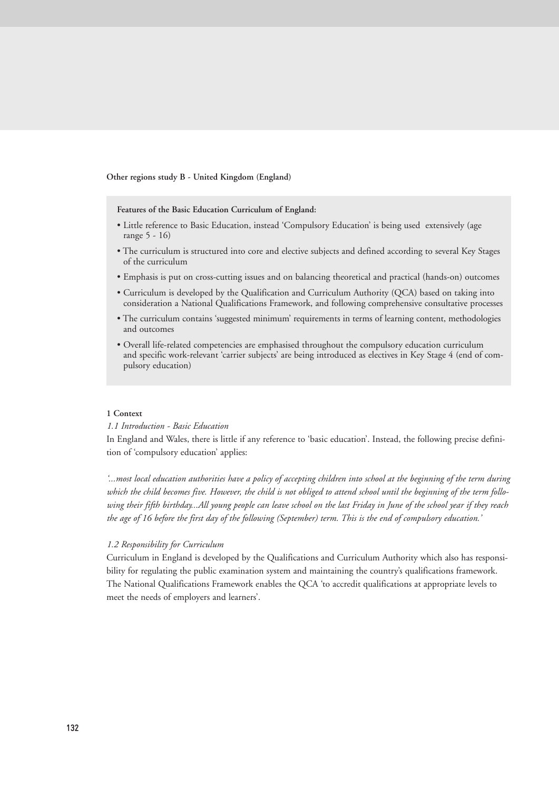#### **Other regions study B - United Kingdom (England)**

**Features of the Basic Education Curriculum of England:**

- Little reference to Basic Education, instead 'Compulsory Education' is being used extensively (age range 5 - 16)
- The curriculum is structured into core and elective subjects and defined according to several Key Stages of the curriculum
- Emphasis is put on cross-cutting issues and on balancing theoretical and practical (hands-on) outcomes
- Curriculum is developed by the Qualification and Curriculum Authority (QCA) based on taking into consideration a National Qualifications Framework, and following comprehensive consultative processes
- The curriculum contains 'suggested minimum' requirements in terms of learning content, methodologies and outcomes
- Overall life-related competencies are emphasised throughout the compulsory education curriculum and specific work-relevant 'carrier subjects' are being introduced as electives in Key Stage 4 (end of compulsory education)

#### **1 Context**

#### *1.1 Introduction - Basic Education*

In England and Wales, there is little if any reference to 'basic education'. Instead, the following precise definition of 'compulsory education' applies:

*'...most local education authorities have a policy of accepting children into school at the beginning of the term during which the child becomes five. However, the child is not obliged to attend school until the beginning of the term following their fifth birthday...All young people can leave school on the last Friday in June of the school year if they reach the age of 16 before the first day of the following (September) term. This is the end of compulsory education.'*

#### *1.2 Responsibility for Curriculum*

Curriculum in England is developed by the Qualifications and Curriculum Authority which also has responsibility for regulating the public examination system and maintaining the country's qualifications framework. The National Qualifications Framework enables the QCA 'to accredit qualifications at appropriate levels to meet the needs of employers and learners'.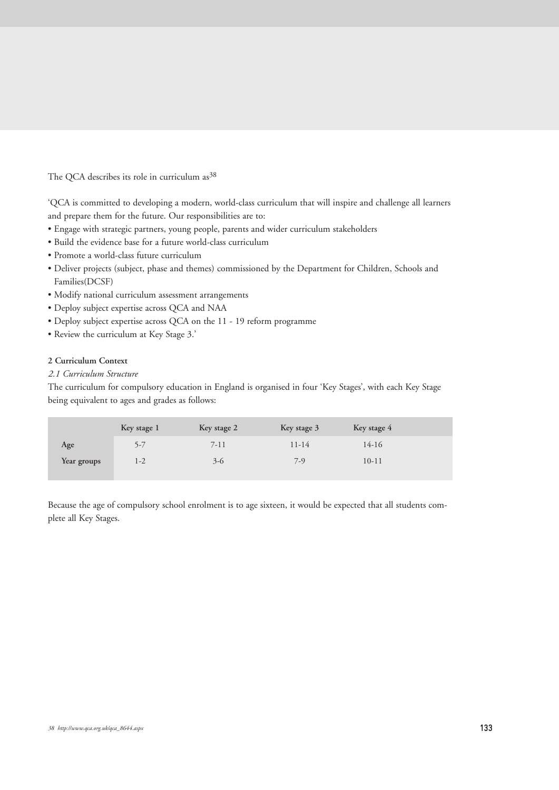The QCA describes its role in curriculum as<sup>38</sup>

'QCA is committed to developing a modern, world-class curriculum that will inspire and challenge all learners and prepare them for the future. Our responsibilities are to:

- Engage with strategic partners, young people, parents and wider curriculum stakeholders
- Build the evidence base for a future world-class curriculum
- Promote a world-class future curriculum
- Deliver projects (subject, phase and themes) commissioned by the Department for Children, Schools and Families(DCSF)
- Modify national curriculum assessment arrangements
- Deploy subject expertise across QCA and NAA
- Deploy subject expertise across QCA on the 11 19 reform programme
- Review the curriculum at Key Stage 3.'

# **2 Curriculum Context**

# *2.1 Curriculum Structure*

The curriculum for compulsory education in England is organised in four 'Key Stages', with each Key Stage being equivalent to ages and grades as follows:

|             | Key stage 1 | Key stage 2 | Key stage 3 | Key stage 4 |  |
|-------------|-------------|-------------|-------------|-------------|--|
| Age         | 5-7         | 7-11        | 11-14       | 14-16       |  |
| Year groups | 1-2         | $3-6$       | $7-9$       | $10 - 11$   |  |

Because the age of compulsory school enrolment is to age sixteen, it would be expected that all students complete all Key Stages.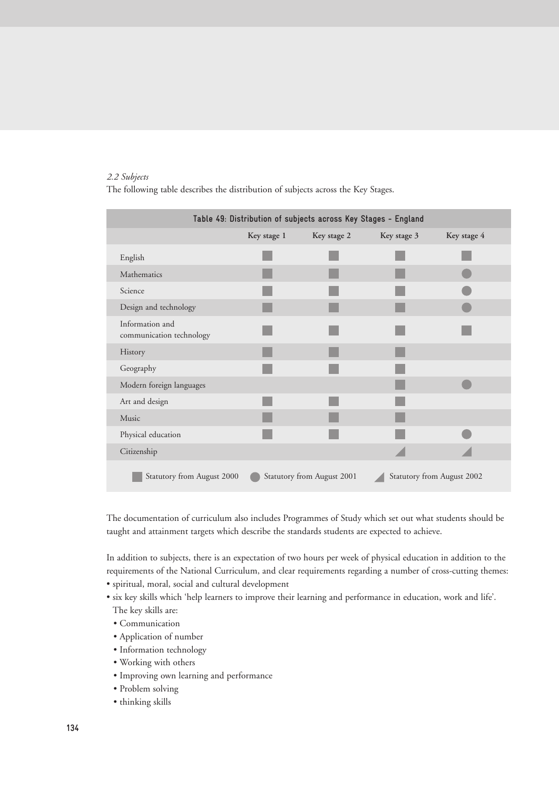# *2.2 Subjects*

The following table describes the distribution of subjects across the Key Stages.

| Table 49: Distribution of subjects across Key Stages - England                         |             |             |             |             |  |
|----------------------------------------------------------------------------------------|-------------|-------------|-------------|-------------|--|
|                                                                                        | Key stage 1 | Key stage 2 | Key stage 3 | Key stage 4 |  |
| English                                                                                |             |             |             |             |  |
| Mathematics                                                                            |             |             |             |             |  |
| Science                                                                                |             |             |             |             |  |
| Design and technology                                                                  |             |             |             |             |  |
| Information and<br>communication technology                                            |             |             |             |             |  |
| History                                                                                |             |             |             |             |  |
| Geography                                                                              |             |             |             |             |  |
| Modern foreign languages                                                               |             |             |             |             |  |
| Art and design                                                                         |             |             |             |             |  |
| Music                                                                                  |             |             |             |             |  |
| Physical education                                                                     |             |             |             |             |  |
| Citizenship                                                                            |             |             |             |             |  |
| Statutory from August 2000<br>Statutory from August 2001<br>Statutory from August 2002 |             |             |             |             |  |

The documentation of curriculum also includes Programmes of Study which set out what students should be taught and attainment targets which describe the standards students are expected to achieve.

In addition to subjects, there is an expectation of two hours per week of physical education in addition to the requirements of the National Curriculum, and clear requirements regarding a number of cross-cutting themes:

- spiritual, moral, social and cultural development
- six key skills which 'help learners to improve their learning and performance in education, work and life'. The key skills are:
	- Communication
	- Application of number
	- Information technology
	- Working with others
	- Improving own learning and performance
	- Problem solving
	- thinking skills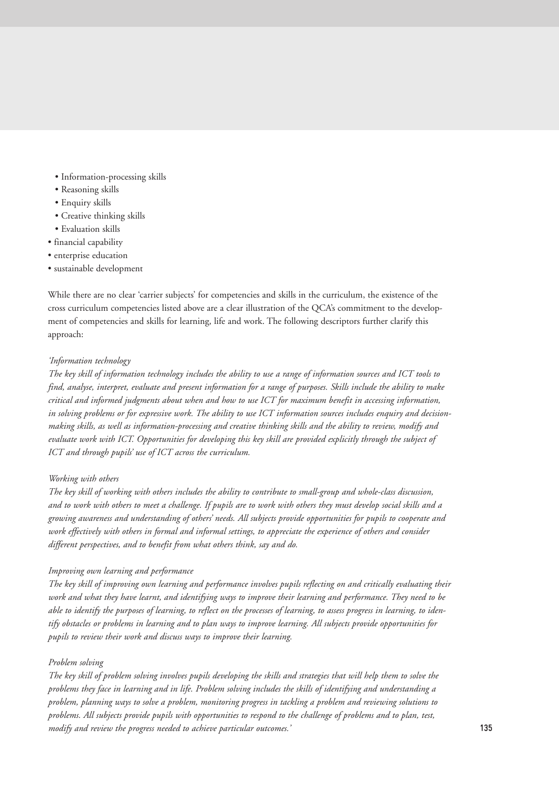- Information-processing skills
- Reasoning skills
- Enquiry skills
- Creative thinking skills
- Evaluation skills
- financial capability
- enterprise education
- sustainable development

While there are no clear 'carrier subjects' for competencies and skills in the curriculum, the existence of the cross curriculum competencies listed above are a clear illustration of the QCA's commitment to the development of competencies and skills for learning, life and work. The following descriptors further clarify this approach:

# *'Information technology*

*The key skill of information technology includes the ability to use a range of information sources and ICT tools to find, analyse, interpret, evaluate and present information for a range of purposes. Skills include the ability to make critical and informed judgments about when and how to use ICT for maximum benefit in accessing information, in solving problems or for expressive work. The ability to use ICT information sources includes enquiry and decisionmaking skills, as well as information-processing and creative thinking skills and the ability to review, modify and evaluate work with ICT. Opportunities for developing this key skill are provided explicitly through the subject of ICT and through pupils' use of ICT across the curriculum.*

# *Working with others*

*The key skill of working with others includes the ability to contribute to small-group and whole-class discussion, and to work with others to meet a challenge. If pupils are to work with others they must develop social skills and a growing awareness and understanding of others' needs. All subjects provide opportunities for pupils to cooperate and work effectively with others in formal and informal settings, to appreciate the experience of others and consider different perspectives, and to benefit from what others think, say and do.*

# *Improving own learning and performance*

*The key skill of improving own learning and performance involves pupils reflecting on and critically evaluating their work and what they have learnt, and identifying ways to improve their learning and performance. They need to be able to identify the purposes of learning, to reflect on the processes of learning, to assess progress in learning, to identify obstacles or problems in learning and to plan ways to improve learning. All subjects provide opportunities for pupils to review their work and discuss ways to improve their learning.*

# *Problem solving*

*The key skill of problem solving involves pupils developing the skills and strategies that will help them to solve the problems they face in learning and in life. Problem solving includes the skills of identifying and understanding a problem, planning ways to solve a problem, monitoring progress in tackling a problem and reviewing solutions to problems. All subjects provide pupils with opportunities to respond to the challenge of problems and to plan, test, modify and review the progress needed to achieve particular outcomes.'*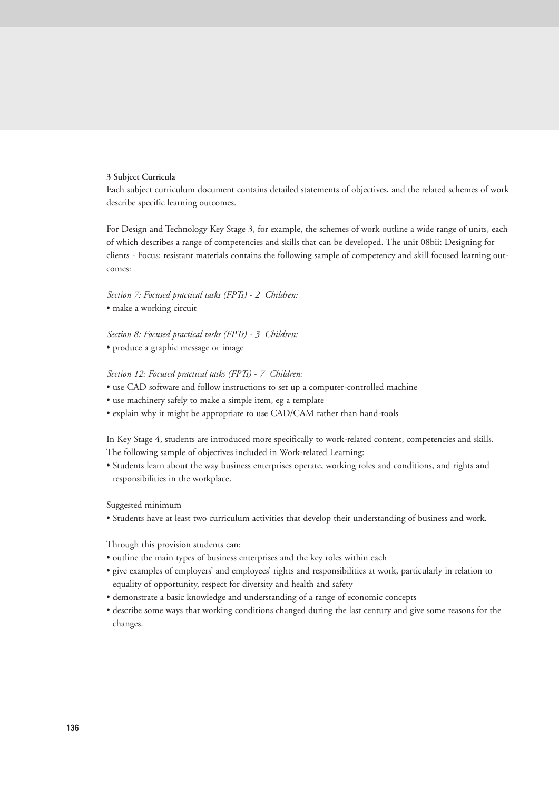#### **3 Subject Curricula**

Each subject curriculum document contains detailed statements of objectives, and the related schemes of work describe specific learning outcomes.

For Design and Technology Key Stage 3, for example, the schemes of work outline a wide range of units, each of which describes a range of competencies and skills that can be developed. The unit 08bii: Designing for clients - Focus: resistant materials contains the following sample of competency and skill focused learning outcomes:

*Section 7: Focused practical tasks (FPTs) - 2 Children:* • make a working circuit

*Section 8: Focused practical tasks (FPTs) - 3 Children:* • produce a graphic message or image

#### *Section 12: Focused practical tasks (FPTs) - 7 Children:*

- use CAD software and follow instructions to set up a computer-controlled machine
- use machinery safely to make a simple item, eg a template
- explain why it might be appropriate to use CAD/CAM rather than hand-tools

In Key Stage 4, students are introduced more specifically to work-related content, competencies and skills. The following sample of objectives included in Work-related Learning:

• Students learn about the way business enterprises operate, working roles and conditions, and rights and responsibilities in the workplace.

Suggested minimum

• Students have at least two curriculum activities that develop their understanding of business and work.

Through this provision students can:

- outline the main types of business enterprises and the key roles within each
- give examples of employers' and employees' rights and responsibilities at work, particularly in relation to equality of opportunity, respect for diversity and health and safety
- demonstrate a basic knowledge and understanding of a range of economic concepts
- describe some ways that working conditions changed during the last century and give some reasons for the changes.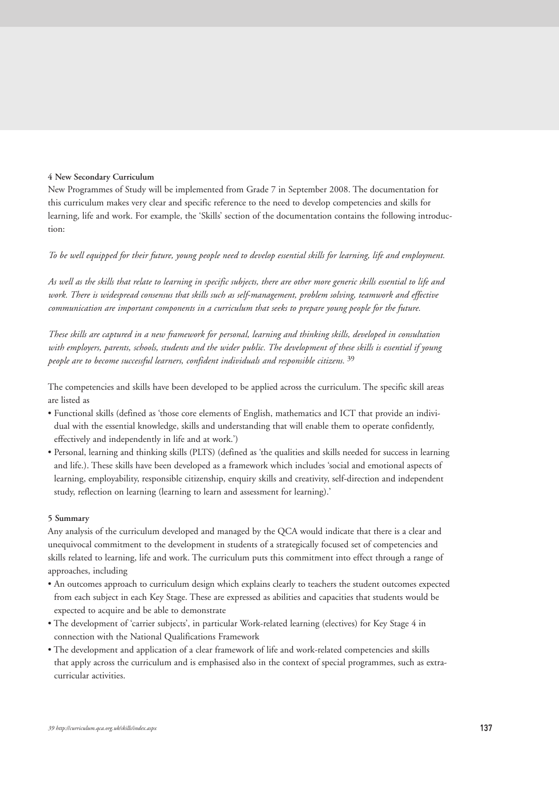#### **4 New Secondary Curriculum**

New Programmes of Study will be implemented from Grade 7 in September 2008. The documentation for this curriculum makes very clear and specific reference to the need to develop competencies and skills for learning, life and work. For example, the 'Skills' section of the documentation contains the following introduction:

# *To be well equipped for their future, young people need to develop essential skills for learning, life and employment.*

*As well as the skills that relate to learning in specific subjects, there are other more generic skills essential to life and work. There is widespread consensus that skills such as self-management, problem solving, teamwork and effective communication are important components in a curriculum that seeks to prepare young people for the future.*

*These skills are captured in a new framework for personal, learning and thinking skills, developed in consultation with employers, parents, schools, students and the wider public. The development of these skills is essential if young people are to become successful learners, confident individuals and responsible citizens.* 39

The competencies and skills have been developed to be applied across the curriculum. The specific skill areas are listed as

- Functional skills (defined as 'those core elements of English, mathematics and ICT that provide an individual with the essential knowledge, skills and understanding that will enable them to operate confidently, effectively and independently in life and at work.')
- Personal, learning and thinking skills (PLTS) (defined as 'the qualities and skills needed for success in learning and life.). These skills have been developed as a framework which includes 'social and emotional aspects of learning, employability, responsible citizenship, enquiry skills and creativity, self-direction and independent study, reflection on learning (learning to learn and assessment for learning).'

#### **5 Summary**

Any analysis of the curriculum developed and managed by the QCA would indicate that there is a clear and unequivocal commitment to the development in students of a strategically focused set of competencies and skills related to learning, life and work. The curriculum puts this commitment into effect through a range of approaches, including

- An outcomes approach to curriculum design which explains clearly to teachers the student outcomes expected from each subject in each Key Stage. These are expressed as abilities and capacities that students would be expected to acquire and be able to demonstrate
- The development of 'carrier subjects', in particular Work-related learning (electives) for Key Stage 4 in connection with the National Qualifications Framework
- The development and application of a clear framework of life and work-related competencies and skills that apply across the curriculum and is emphasised also in the context of special programmes, such as extracurricular activities.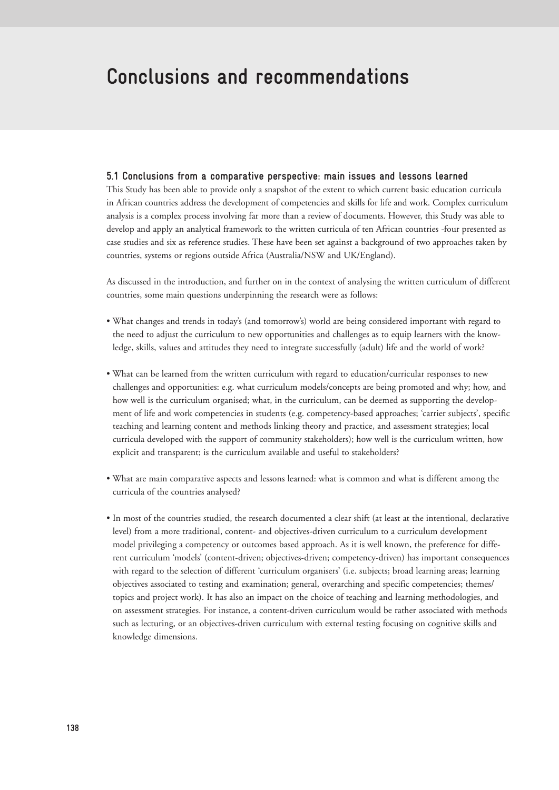# **Conclusions and recommendations**

# **5.1 Conclusions from a comparative perspective: main issues and lessons learned**

This Study has been able to provide only a snapshot of the extent to which current basic education curricula in African countries address the development of competencies and skills for life and work. Complex curriculum analysis is a complex process involving far more than a review of documents. However, this Study was able to develop and apply an analytical framework to the written curricula of ten African countries -four presented as case studies and six as reference studies. These have been set against a background of two approaches taken by countries, systems or regions outside Africa (Australia/NSW and UK/England).

As discussed in the introduction, and further on in the context of analysing the written curriculum of different countries, some main questions underpinning the research were as follows:

- What changes and trends in today's (and tomorrow's) world are being considered important with regard to the need to adjust the curriculum to new opportunities and challenges as to equip learners with the knowledge, skills, values and attitudes they need to integrate successfully (adult) life and the world of work?
- What can be learned from the written curriculum with regard to education/curricular responses to new challenges and opportunities: e.g. what curriculum models/concepts are being promoted and why; how, and how well is the curriculum organised; what, in the curriculum, can be deemed as supporting the development of life and work competencies in students (e.g. competency-based approaches; 'carrier subjects', specific teaching and learning content and methods linking theory and practice, and assessment strategies; local curricula developed with the support of community stakeholders); how well is the curriculum written, how explicit and transparent; is the curriculum available and useful to stakeholders?
- What are main comparative aspects and lessons learned: what is common and what is different among the curricula of the countries analysed?
- In most of the countries studied, the research documented a clear shift (at least at the intentional, declarative level) from a more traditional, content- and objectives-driven curriculum to a curriculum development model privileging a competency or outcomes based approach. As it is well known, the preference for different curriculum 'models' (content-driven; objectives-driven; competency-driven) has important consequences with regard to the selection of different 'curriculum organisers' (i.e. subjects; broad learning areas; learning objectives associated to testing and examination; general, overarching and specific competencies; themes/ topics and project work). It has also an impact on the choice of teaching and learning methodologies, and on assessment strategies. For instance, a content-driven curriculum would be rather associated with methods such as lecturing, or an objectives-driven curriculum with external testing focusing on cognitive skills and knowledge dimensions.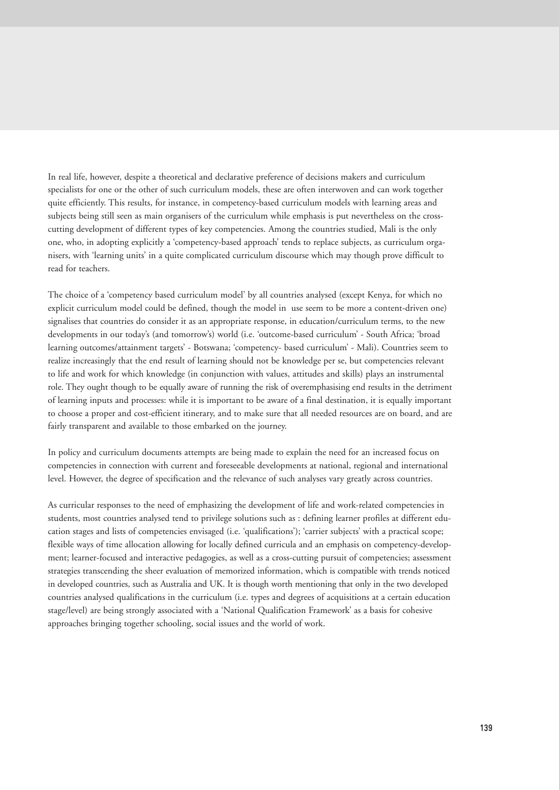In real life, however, despite a theoretical and declarative preference of decisions makers and curriculum specialists for one or the other of such curriculum models, these are often interwoven and can work together quite efficiently. This results, for instance, in competency-based curriculum models with learning areas and subjects being still seen as main organisers of the curriculum while emphasis is put nevertheless on the crosscutting development of different types of key competencies. Among the countries studied, Mali is the only one, who, in adopting explicitly a 'competency-based approach' tends to replace subjects, as curriculum organisers, with 'learning units' in a quite complicated curriculum discourse which may though prove difficult to read for teachers.

The choice of a 'competency based curriculum model' by all countries analysed (except Kenya, for which no explicit curriculum model could be defined, though the model in use seem to be more a content-driven one) signalises that countries do consider it as an appropriate response, in education/curriculum terms, to the new developments in our today's (and tomorrow's) world (i.e. 'outcome-based curriculum' - South Africa; 'broad learning outcomes/attainment targets' - Botswana; 'competency- based curriculum' - Mali). Countries seem to realize increasingly that the end result of learning should not be knowledge per se, but competencies relevant to life and work for which knowledge (in conjunction with values, attitudes and skills) plays an instrumental role. They ought though to be equally aware of running the risk of overemphasising end results in the detriment of learning inputs and processes: while it is important to be aware of a final destination, it is equally important to choose a proper and cost-efficient itinerary, and to make sure that all needed resources are on board, and are fairly transparent and available to those embarked on the journey.

In policy and curriculum documents attempts are being made to explain the need for an increased focus on competencies in connection with current and foreseeable developments at national, regional and international level. However, the degree of specification and the relevance of such analyses vary greatly across countries.

As curricular responses to the need of emphasizing the development of life and work-related competencies in students, most countries analysed tend to privilege solutions such as : defining learner profiles at different education stages and lists of competencies envisaged (i.e. 'qualifications'); 'carrier subjects' with a practical scope; flexible ways of time allocation allowing for locally defined curricula and an emphasis on competency-development; learner-focused and interactive pedagogies, as well as a cross-cutting pursuit of competencies; assessment strategies transcending the sheer evaluation of memorized information, which is compatible with trends noticed in developed countries, such as Australia and UK. It is though worth mentioning that only in the two developed countries analysed qualifications in the curriculum (i.e. types and degrees of acquisitions at a certain education stage/level) are being strongly associated with a 'National Qualification Framework' as a basis for cohesive approaches bringing together schooling, social issues and the world of work.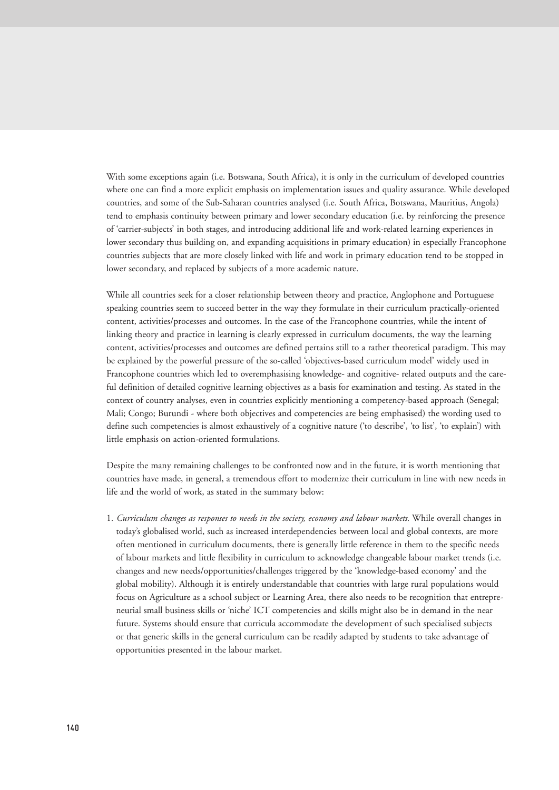With some exceptions again (i.e. Botswana, South Africa), it is only in the curriculum of developed countries where one can find a more explicit emphasis on implementation issues and quality assurance. While developed countries, and some of the Sub-Saharan countries analysed (i.e. South Africa, Botswana, Mauritius, Angola) tend to emphasis continuity between primary and lower secondary education (i.e. by reinforcing the presence of 'carrier-subjects' in both stages, and introducing additional life and work-related learning experiences in lower secondary thus building on, and expanding acquisitions in primary education) in especially Francophone countries subjects that are more closely linked with life and work in primary education tend to be stopped in lower secondary, and replaced by subjects of a more academic nature.

While all countries seek for a closer relationship between theory and practice, Anglophone and Portuguese speaking countries seem to succeed better in the way they formulate in their curriculum practically-oriented content, activities/processes and outcomes. In the case of the Francophone countries, while the intent of linking theory and practice in learning is clearly expressed in curriculum documents, the way the learning content, activities/processes and outcomes are defined pertains still to a rather theoretical paradigm. This may be explained by the powerful pressure of the so-called 'objectives-based curriculum model' widely used in Francophone countries which led to overemphasising knowledge- and cognitive- related outputs and the careful definition of detailed cognitive learning objectives as a basis for examination and testing. As stated in the context of country analyses, even in countries explicitly mentioning a competency-based approach (Senegal; Mali; Congo; Burundi - where both objectives and competencies are being emphasised) the wording used to define such competencies is almost exhaustively of a cognitive nature ('to describe', 'to list', 'to explain') with little emphasis on action-oriented formulations.

Despite the many remaining challenges to be confronted now and in the future, it is worth mentioning that countries have made, in general, a tremendous effort to modernize their curriculum in line with new needs in life and the world of work, as stated in the summary below:

1. *Curriculum changes as responses to needs in the society, economy and labour markets.* While overall changes in today's globalised world, such as increased interdependencies between local and global contexts, are more often mentioned in curriculum documents, there is generally little reference in them to the specific needs of labour markets and little flexibility in curriculum to acknowledge changeable labour market trends (i.e. changes and new needs/opportunities/challenges triggered by the 'knowledge-based economy' and the global mobility). Although it is entirely understandable that countries with large rural populations would focus on Agriculture as a school subject or Learning Area, there also needs to be recognition that entrepreneurial small business skills or 'niche' ICT competencies and skills might also be in demand in the near future. Systems should ensure that curricula accommodate the development of such specialised subjects or that generic skills in the general curriculum can be readily adapted by students to take advantage of opportunities presented in the labour market.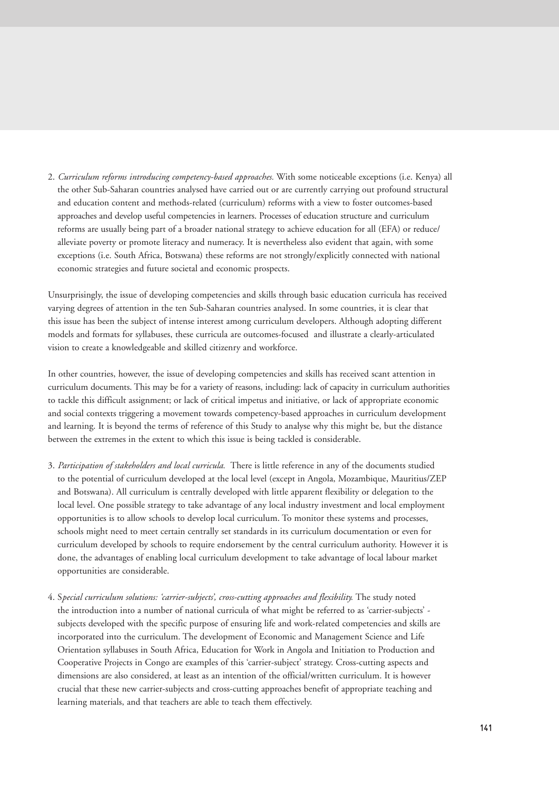2. *Curriculum reforms introducing competency-based approaches.* With some noticeable exceptions (i.e. Kenya) all the other Sub-Saharan countries analysed have carried out or are currently carrying out profound structural and education content and methods-related (curriculum) reforms with a view to foster outcomes-based approaches and develop useful competencies in learners. Processes of education structure and curriculum reforms are usually being part of a broader national strategy to achieve education for all (EFA) or reduce/ alleviate poverty or promote literacy and numeracy. It is nevertheless also evident that again, with some exceptions (i.e. South Africa, Botswana) these reforms are not strongly/explicitly connected with national economic strategies and future societal and economic prospects.

Unsurprisingly, the issue of developing competencies and skills through basic education curricula has received varying degrees of attention in the ten Sub-Saharan countries analysed. In some countries, it is clear that this issue has been the subject of intense interest among curriculum developers. Although adopting different models and formats for syllabuses, these curricula are outcomes-focused and illustrate a clearly-articulated vision to create a knowledgeable and skilled citizenry and workforce.

In other countries, however, the issue of developing competencies and skills has received scant attention in curriculum documents. This may be for a variety of reasons, including: lack of capacity in curriculum authorities to tackle this difficult assignment; or lack of critical impetus and initiative, or lack of appropriate economic and social contexts triggering a movement towards competency-based approaches in curriculum development and learning. It is beyond the terms of reference of this Study to analyse why this might be, but the distance between the extremes in the extent to which this issue is being tackled is considerable.

- 3. *Participation of stakeholders and local curricula.* There is little reference in any of the documents studied to the potential of curriculum developed at the local level (except in Angola, Mozambique, Mauritius/ZEP and Botswana). All curriculum is centrally developed with little apparent flexibility or delegation to the local level. One possible strategy to take advantage of any local industry investment and local employment opportunities is to allow schools to develop local curriculum. To monitor these systems and processes, schools might need to meet certain centrally set standards in its curriculum documentation or even for curriculum developed by schools to require endorsement by the central curriculum authority. However it is done, the advantages of enabling local curriculum development to take advantage of local labour market opportunities are considerable.
- 4. S*pecial curriculum solutions: 'carrier-subjects', cross-cutting approaches and flexibility.* The study noted the introduction into a number of national curricula of what might be referred to as 'carrier-subjects' subjects developed with the specific purpose of ensuring life and work-related competencies and skills are incorporated into the curriculum. The development of Economic and Management Science and Life Orientation syllabuses in South Africa, Education for Work in Angola and Initiation to Production and Cooperative Projects in Congo are examples of this 'carrier-subject' strategy. Cross-cutting aspects and dimensions are also considered, at least as an intention of the official/written curriculum. It is however crucial that these new carrier-subjects and cross-cutting approaches benefit of appropriate teaching and learning materials, and that teachers are able to teach them effectively.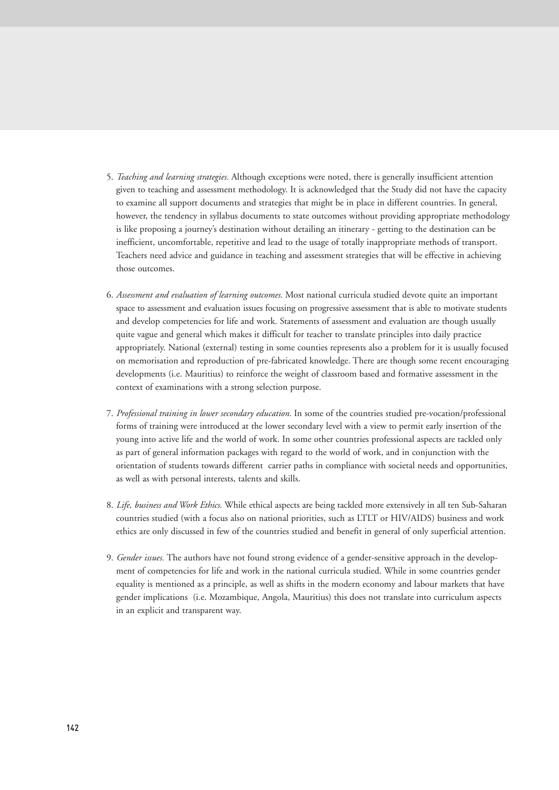- 5. *Teaching and learning strategies.* Although exceptions were noted, there is generally insufficient attention given to teaching and assessment methodology. It is acknowledged that the Study did not have the capacity to examine all support documents and strategies that might be in place in different countries. In general, however, the tendency in syllabus documents to state outcomes without providing appropriate methodology is like proposing a journey's destination without detailing an itinerary - getting to the destination can be inefficient, uncomfortable, repetitive and lead to the usage of totally inappropriate methods of transport. Teachers need advice and guidance in teaching and assessment strategies that will be effective in achieving those outcomes.
- 6. *Assessment and evaluation of learning outcomes.* Most national curricula studied devote quite an important space to assessment and evaluation issues focusing on progressive assessment that is able to motivate students and develop competencies for life and work. Statements of assessment and evaluation are though usually quite vague and general which makes it difficult for teacher to translate principles into daily practice appropriately. National (external) testing in some counties represents also a problem for it is usually focused on memorisation and reproduction of pre-fabricated knowledge. There are though some recent encouraging developments (i.e. Mauritius) to reinforce the weight of classroom based and formative assessment in the context of examinations with a strong selection purpose.
- 7. *Professional training in lower secondary education.* In some of the countries studied pre-vocation/professional forms of training were introduced at the lower secondary level with a view to permit early insertion of the young into active life and the world of work. In some other countries professional aspects are tackled only as part of general information packages with regard to the world of work, and in conjunction with the orientation of students towards different carrier paths in compliance with societal needs and opportunities, as well as with personal interests, talents and skills.
- 8. *Life, business and Work Ethics.* While ethical aspects are being tackled more extensively in all ten Sub-Saharan countries studied (with a focus also on national priorities, such as LTLT or HIV/AIDS) business and work ethics are only discussed in few of the countries studied and benefit in general of only superficial attention.
- 9. *Gender issues.* The authors have not found strong evidence of a gender-sensitive approach in the development of competencies for life and work in the national curricula studied. While in some countries gender equality is mentioned as a principle, as well as shifts in the modern economy and labour markets that have gender implications (i.e. Mozambique, Angola, Mauritius) this does not translate into curriculum aspects in an explicit and transparent way.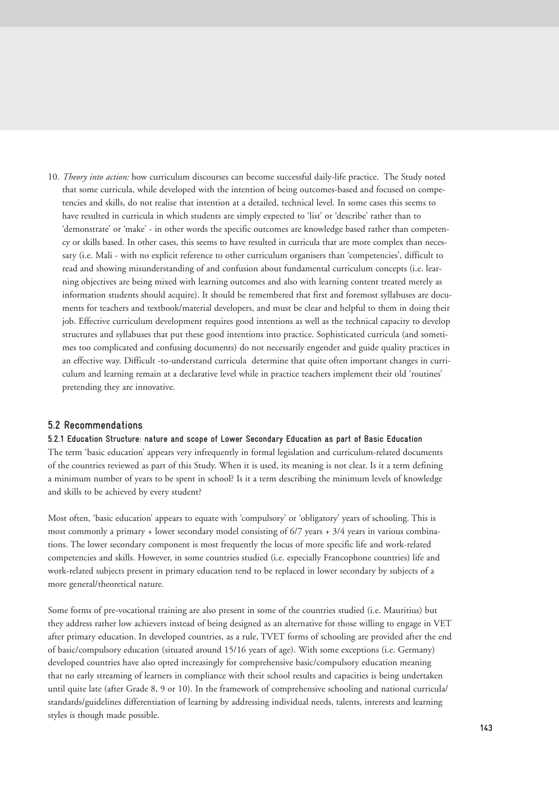10. *Theory into action:* how curriculum discourses can become successful daily-life practice. The Study noted that some curricula, while developed with the intention of being outcomes-based and focused on competencies and skills, do not realise that intention at a detailed, technical level. In some cases this seems to have resulted in curricula in which students are simply expected to 'list' or 'describe' rather than to 'demonstrate' or 'make' - in other words the specific outcomes are knowledge based rather than competency or skills based. In other cases, this seems to have resulted in curricula that are more complex than necessary (i.e. Mali - with no explicit reference to other curriculum organisers than 'competencies', difficult to read and showing misunderstanding of and confusion about fundamental curriculum concepts (i.e. learning objectives are being mixed with learning outcomes and also with learning content treated merely as information students should acquire). It should be remembered that first and foremost syllabuses are documents for teachers and textbook/material developers, and must be clear and helpful to them in doing their job. Effective curriculum development requires good intentions as well as the technical capacity to develop structures and syllabuses that put these good intentions into practice. Sophisticated curricula (and sometimes too complicated and confusing documents) do not necessarily engender and guide quality practices in an effective way. Difficult -to-understand curricula determine that quite often important changes in curriculum and learning remain at a declarative level while in practice teachers implement their old 'routines' pretending they are innovative.

# **5.2 Recommendations**

#### **5.2.1 Education Structure: nature and scope of Lower Secondary Education as part of Basic Education**

The term 'basic education' appears very infrequently in formal legislation and curriculum-related documents of the countries reviewed as part of this Study. When it is used, its meaning is not clear. Is it a term defining a minimum number of years to be spent in school? Is it a term describing the minimum levels of knowledge and skills to be achieved by every student?

Most often, 'basic education' appears to equate with 'compulsory' or 'obligatory' years of schooling. This is most commonly a primary + lower secondary model consisting of  $6/7$  years +  $3/4$  years in various combinations. The lower secondary component is most frequently the locus of more specific life and work-related competencies and skills. However, in some countries studied (i.e. especially Francophone countries) life and work-related subjects present in primary education tend to be replaced in lower secondary by subjects of a more general/theoretical nature.

Some forms of pre-vocational training are also present in some of the countries studied (i.e. Mauritius) but they address rather low achievers instead of being designed as an alternative for those willing to engage in VET after primary education. In developed countries, as a rule, TVET forms of schooling are provided after the end of basic/compulsory education (situated around 15/16 years of age). With some exceptions (i.e. Germany) developed countries have also opted increasingly for comprehensive basic/compulsory education meaning that no early streaming of learners in compliance with their school results and capacities is being undertaken until quite late (after Grade 8, 9 or 10). In the framework of comprehensive schooling and national curricula/ standards/guidelines differentiation of learning by addressing individual needs, talents, interests and learning styles is though made possible.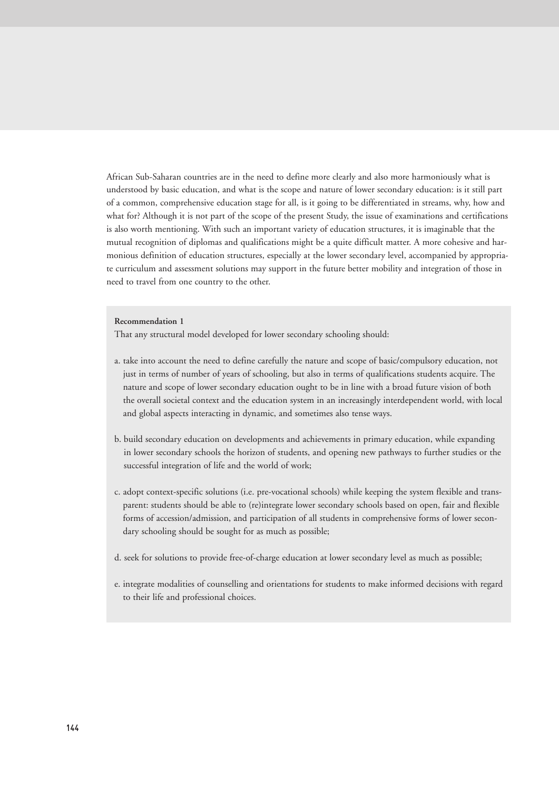African Sub-Saharan countries are in the need to define more clearly and also more harmoniously what is understood by basic education, and what is the scope and nature of lower secondary education: is it still part of a common, comprehensive education stage for all, is it going to be differentiated in streams, why, how and what for? Although it is not part of the scope of the present Study, the issue of examinations and certifications is also worth mentioning. With such an important variety of education structures, it is imaginable that the mutual recognition of diplomas and qualifications might be a quite difficult matter. A more cohesive and harmonious definition of education structures, especially at the lower secondary level, accompanied by appropriate curriculum and assessment solutions may support in the future better mobility and integration of those in need to travel from one country to the other.

#### **Recommendation 1**

That any structural model developed for lower secondary schooling should:

- a. take into account the need to define carefully the nature and scope of basic/compulsory education, not just in terms of number of years of schooling, but also in terms of qualifications students acquire. The nature and scope of lower secondary education ought to be in line with a broad future vision of both the overall societal context and the education system in an increasingly interdependent world, with local and global aspects interacting in dynamic, and sometimes also tense ways.
- b. build secondary education on developments and achievements in primary education, while expanding in lower secondary schools the horizon of students, and opening new pathways to further studies or the successful integration of life and the world of work;
- c. adopt context-specific solutions (i.e. pre-vocational schools) while keeping the system flexible and transparent: students should be able to (re)integrate lower secondary schools based on open, fair and flexible forms of accession/admission, and participation of all students in comprehensive forms of lower secondary schooling should be sought for as much as possible;
- d. seek for solutions to provide free-of-charge education at lower secondary level as much as possible;
- e. integrate modalities of counselling and orientations for students to make informed decisions with regard to their life and professional choices.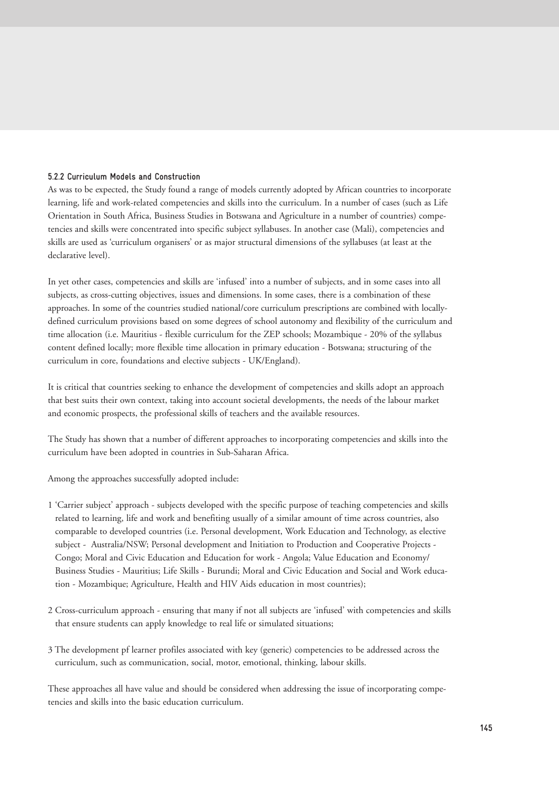#### **5.2.2 Curriculum Models and Construction**

As was to be expected, the Study found a range of models currently adopted by African countries to incorporate learning, life and work-related competencies and skills into the curriculum. In a number of cases (such as Life Orientation in South Africa, Business Studies in Botswana and Agriculture in a number of countries) competencies and skills were concentrated into specific subject syllabuses. In another case (Mali), competencies and skills are used as 'curriculum organisers' or as major structural dimensions of the syllabuses (at least at the declarative level).

In yet other cases, competencies and skills are 'infused' into a number of subjects, and in some cases into all subjects, as cross-cutting objectives, issues and dimensions. In some cases, there is a combination of these approaches. In some of the countries studied national/core curriculum prescriptions are combined with locallydefined curriculum provisions based on some degrees of school autonomy and flexibility of the curriculum and time allocation (i.e. Mauritius - flexible curriculum for the ZEP schools; Mozambique - 20% of the syllabus content defined locally; more flexible time allocation in primary education - Botswana; structuring of the curriculum in core, foundations and elective subjects - UK/England).

It is critical that countries seeking to enhance the development of competencies and skills adopt an approach that best suits their own context, taking into account societal developments, the needs of the labour market and economic prospects, the professional skills of teachers and the available resources.

The Study has shown that a number of different approaches to incorporating competencies and skills into the curriculum have been adopted in countries in Sub-Saharan Africa.

Among the approaches successfully adopted include:

- 1 'Carrier subject' approach subjects developed with the specific purpose of teaching competencies and skills related to learning, life and work and benefiting usually of a similar amount of time across countries, also comparable to developed countries (i.e. Personal development, Work Education and Technology, as elective subject - Australia/NSW; Personal development and Initiation to Production and Cooperative Projects - Congo; Moral and Civic Education and Education for work - Angola; Value Education and Economy/ Business Studies - Mauritius; Life Skills - Burundi; Moral and Civic Education and Social and Work education - Mozambique; Agriculture, Health and HIV Aids education in most countries);
- 2 Cross-curriculum approach ensuring that many if not all subjects are 'infused' with competencies and skills that ensure students can apply knowledge to real life or simulated situations;
- 3 The development pf learner profiles associated with key (generic) competencies to be addressed across the curriculum, such as communication, social, motor, emotional, thinking, labour skills.

These approaches all have value and should be considered when addressing the issue of incorporating competencies and skills into the basic education curriculum.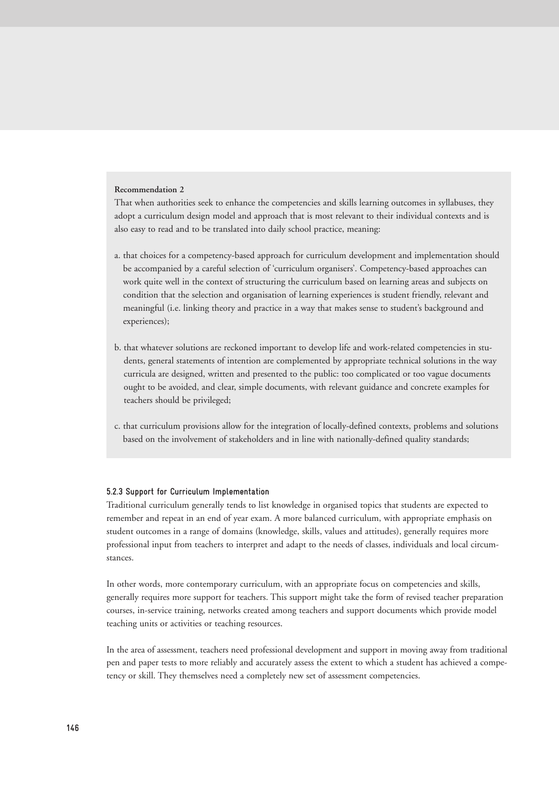#### **Recommendation 2**

That when authorities seek to enhance the competencies and skills learning outcomes in syllabuses, they adopt a curriculum design model and approach that is most relevant to their individual contexts and is also easy to read and to be translated into daily school practice, meaning:

- a. that choices for a competency-based approach for curriculum development and implementation should be accompanied by a careful selection of 'curriculum organisers'. Competency-based approaches can work quite well in the context of structuring the curriculum based on learning areas and subjects on condition that the selection and organisation of learning experiences is student friendly, relevant and meaningful (i.e. linking theory and practice in a way that makes sense to student's background and experiences);
- b. that whatever solutions are reckoned important to develop life and work-related competencies in students, general statements of intention are complemented by appropriate technical solutions in the way curricula are designed, written and presented to the public: too complicated or too vague documents ought to be avoided, and clear, simple documents, with relevant guidance and concrete examples for teachers should be privileged;
- c. that curriculum provisions allow for the integration of locally-defined contexts, problems and solutions based on the involvement of stakeholders and in line with nationally-defined quality standards;

#### **5.2.3 Support for Curriculum Implementation**

Traditional curriculum generally tends to list knowledge in organised topics that students are expected to remember and repeat in an end of year exam. A more balanced curriculum, with appropriate emphasis on student outcomes in a range of domains (knowledge, skills, values and attitudes), generally requires more professional input from teachers to interpret and adapt to the needs of classes, individuals and local circumstances.

In other words, more contemporary curriculum, with an appropriate focus on competencies and skills, generally requires more support for teachers. This support might take the form of revised teacher preparation courses, in-service training, networks created among teachers and support documents which provide model teaching units or activities or teaching resources.

In the area of assessment, teachers need professional development and support in moving away from traditional pen and paper tests to more reliably and accurately assess the extent to which a student has achieved a competency or skill. They themselves need a completely new set of assessment competencies.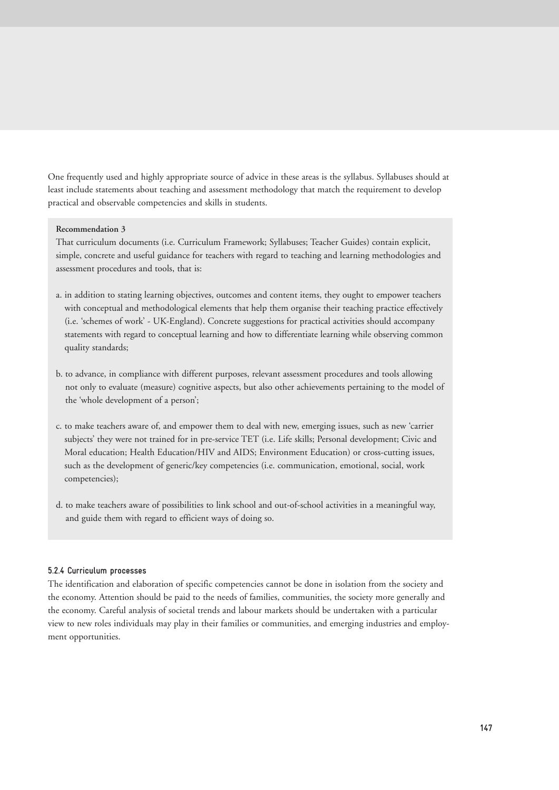One frequently used and highly appropriate source of advice in these areas is the syllabus. Syllabuses should at least include statements about teaching and assessment methodology that match the requirement to develop practical and observable competencies and skills in students.

#### **Recommendation 3**

That curriculum documents (i.e. Curriculum Framework; Syllabuses; Teacher Guides) contain explicit, simple, concrete and useful guidance for teachers with regard to teaching and learning methodologies and assessment procedures and tools, that is:

- a. in addition to stating learning objectives, outcomes and content items, they ought to empower teachers with conceptual and methodological elements that help them organise their teaching practice effectively (i.e. 'schemes of work' - UK-England). Concrete suggestions for practical activities should accompany statements with regard to conceptual learning and how to differentiate learning while observing common quality standards;
- b. to advance, in compliance with different purposes, relevant assessment procedures and tools allowing not only to evaluate (measure) cognitive aspects, but also other achievements pertaining to the model of the 'whole development of a person';
- c. to make teachers aware of, and empower them to deal with new, emerging issues, such as new 'carrier subjects' they were not trained for in pre-service TET (i.e. Life skills; Personal development; Civic and Moral education; Health Education/HIV and AIDS; Environment Education) or cross-cutting issues, such as the development of generic/key competencies (i.e. communication, emotional, social, work competencies);
- d. to make teachers aware of possibilities to link school and out-of-school activities in a meaningful way, and guide them with regard to efficient ways of doing so.

#### **5.2.4 Curriculum processes**

The identification and elaboration of specific competencies cannot be done in isolation from the society and the economy. Attention should be paid to the needs of families, communities, the society more generally and the economy. Careful analysis of societal trends and labour markets should be undertaken with a particular view to new roles individuals may play in their families or communities, and emerging industries and employment opportunities.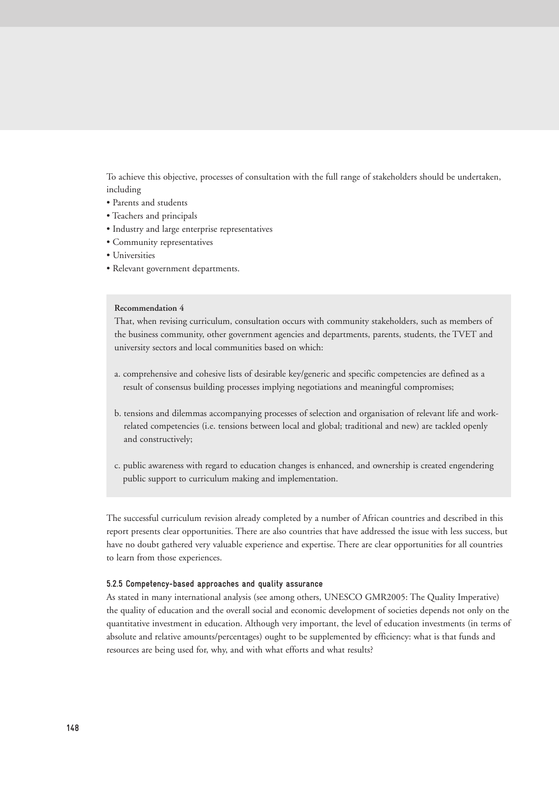To achieve this objective, processes of consultation with the full range of stakeholders should be undertaken, including

- Parents and students
- Teachers and principals
- Industry and large enterprise representatives
- Community representatives
- Universities
- Relevant government departments.

#### **Recommendation 4**

That, when revising curriculum, consultation occurs with community stakeholders, such as members of the business community, other government agencies and departments, parents, students, the TVET and university sectors and local communities based on which:

- a. comprehensive and cohesive lists of desirable key/generic and specific competencies are defined as a result of consensus building processes implying negotiations and meaningful compromises;
- b. tensions and dilemmas accompanying processes of selection and organisation of relevant life and workrelated competencies (i.e. tensions between local and global; traditional and new) are tackled openly and constructively;
- c. public awareness with regard to education changes is enhanced, and ownership is created engendering public support to curriculum making and implementation.

The successful curriculum revision already completed by a number of African countries and described in this report presents clear opportunities. There are also countries that have addressed the issue with less success, but have no doubt gathered very valuable experience and expertise. There are clear opportunities for all countries to learn from those experiences.

#### **5.2.5 Competency-based approaches and quality assurance**

As stated in many international analysis (see among others, UNESCO GMR2005: The Quality Imperative) the quality of education and the overall social and economic development of societies depends not only on the quantitative investment in education. Although very important, the level of education investments (in terms of absolute and relative amounts/percentages) ought to be supplemented by efficiency: what is that funds and resources are being used for, why, and with what efforts and what results?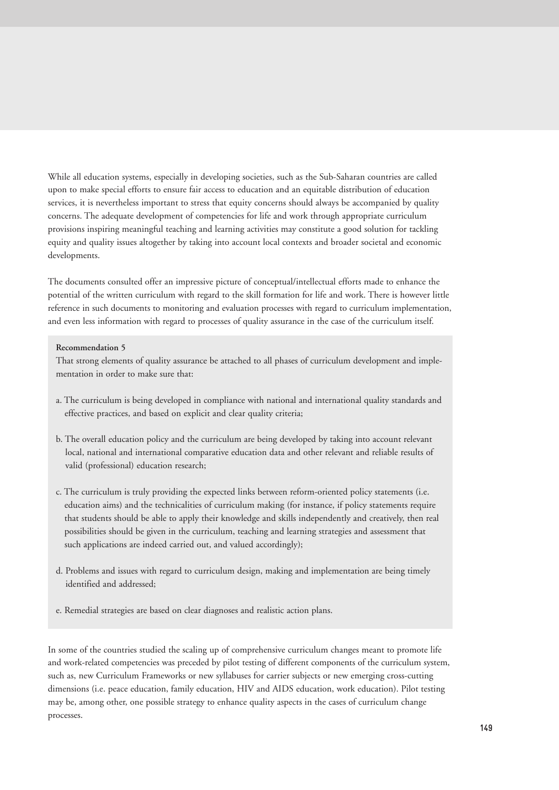While all education systems, especially in developing societies, such as the Sub-Saharan countries are called upon to make special efforts to ensure fair access to education and an equitable distribution of education services, it is nevertheless important to stress that equity concerns should always be accompanied by quality concerns. The adequate development of competencies for life and work through appropriate curriculum provisions inspiring meaningful teaching and learning activities may constitute a good solution for tackling equity and quality issues altogether by taking into account local contexts and broader societal and economic developments.

The documents consulted offer an impressive picture of conceptual/intellectual efforts made to enhance the potential of the written curriculum with regard to the skill formation for life and work. There is however little reference in such documents to monitoring and evaluation processes with regard to curriculum implementation, and even less information with regard to processes of quality assurance in the case of the curriculum itself.

#### **Recommendation 5**

That strong elements of quality assurance be attached to all phases of curriculum development and implementation in order to make sure that:

- a. The curriculum is being developed in compliance with national and international quality standards and effective practices, and based on explicit and clear quality criteria;
- b. The overall education policy and the curriculum are being developed by taking into account relevant local, national and international comparative education data and other relevant and reliable results of valid (professional) education research;
- c. The curriculum is truly providing the expected links between reform-oriented policy statements (i.e. education aims) and the technicalities of curriculum making (for instance, if policy statements require that students should be able to apply their knowledge and skills independently and creatively, then real possibilities should be given in the curriculum, teaching and learning strategies and assessment that such applications are indeed carried out, and valued accordingly);
- d. Problems and issues with regard to curriculum design, making and implementation are being timely identified and addressed;
- e. Remedial strategies are based on clear diagnoses and realistic action plans.

In some of the countries studied the scaling up of comprehensive curriculum changes meant to promote life and work-related competencies was preceded by pilot testing of different components of the curriculum system, such as, new Curriculum Frameworks or new syllabuses for carrier subjects or new emerging cross-cutting dimensions (i.e. peace education, family education, HIV and AIDS education, work education). Pilot testing may be, among other, one possible strategy to enhance quality aspects in the cases of curriculum change processes.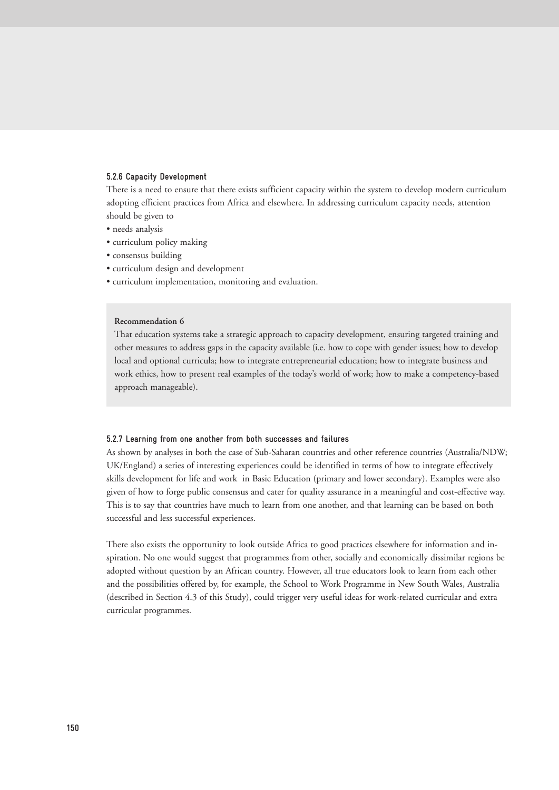#### **5.2.6 Capacity Development**

There is a need to ensure that there exists sufficient capacity within the system to develop modern curriculum adopting efficient practices from Africa and elsewhere. In addressing curriculum capacity needs, attention should be given to

- needs analysis
- curriculum policy making
- consensus building
- curriculum design and development
- curriculum implementation, monitoring and evaluation.

#### **Recommendation 6**

That education systems take a strategic approach to capacity development, ensuring targeted training and other measures to address gaps in the capacity available (i.e. how to cope with gender issues; how to develop local and optional curricula; how to integrate entrepreneurial education; how to integrate business and work ethics, how to present real examples of the today's world of work; how to make a competency-based approach manageable).

#### **5.2.7 Learning from one another from both successes and failures**

As shown by analyses in both the case of Sub-Saharan countries and other reference countries (Australia/NDW; UK/England) a series of interesting experiences could be identified in terms of how to integrate effectively skills development for life and work in Basic Education (primary and lower secondary). Examples were also given of how to forge public consensus and cater for quality assurance in a meaningful and cost-effective way. This is to say that countries have much to learn from one another, and that learning can be based on both successful and less successful experiences.

There also exists the opportunity to look outside Africa to good practices elsewhere for information and inspiration. No one would suggest that programmes from other, socially and economically dissimilar regions be adopted without question by an African country. However, all true educators look to learn from each other and the possibilities offered by, for example, the School to Work Programme in New South Wales, Australia (described in Section 4.3 of this Study), could trigger very useful ideas for work-related curricular and extra curricular programmes.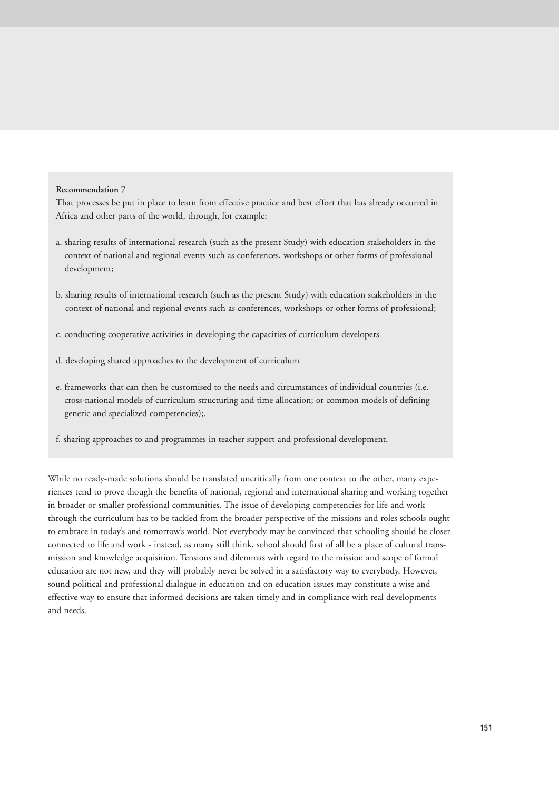#### **Recommendation 7**

That processes be put in place to learn from effective practice and best effort that has already occurred in Africa and other parts of the world, through, for example:

- a. sharing results of international research (such as the present Study) with education stakeholders in the context of national and regional events such as conferences, workshops or other forms of professional development;
- b. sharing results of international research (such as the present Study) with education stakeholders in the context of national and regional events such as conferences, workshops or other forms of professional;
- c. conducting cooperative activities in developing the capacities of curriculum developers
- d. developing shared approaches to the development of curriculum
- e. frameworks that can then be customised to the needs and circumstances of individual countries (i.e. cross-national models of curriculum structuring and time allocation; or common models of defining generic and specialized competencies);.
- f. sharing approaches to and programmes in teacher support and professional development.

While no ready-made solutions should be translated uncritically from one context to the other, many experiences tend to prove though the benefits of national, regional and international sharing and working together in broader or smaller professional communities. The issue of developing competencies for life and work through the curriculum has to be tackled from the broader perspective of the missions and roles schools ought to embrace in today's and tomorrow's world. Not everybody may be convinced that schooling should be closer connected to life and work - instead, as many still think, school should first of all be a place of cultural transmission and knowledge acquisition. Tensions and dilemmas with regard to the mission and scope of formal education are not new, and they will probably never be solved in a satisfactory way to everybody. However, sound political and professional dialogue in education and on education issues may constitute a wise and effective way to ensure that informed decisions are taken timely and in compliance with real developments and needs.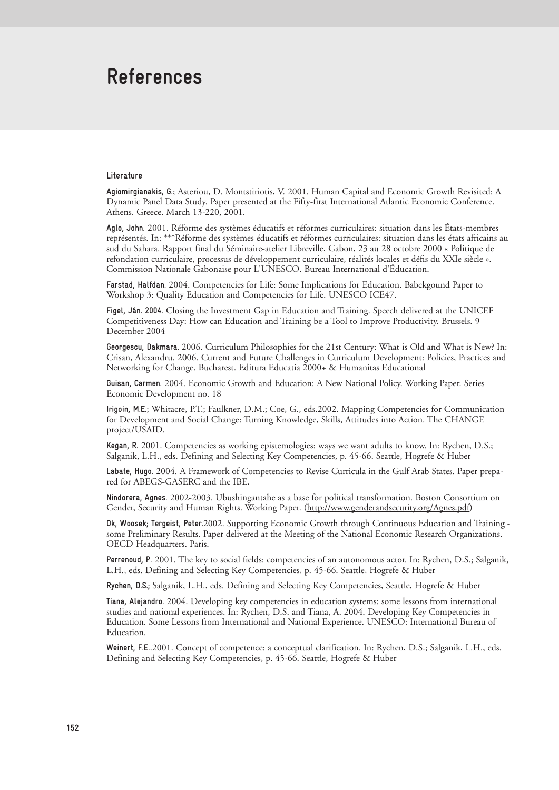# **References**

#### **Literature**

**Agiomirgianakis, G.**; Asteriou, D. Montstiriotis, V. 2001. Human Capital and Economic Growth Revisited: A Dynamic Panel Data Study. Paper presented at the Fifty-first International Atlantic Economic Conference. Athens. Greece. March 13-220, 2001.

**Aglo, John.** 2001. Réforme des systèmes éducatifs et réformes curriculaires: situation dans les États-membres représentés. In: \*\*\*Réforme des systèmes éducatifs et réformes curriculaires: situation dans les états africains au sud du Sahara. Rapport final du Séminaire-atelier Libreville, Gabon, 23 au 28 octobre 2000 « Politique de refondation curriculaire, processus de développement curriculaire, réalités locales et défis du XXIe siècle ». Commission Nationale Gabonaise pour L'UNESCO. Bureau International d'Éducation.

**Farstad, Halfdan.** 2004. Competencies for Life: Some Implications for Education. Babckgound Paper to Workshop 3: Quality Education and Competencies for Life. UNESCO ICE47.

**Figel, Ján. 2004.** Closing the Investment Gap in Education and Training. Speech delivered at the UNICEF Competitiveness Day: How can Education and Training be a Tool to Improve Productivity. Brussels. 9 December 2004

**Georgescu, Dakmara.** 2006. Curriculum Philosophies for the 21st Century: What is Old and What is New? In: Crisan, Alexandru. 2006. Current and Future Challenges in Curriculum Development: Policies, Practices and Networking for Change. Bucharest. Editura Educatia 2000+ & Humanitas Educational

**Guisan, Carmen.** 2004. Economic Growth and Education: A New National Policy. Working Paper. Series Economic Development no. 18

**Irigoin, M.E.**; Whitacre, P.T.; Faulkner, D.M.; Coe, G., eds.2002. Mapping Competencies for Communication for Development and Social Change: Turning Knowledge, Skills, Attitudes into Action. The CHANGE project/USAID.

**Kegan, R.** 2001. Competencies as working epistemologies: ways we want adults to know. In: Rychen, D.S.; Salganik, L.H., eds. Defining and Selecting Key Competencies, p. 45-66. Seattle, Hogrefe & Huber

**Labate, Hugo.** 2004. A Framework of Competencies to Revise Curricula in the Gulf Arab States. Paper prepared for ABEGS-GASERC and the IBE.

**Nindorera, Agnes.** 2002-2003. Ubushingantahe as a base for political transformation. Boston Consortium on Gender, Security and Human Rights. Working Paper. (http://www.genderandsecurity.org/Agnes.pdf)

**Ok, Woosek; Tergeist, Peter.**2002. Supporting Economic Growth through Continuous Education and Training some Preliminary Results. Paper delivered at the Meeting of the National Economic Research Organizations. OECD Headquarters. Paris.

**Perrenoud, P.** 2001. The key to social fields: competencies of an autonomous actor. In: Rychen, D.S.; Salganik, L.H., eds. Defining and Selecting Key Competencies, p. 45-66. Seattle, Hogrefe & Huber

**Rychen, D.S.;** Salganik, L.H., eds. Defining and Selecting Key Competencies, Seattle, Hogrefe & Huber

**Tiana, Alejandro.** 2004. Developing key competencies in education systems: some lessons from international studies and national experiences. In: Rychen, D.S. and Tiana, A. 2004. Developing Key Competencies in Education. Some Lessons from International and National Experience. UNESCO: International Bureau of Education.

**Weinert, F.E.**.2001. Concept of competence: a conceptual clarification. In: Rychen, D.S.; Salganik, L.H., eds. Defining and Selecting Key Competencies, p. 45-66. Seattle, Hogrefe & Huber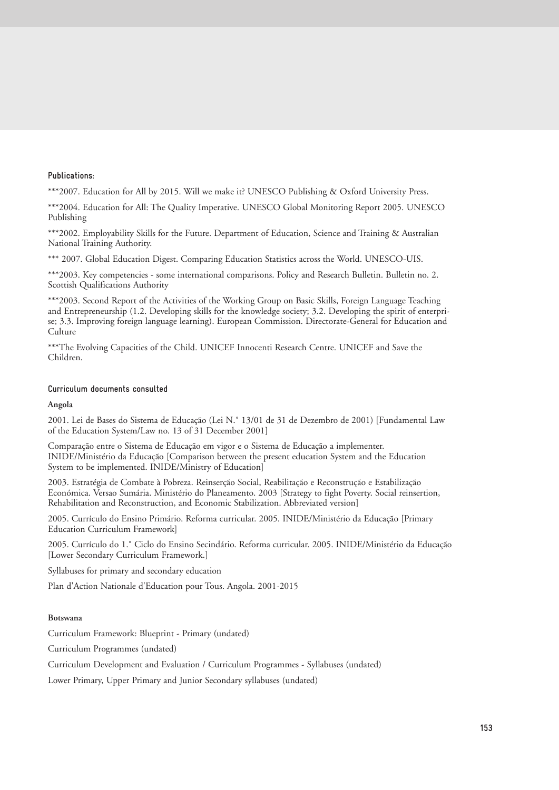#### **Publications:**

\*\*\*2007. Education for All by 2015. Will we make it? UNESCO Publishing & Oxford University Press.

\*\*\*2004. Education for All: The Quality Imperative. UNESCO Global Monitoring Report 2005. UNESCO Publishing

\*\*\*2002. Employability Skills for the Future. Department of Education, Science and Training & Australian National Training Authority.

\*\*\* 2007. Global Education Digest. Comparing Education Statistics across the World. UNESCO-UIS.

\*\*\*2003. Key competencies - some international comparisons. Policy and Research Bulletin. Bulletin no. 2. Scottish Qualifications Authority

\*\*\*2003. Second Report of the Activities of the Working Group on Basic Skills, Foreign Language Teaching and Entrepreneurship (1.2. Developing skills for the knowledge society; 3.2. Developing the spirit of enterprise; 3.3. Improving foreign language learning). European Commission. Directorate-General for Education and **Culture** 

\*\*\*The Evolving Capacities of the Child. UNICEF Innocenti Research Centre. UNICEF and Save the Children.

#### **Curriculum documents consulted**

#### **Angola**

2001. Lei de Bases do Sistema de Educação (Lei N.˚ 13/01 de 31 de Dezembro de 2001) [Fundamental Law of the Education System/Law no. 13 of 31 December 2001]

Comparação entre o Sistema de Educação em vigor e o Sistema de Educação a implementer. INIDE/Ministério da Educação [Comparison between the present education System and the Education System to be implemented. INIDE/Ministry of Education]

2003. Estratégia de Combate à Pobreza. Reinserção Social, Reabilitação e Reconstrução e Estabilização Económica. Versao Sumária. Ministério do Planeamento. 2003 [Strategy to fight Poverty. Social reinsertion, Rehabilitation and Reconstruction, and Economic Stabilization. Abbreviated version]

2005. Currículo do Ensino Primário. Reforma curricular. 2005. INIDE/Ministério da Educação [Primary Education Curriculum Framework]

2005. Currículo do 1.˚ Ciclo do Ensino Secindário. Reforma curricular. 2005. INIDE/Ministério da Educação [Lower Secondary Curriculum Framework.]

Syllabuses for primary and secondary education

Plan d'Action Nationale d'Education pour Tous. Angola. 2001-2015

#### **Botswana**

Curriculum Framework: Blueprint - Primary (undated)

Curriculum Programmes (undated)

Curriculum Development and Evaluation / Curriculum Programmes - Syllabuses (undated)

Lower Primary, Upper Primary and Junior Secondary syllabuses (undated)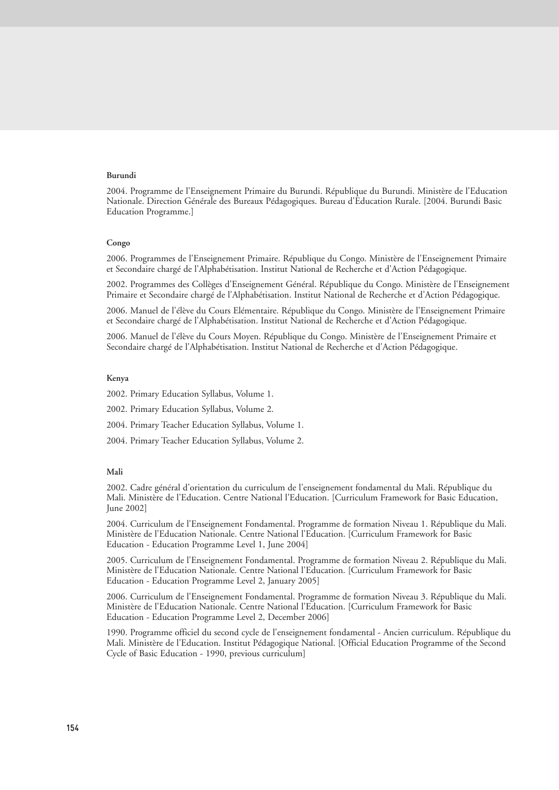#### **Burundi**

2004. Programme de l'Enseignement Primaire du Burundi. République du Burundi. Ministère de l'Education Nationale. Direction Générale des Bureaux Pédagogiques. Bureau d'Education Rurale. [2004. Burundi Basic Education Programme.]

#### **Congo**

2006. Programmes de l'Enseignement Primaire. République du Congo. Ministère de l'Enseignement Primaire et Secondaire chargé de l'Alphabétisation. Institut National de Recherche et d'Action Pédagogique.

2002. Programmes des Collèges d'Enseignement Général. République du Congo. Ministère de l'Enseignement Primaire et Secondaire chargé de l'Alphabétisation. Institut National de Recherche et d'Action Pédagogique.

2006. Manuel de l'élève du Cours Elémentaire. République du Congo. Ministère de l'Enseignement Primaire et Secondaire chargé de l'Alphabétisation. Institut National de Recherche et d'Action Pédagogique.

2006. Manuel de l'élève du Cours Moyen. République du Congo. Ministère de l'Enseignement Primaire et Secondaire chargé de l'Alphabétisation. Institut National de Recherche et d'Action Pédagogique.

#### **Kenya**

2002. Primary Education Syllabus, Volume 1.

2002. Primary Education Syllabus, Volume 2.

2004. Primary Teacher Education Syllabus, Volume 1.

2004. Primary Teacher Education Syllabus, Volume 2.

#### **Mali**

2002. Cadre général d'orientation du curriculum de l'enseignement fondamental du Mali. République du Mali. Ministère de l'Education. Centre National l'Education. [Curriculum Framework for Basic Education, June 2002]

2004. Curriculum de l'Enseignement Fondamental. Programme de formation Niveau 1. République du Mali. Ministère de l'Education Nationale. Centre National l'Education. [Curriculum Framework for Basic Education - Education Programme Level 1, June 2004]

2005. Curriculum de l'Enseignement Fondamental. Programme de formation Niveau 2. République du Mali. Ministère de l'Education Nationale. Centre National l'Education. [Curriculum Framework for Basic Education - Education Programme Level 2, January 2005]

2006. Curriculum de l'Enseignement Fondamental. Programme de formation Niveau 3. République du Mali. Ministère de l'Education Nationale. Centre National l'Education. [Curriculum Framework for Basic Education - Education Programme Level 2, December 2006]

1990. Programme officiel du second cycle de l'enseignement fondamental - Ancien curriculum. République du Mali. Ministère de l'Education. Institut Pédagogique National. [Official Education Programme of the Second Cycle of Basic Education - 1990, previous curriculum]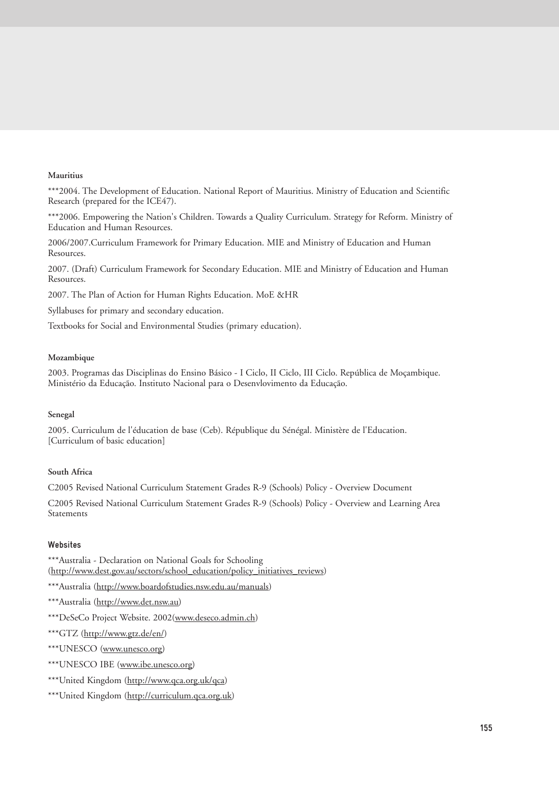#### **Mauritius**

\*\*\*2004. The Development of Education. National Report of Mauritius. Ministry of Education and Scientific Research (prepared for the ICE47).

\*\*\*2006. Empowering the Nation's Children. Towards a Quality Curriculum. Strategy for Reform. Ministry of Education and Human Resources.

2006/2007.Curriculum Framework for Primary Education. MIE and Ministry of Education and Human Resources.

2007. (Draft) Curriculum Framework for Secondary Education. MIE and Ministry of Education and Human Resources.

2007. The Plan of Action for Human Rights Education. MoE &HR

Syllabuses for primary and secondary education.

Textbooks for Social and Environmental Studies (primary education).

#### **Mozambique**

2003. Programas das Disciplinas do Ensino Básico - I Ciclo, II Ciclo, III Ciclo. República de Moçambique. Ministério da Educação. Instituto Nacional para o Desenvlovimento da Educação.

#### **Senegal**

2005. Curriculum de l'éducation de base (Ceb). République du Sénégal. Ministère de l'Education. [Curriculum of basic education]

#### **South Africa**

C2005 Revised National Curriculum Statement Grades R-9 (Schools) Policy - Overview Document

C2005 Revised National Curriculum Statement Grades R-9 (Schools) Policy - Overview and Learning Area Statements

#### **Websites**

\*\*\*Australia - Declaration on National Goals for Schooling (http://www.dest.gov.au/sectors/school\_education/policy\_initiatives\_reviews)

\*\*\*Australia (http://www.boardofstudies.nsw.edu.au/manuals)

\*\*\*Australia (http://www.det.nsw.au)

- \*\*\*DeSeCo Project Website. 2002(www.deseco.admin.ch)
- \*\*\*GTZ (http://www.gtz.de/en/)
- \*\*\*UNESCO (www.unesco.org)
- \*\*\*UNESCO IBE (www.ibe.unesco.org)
- \*\*\*United Kingdom (http://www.qca.org.uk/qca)

\*\*\*United Kingdom (http://curriculum.qca.org.uk)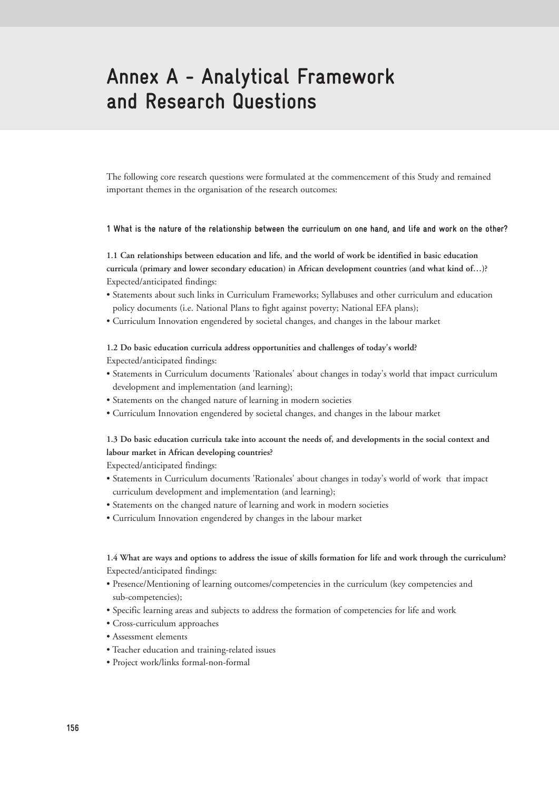# **Annex A - Analytical Framework and Research Questions**

The following core research questions were formulated at the commencement of this Study and remained important themes in the organisation of the research outcomes:

#### **1 What is the nature of the relationship between the curriculum on one hand, and life and work on the other?**

**1.1 Can relationships between education and life, and the world of work be identified in basic education curricula (primary and lower secondary education) in African development countries (and what kind of…)?** Expected/anticipated findings:

- Statements about such links in Curriculum Frameworks; Syllabuses and other curriculum and education policy documents (i.e. National Plans to fight against poverty; National EFA plans);
- Curriculum Innovation engendered by societal changes, and changes in the labour market

## **1.2 Do basic education curricula address opportunities and challenges of today's world?**

Expected/anticipated findings:

- Statements in Curriculum documents 'Rationales' about changes in today's world that impact curriculum development and implementation (and learning);
- Statements on the changed nature of learning in modern societies
- Curriculum Innovation engendered by societal changes, and changes in the labour market

### **1.3 Do basic education curricula take into account the needs of, and developments in the social context and labour market in African developing countries?**

Expected/anticipated findings:

- Statements in Curriculum documents 'Rationales' about changes in today's world of work that impact curriculum development and implementation (and learning);
- Statements on the changed nature of learning and work in modern societies
- Curriculum Innovation engendered by changes in the labour market

### **1.4 What are ways and options to address the issue of skills formation for life and work through the curriculum?**  Expected/anticipated findings:

- Presence/Mentioning of learning outcomes/competencies in the curriculum (key competencies and sub-competencies);
- Specific learning areas and subjects to address the formation of competencies for life and work
- Cross-curriculum approaches
- Assessment elements
- Teacher education and training-related issues
- Project work/links formal-non-formal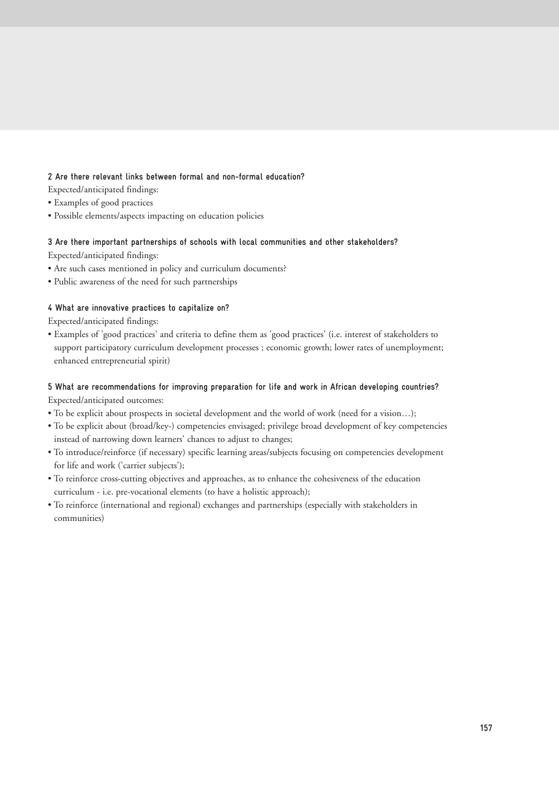### **2 Are there relevant links between formal and non-formal education?**

Expected/anticipated findings:

- Examples of good practices
- Possible elements/aspects impacting on education policies

# **3 Are there important partnerships of schools with local communities and other stakeholders?**

- Expected/anticipated findings:
- Are such cases mentioned in policy and curriculum documents?
- Public awareness of the need for such partnerships

### **4 What are innovative practices to capitalize on?**

Expected/anticipated findings:

• Examples of 'good practices' and criteria to define them as 'good practices' (i.e. interest of stakeholders to support participatory curriculum development processes ; economic growth; lower rates of unemployment; enhanced entrepreneurial spirit)

## **5 What are recommendations for improving preparation for life and work in African developing countries?** Expected/anticipated outcomes:

- To be explicit about prospects in societal development and the world of work (need for a vision…);
- To be explicit about (broad/key-) competencies envisaged; privilege broad development of key competencies instead of narrowing down learners' chances to adjust to changes;
- To introduce/reinforce (if necessary) specific learning areas/subjects focusing on competencies development for life and work ('carrier subjects');
- To reinforce cross-cutting objectives and approaches, as to enhance the cohesiveness of the education curriculum - i.e. pre-vocational elements (to have a holistic approach);
- To reinforce (international and regional) exchanges and partnerships (especially with stakeholders in communities)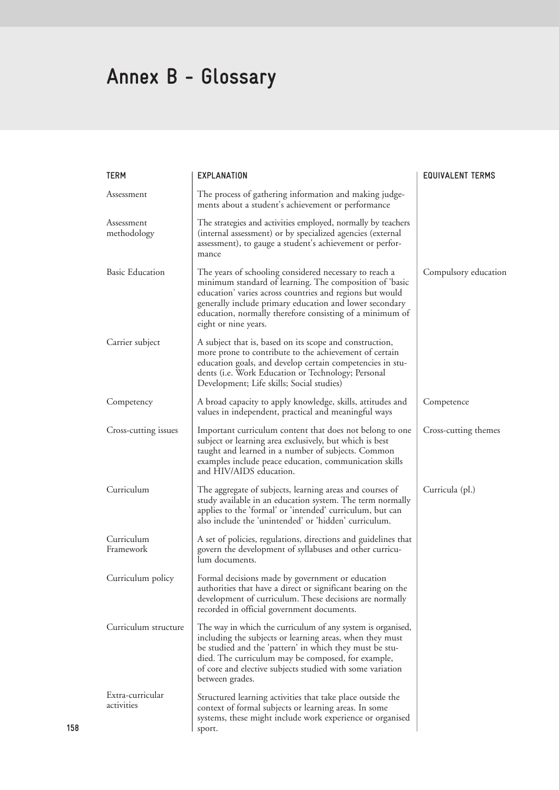# **Annex B - Glossary**

| <b>TERM</b>                    | <b>EXPLANATION</b>                                                                                                                                                                                                                                                                                                           | <b>EQUIVALENT TERMS</b> |
|--------------------------------|------------------------------------------------------------------------------------------------------------------------------------------------------------------------------------------------------------------------------------------------------------------------------------------------------------------------------|-------------------------|
| Assessment                     | The process of gathering information and making judge-<br>ments about a student's achievement or performance                                                                                                                                                                                                                 |                         |
| Assessment<br>methodology      | The strategies and activities employed, normally by teachers<br>(internal assessment) or by specialized agencies (external<br>assessment), to gauge a student's achievement or perfor-<br>mance                                                                                                                              |                         |
| <b>Basic Education</b>         | The years of schooling considered necessary to reach a<br>minimum standard of learning. The composition of 'basic<br>education' varies across countries and regions but would<br>generally include primary education and lower secondary<br>education, normally therefore consisting of a minimum of<br>eight or nine years. | Compulsory education    |
| Carrier subject                | A subject that is, based on its scope and construction,<br>more prone to contribute to the achievement of certain<br>education goals, and develop certain competencies in stu-<br>dents (i.e. Work Education or Technology; Personal<br>Development; Life skills; Social studies)                                            |                         |
| Competency                     | A broad capacity to apply knowledge, skills, attitudes and<br>values in independent, practical and meaningful ways                                                                                                                                                                                                           | Competence              |
| Cross-cutting issues           | Important curriculum content that does not belong to one<br>subject or learning area exclusively, but which is best<br>taught and learned in a number of subjects. Common<br>examples include peace education, communication skills<br>and HIV/AIDS education.                                                               | Cross-cutting themes    |
| Curriculum                     | The aggregate of subjects, learning areas and courses of<br>study available in an education system. The term normally<br>applies to the 'formal' or 'intended' curriculum, but can<br>also include the 'unintended' or 'hidden' curriculum.                                                                                  | Curricula (pl.)         |
| Curriculum<br>Framework        | A set of policies, regulations, directions and guidelines that<br>govern the development of syllabuses and other curricu-<br>lum documents.                                                                                                                                                                                  |                         |
| Curriculum policy              | Formal decisions made by government or education<br>authorities that have a direct or significant bearing on the<br>development of curriculum. These decisions are normally<br>recorded in official government documents.                                                                                                    |                         |
| Curriculum structure           | The way in which the curriculum of any system is organised,<br>including the subjects or learning areas, when they must<br>be studied and the 'pattern' in which they must be stu-<br>died. The curriculum may be composed, for example,<br>of core and elective subjects studied with some variation<br>between grades.     |                         |
| Extra-curricular<br>activities | Structured learning activities that take place outside the<br>context of formal subjects or learning areas. In some<br>systems, these might include work experience or organised<br>sport.                                                                                                                                   |                         |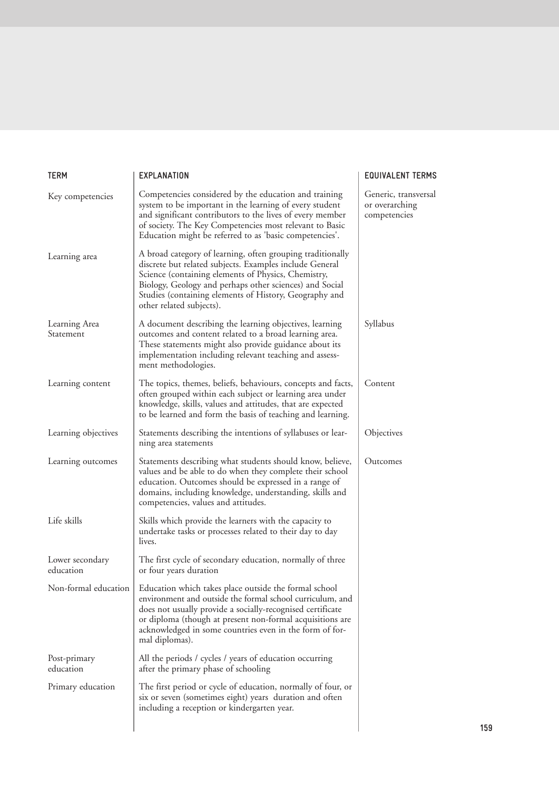| <b>TERM</b>                  | <b>EXPLANATION</b>                                                                                                                                                                                                                                                                                                                                | <b>EQUIVALENT TERMS</b>                                |
|------------------------------|---------------------------------------------------------------------------------------------------------------------------------------------------------------------------------------------------------------------------------------------------------------------------------------------------------------------------------------------------|--------------------------------------------------------|
| Key competencies             | Competencies considered by the education and training<br>system to be important in the learning of every student<br>and significant contributors to the lives of every member<br>of society. The Key Competencies most relevant to Basic<br>Education might be referred to as 'basic competencies'.                                               | Generic, transversal<br>or overarching<br>competencies |
| Learning area                | A broad category of learning, often grouping traditionally<br>discrete but related subjects. Examples include General<br>Science (containing elements of Physics, Chemistry,<br>Biology, Geology and perhaps other sciences) and Social<br>Studies (containing elements of History, Geography and<br>other related subjects).                     |                                                        |
| Learning Area<br>Statement   | A document describing the learning objectives, learning<br>outcomes and content related to a broad learning area.<br>These statements might also provide guidance about its<br>implementation including relevant teaching and assess-<br>ment methodologies.                                                                                      | Syllabus                                               |
| Learning content             | The topics, themes, beliefs, behaviours, concepts and facts,<br>often grouped within each subject or learning area under<br>knowledge, skills, values and attitudes, that are expected<br>to be learned and form the basis of teaching and learning.                                                                                              | Content                                                |
| Learning objectives          | Statements describing the intentions of syllabuses or lear-<br>ning area statements                                                                                                                                                                                                                                                               | Objectives                                             |
| Learning outcomes            | Statements describing what students should know, believe,<br>values and be able to do when they complete their school<br>education. Outcomes should be expressed in a range of<br>domains, including knowledge, understanding, skills and<br>competencies, values and attitudes.                                                                  | Outcomes                                               |
| Life skills                  | Skills which provide the learners with the capacity to<br>undertake tasks or processes related to their day to day<br>lives.                                                                                                                                                                                                                      |                                                        |
| Lower secondary<br>education | The first cycle of secondary education, normally of three<br>or four years duration                                                                                                                                                                                                                                                               |                                                        |
|                              | Non-formal education   Education which takes place outside the formal school<br>environment and outside the formal school curriculum, and<br>does not usually provide a socially-recognised certificate<br>or diploma (though at present non-formal acquisitions are<br>acknowledged in some countries even in the form of for-<br>mal diplomas). |                                                        |
| Post-primary<br>education    | All the periods / cycles / years of education occurring<br>after the primary phase of schooling                                                                                                                                                                                                                                                   |                                                        |
| Primary education            | The first period or cycle of education, normally of four, or<br>six or seven (sometimes eight) years duration and often<br>including a reception or kindergarten year.                                                                                                                                                                            |                                                        |
|                              |                                                                                                                                                                                                                                                                                                                                                   |                                                        |

## MS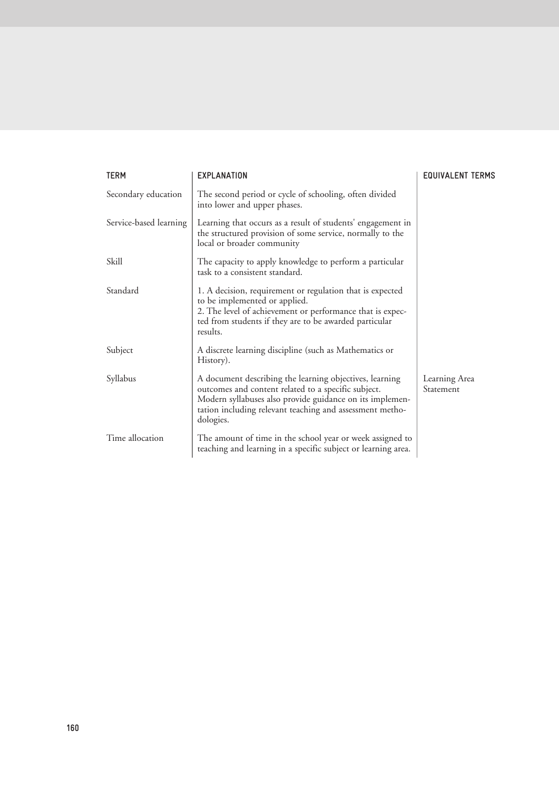| <b>TERM</b>            | <b>EXPLANATION</b>                                                                                                                                                                                                                                  | <b>EQUIVALENT TERMS</b>    |
|------------------------|-----------------------------------------------------------------------------------------------------------------------------------------------------------------------------------------------------------------------------------------------------|----------------------------|
| Secondary education    | The second period or cycle of schooling, often divided<br>into lower and upper phases.                                                                                                                                                              |                            |
| Service-based learning | Learning that occurs as a result of students' engagement in<br>the structured provision of some service, normally to the<br>local or broader community                                                                                              |                            |
| Skill                  | The capacity to apply knowledge to perform a particular<br>task to a consistent standard.                                                                                                                                                           |                            |
| Standard               | 1. A decision, requirement or regulation that is expected<br>to be implemented or applied.<br>2. The level of achievement or performance that is expec-<br>ted from students if they are to be awarded particular<br>results.                       |                            |
| Subject                | A discrete learning discipline (such as Mathematics or<br>History).                                                                                                                                                                                 |                            |
| Syllabus               | A document describing the learning objectives, learning<br>outcomes and content related to a specific subject.<br>Modern syllabuses also provide guidance on its implemen-<br>tation including relevant teaching and assessment metho-<br>dologies. | Learning Area<br>Statement |
| Time allocation        | The amount of time in the school year or week assigned to<br>teaching and learning in a specific subject or learning area.                                                                                                                          |                            |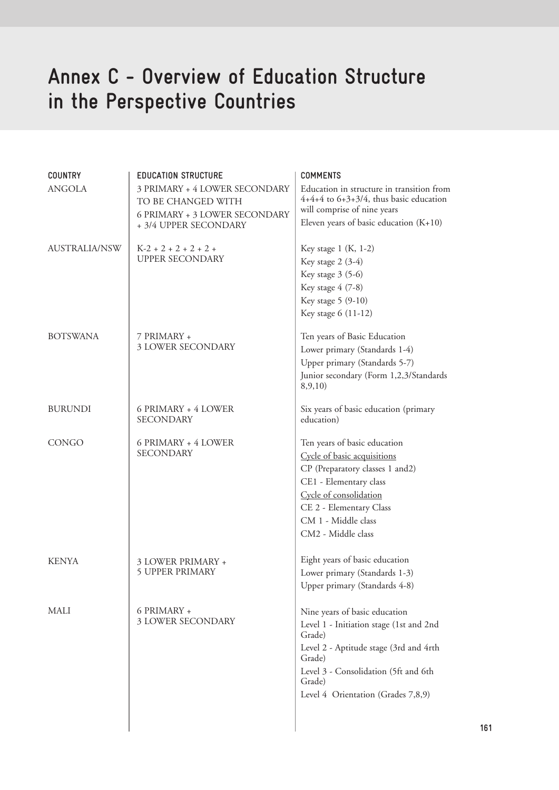# **Annex C - Overview of Education Structure in the Perspective Countries**

| <b>COUNTRY</b>       | <b>EDUCATION STRUCTURE</b>                                                                                    | <b>COMMENTS</b>                                                                                                                                                                                                                |
|----------------------|---------------------------------------------------------------------------------------------------------------|--------------------------------------------------------------------------------------------------------------------------------------------------------------------------------------------------------------------------------|
| <b>ANGOLA</b>        | 3 PRIMARY + 4 LOWER SECONDARY<br>TO BE CHANGED WITH<br>6 PRIMARY + 3 LOWER SECONDARY<br>+ 3/4 UPPER SECONDARY | Education in structure in transition from<br>$4+4+4$ to $6+3+3/4$ , thus basic education<br>will comprise of nine years                                                                                                        |
|                      |                                                                                                               | Eleven years of basic education $(K+10)$                                                                                                                                                                                       |
| <b>AUSTRALIA/NSW</b> | $K-2+2+2+2+2+$<br><b>UPPER SECONDARY</b>                                                                      | Key stage $1$ (K, 1-2)<br>Key stage $2(3-4)$<br>Key stage 3 (5-6)<br>Key stage 4 (7-8)                                                                                                                                         |
|                      |                                                                                                               | Key stage 5 (9-10)<br>Key stage 6 (11-12)                                                                                                                                                                                      |
| <b>BOTSWANA</b>      | 7 PRIMARY +<br>3 LOWER SECONDARY                                                                              | Ten years of Basic Education<br>Lower primary (Standards 1-4)<br>Upper primary (Standards 5-7)<br>Junior secondary (Form 1,2,3/Standards<br>8, 9, 10)                                                                          |
| <b>BURUNDI</b>       | 6 PRIMARY + 4 LOWER<br><b>SECONDARY</b>                                                                       | Six years of basic education (primary<br>education)                                                                                                                                                                            |
| CONGO                | 6 PRIMARY + 4 LOWER<br><b>SECONDARY</b>                                                                       | Ten years of basic education<br>Cycle of basic acquisitions<br>CP (Preparatory classes 1 and2)<br>CE1 - Elementary class<br>Cycle of consolidation<br>CE 2 - Elementary Class<br>CM 1 - Middle class<br>CM2 - Middle class     |
| <b>KENYA</b>         | 3 LOWER PRIMARY +<br><b>5 UPPER PRIMARY</b>                                                                   | Eight years of basic education<br>Lower primary (Standards 1-3)<br>Upper primary (Standards 4-8)                                                                                                                               |
| MALI                 | 6 PRIMARY +<br>3 LOWER SECONDARY                                                                              | Nine years of basic education<br>Level 1 - Initiation stage (1st and 2nd<br>Grade)<br>Level 2 - Aptitude stage (3rd and 4rth<br>Grade)<br>Level 3 - Consolidation (5ft and 6th<br>Grade)<br>Level 4 Orientation (Grades 7,8,9) |
|                      |                                                                                                               |                                                                                                                                                                                                                                |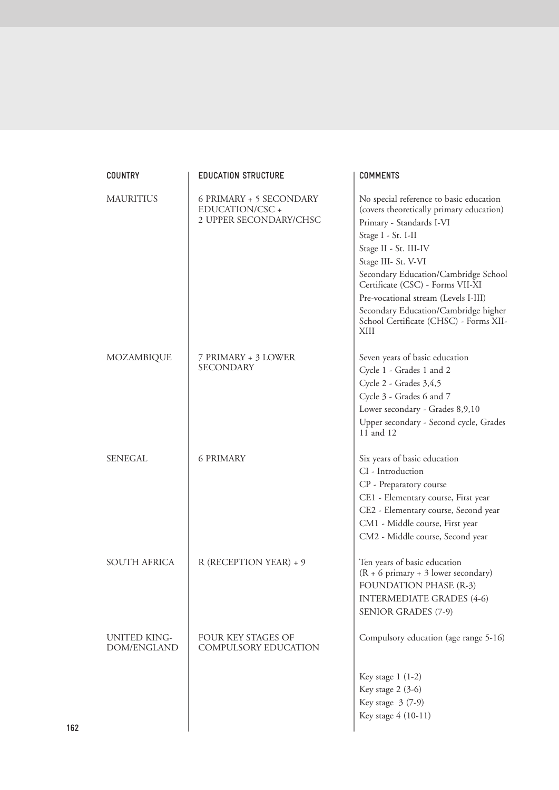| <b>COUNTRY</b>                     | <b>EDUCATION STRUCTURE</b>                                           | <b>COMMENTS</b>                                                                                                                                                                                                                                                                                                                                                                                     |
|------------------------------------|----------------------------------------------------------------------|-----------------------------------------------------------------------------------------------------------------------------------------------------------------------------------------------------------------------------------------------------------------------------------------------------------------------------------------------------------------------------------------------------|
| <b>MAURITIUS</b>                   | 6 PRIMARY + 5 SECONDARY<br>EDUCATION/CSC +<br>2 UPPER SECONDARY/CHSC | No special reference to basic education<br>(covers theoretically primary education)<br>Primary - Standards I-VI<br>Stage I - St. I-II<br>Stage II - St. III-IV<br>Stage III- St. V-VI<br>Secondary Education/Cambridge School<br>Certificate (CSC) - Forms VII-XI<br>Pre-vocational stream (Levels I-III)<br>Secondary Education/Cambridge higher<br>School Certificate (CHSC) - Forms XII-<br>XIII |
| MOZAMBIQUE                         | 7 PRIMARY + 3 LOWER<br><b>SECONDARY</b>                              | Seven years of basic education<br>Cycle 1 - Grades 1 and 2<br>Cycle 2 - Grades 3,4,5<br>Cycle 3 - Grades 6 and 7<br>Lower secondary - Grades 8,9,10<br>Upper secondary - Second cycle, Grades<br>11 and 12                                                                                                                                                                                          |
| SENEGAL                            | <b>6 PRIMARY</b>                                                     | Six years of basic education<br>CI - Introduction<br>CP - Preparatory course<br>CE1 - Elementary course, First year<br>CE2 - Elementary course, Second year<br>CM1 - Middle course, First year<br>CM2 - Middle course, Second year                                                                                                                                                                  |
| <b>SOUTH AFRICA</b>                | R (RECEPTION YEAR) + 9                                               | Ten years of basic education<br>$(R + 6 \text{ primary} + 3 \text{ lower secondary})$<br><b>FOUNDATION PHASE (R-3)</b><br><b>INTERMEDIATE GRADES (4-6)</b><br><b>SENIOR GRADES (7-9)</b>                                                                                                                                                                                                            |
| <b>UNITED KING-</b><br>DOM/ENGLAND | <b>FOUR KEY STAGES OF</b><br>COMPULSORY EDUCATION                    | Compulsory education (age range 5-16)<br>Key stage $1(1-2)$<br>Key stage 2 (3-6)<br>Key stage 3 (7-9)<br>Key stage 4 (10-11)                                                                                                                                                                                                                                                                        |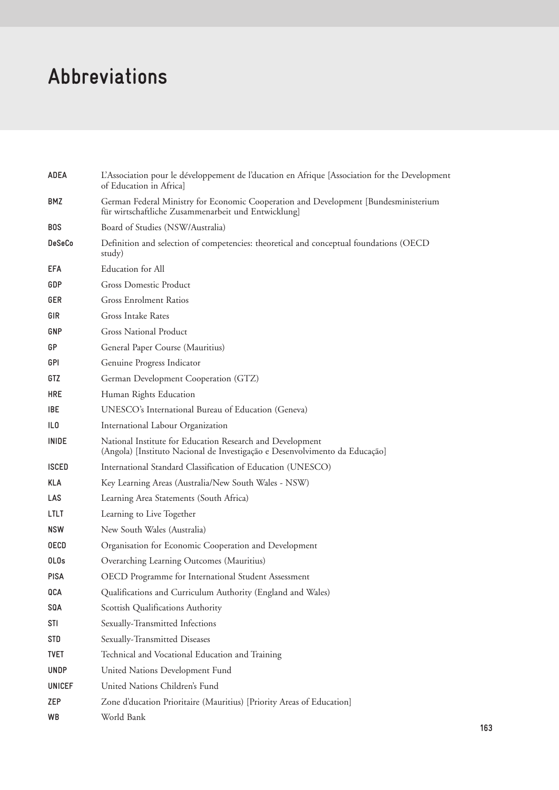# **Abbreviations**

| ADEA             | L'Association pour le développement de l'ducation en Afrique [Association for the Development<br>of Education in Africa]                   |
|------------------|--------------------------------------------------------------------------------------------------------------------------------------------|
| <b>BMZ</b>       | German Federal Ministry for Economic Cooperation and Development [Bundesministerium<br>für wirtschaftliche Zusammenarbeit und Entwicklung] |
| <b>BOS</b>       | Board of Studies (NSW/Australia)                                                                                                           |
| <b>DeSeCo</b>    | Definition and selection of competencies: theoretical and conceptual foundations (OECD)<br>study)                                          |
| EFA              | Education for All                                                                                                                          |
| <b>GDP</b>       | <b>Gross Domestic Product</b>                                                                                                              |
| <b>GER</b>       | <b>Gross Enrolment Ratios</b>                                                                                                              |
| GIR              | Gross Intake Rates                                                                                                                         |
| GNP              | <b>Gross National Product</b>                                                                                                              |
| GP               | General Paper Course (Mauritius)                                                                                                           |
| <b>GPI</b>       | Genuine Progress Indicator                                                                                                                 |
| GTZ              | German Development Cooperation (GTZ)                                                                                                       |
| <b>HRE</b>       | Human Rights Education                                                                                                                     |
| <b>IBE</b>       | UNESCO's International Bureau of Education (Geneva)                                                                                        |
| IL <sub>0</sub>  | International Labour Organization                                                                                                          |
| <b>INIDE</b>     | National Institute for Education Research and Development<br>(Angola) [Instituto Nacional de Investigação e Desenvolvimento da Educação]   |
| <b>ISCED</b>     | International Standard Classification of Education (UNESCO)                                                                                |
| <b>KLA</b>       | Key Learning Areas (Australia/New South Wales - NSW)                                                                                       |
| LAS.             | Learning Area Statements (South Africa)                                                                                                    |
| LTLT             | Learning to Live Together                                                                                                                  |
| <b>NSW</b>       | New South Wales (Australia)                                                                                                                |
| <b>OECD</b>      | Organisation for Economic Cooperation and Development                                                                                      |
| OL <sub>Os</sub> | Overarching Learning Outcomes (Mauritius)                                                                                                  |
| <b>PISA</b>      | OECD Programme for International Student Assessment                                                                                        |
| QCA              | Qualifications and Curriculum Authority (England and Wales)                                                                                |
| <b>SQA</b>       | Scottish Qualifications Authority                                                                                                          |
| <b>STI</b>       | Sexually-Transmitted Infections                                                                                                            |
| <b>STD</b>       | Sexually-Transmitted Diseases                                                                                                              |
| <b>TVET</b>      | Technical and Vocational Education and Training                                                                                            |
| <b>UNDP</b>      | United Nations Development Fund                                                                                                            |
| <b>UNICEF</b>    | United Nations Children's Fund                                                                                                             |
| ZEP              | Zone d'ducation Prioritaire (Mauritius) [Priority Areas of Education]                                                                      |
| WB               | World Bank                                                                                                                                 |